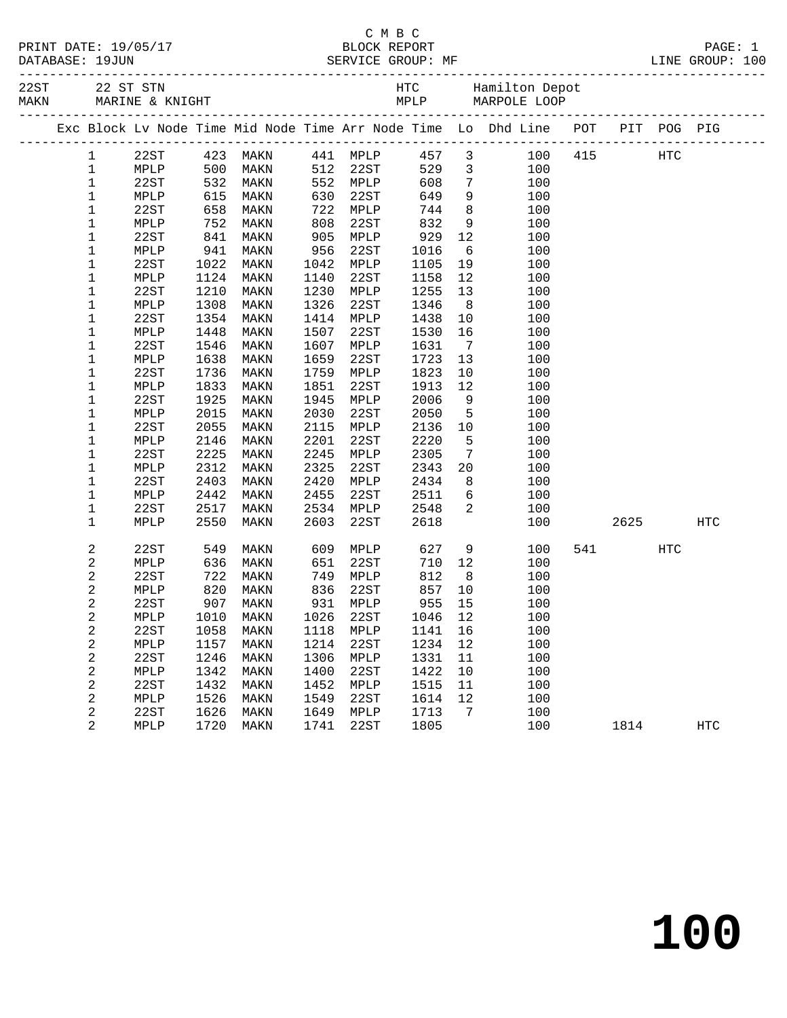| PRINT DATE: 19/05/17 | BLOCK REPORT                                                                                                                                                                                                                                                                                                                                               | PAGE:                                           |
|----------------------|------------------------------------------------------------------------------------------------------------------------------------------------------------------------------------------------------------------------------------------------------------------------------------------------------------------------------------------------------------|-------------------------------------------------|
|                      | $\alpha$ = = $\alpha$ = $\alpha$ = $\alpha$ = $\alpha$ = $\alpha$ = $\alpha$ = $\alpha$ = $\alpha$ = $\alpha$ = $\alpha$ = $\alpha$ = $\alpha$ = $\alpha$ = $\alpha$ = $\alpha$ = $\alpha$ = $\alpha$ = $\alpha$ = $\alpha$ = $\alpha$ = $\alpha$ = $\alpha$ = $\alpha$ = $\alpha$ = $\alpha$ = $\alpha$ = $\alpha$ = $\alpha$ = $\alpha$ = $\alpha$ = $\$ | $\sim$ $\sim$ $\sim$<br>$= - - - - - - - - - -$ |

|                      | C M B C           |                 |
|----------------------|-------------------|-----------------|
| PRINT DATE: 19/05/17 | BLOCK REPORT      | PAGE:           |
| DATABASE: 19JUN      | SERVICE GROUP: MF | LINE GROUP: 100 |

|  |                |      |                                                                               |                   |              |                      |      |                         | Exc Block Lv Node Time Mid Node Time Arr Node Time Lo Dhd Line POT PIT POG PIG |       |            |            |  |
|--|----------------|------|-------------------------------------------------------------------------------|-------------------|--------------|----------------------|------|-------------------------|--------------------------------------------------------------------------------|-------|------------|------------|--|
|  | $\mathbf{1}$   | 22ST |                                                                               | 423 MAKN 441 MPLP |              |                      | 457  | $\overline{\mathbf{3}}$ | 100 415                                                                        | HTC   |            |            |  |
|  | $\mathbf 1$    | MPLP | $\begin{array}{r} 1200 \\ 500 \\ 532 \\ 615 \\ 658 \\ 752 \\ 841 \end{array}$ | MAKN              |              |                      | 529  | $\overline{\mathbf{3}}$ | 100                                                                            |       |            |            |  |
|  | $\mathbf{1}$   | 22ST |                                                                               | MAKN              |              | 512 22ST<br>552 MPLP | 608  | $7\overline{ }$         | 100                                                                            |       |            |            |  |
|  | 1              | MPLP |                                                                               | MAKN              |              | 630 22ST<br>722 MPLP | 649  | 9                       | 100                                                                            |       |            |            |  |
|  | $1\,$          | 22ST |                                                                               | MAKN              |              |                      | 744  | 8 <sup>8</sup>          | 100                                                                            |       |            |            |  |
|  | $\mathbf 1$    | MPLP |                                                                               | MAKN              | $808$<br>905 | 22ST                 | 832  | 9                       | 100                                                                            |       |            |            |  |
|  | $\mathbf 1$    | 22ST |                                                                               | MAKN              | 905          | MPLP                 | 929  | 12                      | 100                                                                            |       |            |            |  |
|  | $1\,$          | MPLP | 941                                                                           | MAKN              | 956          | 22ST                 | 1016 | 6                       | 100                                                                            |       |            |            |  |
|  | 1              | 22ST | 1022                                                                          | MAKN              | 1042         | MPLP                 | 1105 | 19                      | 100                                                                            |       |            |            |  |
|  | 1              | MPLP | 1124                                                                          | MAKN              | 1140         | 22ST                 | 1158 | 12                      | 100                                                                            |       |            |            |  |
|  | 1              | 22ST | 1210                                                                          | MAKN              | 1230         | MPLP                 | 1255 | 13                      | 100                                                                            |       |            |            |  |
|  | $1\,$          | MPLP | 1308                                                                          | MAKN              | 1326         | 22ST                 | 1346 | 8 <sup>8</sup>          | 100                                                                            |       |            |            |  |
|  | $\mathbf 1$    | 22ST | 1354                                                                          | MAKN              | 1414         | MPLP                 | 1438 | 10                      | 100                                                                            |       |            |            |  |
|  | $1\,$          | MPLP | 1448                                                                          | MAKN              | 1507         | 22ST                 | 1530 | 16                      | 100                                                                            |       |            |            |  |
|  | 1              | 22ST | 1546                                                                          | MAKN              | 1607         | MPLP                 | 1631 | $\overline{7}$          | 100                                                                            |       |            |            |  |
|  | $\mathbf 1$    | MPLP | 1638                                                                          | MAKN              | 1659         | 22ST                 | 1723 | 13                      | 100                                                                            |       |            |            |  |
|  | 1              | 22ST | 1736                                                                          | MAKN              | 1759         | MPLP                 | 1823 | 10                      | 100                                                                            |       |            |            |  |
|  | $\mathbf 1$    | MPLP | 1833                                                                          | MAKN              | 1851         | 22ST                 | 1913 | 12                      | 100                                                                            |       |            |            |  |
|  | 1              | 22ST | 1925                                                                          | MAKN              | 1945         | MPLP                 | 2006 | 9                       | 100                                                                            |       |            |            |  |
|  | $1\,$          | MPLP | 2015                                                                          | MAKN              | 2030         | 22ST                 | 2050 | $5^{\circ}$             | 100                                                                            |       |            |            |  |
|  | $\mathbf{1}$   | 22ST | 2055                                                                          | MAKN              | 2115         | MPLP                 | 2136 | 10                      | 100                                                                            |       |            |            |  |
|  | $\mathbf 1$    | MPLP | 2146                                                                          | MAKN              | 2201         | 22ST                 | 2220 | $5^{\circ}$             | 100                                                                            |       |            |            |  |
|  | $\mathbf 1$    | 22ST | 2225                                                                          | MAKN              | 2245         | MPLP                 | 2305 | $7\overline{ }$         | 100                                                                            |       |            |            |  |
|  | 1              | MPLP | 2312                                                                          | MAKN              | 2325         | 22ST                 | 2343 | 20                      | 100                                                                            |       |            |            |  |
|  | $1\,$          | 22ST | 2403                                                                          | MAKN              | 2420         | MPLP                 | 2434 | 8                       | 100                                                                            |       |            |            |  |
|  | 1              | MPLP | 2442                                                                          | MAKN              | 2455         | 22ST                 | 2511 | 6                       | 100                                                                            |       |            |            |  |
|  | 1              | 22ST | 2517                                                                          | MAKN              |              | 2534 MPLP            | 2548 | $\overline{2}$          | 100                                                                            |       |            |            |  |
|  | $\mathbf 1$    | MPLP | 2550                                                                          | MAKN              | 2603         | 22ST                 | 2618 |                         | 100                                                                            | 2625  |            | <b>HTC</b> |  |
|  | $\overline{a}$ | 22ST | 549<br>636                                                                    | MAKN              | 609          | MPLP                 | 627  | 9                       | 100                                                                            | 541 7 | <b>HTC</b> |            |  |
|  | $\sqrt{2}$     | MPLP |                                                                               | MAKN              | 651          | 22ST                 | 710  | 12                      | 100                                                                            |       |            |            |  |
|  | $\overline{c}$ | 22ST | $\begin{array}{c} \n 820 \\  \hline\n 27\n \end{array}$                       | MAKN              | 749          | MPLP                 | 812  | 8 <sup>8</sup>          | 100                                                                            |       |            |            |  |
|  | 2              | MPLP |                                                                               | MAKN              | 836          | 22ST                 | 857  | 10                      | 100                                                                            |       |            |            |  |
|  | $\overline{c}$ | 22ST | 907                                                                           | MAKN              | 931          | MPLP                 | 955  | 15                      | 100                                                                            |       |            |            |  |
|  | $\sqrt{2}$     | MPLP | 1010                                                                          | MAKN              | 1026         | 22ST                 | 1046 | 12                      | 100                                                                            |       |            |            |  |
|  | $\overline{a}$ | 22ST | 1058                                                                          | MAKN              | 1118         | MPLP                 | 1141 | 16                      | 100                                                                            |       |            |            |  |
|  | $\sqrt{2}$     | MPLP | 1157                                                                          | MAKN              | 1214         | 22ST                 | 1234 | 12                      | 100                                                                            |       |            |            |  |
|  | $\sqrt{2}$     | 22ST | 1246                                                                          | MAKN              | 1306         | MPLP                 | 1331 | 11                      | 100                                                                            |       |            |            |  |
|  | $\sqrt{2}$     | MPLP | 1342                                                                          | MAKN              | 1400         | 22ST                 | 1422 | 10                      | 100                                                                            |       |            |            |  |
|  | $\overline{c}$ | 22ST | 1432                                                                          | MAKN              | 1452         | MPLP                 | 1515 | 11                      | 100                                                                            |       |            |            |  |
|  | $\mathbf{2}$   | MPLP | 1526                                                                          | MAKN              | 1549         | 22ST                 | 1614 | 12                      | 100                                                                            |       |            |            |  |
|  | $\overline{c}$ | 22ST | 1626                                                                          | MAKN              | 1649         | MPLP                 | 1713 | $\overline{7}$          | 100                                                                            |       |            |            |  |
|  | $\overline{2}$ | MPLP | 1720                                                                          | MAKN              | 1741         | 22ST                 | 1805 |                         | 100                                                                            | 1814  |            | <b>HTC</b> |  |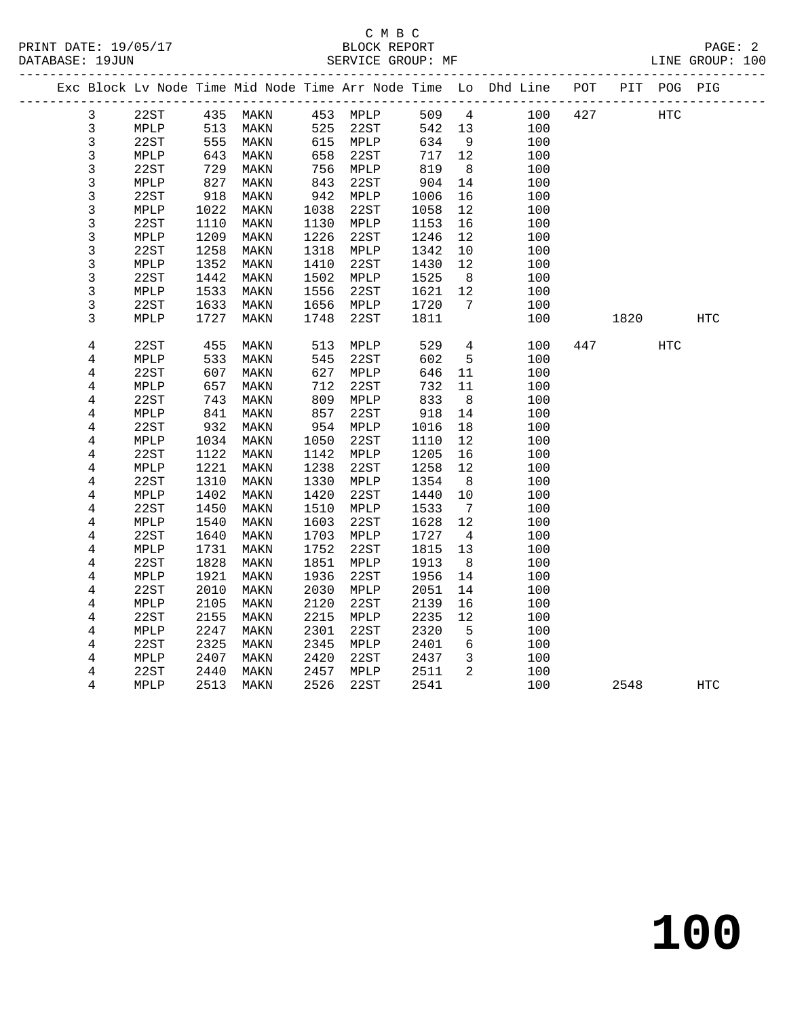|  |                |                 |      |          |      |          |      |                 | Exc Block Lv Node Time Mid Node Time Arr Node Time Lo Dhd Line POT |      | PIT POG PIG |     |
|--|----------------|-----------------|------|----------|------|----------|------|-----------------|--------------------------------------------------------------------|------|-------------|-----|
|  | 3              | 22ST            |      | 435 MAKN |      | 453 MPLP | 509  |                 | $4\overline{ }$<br>100 427                                         |      | HTC         |     |
|  | 3              | MPLP            | 513  | MAKN     | 525  | 22ST     | 542  | 13              | 100                                                                |      |             |     |
|  | 3              | 22ST            | 555  | MAKN     |      | 615 MPLP | 634  | 9               | 100                                                                |      |             |     |
|  | $\mathsf{3}$   | MPLP            | 643  | MAKN     | 658  | 22ST     | 717  | 12              | 100                                                                |      |             |     |
|  | $\mathsf{3}$   | 22ST            | 729  | MAKN     | 756  | MPLP     | 819  | 8               | 100                                                                |      |             |     |
|  | 3              | MPLP            | 827  | MAKN     | 843  | 22ST     | 904  | 14              | 100                                                                |      |             |     |
|  | 3              | 22ST            | 918  | MAKN     | 942  | MPLP     | 1006 | 16              | 100                                                                |      |             |     |
|  | 3              | MPLP            | 1022 | MAKN     | 1038 | 22ST     | 1058 | 12              | 100                                                                |      |             |     |
|  | 3              | 22ST            | 1110 | MAKN     | 1130 | MPLP     | 1153 | 16              | 100                                                                |      |             |     |
|  | 3              | MPLP            | 1209 | MAKN     | 1226 | 22ST     | 1246 | 12              | 100                                                                |      |             |     |
|  | 3              | 22ST            | 1258 | MAKN     | 1318 | MPLP     | 1342 | 10              | 100                                                                |      |             |     |
|  | 3              | MPLP            | 1352 | MAKN     | 1410 | 22ST     | 1430 | 12              | 100                                                                |      |             |     |
|  | $\mathsf{3}$   | 22ST            | 1442 | MAKN     | 1502 | MPLP     | 1525 | 8 <sup>8</sup>  | 100                                                                |      |             |     |
|  | 3              | MPLP            | 1533 | MAKN     | 1556 | 22ST     | 1621 | 12              | 100                                                                |      |             |     |
|  | 3              | 22ST            | 1633 | MAKN     | 1656 | MPLP     | 1720 | $\overline{7}$  | 100                                                                |      |             |     |
|  | 3              | MPLP            | 1727 | MAKN     | 1748 | 22ST     | 1811 |                 | 100                                                                | 1820 |             | HTC |
|  |                |                 |      |          |      |          |      |                 |                                                                    |      |             |     |
|  | 4              | 22ST            | 455  | MAKN     | 513  | MPLP     | 529  | $4\overline{ }$ | 100                                                                | 447  | <b>HTC</b>  |     |
|  | 4              | MPLP            | 533  | MAKN     | 545  | 22ST     | 602  | 5               | 100                                                                |      |             |     |
|  | 4              | 22ST            | 607  | MAKN     | 627  | MPLP     | 646  | 11              | 100                                                                |      |             |     |
|  | 4              | MPLP            | 657  | MAKN     | 712  | 22ST     | 732  | 11              | 100                                                                |      |             |     |
|  | 4              | 22ST            | 743  | MAKN     | 809  | MPLP     | 833  | 8               | 100                                                                |      |             |     |
|  | 4              | MPLP            | 841  | MAKN     | 857  | 22ST     | 918  | 14              | 100                                                                |      |             |     |
|  | $\overline{4}$ | 22ST            | 932  | MAKN     | 954  | MPLP     | 1016 | 18              | 100                                                                |      |             |     |
|  | 4              | MPLP            | 1034 | MAKN     | 1050 | 22ST     | 1110 | 12              | 100                                                                |      |             |     |
|  | 4              | 22ST            | 1122 | MAKN     | 1142 | MPLP     | 1205 | 16              | 100                                                                |      |             |     |
|  | $\overline{4}$ | MPLP            | 1221 | MAKN     | 1238 | 22ST     | 1258 | 12              | 100                                                                |      |             |     |
|  | 4              | 22ST            | 1310 | MAKN     | 1330 | MPLP     | 1354 | - 8             | 100                                                                |      |             |     |
|  | 4              | MPLP            | 1402 | MAKN     | 1420 | 22ST     | 1440 | 10              | 100                                                                |      |             |     |
|  | 4              | 22ST            | 1450 | MAKN     | 1510 | MPLP     | 1533 | $\overline{7}$  | 100                                                                |      |             |     |
|  | 4              | MPLP            | 1540 | MAKN     | 1603 | 22ST     | 1628 | 12              | 100                                                                |      |             |     |
|  | 4              | 22ST            | 1640 | MAKN     | 1703 | MPLP     | 1727 | $4\overline{4}$ | 100                                                                |      |             |     |
|  | 4              | MPLP            | 1731 | MAKN     | 1752 | 22ST     | 1815 | 13              | 100                                                                |      |             |     |
|  | $\overline{4}$ | 22ST            | 1828 | MAKN     | 1851 | MPLP     | 1913 | 8               | 100                                                                |      |             |     |
|  | 4              | MPLP            | 1921 | MAKN     | 1936 | 22ST     | 1956 | 14              | 100                                                                |      |             |     |
|  | 4              | 22ST            | 2010 | MAKN     | 2030 | MPLP     | 2051 | 14              | 100                                                                |      |             |     |
|  | 4              | MPLP            | 2105 | MAKN     | 2120 | 22ST     | 2139 | 16              | 100                                                                |      |             |     |
|  | 4              | 22ST            | 2155 | MAKN     | 2215 | MPLP     | 2235 | 12              | 100                                                                |      |             |     |
|  | 4              | MPLP            | 2247 | MAKN     | 2301 | 22ST     | 2320 | 5               | 100                                                                |      |             |     |
|  | 4              | 22ST            | 2325 | MAKN     | 2345 | MPLP     | 2401 | $6\overline{6}$ | 100                                                                |      |             |     |
|  | 4              | $\texttt{MPLP}$ | 2407 | MAKN     | 2420 | 22ST     | 2437 | $\mathbf{3}$    | 100                                                                |      |             |     |
|  | 4              | 22ST            | 2440 | MAKN     | 2457 | MPLP     | 2511 | 2               | 100                                                                |      |             |     |
|  | 4              | MPLP            | 2513 | MAKN     | 2526 | 22ST     | 2541 |                 | 100                                                                | 2548 |             | HTC |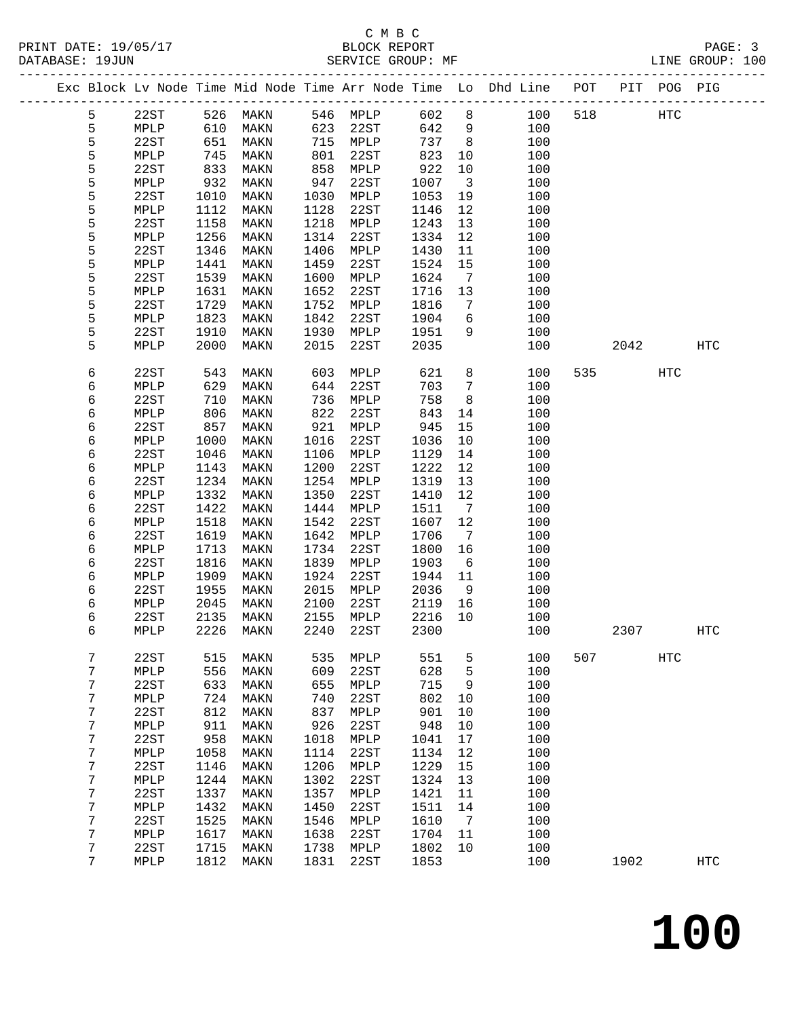## C M B C

| DATABASE: 19JUN |   |                 |      | SERVICE GROUP: MF            |      |           |         |                              | LINE GROUP: 100                                                                |     |       |            |                   |  |
|-----------------|---|-----------------|------|------------------------------|------|-----------|---------|------------------------------|--------------------------------------------------------------------------------|-----|-------|------------|-------------------|--|
|                 |   |                 |      |                              |      |           |         |                              | Exc Block Lv Node Time Mid Node Time Arr Node Time Lo Dhd Line POT PIT POG PIG |     |       |            |                   |  |
|                 | 5 |                 |      | 22ST 526 MAKN 546 MPLP 602 8 |      |           |         |                              | 100                                                                            | 518 | HTC   |            |                   |  |
|                 | 5 | MPLP            | 610  | MAKN                         | 623  | 22ST      | 642     | 9                            | 100                                                                            |     |       |            |                   |  |
|                 | 5 | 22ST            | 651  | MAKN                         |      | 715 MPLP  | 737     | 8 <sup>8</sup>               | 100                                                                            |     |       |            |                   |  |
|                 | 5 | MPLP            | 745  | MAKN                         | 801  | 22ST      | 823     | 10                           | 100                                                                            |     |       |            |                   |  |
|                 | 5 | 22ST            | 833  | MAKN                         | 858  | MPLP      | 922     | 10                           | 100                                                                            |     |       |            |                   |  |
|                 | 5 | MPLP            | 932  | MAKN                         | 947  | 22ST      | 1007    | $\overline{\mathbf{3}}$      | 100                                                                            |     |       |            |                   |  |
|                 | 5 | 22ST            | 1010 | MAKN                         | 1030 | MPLP      | 1053    | 19                           | 100                                                                            |     |       |            |                   |  |
|                 | 5 | MPLP            | 1112 | MAKN                         | 1128 | 22ST      | 1146    | 12                           | 100                                                                            |     |       |            |                   |  |
|                 | 5 | 22ST            | 1158 | MAKN                         | 1218 | MPLP      | 1243    | 13                           | 100                                                                            |     |       |            |                   |  |
|                 | 5 | MPLP            | 1256 | MAKN                         | 1314 | 22ST      | 1334    | 12                           | 100                                                                            |     |       |            |                   |  |
|                 | 5 | 22ST            | 1346 | MAKN                         | 1406 | MPLP      | 1430    | 11                           | 100                                                                            |     |       |            |                   |  |
|                 | 5 | MPLP            | 1441 | MAKN                         | 1459 | 22ST      | 1524    | 15                           | 100                                                                            |     |       |            |                   |  |
|                 | 5 | 22ST            | 1539 | MAKN                         | 1600 | MPLP      | 1624    | $\overline{7}$               | 100                                                                            |     |       |            |                   |  |
|                 | 5 | MPLP            | 1631 | MAKN                         | 1652 | 22ST      | 1716    | 13                           | 100                                                                            |     |       |            |                   |  |
|                 | 5 | 22ST            | 1729 | MAKN                         | 1752 | MPLP      | 1816    | 7                            | 100                                                                            |     |       |            |                   |  |
|                 | 5 | MPLP            | 1823 | MAKN                         | 1842 | 22ST      | 1904    | 6                            | 100                                                                            |     |       |            |                   |  |
|                 | 5 | 22ST            | 1910 | MAKN                         | 1930 | MPLP      | 1951    | 9                            | 100                                                                            |     |       |            |                   |  |
|                 | 5 | MPLP            | 2000 | MAKN                         | 2015 | 22ST      | 2035    |                              | 100                                                                            |     | 2042  |            | HTC               |  |
|                 |   |                 |      |                              |      |           |         |                              |                                                                                |     |       |            |                   |  |
|                 | 6 | 22ST            | 543  | MAKN                         | 603  | MPLP      | 621     | 8                            | 100                                                                            |     | 535 7 | <b>HTC</b> |                   |  |
|                 | 6 | MPLP            | 629  | MAKN                         | 644  | 22ST      | 703     | $\overline{7}$               | 100                                                                            |     |       |            |                   |  |
|                 | 6 | 22ST            | 710  | MAKN                         | 736  | MPLP      | 758     | 8                            | 100                                                                            |     |       |            |                   |  |
|                 | 6 | MPLP            | 806  | MAKN                         | 822  | 22ST      | 843     | 14                           | 100                                                                            |     |       |            |                   |  |
|                 | 6 | 22ST            | 857  | MAKN                         | 921  | MPLP      | 945     | 15                           | 100                                                                            |     |       |            |                   |  |
|                 | 6 | MPLP            | 1000 | MAKN                         | 1016 | 22ST      | 1036    | 10                           | 100                                                                            |     |       |            |                   |  |
|                 | 6 | 22ST            | 1046 | MAKN                         | 1106 | MPLP      | 1129    | 14                           | 100                                                                            |     |       |            |                   |  |
|                 | 6 | MPLP            | 1143 | MAKN                         | 1200 | 22ST      | 1222    | 12                           | 100                                                                            |     |       |            |                   |  |
|                 | 6 | 22ST            | 1234 | MAKN                         | 1254 | MPLP      | 1319    | 13                           | 100                                                                            |     |       |            |                   |  |
|                 | 6 | MPLP            | 1332 | MAKN                         | 1350 | 22ST      | 1410    | 12                           | 100                                                                            |     |       |            |                   |  |
|                 | 6 | 22ST            | 1422 | MAKN                         | 1444 | MPLP      | 1511    | $7\overline{ }$              | 100                                                                            |     |       |            |                   |  |
|                 | 6 | MPLP            | 1518 | MAKN                         | 1542 | 22ST      | 1607    | 12                           | 100                                                                            |     |       |            |                   |  |
|                 | 6 | 22ST            | 1619 | MAKN                         | 1642 | MPLP      | 1706    | $7\phantom{.0}\phantom{.0}7$ | 100                                                                            |     |       |            |                   |  |
|                 | 6 | MPLP            | 1713 | MAKN                         | 1734 | 22ST      | 1800    | 16                           | 100                                                                            |     |       |            |                   |  |
|                 | 6 | 22ST            | 1816 | MAKN                         | 1839 | MPLP      | 1903    | 6                            | 100                                                                            |     |       |            |                   |  |
|                 | 6 | MPLP            | 1909 | MAKN                         | 1924 | 22ST      | 1944    | 11                           | 100                                                                            |     |       |            |                   |  |
|                 | 6 | 22ST            | 1955 | MAKN                         | 2015 | MPLP      | 2036    | 9                            | 100                                                                            |     |       |            |                   |  |
|                 | 6 | MPLP            | 2045 | MAKN                         | 2100 | 22ST      | 2119    | 16                           | 100                                                                            |     |       |            |                   |  |
|                 | 6 | 22ST            | 2135 | MAKN                         |      | 2155 MPLP | 2216 10 |                              | 100                                                                            |     |       |            |                   |  |
|                 | 6 | $\texttt{MPLP}$ |      | 2226 MAKN 2240 22ST          |      |           |         |                              | 2300 100                                                                       |     | 2307  |            | $_{\mathrm{HTC}}$ |  |
|                 |   |                 |      |                              |      |           |         |                              |                                                                                |     |       |            |                   |  |
|                 | 7 | 22ST            | 515  | MAKN                         | 535  | MPLP      | 551     | 5                            | 100                                                                            | 507 |       | HTC        |                   |  |
|                 | 7 | MPLP            | 556  | MAKN                         | 609  | 22ST      | 628     | 5                            | 100                                                                            |     |       |            |                   |  |
|                 | 7 | 22ST            | 633  | MAKN                         | 655  | MPLP      | 715     | 9                            | 100                                                                            |     |       |            |                   |  |
|                 | 7 | MPLP            | 724  | MAKN                         | 740  | 22ST      | 802     | 10                           | 100                                                                            |     |       |            |                   |  |
|                 | 7 | 22ST            | 812  | MAKN                         | 837  | MPLP      | 901     | 10                           | 100                                                                            |     |       |            |                   |  |
|                 | 7 | MPLP            | 911  | MAKN                         | 926  | 22ST      | 948     | 10                           | 100                                                                            |     |       |            |                   |  |
|                 | 7 | 22ST            | 958  | MAKN                         | 1018 | MPLP      | 1041    | 17                           | 100                                                                            |     |       |            |                   |  |
|                 | 7 | MPLP            | 1058 | MAKN                         | 1114 | 22ST      | 1134    | 12                           | 100                                                                            |     |       |            |                   |  |
|                 | 7 | 22ST            | 1146 | MAKN                         | 1206 | MPLP      | 1229    | 15                           | 100                                                                            |     |       |            |                   |  |
|                 | 7 | MPLP            | 1244 | MAKN                         | 1302 | 22ST      | 1324    | 13                           | 100                                                                            |     |       |            |                   |  |
|                 | 7 | 22ST            | 1337 | MAKN                         | 1357 | MPLP      | 1421    | 11                           | 100                                                                            |     |       |            |                   |  |
|                 | 7 | MPLP            | 1432 | MAKN                         | 1450 | 22ST      | 1511    | 14                           | 100                                                                            |     |       |            |                   |  |
|                 | 7 | 22ST            | 1525 | MAKN                         | 1546 | MPLP      | 1610    | 7                            | 100                                                                            |     |       |            |                   |  |
|                 | 7 | MPLP            | 1617 | MAKN                         | 1638 | 22ST      | 1704    | 11                           | 100                                                                            |     |       |            |                   |  |
|                 | 7 | 22ST            | 1715 | MAKN                         | 1738 | MPLP      | 1802    | 10                           | 100                                                                            |     |       |            |                   |  |
|                 | 7 | MPLP            | 1812 | MAKN                         | 1831 | 22ST      | 1853    |                              | 100                                                                            |     | 1902  |            | <b>HTC</b>        |  |
|                 |   |                 |      |                              |      |           |         |                              |                                                                                |     |       |            |                   |  |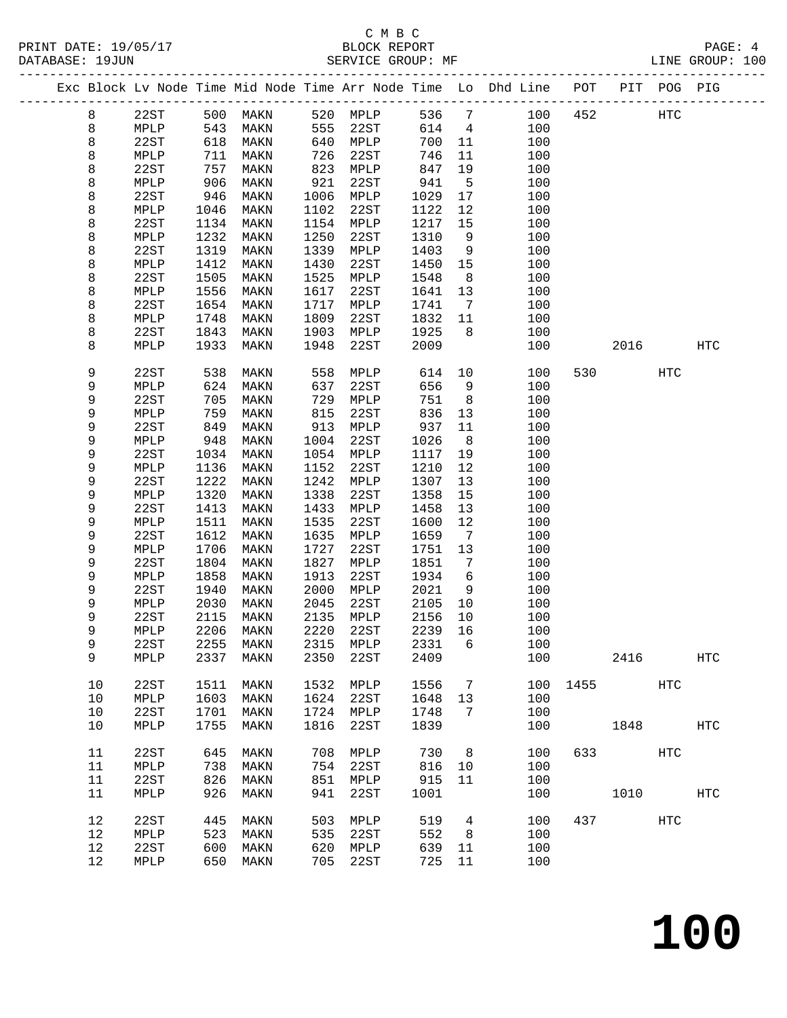|  |      |      |      |           |      |           |        |                 | Exc Block Lv Node Time Mid Node Time Arr Node Time Lo Dhd Line POT |      |      | PIT POG PIG |                   |
|--|------|------|------|-----------|------|-----------|--------|-----------------|--------------------------------------------------------------------|------|------|-------------|-------------------|
|  | 8    | 22ST | 500  | MAKN      |      | 520 MPLP  | 536    | $7\phantom{.0}$ | 100                                                                | 452  |      | HTC         |                   |
|  | 8    | MPLP | 543  | MAKN      | 555  | 22ST      | 614    | $\overline{4}$  | 100                                                                |      |      |             |                   |
|  | 8    | 22ST | 618  | MAKN      | 640  | MPLP      | 700    | 11              | 100                                                                |      |      |             |                   |
|  | 8    | MPLP | 711  | MAKN      | 726  | 22ST      | 746    | 11              | 100                                                                |      |      |             |                   |
|  | 8    | 22ST | 757  | MAKN      | 823  | MPLP      | 847    | 19              | 100                                                                |      |      |             |                   |
|  | 8    | MPLP | 906  | MAKN      | 921  | 22ST      | 941    | 5               | 100                                                                |      |      |             |                   |
|  | 8    | 22ST | 946  | MAKN      | 1006 | MPLP      | 1029   | 17              | 100                                                                |      |      |             |                   |
|  | 8    | MPLP | 1046 | MAKN      | 1102 | 22ST      | 1122   | 12              | 100                                                                |      |      |             |                   |
|  | 8    | 22ST | 1134 | MAKN      | 1154 | MPLP      | 1217   | 15              | 100                                                                |      |      |             |                   |
|  | 8    | MPLP | 1232 | MAKN      | 1250 | 22ST      | 1310   | 9               | 100                                                                |      |      |             |                   |
|  | 8    | 22ST | 1319 | MAKN      | 1339 | MPLP      | 1403   | 9               | 100                                                                |      |      |             |                   |
|  | 8    | MPLP | 1412 | MAKN      | 1430 | 22ST      | 1450   | 15              | 100                                                                |      |      |             |                   |
|  | 8    | 22ST | 1505 | MAKN      | 1525 | MPLP      | 1548   | 8               | 100                                                                |      |      |             |                   |
|  | 8    | MPLP | 1556 | MAKN      | 1617 | 22ST      | 1641   | 13              | 100                                                                |      |      |             |                   |
|  | 8    | 22ST | 1654 | MAKN      | 1717 | MPLP      | 1741   | $7\phantom{.0}$ | 100                                                                |      |      |             |                   |
|  | 8    | MPLP | 1748 | MAKN      | 1809 | 22ST      | 1832   | 11              | 100                                                                |      |      |             |                   |
|  | 8    | 22ST | 1843 | MAKN      | 1903 | MPLP      | 1925   | 8               | 100                                                                |      |      |             |                   |
|  | 8    | MPLP | 1933 | MAKN      | 1948 | 22ST      | 2009   |                 | 100                                                                |      | 2016 |             | <b>HTC</b>        |
|  | 9    | 22ST | 538  | MAKN      | 558  | MPLP      | 614    | 10              | 100                                                                | 530  |      | HTC         |                   |
|  | 9    | MPLP | 624  | MAKN      | 637  | 22ST      | 656    | 9               | 100                                                                |      |      |             |                   |
|  | 9    | 22ST | 705  | MAKN      | 729  | MPLP      | 751    | 8               | 100                                                                |      |      |             |                   |
|  | 9    | MPLP | 759  | MAKN      | 815  | 22ST      | 836    | 13              | 100                                                                |      |      |             |                   |
|  | 9    | 22ST | 849  | MAKN      | 913  | MPLP      | 937    | 11              | 100                                                                |      |      |             |                   |
|  | 9    | MPLP | 948  | MAKN      | 1004 | 22ST      | 1026   | 8               | 100                                                                |      |      |             |                   |
|  | 9    | 22ST | 1034 | MAKN      | 1054 | MPLP      | 1117   | 19              | 100                                                                |      |      |             |                   |
|  | 9    | MPLP | 1136 | MAKN      | 1152 | 22ST      | 1210   | 12              | 100                                                                |      |      |             |                   |
|  | 9    | 22ST | 1222 | MAKN      | 1242 | MPLP      | 1307   | 13              | 100                                                                |      |      |             |                   |
|  | 9    | MPLP | 1320 | MAKN      | 1338 | 22ST      | 1358   | 15              | 100                                                                |      |      |             |                   |
|  | 9    | 22ST | 1413 | MAKN      | 1433 | MPLP      | 1458   | 13              | 100                                                                |      |      |             |                   |
|  | 9    | MPLP | 1511 | MAKN      | 1535 | 22ST      | 1600   | 12              | 100                                                                |      |      |             |                   |
|  | 9    | 22ST | 1612 | MAKN      | 1635 | MPLP      | 1659   | $\overline{7}$  | 100                                                                |      |      |             |                   |
|  | 9    | MPLP | 1706 | MAKN      | 1727 | 22ST      | 1751   | 13              | 100                                                                |      |      |             |                   |
|  | 9    | 22ST | 1804 | MAKN      | 1827 | MPLP      | 1851   | 7               | 100                                                                |      |      |             |                   |
|  | 9    | MPLP | 1858 | MAKN      | 1913 | 22ST      | 1934   | 6               | 100                                                                |      |      |             |                   |
|  | 9    | 22ST | 1940 | MAKN      | 2000 | MPLP      | 2021   | 9               | 100                                                                |      |      |             |                   |
|  | 9    | MPLP | 2030 | MAKN      | 2045 | 22ST      | 2105   | 10              | 100                                                                |      |      |             |                   |
|  | 9    | 22ST | 2115 | MAKN      | 2135 | MPLP      | 2156   | 10              | 100                                                                |      |      |             |                   |
|  | 9    | MPLP | 2206 | MAKN      | 2220 | 22ST      | 2239   | 16              | 100                                                                |      |      |             |                   |
|  | 9    | 22ST |      | 2255 MAKN |      | 2315 MPLP | 2331 6 |                 | 100                                                                |      |      |             |                   |
|  | 9    | MPLP | 2337 | MAKN      | 2350 | 22ST      | 2409   |                 | 100                                                                |      | 2416 |             | HTC               |
|  | 10   | 22ST | 1511 | MAKN      | 1532 | MPLP      | 1556   | 7               | 100                                                                | 1455 |      | HTC         |                   |
|  | 10   | MPLP | 1603 | MAKN      | 1624 | 22ST      | 1648   | 13              | 100                                                                |      |      |             |                   |
|  | $10$ | 22ST | 1701 | MAKN      | 1724 | MPLP      | 1748   | 7               | 100                                                                |      |      |             |                   |
|  | 10   | MPLP | 1755 | MAKN      | 1816 | 22ST      | 1839   |                 | 100                                                                |      | 1848 |             | $_{\mathrm{HTC}}$ |
|  | 11   | 22ST | 645  | MAKN      | 708  | MPLP      | 730    | 8               | 100                                                                | 633  |      | HTC         |                   |
|  | 11   | MPLP | 738  | MAKN      | 754  | 22ST      | 816    | 10              | 100                                                                |      |      |             |                   |
|  | 11   | 22ST | 826  | MAKN      | 851  | MPLP      | 915    | 11              | 100                                                                |      |      |             |                   |
|  | 11   | MPLP | 926  | MAKN      | 941  | 22ST      | 1001   |                 | 100                                                                |      | 1010 |             | <b>HTC</b>        |
|  | 12   | 22ST | 445  | MAKN      | 503  | MPLP      | 519    | 4               | 100                                                                | 437  |      | HTC         |                   |
|  | 12   | MPLP | 523  | MAKN      | 535  | 22ST      | 552    | 8               | 100                                                                |      |      |             |                   |
|  | 12   | 22ST | 600  | MAKN      | 620  | MPLP      | 639    | 11              | 100                                                                |      |      |             |                   |
|  | 12   | MPLP | 650  | MAKN      | 705  | 22ST      | 725    | 11              | 100                                                                |      |      |             |                   |
|  |      |      |      |           |      |           |        |                 |                                                                    |      |      |             |                   |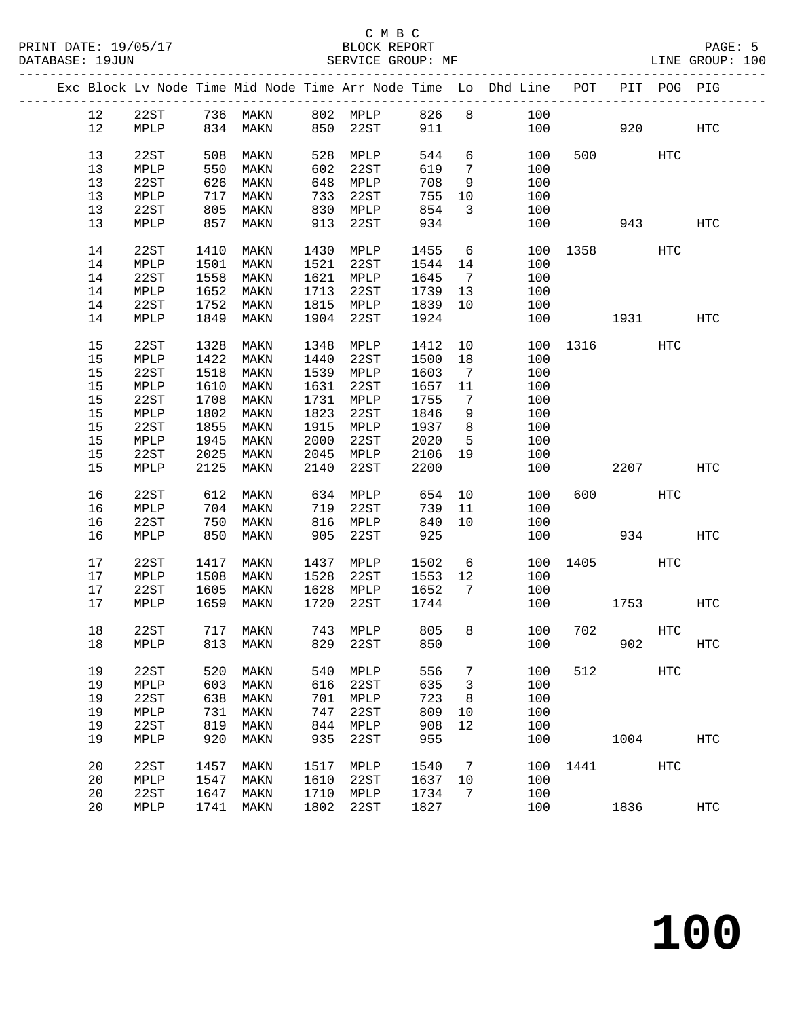| Exc Block Lv Node Time Mid Node Time Arr Node Time Lo Dhd Line POT<br>PIT POG PIG<br>22ST 736 MAKN 802 MPLP 826 8 100<br>MPLP 834 MAKN 850 22ST 911 100<br>12<br>12<br>920<br>100<br>HTC<br>13<br>508<br>528<br>544<br>6<br>22ST<br>MAKN<br>MPLP<br>100<br>500 000<br>HTC<br>13<br>550<br>602<br>22ST<br>619<br>100<br>MPLP<br>MAKN<br>$7\phantom{0}$<br>13<br>22ST<br>626<br>648<br>708<br>100<br>MAKN<br>MPLP<br>9<br>13<br>717<br>22ST<br>755<br>100<br>MPLP<br>MAKN<br>733<br>10<br>13<br>805<br>854<br>22ST<br>MAKN<br>830<br>MPLP<br>$\overline{3}$<br>100<br>13<br>857<br>913<br>22ST<br>934<br>100<br>MPLP<br>MAKN<br>943<br>HTC<br>14<br>22ST<br>1410<br>1430<br>MPLP<br>1455<br>$6\overline{6}$<br>MAKN<br>100 1358<br>HTC<br>1501<br>MAKN<br>1521<br>22ST<br>14<br>MPLP<br>1544<br>14<br>100<br>1558<br>1621<br>14<br>22ST<br>MAKN<br>MPLP<br>1645<br>100<br>$\overline{7}$<br>14<br>$\texttt{MPLP}$<br>1652<br>MAKN<br>1713<br>22ST<br>100<br>1739 13<br>14<br>22ST<br>1752<br>1815<br>1839<br>100<br>MAKN<br>MPLP<br>10<br>14<br>1849<br>1904<br>22ST<br>1924<br>100<br>MPLP<br>MAKN<br>1931<br>HTC<br>15<br>1328<br>10<br>22ST<br>MAKN<br>1348<br>MPLP<br>1412<br>100 1316<br>HTC<br>15<br>1422<br>1440<br>22ST<br>1500<br>18<br>MPLP<br>MAKN<br>100<br>15<br>22ST<br>1518<br>1539 MPLP<br>1603<br>MAKN<br>$\overline{7}$<br>100<br>15<br>1610<br>1631<br>22ST<br>1657<br>MPLP<br>MAKN<br>11<br>100<br>15<br>22ST<br>1708<br>1731<br>1755<br>100<br>MAKN<br>MPLP<br>$\overline{7}$<br>1823<br>15<br>1802<br>22ST<br>1846<br>9<br>100<br>MPLP<br>MAKN<br>1915<br>8 <sup>8</sup><br>15<br>22ST<br>1855<br>1937<br>100<br>MAKN<br>MPLP<br>15<br>1945<br>22ST<br>2020<br>$5^{\circ}$<br>MPLP<br>MAKN<br>2000<br>100<br>15<br>2025<br>2045<br>2106<br>22ST<br>MAKN<br>MPLP<br>19<br>100<br>15<br>2125<br>2140<br>22ST<br>2200<br>100<br>MPLP<br>MAKN<br>2207<br>HTC<br>16<br>612<br>654 10<br>600<br>HTC<br>22ST<br>MAKN<br>634<br>MPLP<br>100<br>16<br>704<br>MAKN<br>22ST<br>739<br>100<br>MPLP<br>719<br>11<br>16<br>22ST<br>750<br>816 MPLP<br>840<br>10<br>MAKN<br>100<br>850<br>22ST<br>925<br>934<br>16<br>MPLP<br>MAKN<br>905<br>100<br>HTC<br>17<br>22ST<br>1417<br>1437<br>1502<br>1405<br>MAKN<br>MPLP<br>$6\overline{6}$<br>100<br>HTC<br>17<br>$\texttt{MPLP}$<br>1508<br>MAKN<br>1528<br>22ST<br>1553<br>100<br>12<br>17<br>22ST<br>1605<br>1628 MPLP<br>1652<br>100<br>MAKN<br>$\overline{7}$<br>17<br>1659<br>1720<br>22ST<br>1744<br>HTC<br>MPLP<br>MAKN<br>100<br>1753<br>18<br>717 MAKN<br>805<br>8<br>100<br>702<br>HTC<br>22ST<br>743 MPLP<br>18 MPLP 813 MAKN 829 22ST 850 100 902<br>$_{\rm HTC}$<br>19<br>22ST<br>556<br>520<br>540<br>100<br>512<br>HTC<br>MAKN<br>MPLP<br>7<br>19<br>603<br>616<br>22ST<br>635<br>100<br>MPLP<br>MAKN<br>3<br>19<br>22ST<br>638<br>723<br>100<br>MAKN<br>701<br>MPLP<br>8<br>19<br>731<br>22ST<br>809<br>MPLP<br>MAKN<br>747<br>100<br>10<br>19<br>844<br>908<br>100<br>22ST<br>819<br>MAKN<br>MPLP<br>12<br>19<br>920<br>935<br>22ST<br>955<br>MPLP<br>MAKN<br>100<br>1004<br>HTC<br>20<br>22ST<br>1457<br>1517<br>1540<br>100<br>1441<br>HTC<br>MAKN<br>MPLP<br>7<br>20<br>1610<br>22ST<br>1547<br>MAKN<br>1637<br>100<br>MPLP<br>10<br>20<br>1710<br>100<br>22ST<br>1647<br>MPLP<br>1734<br>MAKN<br>7<br>20<br>1802<br>22ST<br>1827<br>100<br>MPLP<br>1741 MAKN<br>1836<br>HTC |  |  |  |  |  |  |  |  |
|------------------------------------------------------------------------------------------------------------------------------------------------------------------------------------------------------------------------------------------------------------------------------------------------------------------------------------------------------------------------------------------------------------------------------------------------------------------------------------------------------------------------------------------------------------------------------------------------------------------------------------------------------------------------------------------------------------------------------------------------------------------------------------------------------------------------------------------------------------------------------------------------------------------------------------------------------------------------------------------------------------------------------------------------------------------------------------------------------------------------------------------------------------------------------------------------------------------------------------------------------------------------------------------------------------------------------------------------------------------------------------------------------------------------------------------------------------------------------------------------------------------------------------------------------------------------------------------------------------------------------------------------------------------------------------------------------------------------------------------------------------------------------------------------------------------------------------------------------------------------------------------------------------------------------------------------------------------------------------------------------------------------------------------------------------------------------------------------------------------------------------------------------------------------------------------------------------------------------------------------------------------------------------------------------------------------------------------------------------------------------------------------------------------------------------------------------------------------------------------------------------------------------------------------------------------------------------------------------------------------------------------------------------------------------------------------------------------------------------------------------------------------------------------------------------------------------------------------------------------------------------------------------------------------------------------------------------------------------------------------------------------------------------------------------------------------------------------------------------------------------------------------------------------------------------------------------------------------------------------------------------------------------------------------------------------------------------------------------|--|--|--|--|--|--|--|--|
|                                                                                                                                                                                                                                                                                                                                                                                                                                                                                                                                                                                                                                                                                                                                                                                                                                                                                                                                                                                                                                                                                                                                                                                                                                                                                                                                                                                                                                                                                                                                                                                                                                                                                                                                                                                                                                                                                                                                                                                                                                                                                                                                                                                                                                                                                                                                                                                                                                                                                                                                                                                                                                                                                                                                                                                                                                                                                                                                                                                                                                                                                                                                                                                                                                                                                                                                                      |  |  |  |  |  |  |  |  |
|                                                                                                                                                                                                                                                                                                                                                                                                                                                                                                                                                                                                                                                                                                                                                                                                                                                                                                                                                                                                                                                                                                                                                                                                                                                                                                                                                                                                                                                                                                                                                                                                                                                                                                                                                                                                                                                                                                                                                                                                                                                                                                                                                                                                                                                                                                                                                                                                                                                                                                                                                                                                                                                                                                                                                                                                                                                                                                                                                                                                                                                                                                                                                                                                                                                                                                                                                      |  |  |  |  |  |  |  |  |
|                                                                                                                                                                                                                                                                                                                                                                                                                                                                                                                                                                                                                                                                                                                                                                                                                                                                                                                                                                                                                                                                                                                                                                                                                                                                                                                                                                                                                                                                                                                                                                                                                                                                                                                                                                                                                                                                                                                                                                                                                                                                                                                                                                                                                                                                                                                                                                                                                                                                                                                                                                                                                                                                                                                                                                                                                                                                                                                                                                                                                                                                                                                                                                                                                                                                                                                                                      |  |  |  |  |  |  |  |  |
|                                                                                                                                                                                                                                                                                                                                                                                                                                                                                                                                                                                                                                                                                                                                                                                                                                                                                                                                                                                                                                                                                                                                                                                                                                                                                                                                                                                                                                                                                                                                                                                                                                                                                                                                                                                                                                                                                                                                                                                                                                                                                                                                                                                                                                                                                                                                                                                                                                                                                                                                                                                                                                                                                                                                                                                                                                                                                                                                                                                                                                                                                                                                                                                                                                                                                                                                                      |  |  |  |  |  |  |  |  |
|                                                                                                                                                                                                                                                                                                                                                                                                                                                                                                                                                                                                                                                                                                                                                                                                                                                                                                                                                                                                                                                                                                                                                                                                                                                                                                                                                                                                                                                                                                                                                                                                                                                                                                                                                                                                                                                                                                                                                                                                                                                                                                                                                                                                                                                                                                                                                                                                                                                                                                                                                                                                                                                                                                                                                                                                                                                                                                                                                                                                                                                                                                                                                                                                                                                                                                                                                      |  |  |  |  |  |  |  |  |
|                                                                                                                                                                                                                                                                                                                                                                                                                                                                                                                                                                                                                                                                                                                                                                                                                                                                                                                                                                                                                                                                                                                                                                                                                                                                                                                                                                                                                                                                                                                                                                                                                                                                                                                                                                                                                                                                                                                                                                                                                                                                                                                                                                                                                                                                                                                                                                                                                                                                                                                                                                                                                                                                                                                                                                                                                                                                                                                                                                                                                                                                                                                                                                                                                                                                                                                                                      |  |  |  |  |  |  |  |  |
|                                                                                                                                                                                                                                                                                                                                                                                                                                                                                                                                                                                                                                                                                                                                                                                                                                                                                                                                                                                                                                                                                                                                                                                                                                                                                                                                                                                                                                                                                                                                                                                                                                                                                                                                                                                                                                                                                                                                                                                                                                                                                                                                                                                                                                                                                                                                                                                                                                                                                                                                                                                                                                                                                                                                                                                                                                                                                                                                                                                                                                                                                                                                                                                                                                                                                                                                                      |  |  |  |  |  |  |  |  |
|                                                                                                                                                                                                                                                                                                                                                                                                                                                                                                                                                                                                                                                                                                                                                                                                                                                                                                                                                                                                                                                                                                                                                                                                                                                                                                                                                                                                                                                                                                                                                                                                                                                                                                                                                                                                                                                                                                                                                                                                                                                                                                                                                                                                                                                                                                                                                                                                                                                                                                                                                                                                                                                                                                                                                                                                                                                                                                                                                                                                                                                                                                                                                                                                                                                                                                                                                      |  |  |  |  |  |  |  |  |
|                                                                                                                                                                                                                                                                                                                                                                                                                                                                                                                                                                                                                                                                                                                                                                                                                                                                                                                                                                                                                                                                                                                                                                                                                                                                                                                                                                                                                                                                                                                                                                                                                                                                                                                                                                                                                                                                                                                                                                                                                                                                                                                                                                                                                                                                                                                                                                                                                                                                                                                                                                                                                                                                                                                                                                                                                                                                                                                                                                                                                                                                                                                                                                                                                                                                                                                                                      |  |  |  |  |  |  |  |  |
|                                                                                                                                                                                                                                                                                                                                                                                                                                                                                                                                                                                                                                                                                                                                                                                                                                                                                                                                                                                                                                                                                                                                                                                                                                                                                                                                                                                                                                                                                                                                                                                                                                                                                                                                                                                                                                                                                                                                                                                                                                                                                                                                                                                                                                                                                                                                                                                                                                                                                                                                                                                                                                                                                                                                                                                                                                                                                                                                                                                                                                                                                                                                                                                                                                                                                                                                                      |  |  |  |  |  |  |  |  |
|                                                                                                                                                                                                                                                                                                                                                                                                                                                                                                                                                                                                                                                                                                                                                                                                                                                                                                                                                                                                                                                                                                                                                                                                                                                                                                                                                                                                                                                                                                                                                                                                                                                                                                                                                                                                                                                                                                                                                                                                                                                                                                                                                                                                                                                                                                                                                                                                                                                                                                                                                                                                                                                                                                                                                                                                                                                                                                                                                                                                                                                                                                                                                                                                                                                                                                                                                      |  |  |  |  |  |  |  |  |
|                                                                                                                                                                                                                                                                                                                                                                                                                                                                                                                                                                                                                                                                                                                                                                                                                                                                                                                                                                                                                                                                                                                                                                                                                                                                                                                                                                                                                                                                                                                                                                                                                                                                                                                                                                                                                                                                                                                                                                                                                                                                                                                                                                                                                                                                                                                                                                                                                                                                                                                                                                                                                                                                                                                                                                                                                                                                                                                                                                                                                                                                                                                                                                                                                                                                                                                                                      |  |  |  |  |  |  |  |  |
|                                                                                                                                                                                                                                                                                                                                                                                                                                                                                                                                                                                                                                                                                                                                                                                                                                                                                                                                                                                                                                                                                                                                                                                                                                                                                                                                                                                                                                                                                                                                                                                                                                                                                                                                                                                                                                                                                                                                                                                                                                                                                                                                                                                                                                                                                                                                                                                                                                                                                                                                                                                                                                                                                                                                                                                                                                                                                                                                                                                                                                                                                                                                                                                                                                                                                                                                                      |  |  |  |  |  |  |  |  |
|                                                                                                                                                                                                                                                                                                                                                                                                                                                                                                                                                                                                                                                                                                                                                                                                                                                                                                                                                                                                                                                                                                                                                                                                                                                                                                                                                                                                                                                                                                                                                                                                                                                                                                                                                                                                                                                                                                                                                                                                                                                                                                                                                                                                                                                                                                                                                                                                                                                                                                                                                                                                                                                                                                                                                                                                                                                                                                                                                                                                                                                                                                                                                                                                                                                                                                                                                      |  |  |  |  |  |  |  |  |
|                                                                                                                                                                                                                                                                                                                                                                                                                                                                                                                                                                                                                                                                                                                                                                                                                                                                                                                                                                                                                                                                                                                                                                                                                                                                                                                                                                                                                                                                                                                                                                                                                                                                                                                                                                                                                                                                                                                                                                                                                                                                                                                                                                                                                                                                                                                                                                                                                                                                                                                                                                                                                                                                                                                                                                                                                                                                                                                                                                                                                                                                                                                                                                                                                                                                                                                                                      |  |  |  |  |  |  |  |  |
|                                                                                                                                                                                                                                                                                                                                                                                                                                                                                                                                                                                                                                                                                                                                                                                                                                                                                                                                                                                                                                                                                                                                                                                                                                                                                                                                                                                                                                                                                                                                                                                                                                                                                                                                                                                                                                                                                                                                                                                                                                                                                                                                                                                                                                                                                                                                                                                                                                                                                                                                                                                                                                                                                                                                                                                                                                                                                                                                                                                                                                                                                                                                                                                                                                                                                                                                                      |  |  |  |  |  |  |  |  |
|                                                                                                                                                                                                                                                                                                                                                                                                                                                                                                                                                                                                                                                                                                                                                                                                                                                                                                                                                                                                                                                                                                                                                                                                                                                                                                                                                                                                                                                                                                                                                                                                                                                                                                                                                                                                                                                                                                                                                                                                                                                                                                                                                                                                                                                                                                                                                                                                                                                                                                                                                                                                                                                                                                                                                                                                                                                                                                                                                                                                                                                                                                                                                                                                                                                                                                                                                      |  |  |  |  |  |  |  |  |
|                                                                                                                                                                                                                                                                                                                                                                                                                                                                                                                                                                                                                                                                                                                                                                                                                                                                                                                                                                                                                                                                                                                                                                                                                                                                                                                                                                                                                                                                                                                                                                                                                                                                                                                                                                                                                                                                                                                                                                                                                                                                                                                                                                                                                                                                                                                                                                                                                                                                                                                                                                                                                                                                                                                                                                                                                                                                                                                                                                                                                                                                                                                                                                                                                                                                                                                                                      |  |  |  |  |  |  |  |  |
|                                                                                                                                                                                                                                                                                                                                                                                                                                                                                                                                                                                                                                                                                                                                                                                                                                                                                                                                                                                                                                                                                                                                                                                                                                                                                                                                                                                                                                                                                                                                                                                                                                                                                                                                                                                                                                                                                                                                                                                                                                                                                                                                                                                                                                                                                                                                                                                                                                                                                                                                                                                                                                                                                                                                                                                                                                                                                                                                                                                                                                                                                                                                                                                                                                                                                                                                                      |  |  |  |  |  |  |  |  |
|                                                                                                                                                                                                                                                                                                                                                                                                                                                                                                                                                                                                                                                                                                                                                                                                                                                                                                                                                                                                                                                                                                                                                                                                                                                                                                                                                                                                                                                                                                                                                                                                                                                                                                                                                                                                                                                                                                                                                                                                                                                                                                                                                                                                                                                                                                                                                                                                                                                                                                                                                                                                                                                                                                                                                                                                                                                                                                                                                                                                                                                                                                                                                                                                                                                                                                                                                      |  |  |  |  |  |  |  |  |
|                                                                                                                                                                                                                                                                                                                                                                                                                                                                                                                                                                                                                                                                                                                                                                                                                                                                                                                                                                                                                                                                                                                                                                                                                                                                                                                                                                                                                                                                                                                                                                                                                                                                                                                                                                                                                                                                                                                                                                                                                                                                                                                                                                                                                                                                                                                                                                                                                                                                                                                                                                                                                                                                                                                                                                                                                                                                                                                                                                                                                                                                                                                                                                                                                                                                                                                                                      |  |  |  |  |  |  |  |  |
|                                                                                                                                                                                                                                                                                                                                                                                                                                                                                                                                                                                                                                                                                                                                                                                                                                                                                                                                                                                                                                                                                                                                                                                                                                                                                                                                                                                                                                                                                                                                                                                                                                                                                                                                                                                                                                                                                                                                                                                                                                                                                                                                                                                                                                                                                                                                                                                                                                                                                                                                                                                                                                                                                                                                                                                                                                                                                                                                                                                                                                                                                                                                                                                                                                                                                                                                                      |  |  |  |  |  |  |  |  |
|                                                                                                                                                                                                                                                                                                                                                                                                                                                                                                                                                                                                                                                                                                                                                                                                                                                                                                                                                                                                                                                                                                                                                                                                                                                                                                                                                                                                                                                                                                                                                                                                                                                                                                                                                                                                                                                                                                                                                                                                                                                                                                                                                                                                                                                                                                                                                                                                                                                                                                                                                                                                                                                                                                                                                                                                                                                                                                                                                                                                                                                                                                                                                                                                                                                                                                                                                      |  |  |  |  |  |  |  |  |
|                                                                                                                                                                                                                                                                                                                                                                                                                                                                                                                                                                                                                                                                                                                                                                                                                                                                                                                                                                                                                                                                                                                                                                                                                                                                                                                                                                                                                                                                                                                                                                                                                                                                                                                                                                                                                                                                                                                                                                                                                                                                                                                                                                                                                                                                                                                                                                                                                                                                                                                                                                                                                                                                                                                                                                                                                                                                                                                                                                                                                                                                                                                                                                                                                                                                                                                                                      |  |  |  |  |  |  |  |  |
|                                                                                                                                                                                                                                                                                                                                                                                                                                                                                                                                                                                                                                                                                                                                                                                                                                                                                                                                                                                                                                                                                                                                                                                                                                                                                                                                                                                                                                                                                                                                                                                                                                                                                                                                                                                                                                                                                                                                                                                                                                                                                                                                                                                                                                                                                                                                                                                                                                                                                                                                                                                                                                                                                                                                                                                                                                                                                                                                                                                                                                                                                                                                                                                                                                                                                                                                                      |  |  |  |  |  |  |  |  |
|                                                                                                                                                                                                                                                                                                                                                                                                                                                                                                                                                                                                                                                                                                                                                                                                                                                                                                                                                                                                                                                                                                                                                                                                                                                                                                                                                                                                                                                                                                                                                                                                                                                                                                                                                                                                                                                                                                                                                                                                                                                                                                                                                                                                                                                                                                                                                                                                                                                                                                                                                                                                                                                                                                                                                                                                                                                                                                                                                                                                                                                                                                                                                                                                                                                                                                                                                      |  |  |  |  |  |  |  |  |
|                                                                                                                                                                                                                                                                                                                                                                                                                                                                                                                                                                                                                                                                                                                                                                                                                                                                                                                                                                                                                                                                                                                                                                                                                                                                                                                                                                                                                                                                                                                                                                                                                                                                                                                                                                                                                                                                                                                                                                                                                                                                                                                                                                                                                                                                                                                                                                                                                                                                                                                                                                                                                                                                                                                                                                                                                                                                                                                                                                                                                                                                                                                                                                                                                                                                                                                                                      |  |  |  |  |  |  |  |  |
|                                                                                                                                                                                                                                                                                                                                                                                                                                                                                                                                                                                                                                                                                                                                                                                                                                                                                                                                                                                                                                                                                                                                                                                                                                                                                                                                                                                                                                                                                                                                                                                                                                                                                                                                                                                                                                                                                                                                                                                                                                                                                                                                                                                                                                                                                                                                                                                                                                                                                                                                                                                                                                                                                                                                                                                                                                                                                                                                                                                                                                                                                                                                                                                                                                                                                                                                                      |  |  |  |  |  |  |  |  |
|                                                                                                                                                                                                                                                                                                                                                                                                                                                                                                                                                                                                                                                                                                                                                                                                                                                                                                                                                                                                                                                                                                                                                                                                                                                                                                                                                                                                                                                                                                                                                                                                                                                                                                                                                                                                                                                                                                                                                                                                                                                                                                                                                                                                                                                                                                                                                                                                                                                                                                                                                                                                                                                                                                                                                                                                                                                                                                                                                                                                                                                                                                                                                                                                                                                                                                                                                      |  |  |  |  |  |  |  |  |
|                                                                                                                                                                                                                                                                                                                                                                                                                                                                                                                                                                                                                                                                                                                                                                                                                                                                                                                                                                                                                                                                                                                                                                                                                                                                                                                                                                                                                                                                                                                                                                                                                                                                                                                                                                                                                                                                                                                                                                                                                                                                                                                                                                                                                                                                                                                                                                                                                                                                                                                                                                                                                                                                                                                                                                                                                                                                                                                                                                                                                                                                                                                                                                                                                                                                                                                                                      |  |  |  |  |  |  |  |  |
|                                                                                                                                                                                                                                                                                                                                                                                                                                                                                                                                                                                                                                                                                                                                                                                                                                                                                                                                                                                                                                                                                                                                                                                                                                                                                                                                                                                                                                                                                                                                                                                                                                                                                                                                                                                                                                                                                                                                                                                                                                                                                                                                                                                                                                                                                                                                                                                                                                                                                                                                                                                                                                                                                                                                                                                                                                                                                                                                                                                                                                                                                                                                                                                                                                                                                                                                                      |  |  |  |  |  |  |  |  |
|                                                                                                                                                                                                                                                                                                                                                                                                                                                                                                                                                                                                                                                                                                                                                                                                                                                                                                                                                                                                                                                                                                                                                                                                                                                                                                                                                                                                                                                                                                                                                                                                                                                                                                                                                                                                                                                                                                                                                                                                                                                                                                                                                                                                                                                                                                                                                                                                                                                                                                                                                                                                                                                                                                                                                                                                                                                                                                                                                                                                                                                                                                                                                                                                                                                                                                                                                      |  |  |  |  |  |  |  |  |
|                                                                                                                                                                                                                                                                                                                                                                                                                                                                                                                                                                                                                                                                                                                                                                                                                                                                                                                                                                                                                                                                                                                                                                                                                                                                                                                                                                                                                                                                                                                                                                                                                                                                                                                                                                                                                                                                                                                                                                                                                                                                                                                                                                                                                                                                                                                                                                                                                                                                                                                                                                                                                                                                                                                                                                                                                                                                                                                                                                                                                                                                                                                                                                                                                                                                                                                                                      |  |  |  |  |  |  |  |  |
|                                                                                                                                                                                                                                                                                                                                                                                                                                                                                                                                                                                                                                                                                                                                                                                                                                                                                                                                                                                                                                                                                                                                                                                                                                                                                                                                                                                                                                                                                                                                                                                                                                                                                                                                                                                                                                                                                                                                                                                                                                                                                                                                                                                                                                                                                                                                                                                                                                                                                                                                                                                                                                                                                                                                                                                                                                                                                                                                                                                                                                                                                                                                                                                                                                                                                                                                                      |  |  |  |  |  |  |  |  |
|                                                                                                                                                                                                                                                                                                                                                                                                                                                                                                                                                                                                                                                                                                                                                                                                                                                                                                                                                                                                                                                                                                                                                                                                                                                                                                                                                                                                                                                                                                                                                                                                                                                                                                                                                                                                                                                                                                                                                                                                                                                                                                                                                                                                                                                                                                                                                                                                                                                                                                                                                                                                                                                                                                                                                                                                                                                                                                                                                                                                                                                                                                                                                                                                                                                                                                                                                      |  |  |  |  |  |  |  |  |
|                                                                                                                                                                                                                                                                                                                                                                                                                                                                                                                                                                                                                                                                                                                                                                                                                                                                                                                                                                                                                                                                                                                                                                                                                                                                                                                                                                                                                                                                                                                                                                                                                                                                                                                                                                                                                                                                                                                                                                                                                                                                                                                                                                                                                                                                                                                                                                                                                                                                                                                                                                                                                                                                                                                                                                                                                                                                                                                                                                                                                                                                                                                                                                                                                                                                                                                                                      |  |  |  |  |  |  |  |  |
|                                                                                                                                                                                                                                                                                                                                                                                                                                                                                                                                                                                                                                                                                                                                                                                                                                                                                                                                                                                                                                                                                                                                                                                                                                                                                                                                                                                                                                                                                                                                                                                                                                                                                                                                                                                                                                                                                                                                                                                                                                                                                                                                                                                                                                                                                                                                                                                                                                                                                                                                                                                                                                                                                                                                                                                                                                                                                                                                                                                                                                                                                                                                                                                                                                                                                                                                                      |  |  |  |  |  |  |  |  |
|                                                                                                                                                                                                                                                                                                                                                                                                                                                                                                                                                                                                                                                                                                                                                                                                                                                                                                                                                                                                                                                                                                                                                                                                                                                                                                                                                                                                                                                                                                                                                                                                                                                                                                                                                                                                                                                                                                                                                                                                                                                                                                                                                                                                                                                                                                                                                                                                                                                                                                                                                                                                                                                                                                                                                                                                                                                                                                                                                                                                                                                                                                                                                                                                                                                                                                                                                      |  |  |  |  |  |  |  |  |
|                                                                                                                                                                                                                                                                                                                                                                                                                                                                                                                                                                                                                                                                                                                                                                                                                                                                                                                                                                                                                                                                                                                                                                                                                                                                                                                                                                                                                                                                                                                                                                                                                                                                                                                                                                                                                                                                                                                                                                                                                                                                                                                                                                                                                                                                                                                                                                                                                                                                                                                                                                                                                                                                                                                                                                                                                                                                                                                                                                                                                                                                                                                                                                                                                                                                                                                                                      |  |  |  |  |  |  |  |  |
|                                                                                                                                                                                                                                                                                                                                                                                                                                                                                                                                                                                                                                                                                                                                                                                                                                                                                                                                                                                                                                                                                                                                                                                                                                                                                                                                                                                                                                                                                                                                                                                                                                                                                                                                                                                                                                                                                                                                                                                                                                                                                                                                                                                                                                                                                                                                                                                                                                                                                                                                                                                                                                                                                                                                                                                                                                                                                                                                                                                                                                                                                                                                                                                                                                                                                                                                                      |  |  |  |  |  |  |  |  |
|                                                                                                                                                                                                                                                                                                                                                                                                                                                                                                                                                                                                                                                                                                                                                                                                                                                                                                                                                                                                                                                                                                                                                                                                                                                                                                                                                                                                                                                                                                                                                                                                                                                                                                                                                                                                                                                                                                                                                                                                                                                                                                                                                                                                                                                                                                                                                                                                                                                                                                                                                                                                                                                                                                                                                                                                                                                                                                                                                                                                                                                                                                                                                                                                                                                                                                                                                      |  |  |  |  |  |  |  |  |
|                                                                                                                                                                                                                                                                                                                                                                                                                                                                                                                                                                                                                                                                                                                                                                                                                                                                                                                                                                                                                                                                                                                                                                                                                                                                                                                                                                                                                                                                                                                                                                                                                                                                                                                                                                                                                                                                                                                                                                                                                                                                                                                                                                                                                                                                                                                                                                                                                                                                                                                                                                                                                                                                                                                                                                                                                                                                                                                                                                                                                                                                                                                                                                                                                                                                                                                                                      |  |  |  |  |  |  |  |  |
|                                                                                                                                                                                                                                                                                                                                                                                                                                                                                                                                                                                                                                                                                                                                                                                                                                                                                                                                                                                                                                                                                                                                                                                                                                                                                                                                                                                                                                                                                                                                                                                                                                                                                                                                                                                                                                                                                                                                                                                                                                                                                                                                                                                                                                                                                                                                                                                                                                                                                                                                                                                                                                                                                                                                                                                                                                                                                                                                                                                                                                                                                                                                                                                                                                                                                                                                                      |  |  |  |  |  |  |  |  |
|                                                                                                                                                                                                                                                                                                                                                                                                                                                                                                                                                                                                                                                                                                                                                                                                                                                                                                                                                                                                                                                                                                                                                                                                                                                                                                                                                                                                                                                                                                                                                                                                                                                                                                                                                                                                                                                                                                                                                                                                                                                                                                                                                                                                                                                                                                                                                                                                                                                                                                                                                                                                                                                                                                                                                                                                                                                                                                                                                                                                                                                                                                                                                                                                                                                                                                                                                      |  |  |  |  |  |  |  |  |
|                                                                                                                                                                                                                                                                                                                                                                                                                                                                                                                                                                                                                                                                                                                                                                                                                                                                                                                                                                                                                                                                                                                                                                                                                                                                                                                                                                                                                                                                                                                                                                                                                                                                                                                                                                                                                                                                                                                                                                                                                                                                                                                                                                                                                                                                                                                                                                                                                                                                                                                                                                                                                                                                                                                                                                                                                                                                                                                                                                                                                                                                                                                                                                                                                                                                                                                                                      |  |  |  |  |  |  |  |  |
|                                                                                                                                                                                                                                                                                                                                                                                                                                                                                                                                                                                                                                                                                                                                                                                                                                                                                                                                                                                                                                                                                                                                                                                                                                                                                                                                                                                                                                                                                                                                                                                                                                                                                                                                                                                                                                                                                                                                                                                                                                                                                                                                                                                                                                                                                                                                                                                                                                                                                                                                                                                                                                                                                                                                                                                                                                                                                                                                                                                                                                                                                                                                                                                                                                                                                                                                                      |  |  |  |  |  |  |  |  |
|                                                                                                                                                                                                                                                                                                                                                                                                                                                                                                                                                                                                                                                                                                                                                                                                                                                                                                                                                                                                                                                                                                                                                                                                                                                                                                                                                                                                                                                                                                                                                                                                                                                                                                                                                                                                                                                                                                                                                                                                                                                                                                                                                                                                                                                                                                                                                                                                                                                                                                                                                                                                                                                                                                                                                                                                                                                                                                                                                                                                                                                                                                                                                                                                                                                                                                                                                      |  |  |  |  |  |  |  |  |
|                                                                                                                                                                                                                                                                                                                                                                                                                                                                                                                                                                                                                                                                                                                                                                                                                                                                                                                                                                                                                                                                                                                                                                                                                                                                                                                                                                                                                                                                                                                                                                                                                                                                                                                                                                                                                                                                                                                                                                                                                                                                                                                                                                                                                                                                                                                                                                                                                                                                                                                                                                                                                                                                                                                                                                                                                                                                                                                                                                                                                                                                                                                                                                                                                                                                                                                                                      |  |  |  |  |  |  |  |  |
|                                                                                                                                                                                                                                                                                                                                                                                                                                                                                                                                                                                                                                                                                                                                                                                                                                                                                                                                                                                                                                                                                                                                                                                                                                                                                                                                                                                                                                                                                                                                                                                                                                                                                                                                                                                                                                                                                                                                                                                                                                                                                                                                                                                                                                                                                                                                                                                                                                                                                                                                                                                                                                                                                                                                                                                                                                                                                                                                                                                                                                                                                                                                                                                                                                                                                                                                                      |  |  |  |  |  |  |  |  |
|                                                                                                                                                                                                                                                                                                                                                                                                                                                                                                                                                                                                                                                                                                                                                                                                                                                                                                                                                                                                                                                                                                                                                                                                                                                                                                                                                                                                                                                                                                                                                                                                                                                                                                                                                                                                                                                                                                                                                                                                                                                                                                                                                                                                                                                                                                                                                                                                                                                                                                                                                                                                                                                                                                                                                                                                                                                                                                                                                                                                                                                                                                                                                                                                                                                                                                                                                      |  |  |  |  |  |  |  |  |
|                                                                                                                                                                                                                                                                                                                                                                                                                                                                                                                                                                                                                                                                                                                                                                                                                                                                                                                                                                                                                                                                                                                                                                                                                                                                                                                                                                                                                                                                                                                                                                                                                                                                                                                                                                                                                                                                                                                                                                                                                                                                                                                                                                                                                                                                                                                                                                                                                                                                                                                                                                                                                                                                                                                                                                                                                                                                                                                                                                                                                                                                                                                                                                                                                                                                                                                                                      |  |  |  |  |  |  |  |  |
|                                                                                                                                                                                                                                                                                                                                                                                                                                                                                                                                                                                                                                                                                                                                                                                                                                                                                                                                                                                                                                                                                                                                                                                                                                                                                                                                                                                                                                                                                                                                                                                                                                                                                                                                                                                                                                                                                                                                                                                                                                                                                                                                                                                                                                                                                                                                                                                                                                                                                                                                                                                                                                                                                                                                                                                                                                                                                                                                                                                                                                                                                                                                                                                                                                                                                                                                                      |  |  |  |  |  |  |  |  |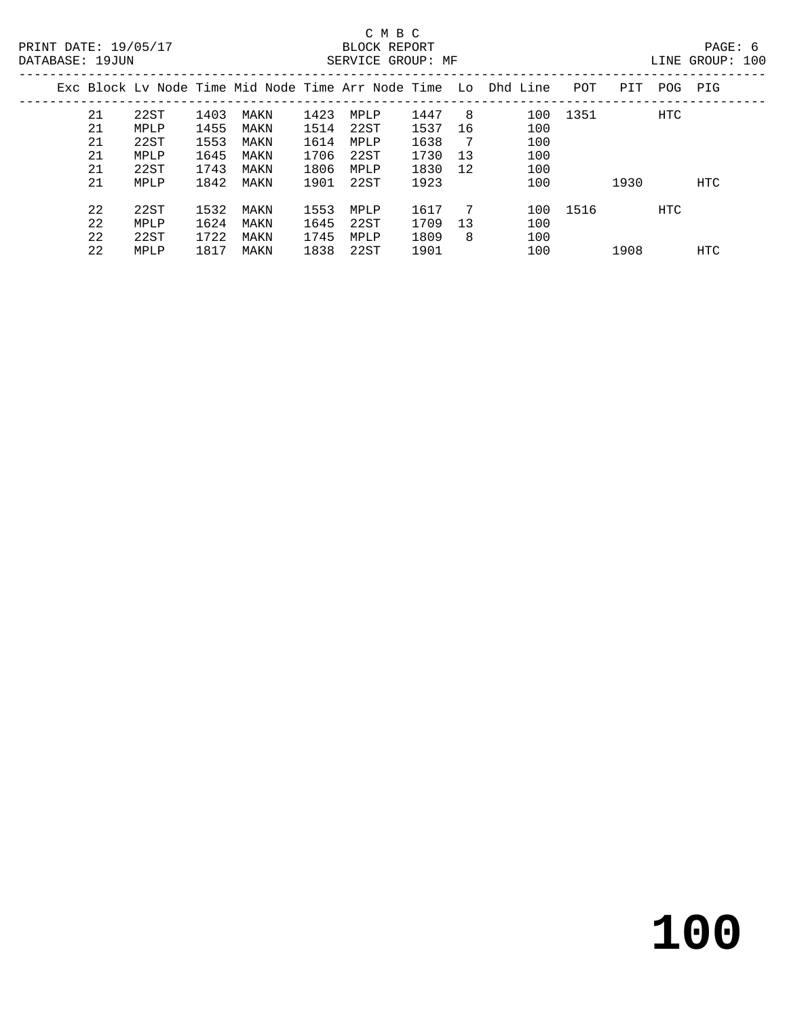|    |      |      |      |      |      |      |    | Exc Block Ly Node Time Mid Node Time Arr Node Time Lo Dhd Line | POT      | PIT  | POG | PIG |
|----|------|------|------|------|------|------|----|----------------------------------------------------------------|----------|------|-----|-----|
| 21 | 22ST | 1403 | MAKN | 1423 | MPLP | 1447 | -8 | 100                                                            | 1351     |      | HTC |     |
| 21 | MPLP | 1455 | MAKN | 1514 | 22ST | 1537 | 16 | 100                                                            |          |      |     |     |
| 21 | 22ST | 1553 | MAKN | 1614 | MPLP | 1638 | 7  | 100                                                            |          |      |     |     |
| 21 | MPLP | 1645 | MAKN | 1706 | 22ST | 1730 | 13 | 100                                                            |          |      |     |     |
| 21 | 22ST | 1743 | MAKN | 1806 | MPLP | 1830 | 12 | 100                                                            |          |      |     |     |
| 21 | MPLP | 1842 | MAKN | 1901 | 22ST | 1923 |    | 100                                                            |          | 1930 |     | HTC |
|    |      |      |      |      |      |      |    |                                                                |          |      |     |     |
| 22 | 22ST | 1532 | MAKN | 1553 | MPLP | 1617 | 7  |                                                                | 100 1516 |      | HTC |     |
| 22 | MPLP | 1624 | MAKN | 1645 | 22ST | 1709 | 13 | 100                                                            |          |      |     |     |
| 22 | 22ST | 1722 | MAKN | 1745 | MPLP | 1809 | 8  | 100                                                            |          |      |     |     |
| 22 | MPLP | 1817 | MAKN | 1838 | 22ST | 1901 |    | 100                                                            |          | 1908 |     | HTC |
|    |      |      |      |      |      |      |    |                                                                |          |      |     |     |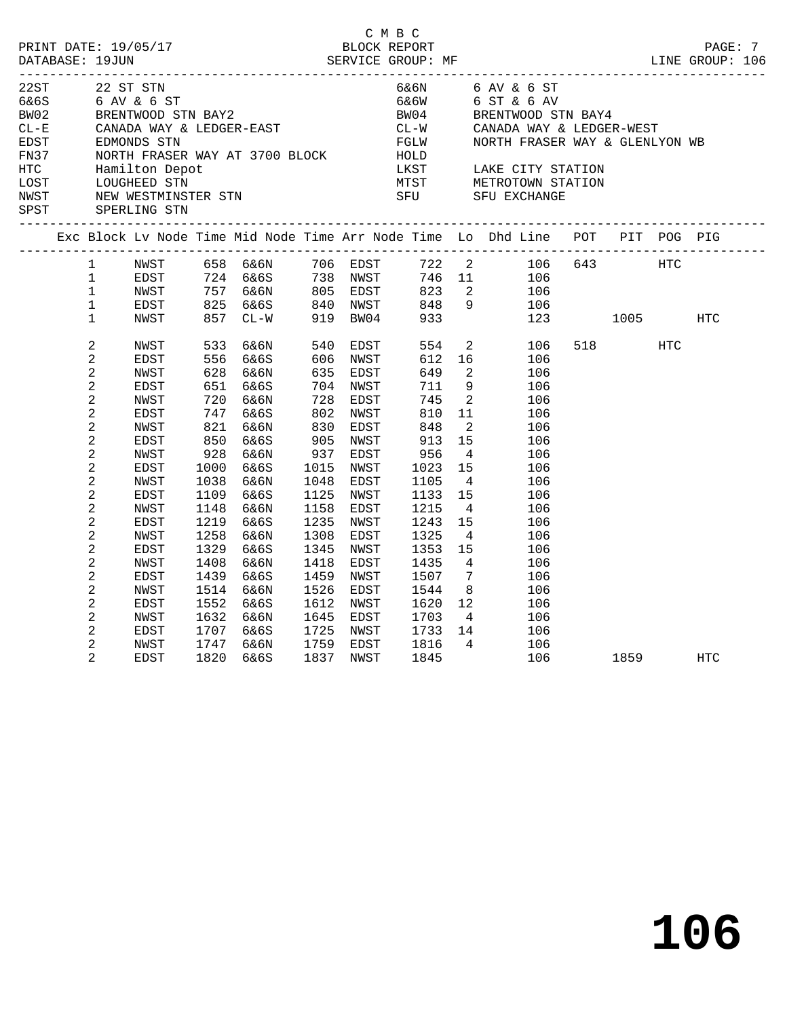| PRINT DATE: 19/05/17<br>DATABASE: 19JUN                                         |                                                                             |                                                                                                                                         |                                      |                                                                                                                                                                                                                                                                                                                                                                                                                                                                |                                                                             |                                          | C M B C                              |                                                                                       |                                                                                                                                                                                                                                                 |             |            |     |
|---------------------------------------------------------------------------------|-----------------------------------------------------------------------------|-----------------------------------------------------------------------------------------------------------------------------------------|--------------------------------------|----------------------------------------------------------------------------------------------------------------------------------------------------------------------------------------------------------------------------------------------------------------------------------------------------------------------------------------------------------------------------------------------------------------------------------------------------------------|-----------------------------------------------------------------------------|------------------------------------------|--------------------------------------|---------------------------------------------------------------------------------------|-------------------------------------------------------------------------------------------------------------------------------------------------------------------------------------------------------------------------------------------------|-------------|------------|-----|
| 22ST<br>6&6S<br>BW02<br>$CL - E$<br>EDST<br>FN37<br>HTC<br>LOST<br>NWST<br>SPST |                                                                             | 22 ST STN<br>6 AV & 6 ST<br>NORTH FRASER WA<br>Hamilton Depot<br>HAMITICON DEPOC<br>LOUGHEED STN<br>NEW WESTMINSTER STN<br>SPERLING STN |                                      | BRENTWOOD STN BAY2<br>CANADA WAY & LEDGER-EAST<br>EDMONDS STN<br>$\begin{minipage}{0.9\linewidth} \textbf{NORTH} \textbf{ FRASER} \textbf{WAY} \textbf{AT} \textbf{3700} \textbf{BLOCK} \textbf{99.3}\textbf{98.3}\textbf{99.4}\textbf{99.5}\textbf{19.6}\textbf{19.6}\textbf{19.6}\textbf{19.6}\textbf{19.6}\textbf{19.6}\textbf{19.6}\textbf{19.6}\textbf{19.6}\textbf{19.6}\textbf{19.6}\textbf{19.6}\textbf{19.6}\textbf{19.6}\textbf{19.6}\textbf{19.6}\$ |                                                                             |                                          | 6&6W<br>SFU<br>__________________    |                                                                                       | 6&6N 6 AV & 6 ST<br>6 ST & 6 AV<br>BW04 BRENTWOOD STN BAY4<br>CL-W     CANADA WAY & LEDGER-WEST<br>FGLW       NORTH FRASER WAY & GLENLYON<br>NORTH FRASER WAY & GLENLYON WB<br>LKST LAKE CITY STATION<br>MTST METROTOWN STATION<br>SFU EXCHANGE |             |            |     |
|                                                                                 |                                                                             |                                                                                                                                         |                                      |                                                                                                                                                                                                                                                                                                                                                                                                                                                                |                                                                             |                                          |                                      |                                                                                       | Exc Block Lv Node Time Mid Node Time Arr Node Time Lo Dhd Line POT PIT POG PIG                                                                                                                                                                  |             |            |     |
|                                                                                 | $1 \quad \blacksquare$<br>$\mathbf{1}$<br>1<br>$\mathbf{1}$<br>$\mathbf{1}$ | EDST<br>NWST<br>EDST<br>NWST                                                                                                            |                                      | NWST 658 6&6N 706 EDST<br>724 6&6S 738 NWST<br>757 6&6N 805 EDST<br>825 6&6S 840 NWST<br>757 6&6N<br>825 6&6S<br>857 CL-W                                                                                                                                                                                                                                                                                                                                      |                                                                             | 919 BW04                                 | 823<br>848<br>933                    |                                                                                       | 722 2 106 643 HTC<br>746 11 106<br>$\begin{array}{ccc} 2 & \hspace{1.5mm} 106 \\ 9 & \hspace{1.5mm} 106 \end{array}$<br>123                                                                                                                     | 1005 - 100  |            | HTC |
|                                                                                 | $\overline{c}$<br>2<br>2<br>$\overline{a}$                                  | NWST<br>EDST<br>NWST<br>EDST                                                                                                            | 533<br>556<br>628<br>651             | 6&6N<br>6&6S<br>6&6N<br>6&6S                                                                                                                                                                                                                                                                                                                                                                                                                                   | 540<br>606<br>704                                                           | EDST<br>606 NWST<br>635 EDST<br>NWST     | 554<br>612<br>649<br>711             | 16<br>$\overline{2}$<br>9                                                             | $\overline{a}$<br>106<br>106<br>106<br>106                                                                                                                                                                                                      | 518 — 10    | <b>HTC</b> |     |
|                                                                                 | 2<br>2<br>$\overline{c}$<br>2<br>2                                          | NWST<br>EDST<br>NWST<br>EDST<br>NWST                                                                                                    | 720<br>747<br>821<br>850<br>928      | 6&6N<br>6&6S<br>6&6N<br>6&6S<br>6&6N                                                                                                                                                                                                                                                                                                                                                                                                                           | 728<br>802<br>$\begin{array}{c}\n0 \\ 830 \\ \hline\n0\n\end{array}$<br>937 | EDST<br>NWST<br>EDST<br>905 NWST<br>EDST | 745<br>810<br>848<br>913<br>956      | $\overline{\phantom{a}}$<br>11<br>$\overline{\phantom{a}}^2$<br>15<br>$4\overline{4}$ | 106<br>106<br>106<br>106<br>106                                                                                                                                                                                                                 |             |            |     |
|                                                                                 | 2<br>2<br>2<br>2<br>$\overline{a}$                                          | EDST<br>NWST<br>EDST<br>NWST                                                                                                            | 1000<br>1038<br>1109<br>1148         | 6&6S<br>6&6N<br>6&6S<br>6&6N                                                                                                                                                                                                                                                                                                                                                                                                                                   | 1015<br>1048<br>1125<br>1158                                                | NWST<br>EDST<br>NWST<br>EDST             | 1023<br>1105<br>1133<br>1215         | 15<br>$\overline{4}$<br>15<br>$\overline{4}$<br>15                                    | 106<br>106<br>106<br>106                                                                                                                                                                                                                        |             |            |     |
|                                                                                 | 2<br>2<br>2<br>2                                                            | EDST<br>NWST<br>EDST<br>NWST<br>EDST                                                                                                    | 1219<br>1258<br>1329<br>1408<br>1439 | 6&6S<br>6&6N<br>6&6S<br>6&6N<br>6&6S                                                                                                                                                                                                                                                                                                                                                                                                                           | 1235<br>1308<br>1345<br>1418<br>1459                                        | NWST<br>EDST<br>NWST<br>EDST<br>NWST     | 1243<br>1325<br>1353<br>1435<br>1507 | $\overline{4}$<br>15<br>$\overline{4}$<br>$\overline{7}$                              | 106<br>106<br>106<br>106<br>106                                                                                                                                                                                                                 |             |            |     |
|                                                                                 | 2<br>2<br>2<br>2                                                            | NWST<br>EDST<br>NWST<br>EDST                                                                                                            | 1514<br>1552<br>1632<br>1707         | 6&6N<br>6&6S<br>6&6N<br>6&6S                                                                                                                                                                                                                                                                                                                                                                                                                                   | 1526<br>1612<br>1645                                                        | EDST<br>NWST<br>EDST<br>1725 NWST        | 1544<br>1620<br>1703<br>1733         | 8 <sup>8</sup><br>12<br>$4\overline{4}$<br>14                                         | 106<br>106<br>106<br>106                                                                                                                                                                                                                        |             |            |     |
|                                                                                 | 2<br>2                                                                      | NWST<br>EDST                                                                                                                            | 1747<br>1820                         | 6&6N<br>6&6S                                                                                                                                                                                                                                                                                                                                                                                                                                                   |                                                                             | 1759 EDST<br>1837 NWST                   | 1816<br>1845                         | $4\overline{4}$                                                                       | 106<br>106                                                                                                                                                                                                                                      | 1859 — 1865 |            | HTC |

**106**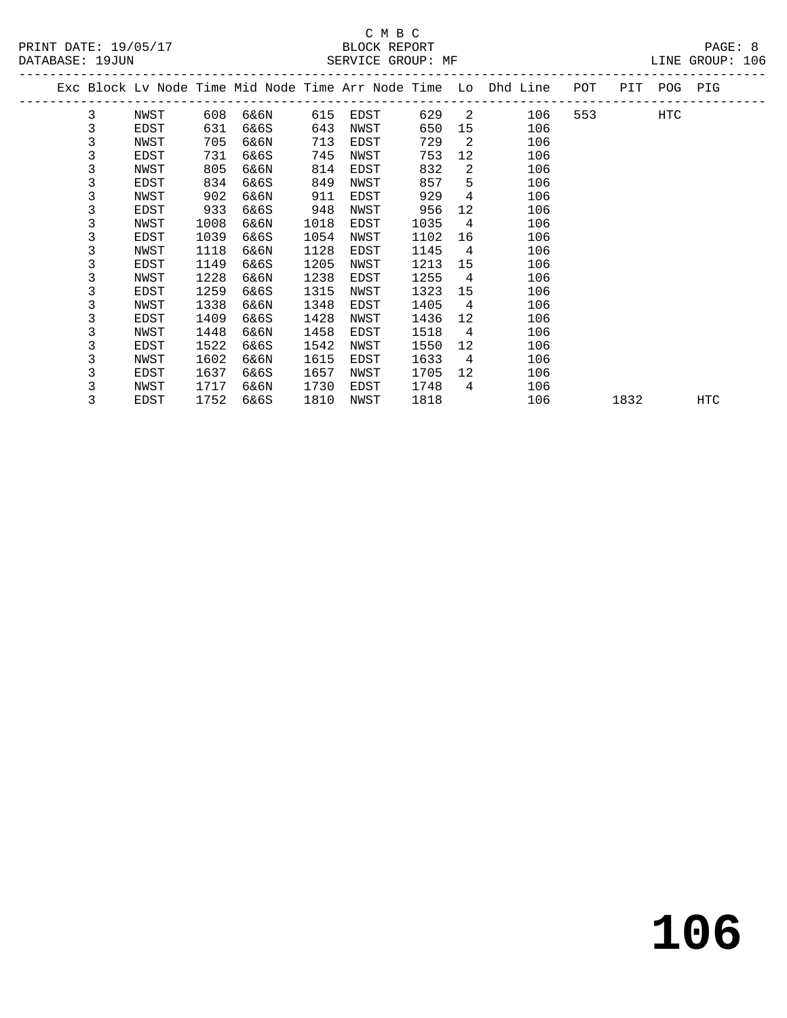|  |   |      |      |      |      |      |      |                 | Exc Block Lv Node Time Mid Node Time Arr Node Time Lo Dhd Line | POT | PIT  | POG | PIG |
|--|---|------|------|------|------|------|------|-----------------|----------------------------------------------------------------|-----|------|-----|-----|
|  | 3 | NWST | 608  | 6&6N | 615  | EDST | 629  | 2               | 106                                                            | 553 |      | HTC |     |
|  | 3 | EDST | 631  | 6&6S | 643  | NWST | 650  | 15              | 106                                                            |     |      |     |     |
|  | 3 | NWST | 705  | 6&6N | 713  | EDST | 729  | 2               | 106                                                            |     |      |     |     |
|  | 3 | EDST | 731  | 6&6S | 745  | NWST | 753  | 12              | 106                                                            |     |      |     |     |
|  | 3 | NWST | 805  | 6&6N | 814  | EDST | 832  | 2               | 106                                                            |     |      |     |     |
|  | 3 | EDST | 834  | 6&6S | 849  | NWST | 857  | 5               | 106                                                            |     |      |     |     |
|  | 3 | NWST | 902  | 6&6N | 911  | EDST | 929  | 4               | 106                                                            |     |      |     |     |
|  | 3 | EDST | 933  | 6&6S | 948  | NWST | 956  | 12              | 106                                                            |     |      |     |     |
|  | 3 | NWST | 1008 | 6&6N | 1018 | EDST | 1035 | 4               | 106                                                            |     |      |     |     |
|  | 3 | EDST | 1039 | 6&6S | 1054 | NWST | 1102 | 16              | 106                                                            |     |      |     |     |
|  | 3 | NWST | 1118 | 6&6N | 1128 | EDST | 1145 | 4               | 106                                                            |     |      |     |     |
|  | 3 | EDST | 1149 | 6&6S | 1205 | NWST | 1213 | 15              | 106                                                            |     |      |     |     |
|  | 3 | NWST | 1228 | 6&6N | 1238 | EDST | 1255 | 4               | 106                                                            |     |      |     |     |
|  | 3 | EDST | 1259 | 6&6S | 1315 | NWST | 1323 | 15              | 106                                                            |     |      |     |     |
|  | 3 | NWST | 1338 | 6&6N | 1348 | EDST | 1405 | 4               | 106                                                            |     |      |     |     |
|  | 3 | EDST | 1409 | 6&6S | 1428 | NWST | 1436 | 12              | 106                                                            |     |      |     |     |
|  | 3 | NWST | 1448 | 6&6N | 1458 | EDST | 1518 | 4               | 106                                                            |     |      |     |     |
|  | 3 | EDST | 1522 | 6&6S | 1542 | NWST | 1550 | 12 <sup>°</sup> | 106                                                            |     |      |     |     |
|  | 3 | NWST | 1602 | 6&6N | 1615 | EDST | 1633 | 4               | 106                                                            |     |      |     |     |
|  | 3 | EDST | 1637 | 6&6S | 1657 | NWST | 1705 | 12              | 106                                                            |     |      |     |     |
|  | 3 | NWST | 1717 | 6&6N | 1730 | EDST | 1748 | 4               | 106                                                            |     |      |     |     |
|  | 3 | EDST | 1752 | 6&6S | 1810 | NWST | 1818 |                 | 106                                                            |     | 1832 |     | HTC |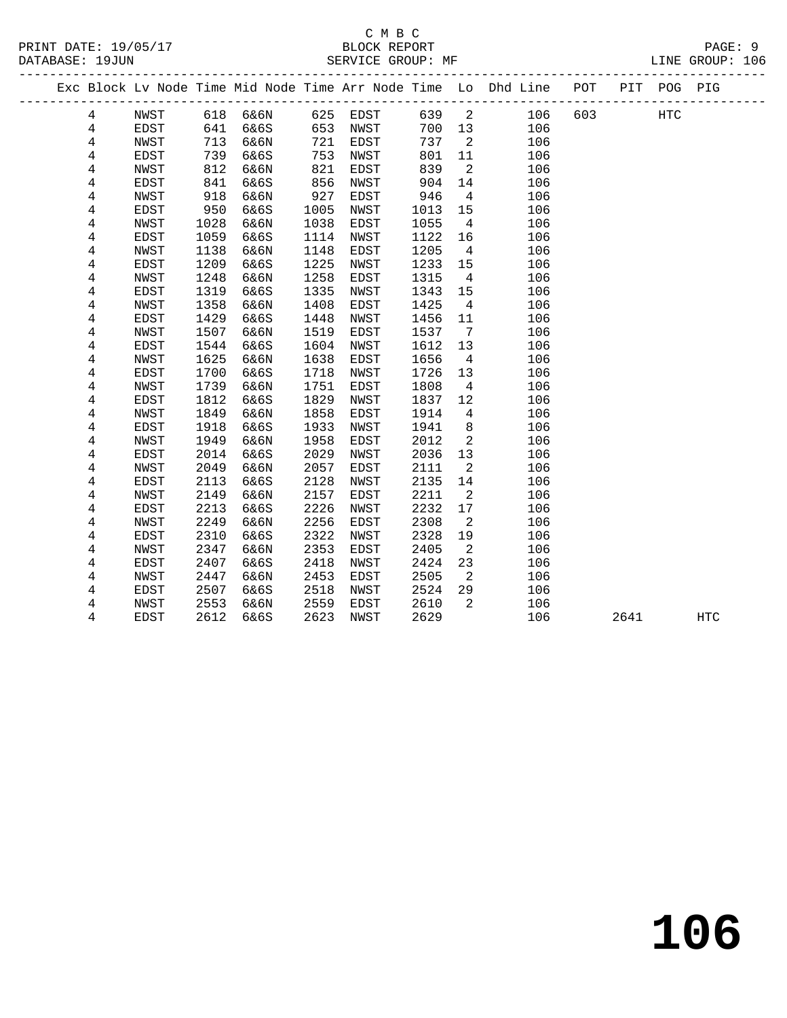#### C M B C<br>BLOCK REPORT SERVICE GROUP: MF

|                         |             |      |          |      |          |      |                          | Exc Block Lv Node Time Mid Node Time Arr Node Time Lo Dhd Line POT |     |      | PIT POG PIG |     |
|-------------------------|-------------|------|----------|------|----------|------|--------------------------|--------------------------------------------------------------------|-----|------|-------------|-----|
| $\overline{4}$          | NWST        |      | 618 6&6N |      | 625 EDST | 639  | $\overline{\phantom{a}}$ | 106                                                                | 603 |      | HTC         |     |
| $\overline{4}$          | EDST        | 641  | 6&6S     | 653  | NWST     | 700  | 13                       | 106                                                                |     |      |             |     |
| 4                       | NWST        | 713  | 6&6N     | 721  | EDST     | 737  | $\overline{2}$           | 106                                                                |     |      |             |     |
| 4                       | EDST        | 739  | 6&6S     | 753  | NWST     | 801  | 11                       | 106                                                                |     |      |             |     |
| 4                       | NWST        | 812  | 6&6N     | 821  | EDST     | 839  | $\overline{2}$           | 106                                                                |     |      |             |     |
| 4                       | EDST        | 841  | 6&6S     | 856  | NWST     | 904  | 14                       | 106                                                                |     |      |             |     |
| $\,4$                   | NWST        | 918  | 6&6N     | 927  | EDST     | 946  | $\overline{4}$           | 106                                                                |     |      |             |     |
| 4                       | EDST        | 950  | 6&6S     | 1005 | NWST     | 1013 | 15                       | 106                                                                |     |      |             |     |
| 4                       | NWST        | 1028 | 6&6N     | 1038 | EDST     | 1055 | $\overline{4}$           | 106                                                                |     |      |             |     |
| 4                       | EDST        | 1059 | 6&6S     | 1114 | NWST     | 1122 | 16                       | 106                                                                |     |      |             |     |
| 4                       | NWST        | 1138 | 6&6N     | 1148 | EDST     | 1205 | $\overline{4}$           | 106                                                                |     |      |             |     |
| 4                       | <b>EDST</b> | 1209 | 6&6S     | 1225 | NWST     | 1233 | 15                       | 106                                                                |     |      |             |     |
| $\,4$                   | NWST        | 1248 | 6&6N     | 1258 | EDST     | 1315 | $\overline{4}$           | 106                                                                |     |      |             |     |
| 4                       | EDST        | 1319 | 6&6S     | 1335 | NWST     | 1343 | 15                       | 106                                                                |     |      |             |     |
| 4                       | NWST        | 1358 | 6&6N     | 1408 | EDST     | 1425 | $\overline{4}$           | 106                                                                |     |      |             |     |
| 4                       | EDST        | 1429 | 6&6S     | 1448 | NWST     | 1456 | 11                       | 106                                                                |     |      |             |     |
| 4                       | NWST        | 1507 | 6&6N     | 1519 | EDST     | 1537 | $\overline{7}$           | 106                                                                |     |      |             |     |
| 4                       | EDST        | 1544 | 6&6S     | 1604 | NWST     | 1612 | 13                       | 106                                                                |     |      |             |     |
| $\overline{4}$          | NWST        | 1625 | 6&6N     | 1638 | EDST     | 1656 | $\overline{4}$           | 106                                                                |     |      |             |     |
| 4                       | EDST        | 1700 | 6&6S     | 1718 | NWST     | 1726 | 13                       | 106                                                                |     |      |             |     |
| $\overline{\mathbf{4}}$ | NWST        | 1739 | 6&6N     | 1751 | EDST     | 1808 | $\overline{4}$           | 106                                                                |     |      |             |     |
| 4                       | EDST        | 1812 | 6&6S     | 1829 | NWST     | 1837 | 12                       | 106                                                                |     |      |             |     |
| 4                       | NWST        | 1849 | 6&6N     | 1858 | EDST     | 1914 | $\overline{4}$           | 106                                                                |     |      |             |     |
| 4                       | EDST        | 1918 | 6&6S     | 1933 | NWST     | 1941 | 8                        | 106                                                                |     |      |             |     |
| $\,4$                   | NWST        | 1949 | 6&6N     | 1958 | EDST     | 2012 | $\overline{2}$           | 106                                                                |     |      |             |     |
| 4                       | EDST        | 2014 | 6&6S     | 2029 | NWST     | 2036 | 13                       | 106                                                                |     |      |             |     |
| 4                       | NWST        | 2049 | 6&6N     | 2057 | EDST     | 2111 | $\overline{2}$           | 106                                                                |     |      |             |     |
| 4                       | EDST        | 2113 | 6&6S     | 2128 | NWST     | 2135 | 14                       | 106                                                                |     |      |             |     |
| 4                       | NWST        | 2149 | 6&6N     | 2157 | EDST     | 2211 | 2                        | 106                                                                |     |      |             |     |
| 4                       | EDST        | 2213 | 6&6S     | 2226 | NWST     | 2232 | 17                       | 106                                                                |     |      |             |     |
| 4                       | <b>NWST</b> | 2249 | 6&6N     | 2256 | EDST     | 2308 | 2                        | 106                                                                |     |      |             |     |
| 4                       | <b>EDST</b> | 2310 | 6&6S     | 2322 | NWST     | 2328 | 19                       | 106                                                                |     |      |             |     |
| 4                       | NWST        | 2347 | 6&6N     | 2353 | EDST     | 2405 | 2                        | 106                                                                |     |      |             |     |
| 4                       | EDST        | 2407 | 6&6S     | 2418 | NWST     | 2424 | 23                       | 106                                                                |     |      |             |     |
| 4                       | <b>NWST</b> | 2447 | 6&6N     | 2453 | EDST     | 2505 | 2                        | 106                                                                |     |      |             |     |
| 4                       | EDST        | 2507 | 6&6S     | 2518 | NWST     | 2524 | 29                       | 106                                                                |     |      |             |     |
| 4                       | NWST        | 2553 | 6&6N     | 2559 | EDST     | 2610 | 2                        | 106                                                                |     |      |             |     |
| 4                       | EDST        | 2612 | 6&6S     | 2623 | NWST     | 2629 |                          | 106                                                                |     | 2641 |             | HTC |

**106**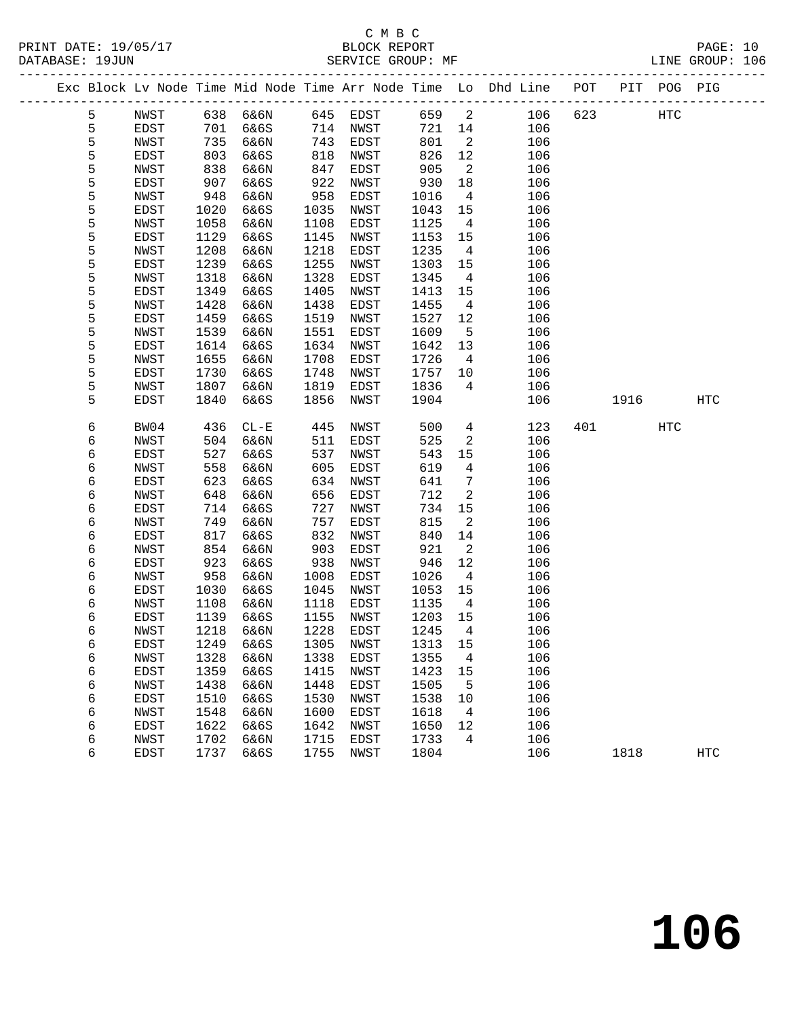# C M B C<br>BLOCK REPORT

PAGE: 10<br>LINE GROUP: 106

|  |        |              |              | Exc Block Lv Node Time Mid Node Time Arr Node Time Lo Dhd Line POT |              |              |              |                      |            |     |      | PIT POG PIG |            |
|--|--------|--------------|--------------|--------------------------------------------------------------------|--------------|--------------|--------------|----------------------|------------|-----|------|-------------|------------|
|  | 5      | NWST         |              | 638 6&6N                                                           |              | 645 EDST     | 659          | $\overline{2}$       | 106        | 623 |      | HTC         |            |
|  | 5      | EDST         | 701          | 6&6S                                                               | 714          | NWST         | 721          | 14                   | 106        |     |      |             |            |
|  | 5      | NWST         | 735          | 6&6N                                                               | 743          | EDST         | 801          | 2                    | 106        |     |      |             |            |
|  | 5      | EDST         | 803          | 6&6S                                                               | 818          | NWST         | 826          | 12                   | 106        |     |      |             |            |
|  | 5      | NWST         | 838          | 6&6N                                                               | 847          | EDST         | 905          | 2                    | 106        |     |      |             |            |
|  | 5      | EDST         | 907          | 6&6S                                                               | 922          | NWST         | 930          | 18                   | 106        |     |      |             |            |
|  | 5      | NWST         | 948          | 6&6N                                                               | 958          | EDST         | 1016         | $\overline{4}$       | 106        |     |      |             |            |
|  | 5      | EDST         | 1020         | 6&6S                                                               | 1035         | NWST         | 1043         | 15                   | 106        |     |      |             |            |
|  | 5      | NWST         | 1058         | 6&6N                                                               | 1108         | EDST         | 1125         | $\overline{4}$       | 106        |     |      |             |            |
|  | 5      | EDST         | 1129         | 6&6S                                                               | 1145         | NWST         | 1153         | 15                   | 106        |     |      |             |            |
|  | 5      | NWST         | 1208         | 6&6N                                                               | 1218         | EDST         | 1235         | $\overline{4}$       | 106        |     |      |             |            |
|  | 5      | EDST         | 1239         | 6&6S                                                               | 1255         | NWST         | 1303         | 15                   | 106        |     |      |             |            |
|  | 5      | NWST         | 1318         | 6&6N                                                               | 1328         | EDST         | 1345         | $\overline{4}$       | 106        |     |      |             |            |
|  | 5      | EDST         | 1349         | 6&6S                                                               | 1405         | NWST         | 1413         | 15                   | 106        |     |      |             |            |
|  | 5      | NWST         | 1428         | 6&6N                                                               | 1438         | EDST         | 1455         | $\overline{4}$       | 106        |     |      |             |            |
|  | 5      | EDST         | 1459         | 6&6S                                                               | 1519         | NWST         | 1527         | 12                   | 106        |     |      |             |            |
|  | 5      | NWST         | 1539         | 6&6N                                                               | 1551         | EDST         | 1609         | 5                    | 106        |     |      |             |            |
|  | 5      | EDST         | 1614         | 6&6S                                                               | 1634         | NWST         | 1642         | 13                   | 106        |     |      |             |            |
|  | 5      | NWST         | 1655         | 6&6N                                                               | 1708         | EDST         | 1726         | $\overline{4}$       | 106        |     |      |             |            |
|  | 5      | EDST         | 1730         | 6&6S                                                               | 1748         | NWST         | 1757         | 10                   | 106        |     |      |             |            |
|  | 5      | NWST         | 1807         | 6&6N                                                               | 1819         | EDST         | 1836         | 4                    | 106        |     |      |             |            |
|  | 5      | <b>EDST</b>  | 1840         | 6&6S                                                               | 1856         | NWST         | 1904         |                      | 106        |     | 1916 |             | <b>HTC</b> |
|  |        |              |              |                                                                    |              |              |              |                      |            |     |      |             |            |
|  | 6      | BW04         | 436          | $CL - E$                                                           | 445          | NWST         | 500          | $\overline{4}$       | 123        | 401 |      | HTC         |            |
|  | 6      | NWST         | 504          | 6&6N                                                               | 511          | EDST         | 525          | 2                    | 106        |     |      |             |            |
|  | 6      | EDST         | 527          | 6&6S                                                               | 537          | NWST         | 543          | 15                   | 106        |     |      |             |            |
|  | 6      | NWST         | 558          | 6&6N                                                               | 605          | EDST         | 619          | $\overline{4}$       | 106        |     |      |             |            |
|  | 6      | EDST         | 623          | 6&6S                                                               | 634          | NWST         | 641          | 7                    | 106        |     |      |             |            |
|  | 6      | NWST         | 648          | 6&6N                                                               | 656          | EDST         | 712          | 2                    | 106        |     |      |             |            |
|  | 6      | EDST         | 714          | 6&6S                                                               | 727          | NWST         | 734          | 15                   | 106        |     |      |             |            |
|  | 6      | NWST         | 749          | 6&6N                                                               | 757          | EDST         | 815          | 2                    | 106        |     |      |             |            |
|  | 6      | EDST         | 817          | 6&6S                                                               | 832          | NWST         | 840          | 14                   | 106        |     |      |             |            |
|  | 6      | NWST         | 854          | 6&6N                                                               | 903          | EDST         | 921          | 2                    | 106        |     |      |             |            |
|  | 6      | EDST         | 923          | 6&6S                                                               | 938          | NWST         | 946          | 12                   | 106        |     |      |             |            |
|  | 6      | NWST         | 958          | 6&6N                                                               | 1008         | EDST         | 1026         | $\overline{4}$       | 106        |     |      |             |            |
|  | 6      | EDST         | 1030         | 6&6S                                                               | 1045         | NWST         | 1053         | 15                   | 106        |     |      |             |            |
|  | 6      | NWST         | 1108         | 6&6N                                                               | 1118         | EDST         | 1135         | $\overline{4}$       | 106        |     |      |             |            |
|  | 6<br>6 | EDST         | 1139         | 6&6S<br>6&6N                                                       | 1155         | NWST         | 1203<br>1245 | 15<br>$\overline{4}$ | 106        |     |      |             |            |
|  |        | NWST         | 1218         |                                                                    | 1228         | EDST         |              |                      | 106        |     |      |             |            |
|  | 6      | EDST         |              | 1249 6&6S                                                          | 1305 NWST    |              | 1313 15      |                      | 106        |     |      |             |            |
|  | 6      | NWST         | 1328         | 6&6N                                                               | 1338         | EDST         | 1355         | 4                    | 106        |     |      |             |            |
|  | 6      | EDST         | 1359<br>1438 | 6&6S                                                               | 1415<br>1448 | NWST         | 1423         | 15                   | 106<br>106 |     |      |             |            |
|  | 6      | NWST         | 1510         | 6&6N                                                               | 1530         | EDST         | 1505<br>1538 | 5                    | 106        |     |      |             |            |
|  | 6<br>6 | EDST<br>NWST | 1548         | 6&6S<br>6&6N                                                       | 1600         | NWST<br>EDST | 1618         | 10<br>4              | 106        |     |      |             |            |
|  | 6      | EDST         | 1622         | 6&6S                                                               | 1642         | NWST         | 1650         | 12                   | 106        |     |      |             |            |
|  | 6      | NWST         | 1702         | 6&6N                                                               | 1715         | EDST         | 1733         | 4                    | 106        |     |      |             |            |
|  | 6      | EDST         | 1737         | 6&6S                                                               | 1755         | NWST         | 1804         |                      | 106        |     | 1818 |             | <b>HTC</b> |
|  |        |              |              |                                                                    |              |              |              |                      |            |     |      |             |            |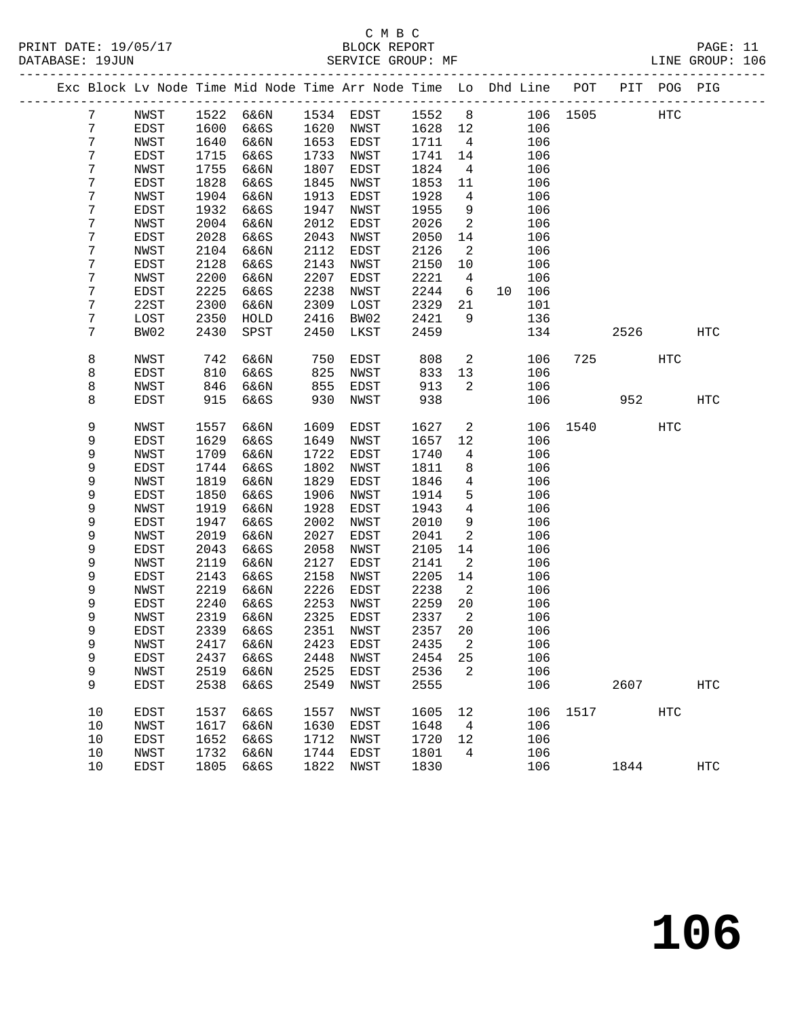# C M B C<br>BLOCK REPORT

PAGE: 11<br>LINE GROUP: 106

|  |        |              |              |              |              | Exc Block Lv Node Time Mid Node Time Arr Node Time Lo Dhd Line POT |              |                |    |            |      |      | PIT POG PIG |            |
|--|--------|--------------|--------------|--------------|--------------|--------------------------------------------------------------------|--------------|----------------|----|------------|------|------|-------------|------------|
|  | 7      | NWST         | 1522         | 6&6N         | 1534         | EDST                                                               | 1552         | 8              |    | 106        | 1505 |      | HTC         |            |
|  | 7      | EDST         | 1600         | 6&6S         | 1620         | NWST                                                               | 1628         | 12             |    | 106        |      |      |             |            |
|  | 7      | NWST         | 1640         | 6&6N         | 1653         | EDST                                                               | 1711         | $\overline{4}$ |    | 106        |      |      |             |            |
|  | 7      | EDST         | 1715         | 6&6S         | 1733         | NWST                                                               | 1741         | 14             |    | 106        |      |      |             |            |
|  | 7      | NWST         | 1755         | 6&6N         | 1807         | EDST                                                               | 1824         | $\overline{4}$ |    | 106        |      |      |             |            |
|  | 7      | EDST         | 1828         | 6&6S         | 1845         | NWST                                                               | 1853         | 11             |    | 106        |      |      |             |            |
|  | 7      | NWST         | 1904         | 6&6N         | 1913         | EDST                                                               | 1928         | 4              |    | 106        |      |      |             |            |
|  | 7      | EDST         | 1932         | 6&6S         | 1947         | NWST                                                               | 1955         | 9              |    | 106        |      |      |             |            |
|  | 7      | NWST         | 2004         | 6&6N         | 2012         | EDST                                                               | 2026         | 2              |    | 106        |      |      |             |            |
|  | 7      | EDST         | 2028         | 6&6S         | 2043         | NWST                                                               | 2050         | 14             |    | 106        |      |      |             |            |
|  | 7      | NWST         | 2104         | 6&6N         | 2112         | EDST                                                               | 2126         | 2              |    | 106        |      |      |             |            |
|  | 7      | EDST         | 2128         | 6&6S         | 2143         | NWST                                                               | 2150         | 10             |    | 106        |      |      |             |            |
|  | 7      | NWST         | 2200         | 6&6N         | 2207         | EDST                                                               | 2221         | $\overline{4}$ |    | 106        |      |      |             |            |
|  | 7      | EDST         | 2225         | 6&6S         | 2238         | NWST                                                               | 2244         | 6              | 10 | 106        |      |      |             |            |
|  | 7      | 22ST         | 2300         | 6&6N         | 2309         | LOST                                                               | 2329         | 21             |    | 101        |      |      |             |            |
|  | 7      | LOST         | 2350         | HOLD         | 2416         | BW02                                                               | 2421         | 9              |    | 136        |      |      |             |            |
|  | 7      | BW02         | 2430         | SPST         | 2450         | LKST                                                               | 2459         |                |    | 134        |      | 2526 |             | HTC        |
|  | 8      | NWST         | 742          | 6&6N         | 750          | EDST                                                               | 808          | 2              |    | 106        | 725  |      | HTC         |            |
|  | 8      | EDST         | 810          | 6&6S         | 825          | NWST                                                               | 833          | 13             |    | 106        |      |      |             |            |
|  | 8      | NWST         | 846          | 6&6N         | 855          | EDST                                                               | 913          | 2              |    | 106        |      |      |             |            |
|  | 8      | EDST         | 915          | 6&6S         | 930          | NWST                                                               | 938          |                |    | 106        |      | 952  |             | <b>HTC</b> |
|  | 9      | NWST         | 1557         | 6&6N         | 1609         | EDST                                                               | 1627         | 2              |    | 106        | 1540 |      | <b>HTC</b>  |            |
|  | 9      | EDST         | 1629         | 6&6S         | 1649         | NWST                                                               | 1657         | 12             |    | 106        |      |      |             |            |
|  | 9      | NWST         | 1709         | 6&6N         | 1722         | EDST                                                               | 1740         | 4              |    | 106        |      |      |             |            |
|  | 9      | EDST         | 1744         | 6&6S         | 1802         | NWST                                                               | 1811         | 8              |    | 106        |      |      |             |            |
|  | 9      | NWST         | 1819         | 6&6N         | 1829         | EDST                                                               | 1846         | $\overline{4}$ |    | 106        |      |      |             |            |
|  | 9      | EDST         | 1850         | 6&6S         | 1906         | NWST                                                               | 1914         | 5              |    | 106        |      |      |             |            |
|  | 9      | NWST         | 1919         | 6&6N         | 1928         | EDST                                                               | 1943         | 4              |    | 106        |      |      |             |            |
|  | 9<br>9 | EDST         | 1947<br>2019 | 6&6S         | 2002<br>2027 | NWST                                                               | 2010         | 9<br>2         |    | 106        |      |      |             |            |
|  | 9      | NWST<br>EDST | 2043         | 6&6N<br>6&6S | 2058         | EDST<br>NWST                                                       | 2041<br>2105 | 14             |    | 106<br>106 |      |      |             |            |
|  | 9      | NWST         | 2119         | 6&6N         | 2127         | EDST                                                               | 2141         | 2              |    | 106        |      |      |             |            |
|  | 9      | EDST         | 2143         | 6&6S         | 2158         | NWST                                                               | 2205         | 14             |    | 106        |      |      |             |            |
|  | 9      | NWST         | 2219         | 6&6N         | 2226         | EDST                                                               | 2238         | 2              |    | 106        |      |      |             |            |
|  | 9      | EDST         | 2240         | 6&6S         | 2253         | NWST                                                               | 2259         | 20             |    | 106        |      |      |             |            |
|  | 9      | NWST         | 2319         | 6&6N         | 2325         | EDST                                                               | 2337         | $\overline{2}$ |    | 106        |      |      |             |            |
|  | 9      | <b>EDST</b>  | 2339         | 6&6S         | 2351         | NWST                                                               | 2357         | 20             |    | 106        |      |      |             |            |
|  | 9      | NWST         |              | 2417 6&6N    |              | 2423 EDST                                                          | 2435 2       |                |    | 106        |      |      |             |            |
|  | 9      | EDST         | 2437         | 6&6S         | 2448         | NWST                                                               | 2454         | 25             |    | 106        |      |      |             |            |
|  | 9      | <b>NWST</b>  | 2519         | 6&6N         | 2525         | EDST                                                               | 2536         | 2              |    | 106        |      |      |             |            |
|  | 9      | EDST         | 2538         | 6&6S         | 2549         | NWST                                                               | 2555         |                |    | 106        |      | 2607 |             | <b>HTC</b> |
|  | 10     | EDST         | 1537         | 6&6S         | 1557         | NWST                                                               | 1605         | 12             |    | 106        | 1517 |      | <b>HTC</b>  |            |
|  | 10     | NWST         | 1617         | 6&6N         | 1630         | EDST                                                               | 1648         | 4              |    | 106        |      |      |             |            |
|  | 10     | EDST         | 1652         | 6&6S         | 1712         | NWST                                                               | 1720         | 12             |    | 106        |      |      |             |            |
|  | $10$   | NWST         | 1732         | 6&6N         | 1744         | EDST                                                               | 1801         | 4              |    | 106        |      |      |             |            |
|  | 10     | EDST         | 1805         | 6&6S         | 1822         | NWST                                                               | 1830         |                |    | 106        |      | 1844 |             | <b>HTC</b> |
|  |        |              |              |              |              |                                                                    |              |                |    |            |      |      |             |            |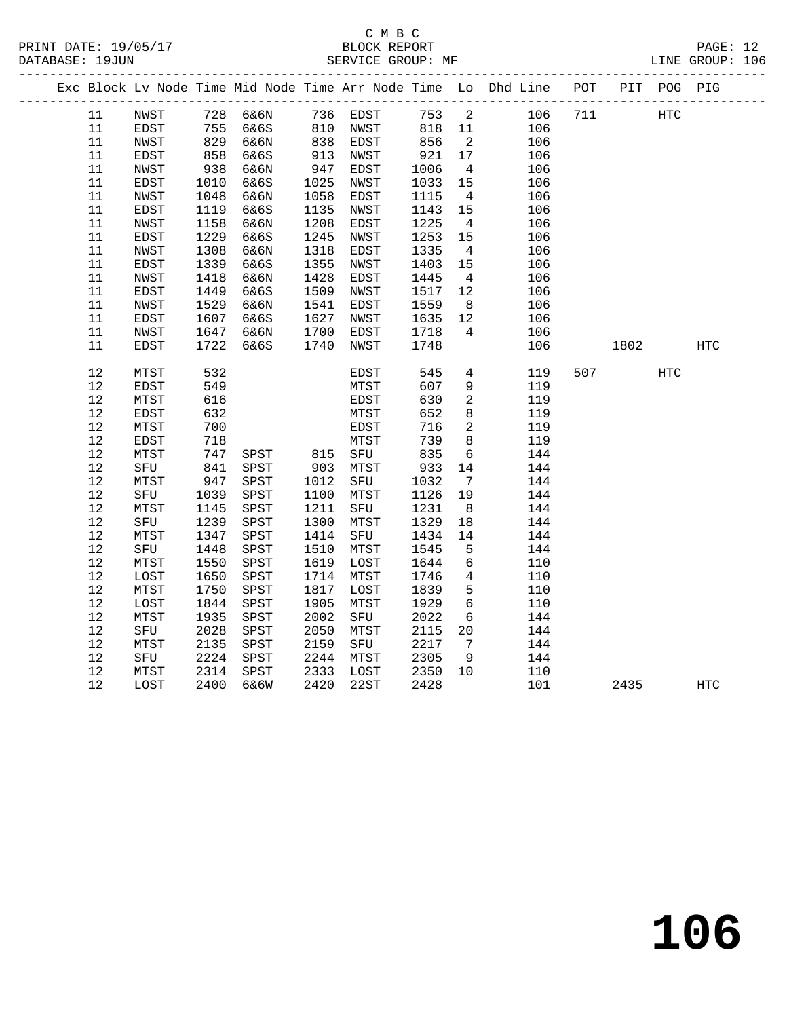# C M B C<br>BLOCK REPORT

LINE GROUP: 106

|      |             |      |                                               |              |      |        |                 | Exc Block Lv Node Time Mid Node Time Arr Node Time Lo Dhd Line POT |     |      | PIT POG PIG |     |  |
|------|-------------|------|-----------------------------------------------|--------------|------|--------|-----------------|--------------------------------------------------------------------|-----|------|-------------|-----|--|
| 11   | NWST        |      |                                               |              |      |        |                 | 753 2<br>106                                                       | 711 |      | HTC         |     |  |
| 11   | EDST        |      | 728 6&6N     736 EDST<br>755 6&6S    810 NWST |              |      | 818 11 |                 | 106                                                                |     |      |             |     |  |
| 11   | NWST        | 829  | 6&6N                                          | $838$<br>913 | EDST | 856    | $\overline{2}$  | 106                                                                |     |      |             |     |  |
| 11   | EDST        | 858  | 6&6S                                          | 913          | NWST | 921    | 17              | 106                                                                |     |      |             |     |  |
| 11   | NWST        | 938  | 6&6N                                          | 947          | EDST | 1006   | $\overline{4}$  | 106                                                                |     |      |             |     |  |
| 11   | EDST        | 1010 | 6&6S                                          | 1025         | NWST | 1033   | 15              | 106                                                                |     |      |             |     |  |
| 11   | NWST        | 1048 | 6&6N                                          | 1058         | EDST | 1115   | $\overline{4}$  | 106                                                                |     |      |             |     |  |
| 11   | EDST        | 1119 | 6&6S                                          | 1135         | NWST | 1143   | 15              | 106                                                                |     |      |             |     |  |
| 11   | NWST        | 1158 | 6&6N                                          | 1208         | EDST | 1225   | $\overline{4}$  | 106                                                                |     |      |             |     |  |
| 11   | EDST        | 1229 | 6&6S                                          | 1245         | NWST | 1253   | 15              | 106                                                                |     |      |             |     |  |
| 11   | NWST        | 1308 | 6&6N                                          | 1318         | EDST | 1335   | $\overline{4}$  | 106                                                                |     |      |             |     |  |
| 11   | <b>EDST</b> | 1339 | 6&6S                                          | 1355         | NWST | 1403   | 15              | 106                                                                |     |      |             |     |  |
| 11   | NWST        | 1418 | 6&6N                                          | 1428         | EDST | 1445   | $\overline{4}$  | 106                                                                |     |      |             |     |  |
| 11   | EDST        | 1449 | 6&6S                                          | 1509         | NWST | 1517   | 12              | 106                                                                |     |      |             |     |  |
| 11   | NWST        | 1529 | 6&6N                                          | 1541         | EDST | 1559   | 8               | 106                                                                |     |      |             |     |  |
| 11   | EDST        | 1607 | 6&6S                                          | 1627         | NWST | 1635   | 12              | 106                                                                |     |      |             |     |  |
| 11   | NWST        | 1647 | 6&6N                                          | 1700         | EDST | 1718   | $\overline{4}$  | 106                                                                |     |      |             |     |  |
| 11   | EDST        | 1722 | 6&6S                                          | 1740         | NWST | 1748   |                 | 106                                                                |     | 1802 |             | HTC |  |
|      |             |      |                                               |              |      |        |                 |                                                                    |     |      |             |     |  |
| 12   | MTST        | 532  |                                               |              | EDST | 545    | $4\overline{ }$ | 119                                                                | 507 |      | HTC         |     |  |
| 12   | EDST        | 549  |                                               |              | MTST | 607    | 9               | 119                                                                |     |      |             |     |  |
| 12   | MTST        | 616  |                                               |              | EDST | 630    | $\overline{a}$  | 119                                                                |     |      |             |     |  |
| $12$ | EDST        | 632  |                                               |              | MTST | 652    | 8               | 119                                                                |     |      |             |     |  |
| $12$ | MTST        | 700  |                                               |              | EDST | 716    | $\overline{2}$  | 119                                                                |     |      |             |     |  |
| 12   | EDST        | 718  |                                               |              | MTST | 739    | 8               | 119                                                                |     |      |             |     |  |
| 12   | MTST        | 747  | SPST 815 SFU                                  |              |      | 835    | 6               | 144                                                                |     |      |             |     |  |
| 12   | SFU         | 841  | SPST                                          | 903          | MTST | 933    | 14              | 144                                                                |     |      |             |     |  |
| $12$ | MTST        | 947  | SPST                                          | 1012         | SFU  | 1032   | $7\overline{ }$ | 144                                                                |     |      |             |     |  |
| $12$ | SFU         | 1039 | SPST                                          | 1100         | MTST | 1126   | 19              | 144                                                                |     |      |             |     |  |
| 12   | MTST        | 1145 | SPST                                          | 1211         | SFU  | 1231   | 8 <sup>8</sup>  | 144                                                                |     |      |             |     |  |
| 12   | SFU         | 1239 | SPST                                          | 1300         | MTST | 1329   | 18              | 144                                                                |     |      |             |     |  |
| 12   | MTST        | 1347 | SPST                                          | 1414         | SFU  | 1434   | 14              | 144                                                                |     |      |             |     |  |
| 12   | SFU         | 1448 | SPST                                          | 1510         | MTST | 1545   | 5               | 144                                                                |     |      |             |     |  |
| $12$ | MTST        | 1550 | ${\tt SPST}$                                  | 1619         | LOST | 1644   | $6\overline{6}$ | 110                                                                |     |      |             |     |  |
| $12$ | LOST        | 1650 | SPST                                          | 1714         | MTST | 1746   | $\overline{4}$  | 110                                                                |     |      |             |     |  |
| 12   | MTST        | 1750 | ${\tt SPST}$                                  | 1817         | LOST | 1839   | 5               | 110                                                                |     |      |             |     |  |
| 12   | LOST        | 1844 | SPST                                          | 1905         | MTST | 1929   | $6\overline{6}$ | 110                                                                |     |      |             |     |  |
| 12   | MTST        | 1935 | SPST                                          | 2002         | SFU  | 2022   | 6               | 144                                                                |     |      |             |     |  |
| 12   | SFU         | 2028 | ${\tt SPST}$                                  | 2050         | MTST | 2115   | 20              | 144                                                                |     |      |             |     |  |
| 12   | MTST        | 2135 | SPST                                          | 2159         | SFU  | 2217   | $7\overline{ }$ | 144                                                                |     |      |             |     |  |
| 12   | SFU         | 2224 | SPST                                          | 2244         | MTST | 2305   | 9               | 144                                                                |     |      |             |     |  |
| 12   | MTST        | 2314 | SPST                                          | 2333         | LOST | 2350   | 10              | 110                                                                |     |      |             |     |  |

12 LOST 2400 6&6W 2420 22ST 2428 101 2435 HTC

**106**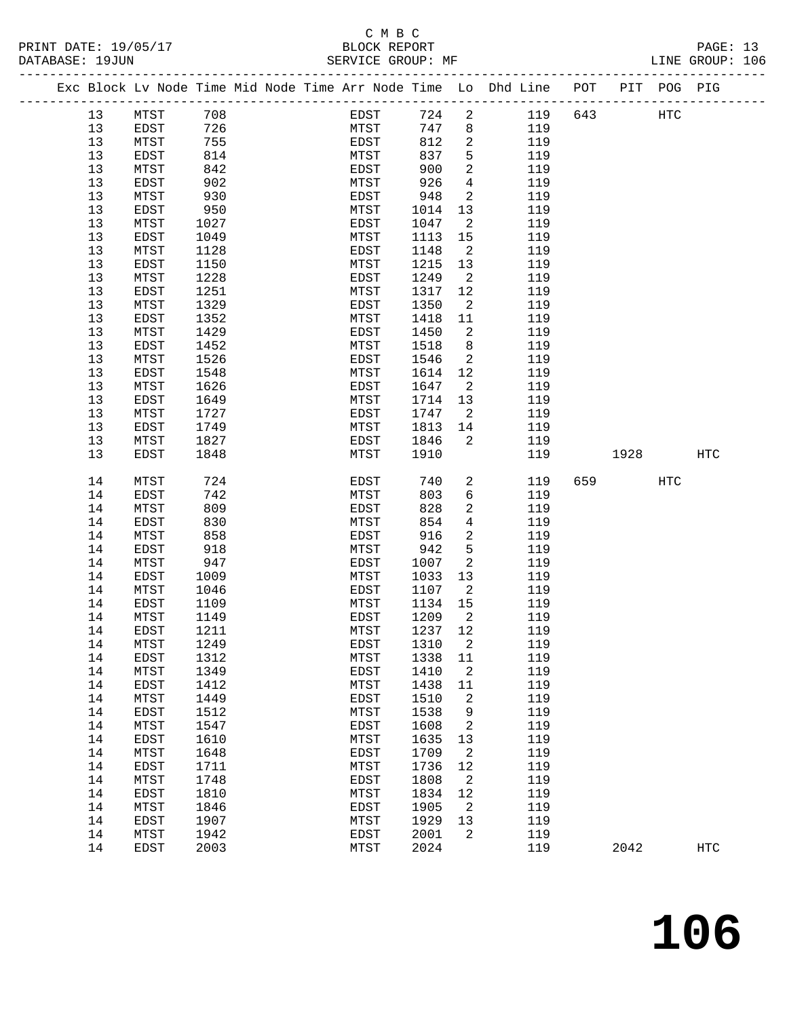# C M B C<br>BLOCK REPORT

------------------------------------------------------------------------------------------------- Exc Block Lv Node Time Mid Node Time Arr Node Time Lo Dhd Line POT PIT POG PIG

LINE GROUP: 106

| 13       | MTST | 708  | EDST | 724    | 2                        | 119 | 643 |      | HTC |     |
|----------|------|------|------|--------|--------------------------|-----|-----|------|-----|-----|
| 13       | EDST | 726  | MTST | 747    | 8                        | 119 |     |      |     |     |
| 13       | MTST | 755  | EDST | 812    | $\overline{a}$           | 119 |     |      |     |     |
| 13       | EDST | 814  | MTST | 837    | 5                        | 119 |     |      |     |     |
| 13       | MTST | 842  | EDST | 900    | $\overline{a}$           | 119 |     |      |     |     |
| 13       | EDST | 902  | MTST | 926    | $\overline{4}$           | 119 |     |      |     |     |
| 13       | MTST | 930  | EDST | 948    | $\overline{2}$           | 119 |     |      |     |     |
| 13       | EDST | 950  | MTST | 1014   | 13                       | 119 |     |      |     |     |
| 13       | MTST | 1027 | EDST | 1047   | $\overline{2}$           | 119 |     |      |     |     |
| 13       | EDST | 1049 | MTST | 1113   | 15                       | 119 |     |      |     |     |
| 13       | MTST | 1128 | EDST | 1148   | $\overline{2}$           | 119 |     |      |     |     |
| 13       | EDST | 1150 | MTST | 1215   | 13                       | 119 |     |      |     |     |
| 13       | MTST | 1228 | EDST | 1249   | $\overline{\phantom{a}}$ | 119 |     |      |     |     |
|          |      | 1251 | MTST | 1317   | 12                       | 119 |     |      |     |     |
| 13<br>13 | EDST |      |      |        |                          |     |     |      |     |     |
|          | MTST | 1329 | EDST | 1350   | 2                        | 119 |     |      |     |     |
| 13       | EDST | 1352 | MTST | 1418   | 11                       | 119 |     |      |     |     |
| 13       | MTST | 1429 | EDST | 1450   | $\overline{2}$           | 119 |     |      |     |     |
| 13       | EDST | 1452 | MTST | 1518   | 8                        | 119 |     |      |     |     |
| 13       | MTST | 1526 | EDST | 1546   | $\overline{a}$           | 119 |     |      |     |     |
| 13       | EDST | 1548 | MTST | 1614   | 12                       | 119 |     |      |     |     |
| 13       | MTST | 1626 | EDST | 1647   | $\overline{2}$           | 119 |     |      |     |     |
| 13       | EDST | 1649 | MTST | 1714   | 13                       | 119 |     |      |     |     |
| 13       | MTST | 1727 | EDST | 1747   | $\overline{a}$           | 119 |     |      |     |     |
| 13       | EDST | 1749 | MTST | 1813   | 14                       | 119 |     |      |     |     |
| 13       | MTST | 1827 | EDST | 1846   | $\overline{2}$           | 119 |     |      |     |     |
| 13       | EDST | 1848 | MTST | 1910   |                          | 119 |     | 1928 |     | HTC |
|          |      |      |      |        |                          |     |     |      |     |     |
| 14       | MTST | 724  | EDST | 740    | $\overline{a}$           | 119 | 659 |      | HTC |     |
| 14       | EDST | 742  | MTST | 803    | 6                        | 119 |     |      |     |     |
| 14       | MTST | 809  | EDST | 828    | $\overline{a}$           | 119 |     |      |     |     |
| 14       | EDST | 830  | MTST | 854    | $\overline{4}$           | 119 |     |      |     |     |
| 14       | MTST | 858  | EDST | 916    | $\overline{a}$           | 119 |     |      |     |     |
| 14       | EDST | 918  | MTST | 942    | 5                        | 119 |     |      |     |     |
| 14       | MTST | 947  | EDST | 1007   | 2                        | 119 |     |      |     |     |
| 14       | EDST | 1009 | MTST | 1033   | 13                       | 119 |     |      |     |     |
| 14       | MTST | 1046 | EDST | 1107   | $\overline{2}$           | 119 |     |      |     |     |
| 14       | EDST | 1109 | MTST | 1134   | 15                       | 119 |     |      |     |     |
| 14       | MTST | 1149 | EDST | 1209   | $\overline{2}$           | 119 |     |      |     |     |
| 14       | EDST | 1211 | MTST | 1237   | 12                       | 119 |     |      |     |     |
| 14       | MTST | 1249 | EDST | 1310   | $\overline{2}$           | 119 |     |      |     |     |
| 14       | EDST | 1312 | MTST | 1338   | 11                       | 119 |     |      |     |     |
| 14       | MTST | 1349 | EDST | 1410 2 |                          | 119 |     |      |     |     |
| 14       | EDST | 1412 | MTST | 1438   | 11                       | 119 |     |      |     |     |
| 14       | MTST | 1449 | EDST | 1510   | 2                        | 119 |     |      |     |     |
| 14       | EDST | 1512 | MTST | 1538   | 9                        | 119 |     |      |     |     |
| 14       | MTST | 1547 | EDST | 1608   | 2                        | 119 |     |      |     |     |
| 14       | EDST | 1610 | MTST | 1635   | 13                       | 119 |     |      |     |     |
| 14       | MTST | 1648 | EDST | 1709   | 2                        | 119 |     |      |     |     |
| 14       | EDST | 1711 | MTST | 1736   | 12                       | 119 |     |      |     |     |
| 14       | MTST | 1748 | EDST | 1808   | 2                        | 119 |     |      |     |     |
| 14       | EDST | 1810 | MTST | 1834   | 12                       | 119 |     |      |     |     |
| 14       | MTST | 1846 | EDST | 1905   | 2                        | 119 |     |      |     |     |
| 14       | EDST | 1907 | MTST | 1929   | 13                       | 119 |     |      |     |     |
| 14       |      | 1942 |      | 2001   | 2                        | 119 |     |      |     |     |
| 14       | MTST | 2003 | EDST | 2024   |                          | 119 |     |      |     |     |
|          | EDST |      | MTST |        |                          |     |     | 2042 |     | HTC |
|          |      |      |      |        |                          |     |     |      |     |     |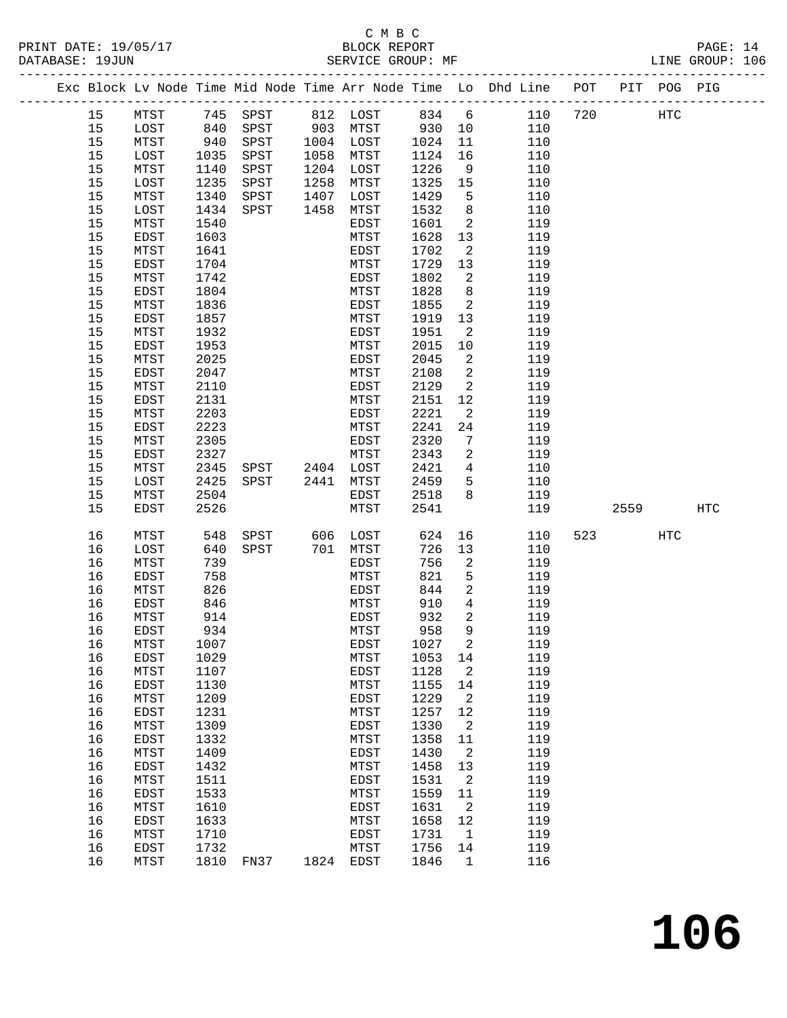### C M B C<br>BLOCK REPORT

PAGE: 14<br>LINE GROUP: 106

|  |    |              |      |                |           |          |          |                            | Exc Block Lv Node Time Mid Node Time Arr Node Time Lo Dhd Line POT |     |      | PIT POG PIG |     |
|--|----|--------------|------|----------------|-----------|----------|----------|----------------------------|--------------------------------------------------------------------|-----|------|-------------|-----|
|  | 15 | MTST         |      |                |           |          |          |                            |                                                                    | 720 |      | HTC         |     |
|  | 15 | LOST         |      |                |           |          | $930$ 10 |                            |                                                                    |     |      |             |     |
|  | 15 | MTST         | 940  | SPST           | 1004 LOST |          | 1024     | 11                         | 110                                                                |     |      |             |     |
|  | 15 | LOST         | 1035 | SPST           | 1058      | MTST     | 1124     | 16                         | 110                                                                |     |      |             |     |
|  | 15 | MTST         | 1140 | SPST           | 1204 LOST |          | 1226     | 9                          | 110                                                                |     |      |             |     |
|  | 15 | LOST         | 1235 | SPST           | 1258      | MTST     | 1325     | 15                         | 110                                                                |     |      |             |     |
|  | 15 | MTST         | 1340 | SPST           | 1407      | LOST     | 1429     | $-5$                       | 110                                                                |     |      |             |     |
|  | 15 | LOST         | 1434 | SPST           | 1458      | MTST     | 1532     | 8 <sup>8</sup>             | 110                                                                |     |      |             |     |
|  | 15 | MTST         | 1540 |                |           | EDST     | 1601     | $\overline{2}$             | 119                                                                |     |      |             |     |
|  | 15 | EDST         | 1603 |                |           | MTST     | 1628     | 13                         | 119                                                                |     |      |             |     |
|  | 15 | MTST         | 1641 |                |           | EDST     | 1702     | $\overline{\phantom{a}}^2$ | 119                                                                |     |      |             |     |
|  | 15 | EDST         | 1704 |                |           | MTST     | 1729     | 13                         | 119                                                                |     |      |             |     |
|  | 15 | MTST         | 1742 |                |           | EDST     | 1802     | 2                          | 119                                                                |     |      |             |     |
|  | 15 | EDST         | 1804 |                |           | MTST     | 1828     | 8                          | 119                                                                |     |      |             |     |
|  | 15 | MTST         | 1836 |                |           | EDST     | 1855     | 2                          | 119                                                                |     |      |             |     |
|  | 15 | <b>EDST</b>  | 1857 |                |           | MTST     | 1919     | 13                         | 119                                                                |     |      |             |     |
|  | 15 | MTST         | 1932 |                |           | EDST     | 1951     | 2                          | 119                                                                |     |      |             |     |
|  | 15 | EDST         | 1953 |                |           | MTST     | 2015     | 10                         | 119                                                                |     |      |             |     |
|  | 15 | MTST         | 2025 |                |           | EDST     | 2045     | $\overline{2}$             | 119                                                                |     |      |             |     |
|  | 15 | EDST         | 2047 |                |           | MTST     | 2108     | $\overline{\phantom{a}}^2$ | 119                                                                |     |      |             |     |
|  | 15 | MTST         | 2110 |                |           | EDST     | 2129     | $\overline{a}$             | 119                                                                |     |      |             |     |
|  | 15 | EDST         | 2131 |                |           | MTST     | 2151     | 12                         | 119                                                                |     |      |             |     |
|  | 15 | MTST         | 2203 |                |           | EDST     | 2221     | 2                          | 119                                                                |     |      |             |     |
|  | 15 | EDST         | 2223 |                |           | MTST     | 2241     | 24                         | 119                                                                |     |      |             |     |
|  | 15 | MTST         | 2305 |                |           | EDST     | 2320     | 7                          | 119                                                                |     |      |             |     |
|  | 15 | EDST         | 2327 |                |           | MTST     | 2343     | 2                          | 119                                                                |     |      |             |     |
|  | 15 | MTST         | 2345 | SPST 2404 LOST |           |          | 2421     | $\overline{4}$             | 110                                                                |     |      |             |     |
|  | 15 | LOST         | 2425 | SPST           | 2441      | MTST     | 2459     | $-5$                       | 110                                                                |     |      |             |     |
|  | 15 | MTST         | 2504 |                |           | EDST     | 2518     | 8                          | 119                                                                |     |      |             |     |
|  | 15 | EDST         | 2526 |                |           | MTST     | 2541     |                            | 119                                                                |     | 2559 |             | HTC |
|  |    |              |      |                |           |          |          |                            |                                                                    |     |      |             |     |
|  | 16 | MTST         | 548  | SPST           |           | 606 LOST | 624      | 16                         | 110                                                                | 523 |      | <b>HTC</b>  |     |
|  | 16 | LOST         | 640  | SPST           | 701       | MTST     | 726      | 13                         | 110                                                                |     |      |             |     |
|  | 16 | MTST         | 739  |                |           | EDST     | 756      | 2                          | 119                                                                |     |      |             |     |
|  | 16 | EDST         | 758  |                |           | MTST     | 821      | 5                          | 119                                                                |     |      |             |     |
|  | 16 | MTST         | 826  |                |           | EDST     | 844      | $\overline{a}$             | 119                                                                |     |      |             |     |
|  | 16 | EDST         | 846  |                |           | MTST     | 910      | $4\overline{ }$            | 119                                                                |     |      |             |     |
|  | 16 | MTST         | 914  |                |           | EDST     | 932      | 2                          | 119                                                                |     |      |             |     |
|  | 16 | EDST         | 934  |                |           | MTST     | 958      | 9                          | 119                                                                |     |      |             |     |
|  | 16 | ${\tt MTST}$ | 1007 |                |           | EDST     | 1027 2   |                            | 119                                                                |     |      |             |     |
|  | 16 | EDST         | 1029 |                |           | MTST     | 1053     | 14                         | 119                                                                |     |      |             |     |
|  | 16 | MTST         | 1107 |                |           | EDST     | 1128     | 2                          | 119                                                                |     |      |             |     |
|  | 16 | EDST         | 1130 |                |           | MTST     | 1155     | 14                         | 119                                                                |     |      |             |     |
|  | 16 | MTST         | 1209 |                |           | EDST     | 1229     | 2                          | 119                                                                |     |      |             |     |
|  | 16 | EDST         | 1231 |                |           | MTST     | 1257     | 12                         | 119                                                                |     |      |             |     |
|  | 16 | MTST         | 1309 |                |           | EDST     | 1330     | 2                          | 119                                                                |     |      |             |     |
|  | 16 | EDST         | 1332 |                |           | MTST     | 1358     | 11                         | 119                                                                |     |      |             |     |
|  | 16 | MTST         | 1409 |                |           | EDST     | 1430     | $\overline{a}$             | 119                                                                |     |      |             |     |
|  | 16 | <b>EDST</b>  | 1432 |                |           | MTST     | 1458     | 13                         | 119                                                                |     |      |             |     |
|  | 16 | MTST         | 1511 |                |           | EDST     | 1531     | 2                          | 119                                                                |     |      |             |     |
|  | 16 | EDST         | 1533 |                |           | MTST     | 1559     | 11                         | 119                                                                |     |      |             |     |
|  | 16 | MTST         | 1610 |                |           | EDST     | 1631     | $\overline{2}$             | 119                                                                |     |      |             |     |
|  | 16 | EDST         | 1633 |                |           | MTST     | 1658     | 12                         | 119                                                                |     |      |             |     |
|  | 16 | MTST         | 1710 |                |           | EDST     | 1731     | $\mathbf 1$                | 119                                                                |     |      |             |     |
|  | 16 | EDST         | 1732 |                |           | MTST     | 1756     | 14                         | 119                                                                |     |      |             |     |
|  | 16 | MTST         | 1810 | FN37           | 1824 EDST |          | 1846     | $\mathbf{1}$               | 116                                                                |     |      |             |     |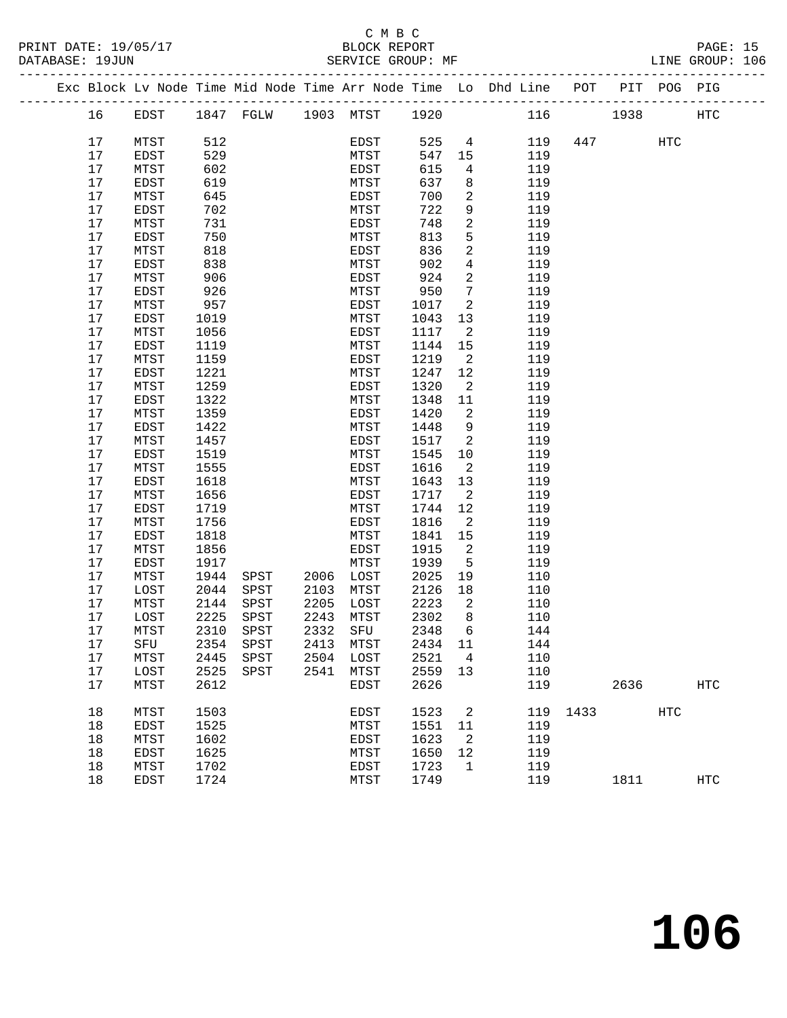### C M B C<br>BLOCK REPORT

|  |          |              |              |                          |      |                  |              |                            | Exc Block Lv Node Time Mid Node Time Arr Node Time Lo Dhd Line POT PIT POG PIG |      |      |            |            |
|--|----------|--------------|--------------|--------------------------|------|------------------|--------------|----------------------------|--------------------------------------------------------------------------------|------|------|------------|------------|
|  | 16       | EDST         |              | 1847 FGLW 1903 MTST 1920 |      |                  |              |                            | 116 1938                                                                       |      |      |            | HTC        |
|  | 17       | MTST         | 512          |                          |      | EDST             | 525          | $\overline{4}$             | 119                                                                            |      | 447  | HTC        |            |
|  | 17       | EDST         | 529          |                          |      | MTST             | 547          | 15                         | 119                                                                            |      |      |            |            |
|  | 17       | MTST         | 602          |                          |      | EDST             | 615          | $4\overline{ }$            | 119                                                                            |      |      |            |            |
|  | 17       | EDST         | 619          |                          |      | MTST             | 637          | 8                          | 119                                                                            |      |      |            |            |
|  | 17       | MTST         | 645          |                          |      | EDST             | 700          | 2                          | 119                                                                            |      |      |            |            |
|  | 17       | EDST         | 702          |                          |      | MTST             | 722          | 9                          | 119                                                                            |      |      |            |            |
|  | 17       | MTST         | 731          |                          |      | EDST             | 748          | $\overline{a}$             | 119                                                                            |      |      |            |            |
|  | 17       | EDST         | 750          |                          |      | MTST             | 813          | 5                          | 119                                                                            |      |      |            |            |
|  | 17       | MTST         | 818          |                          |      | EDST             | 836          | $\overline{a}$             | 119                                                                            |      |      |            |            |
|  | 17       | EDST         | 838          |                          |      | MTST             | 902          | $\overline{4}$             | 119                                                                            |      |      |            |            |
|  | 17       | MTST         | 906          |                          |      | EDST             | 924          | $\overline{2}$             | 119                                                                            |      |      |            |            |
|  | 17       | EDST         | 926          |                          |      | MTST             | 950          | $7\phantom{.0}$            | 119                                                                            |      |      |            |            |
|  | 17       | MTST         | 957          |                          |      | EDST             | 1017         | 2                          | 119                                                                            |      |      |            |            |
|  | 17       | EDST         | 1019         |                          |      | MTST             | 1043         | 13                         | 119                                                                            |      |      |            |            |
|  | 17       | MTST         | 1056         |                          |      | EDST             | 1117         | $\overline{\phantom{a}}^2$ | 119                                                                            |      |      |            |            |
|  | 17       | EDST         | 1119         |                          |      | MTST             | 1144         | 15                         | 119                                                                            |      |      |            |            |
|  | 17       | MTST         | 1159         |                          |      | EDST             | 1219         | $\overline{2}$             | 119                                                                            |      |      |            |            |
|  | 17       | EDST         | 1221         |                          |      | MTST             | 1247         | 12                         | 119                                                                            |      |      |            |            |
|  | 17       | MTST         | 1259         |                          |      | EDST             | 1320         | $\overline{2}$             | 119                                                                            |      |      |            |            |
|  | 17       | EDST         | 1322         |                          |      | MTST             | 1348         | 11                         | 119                                                                            |      |      |            |            |
|  | 17       | ${\tt MTST}$ | 1359         |                          |      | EDST             | 1420         | $\overline{2}$             | 119                                                                            |      |      |            |            |
|  | 17       | EDST         | 1422         |                          |      | MTST             | 1448         | 9                          | 119                                                                            |      |      |            |            |
|  | 17       | MTST         | 1457         |                          |      | EDST             | 1517         | $\overline{\phantom{0}}^2$ | 119                                                                            |      |      |            |            |
|  | 17       | EDST         | 1519         |                          |      | MTST             | 1545         | 10                         | 119                                                                            |      |      |            |            |
|  | 17       | MTST         | 1555         |                          |      | EDST             | 1616         | $\overline{2}$             | 119                                                                            |      |      |            |            |
|  | 17       | EDST         | 1618         |                          |      | MTST             | 1643         | 13                         | 119                                                                            |      |      |            |            |
|  | 17       | MTST         | 1656         |                          |      | EDST             | 1717         | 2                          | 119                                                                            |      |      |            |            |
|  | 17       | EDST         | 1719         |                          |      | MTST             | 1744         | 12                         | 119                                                                            |      |      |            |            |
|  | 17       | MTST         | 1756         |                          |      | EDST             | 1816         | 2                          | 119                                                                            |      |      |            |            |
|  | 17       | EDST         | 1818         |                          |      | MTST             | 1841         | 15                         | 119                                                                            |      |      |            |            |
|  | 17       | MTST         | 1856         |                          |      | EDST             | 1915         | 2                          | 119                                                                            |      |      |            |            |
|  | 17       | EDST         | 1917         |                          |      | MTST             | 1939         | $5^{\circ}$                | 119                                                                            |      |      |            |            |
|  | 17       | MTST         | 1944         | SPST                     | 2006 | LOST             | 2025         | 19                         | 110                                                                            |      |      |            |            |
|  | 17       | LOST         | 2044         | SPST                     | 2103 | MTST             | 2126         | 18                         | 110                                                                            |      |      |            |            |
|  | 17       | MTST         | 2144         | SPST                     | 2205 | LOST             | 2223         | 2                          | 110                                                                            |      |      |            |            |
|  | 17       | LOST         | 2225         | SPST                     | 2243 | MTST<br>2332 SFU | 2302         | 8<br>6                     | 110                                                                            |      |      |            |            |
|  | 17       | MTST         | 2310         | SPST                     |      |                  | 2348         |                            | 144                                                                            |      |      |            |            |
|  | 17       | SFU          | 2354         | ${\tt SPST}$             |      | 2413 MTST        | 2434 11      |                            | 144                                                                            |      |      |            |            |
|  | 17       | MTST         | 2445         | SPST                     |      | 2504 LOST        | 2521         | $\overline{4}$             | 110                                                                            |      |      |            |            |
|  | 17<br>17 | LOST         | 2525<br>2612 | SPST                     | 2541 | MTST             | 2559<br>2626 | 13                         | 110<br>119                                                                     |      | 2636 |            | <b>HTC</b> |
|  |          | MTST         |              |                          |      | EDST             |              |                            |                                                                                |      |      |            |            |
|  | 18       | MTST         | 1503         |                          |      | EDST             | 1523         | 2                          | 119                                                                            | 1433 |      | <b>HTC</b> |            |
|  | 18       | EDST         | 1525         |                          |      | MTST             | 1551         | 11                         | 119                                                                            |      |      |            |            |
|  | 18       | MTST         | 1602         |                          |      | EDST             | 1623         | $\overline{2}$             | 119                                                                            |      |      |            |            |
|  | 18       | EDST         | 1625         |                          |      | MTST             | 1650         | 12                         | 119                                                                            |      |      |            |            |
|  | 18       | MTST         | 1702         |                          |      | EDST             | 1723         | $\mathbf{1}$               | 119                                                                            |      |      |            |            |
|  | 18       | EDST         | 1724         |                          |      | MTST             | 1749         |                            | 119                                                                            |      | 1811 |            | <b>HTC</b> |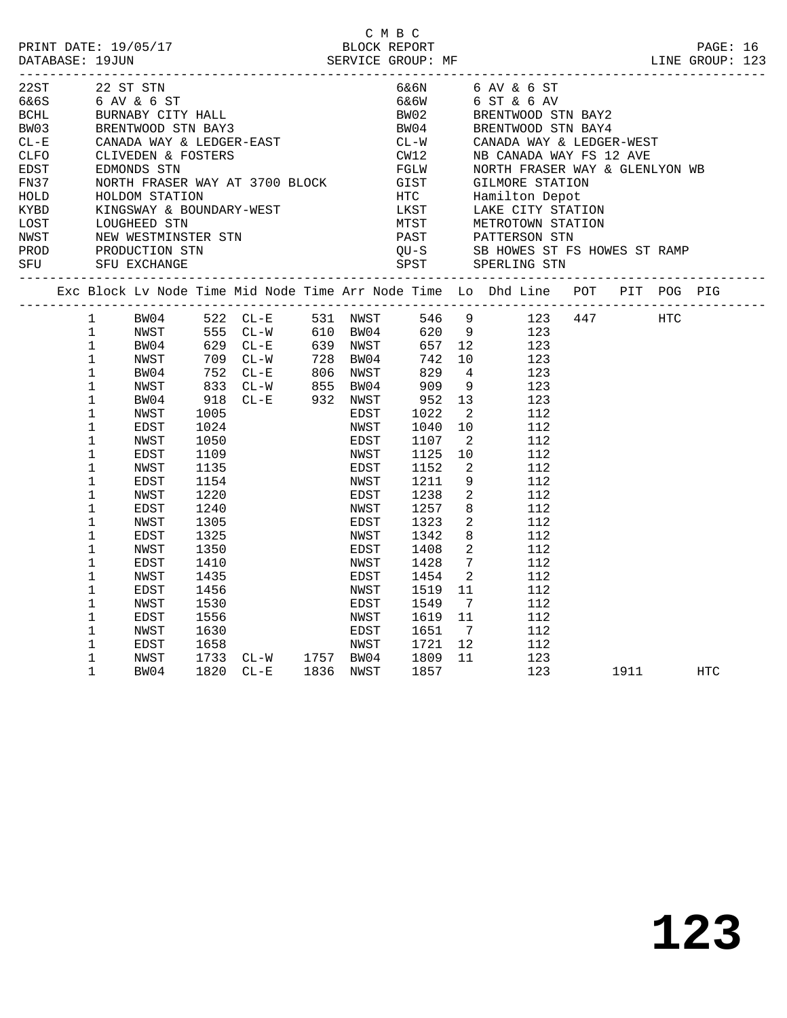| PRINT DATE: 19/05/17 BLOCK REPORT PACE: 16<br>DATABASE: 19JUN SERVICE GROUP: MF LINE GROUP: 123                           |                                                                                                                                                                                                                                                                                                                                                                                                         |                                                                                                                                                              |                                                                                                                                              |                                                                                                                                                                                                                                                                    |                                                                                                                                              | СМВС                                                                                                                                                                                                                                                                   |                                                                                                                                                      |                                                                                     |                                                                                                                                          |                                |        |     |  |
|---------------------------------------------------------------------------------------------------------------------------|---------------------------------------------------------------------------------------------------------------------------------------------------------------------------------------------------------------------------------------------------------------------------------------------------------------------------------------------------------------------------------------------------------|--------------------------------------------------------------------------------------------------------------------------------------------------------------|----------------------------------------------------------------------------------------------------------------------------------------------|--------------------------------------------------------------------------------------------------------------------------------------------------------------------------------------------------------------------------------------------------------------------|----------------------------------------------------------------------------------------------------------------------------------------------|------------------------------------------------------------------------------------------------------------------------------------------------------------------------------------------------------------------------------------------------------------------------|------------------------------------------------------------------------------------------------------------------------------------------------------|-------------------------------------------------------------------------------------|------------------------------------------------------------------------------------------------------------------------------------------|--------------------------------|--------|-----|--|
| 22ST 22 ST STN<br>6&6S<br><b>BCHL</b><br>BW03<br>$CL - E$<br>CLFO<br>EDST<br>FN37<br>HOLD<br>KYBD<br>LOST<br>NWST<br>NWST |                                                                                                                                                                                                                                                                                                                                                                                                         | 6 AV & 6 ST<br>BURNABY CITY HALL<br>LOUGHEED STN<br>NEW WESTMINSTER STN                                                                                      |                                                                                                                                              | BURNABY CITY HALL<br>BRENTWOOD STN BAY3<br>CANADA WAY & LEDGER-EAST<br>CLIVEDEN & FOSTERS<br>EDMONDS STN<br>EDMONDS STN<br>NORTH FRASER WAY AT 3700 BLOCK GIST GILMORE STATION<br>HOLDOM STATION HOLDOM STATION<br>KINGSWAY & BOUNDARY-WEST LKST LAKE CITY STATION |                                                                                                                                              | BW02 BRENTWOOD SIN L<br>BW04 BRENTWOOD STN BAY4<br>CL-W CANADA WAY & LEDGER-WEST<br>CW12 MB CANADA WAY FS 12 AVE<br>NORTH FRASER WAY & GLENL<br>CL-W<br>CW12<br>MTST METROTOWN STATION<br>MTST PATTERSON STN<br>QU-S SB HOWES ST FS HOWES ST RAMP<br>SPST SPERLING STN |                                                                                                                                                      |                                                                                     | 6&6N 6 AV & 6 ST<br>6&6W 6 ST & 6 AV                                                                                                     | NORTH FRASER WAY & GLENLYON WB |        |     |  |
|                                                                                                                           | PROD PRODUCTION STN<br>SFU SFU EXCHANGE<br>Exc Block Lv Node Time Mid Node Time Arr Node Time Lo Dhd Line POT PIT POG PIG<br>BW04 522 CL-E 531 NWST 546 9 123 447 HTC<br>NWST 555 CL-W 610 BW04 620 9 123<br>BW04 629 CL-E 639 NWST 657 12 123<br>NWST 709 CL-W 728 BW04 742 10 123<br>BW04 752 CL-E 806 NWST 829 4 123<br>NWST 833 CL-W 855 BW04 909 9 123<br>BW04 918<br>$\mathbf{1}$<br>$\mathbf{1}$ |                                                                                                                                                              |                                                                                                                                              |                                                                                                                                                                                                                                                                    |                                                                                                                                              |                                                                                                                                                                                                                                                                        |                                                                                                                                                      |                                                                                     |                                                                                                                                          |                                |        |     |  |
|                                                                                                                           | $\mathbf{1}$<br>$\mathbf{1}$<br>$\mathbf{1}$<br>$\mathbf 1$<br>$\mathbf{1}$<br>$\mathbf{1}$<br>$\mathbf 1$<br>1<br>$\mathbf 1$<br>$\mathbf{1}$<br>1<br>$\mathbf 1$<br>$\mathbf 1$<br>1<br>$\mathbf 1$<br>$\mathbf 1$<br>$\mathbf 1$<br>1<br>$\mathbf 1$<br>$\mathbf{1}$<br>$\mathbf 1$<br>1<br>$\mathbf 1$<br>1<br>$\mathbf 1$                                                                          | NWST<br>EDST<br>NWST<br>EDST<br>NWST<br>EDST<br>NWST<br>EDST<br>NWST<br>EDST<br>NWST<br>EDST<br>NWST<br>EDST<br>NWST<br>EDST<br>NWST<br>EDST<br>NWST<br>BW04 | 1005<br>1024<br>1050<br>1109<br>1135<br>1154<br>1220<br>1240<br>1305<br>1325<br>1350<br>1410<br>1435<br>1456<br>1530<br>1556<br>1630<br>1658 | 1733 CL-W 1757 BW04 1809<br>1820 CL-E 1836 NWST 1857                                                                                                                                                                                                               | EDST<br>NWST<br>EDST<br>NWST<br>EDST<br>NWST<br>EDST<br>NWST<br>EDST<br>NWST<br>EDST<br>NWST<br>EDST<br>NWST<br>EDST<br>NWST<br>EDST<br>NWST | 1022<br>1040<br>1040<br>1107<br>1125<br>1152<br>1211<br>1238<br>1257<br>1323<br>1342<br>1408<br>1428<br>1454<br>1519<br>1549<br>1619 11<br>1651<br>1721                                                                                                                | $\overline{2}$<br>10<br>$\overline{\phantom{a}}^2$<br>10<br>$7\overline{ }$<br>$\overline{2}$<br>11<br>$\overline{7}$<br>$7\overline{ }$<br>12<br>11 | $\overline{a}$<br>9<br>$\overline{2}$<br>8<br>$\overline{a}$<br>8<br>$\overline{2}$ | 112<br>112<br>112<br>112<br>112<br>112<br>112<br>112<br>112<br>112<br>112<br>112<br>112<br>112<br>112<br>112<br>112<br>112<br>123<br>123 |                                | 1911 7 | HTC |  |
|                                                                                                                           |                                                                                                                                                                                                                                                                                                                                                                                                         |                                                                                                                                                              |                                                                                                                                              |                                                                                                                                                                                                                                                                    |                                                                                                                                              |                                                                                                                                                                                                                                                                        |                                                                                                                                                      |                                                                                     |                                                                                                                                          |                                |        |     |  |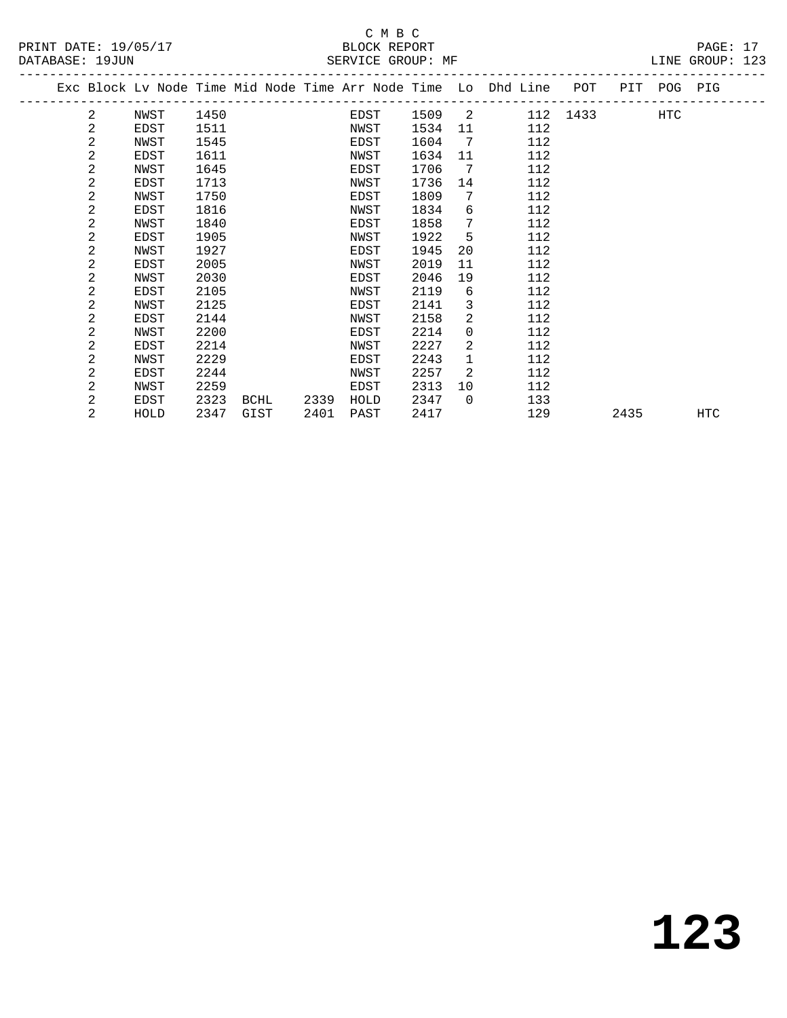|  |   | Exc Block Lv Node Time Mid Node Time Arr Node Time Lo Dhd Line |      |      |      |      |      |          |     | POT      |      | PIT POG PIG |            |
|--|---|----------------------------------------------------------------|------|------|------|------|------|----------|-----|----------|------|-------------|------------|
|  | 2 | NWST                                                           | 1450 |      |      | EDST | 1509 | 2        |     | 112 1433 |      | HTC         |            |
|  | 2 | EDST                                                           | 1511 |      |      | NWST | 1534 | 11       | 112 |          |      |             |            |
|  | 2 | NWST                                                           | 1545 |      |      | EDST | 1604 | 7        | 112 |          |      |             |            |
|  | 2 | EDST                                                           | 1611 |      |      | NWST | 1634 | 11       | 112 |          |      |             |            |
|  | 2 | NWST                                                           | 1645 |      |      | EDST | 1706 | 7        | 112 |          |      |             |            |
|  | 2 | EDST                                                           | 1713 |      |      | NWST | 1736 | 14       | 112 |          |      |             |            |
|  | 2 | NWST                                                           | 1750 |      |      | EDST | 1809 | 7        | 112 |          |      |             |            |
|  | 2 | EDST                                                           | 1816 |      |      | NWST | 1834 | 6        | 112 |          |      |             |            |
|  | 2 | NWST                                                           | 1840 |      |      | EDST | 1858 | 7        | 112 |          |      |             |            |
|  | 2 | EDST                                                           | 1905 |      |      | NWST | 1922 | 5        | 112 |          |      |             |            |
|  | 2 | NWST                                                           | 1927 |      |      | EDST | 1945 | 20       | 112 |          |      |             |            |
|  | 2 | EDST                                                           | 2005 |      |      | NWST | 2019 | 11       | 112 |          |      |             |            |
|  | 2 | NWST                                                           | 2030 |      |      | EDST | 2046 | 19       | 112 |          |      |             |            |
|  | 2 | EDST                                                           | 2105 |      |      | NWST | 2119 | 6        | 112 |          |      |             |            |
|  | 2 | NWST                                                           | 2125 |      |      | EDST | 2141 | 3        | 112 |          |      |             |            |
|  | 2 | EDST                                                           | 2144 |      |      | NWST | 2158 | 2        | 112 |          |      |             |            |
|  | 2 | NWST                                                           | 2200 |      |      | EDST | 2214 | $\Omega$ | 112 |          |      |             |            |
|  | 2 | EDST                                                           | 2214 |      |      | NWST | 2227 | 2        | 112 |          |      |             |            |
|  | 2 | NWST                                                           | 2229 |      |      | EDST | 2243 | 1        | 112 |          |      |             |            |
|  | 2 | EDST                                                           | 2244 |      |      | NWST | 2257 | 2        | 112 |          |      |             |            |
|  | 2 | NWST                                                           | 2259 |      |      | EDST | 2313 | 10       | 112 |          |      |             |            |
|  | 2 | EDST                                                           | 2323 | BCHL | 2339 | HOLD | 2347 | $\Omega$ | 133 |          |      |             |            |
|  | 2 | HOLD                                                           | 2347 | GIST | 2401 | PAST | 2417 |          | 129 |          | 2435 |             | <b>HTC</b> |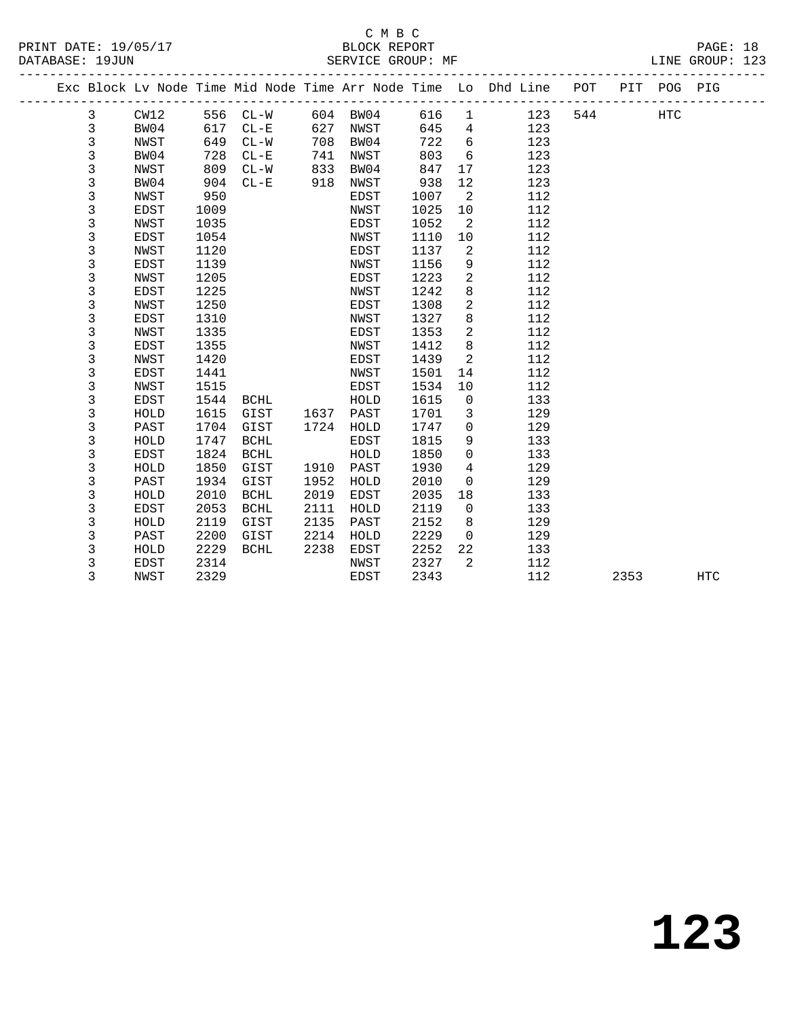|  |             |             |      |             |      |      |      |                | Exc Block Lv Node Time Mid Node Time Arr Node Time Lo Dhd Line | POT |      | PIT POG PIG |            |
|--|-------------|-------------|------|-------------|------|------|------|----------------|----------------------------------------------------------------|-----|------|-------------|------------|
|  | 3           | CW12        | 556  | $CL-W$      | 604  | BW04 | 616  | $\mathbf{1}$   | 123                                                            | 544 |      | HTC         |            |
|  | 3           | BW04        | 617  | $CL - E$    | 627  | NWST | 645  | $\overline{4}$ | 123                                                            |     |      |             |            |
|  | 3           | NWST        | 649  | $CL-W$      | 708  | BW04 | 722  | 6              | 123                                                            |     |      |             |            |
|  | $\mathsf 3$ | BW04        | 728  | $CL - E$    | 741  | NWST | 803  | $\epsilon$     | 123                                                            |     |      |             |            |
|  | 3           | NWST        | 809  | $CL - W$    | 833  | BW04 | 847  | 17             | 123                                                            |     |      |             |            |
|  | 3           | BW04        | 904  | $CL - E$    | 918  | NWST | 938  | 12             | 123                                                            |     |      |             |            |
|  | 3           | NWST        | 950  |             |      | EDST | 1007 | 2              | 112                                                            |     |      |             |            |
|  | 3           | EDST        | 1009 |             |      | NWST | 1025 | 10             | 112                                                            |     |      |             |            |
|  | 3           | NWST        | 1035 |             |      | EDST | 1052 | 2              | 112                                                            |     |      |             |            |
|  | 3           | EDST        | 1054 |             |      | NWST | 1110 | 10             | 112                                                            |     |      |             |            |
|  | 3           | NWST        | 1120 |             |      | EDST | 1137 | 2              | 112                                                            |     |      |             |            |
|  | 3           | <b>EDST</b> | 1139 |             |      | NWST | 1156 | 9              | 112                                                            |     |      |             |            |
|  | 3           | NWST        | 1205 |             |      | EDST | 1223 | 2              | 112                                                            |     |      |             |            |
|  | 3           | EDST        | 1225 |             |      | NWST | 1242 | 8              | 112                                                            |     |      |             |            |
|  | $\mathsf 3$ | NWST        | 1250 |             |      | EDST | 1308 | 2              | 112                                                            |     |      |             |            |
|  | $\mathsf 3$ | <b>EDST</b> | 1310 |             |      | NWST | 1327 | 8              | 112                                                            |     |      |             |            |
|  | $\mathsf 3$ | NWST        | 1335 |             |      | EDST | 1353 | 2              | 112                                                            |     |      |             |            |
|  | $\mathsf 3$ | EDST        | 1355 |             |      | NWST | 1412 | 8              | 112                                                            |     |      |             |            |
|  | 3           | NWST        | 1420 |             |      | EDST | 1439 | 2              | 112                                                            |     |      |             |            |
|  | $\mathsf 3$ | EDST        | 1441 |             |      | NWST | 1501 | 14             | 112                                                            |     |      |             |            |
|  | $\mathsf 3$ | NWST        | 1515 |             |      | EDST | 1534 | 10             | 112                                                            |     |      |             |            |
|  | $\mathsf 3$ | EDST        | 1544 | <b>BCHL</b> |      | HOLD | 1615 | 0              | 133                                                            |     |      |             |            |
|  | $\mathsf 3$ | HOLD        | 1615 | GIST        | 1637 | PAST | 1701 | 3              | 129                                                            |     |      |             |            |
|  | 3           | PAST        | 1704 | GIST        | 1724 | HOLD | 1747 | 0              | 129                                                            |     |      |             |            |
|  | 3           | HOLD        | 1747 | <b>BCHL</b> |      | EDST | 1815 | 9              | 133                                                            |     |      |             |            |
|  | 3           | <b>EDST</b> | 1824 | <b>BCHL</b> |      | HOLD | 1850 | 0              | 133                                                            |     |      |             |            |
|  | 3           | HOLD        | 1850 | GIST        | 1910 | PAST | 1930 | 4              | 129                                                            |     |      |             |            |
|  | 3           | PAST        | 1934 | GIST        | 1952 | HOLD | 2010 | 0              | 129                                                            |     |      |             |            |
|  | 3           | HOLD        | 2010 | <b>BCHL</b> | 2019 | EDST | 2035 | 18             | 133                                                            |     |      |             |            |
|  | 3           | <b>EDST</b> | 2053 | <b>BCHL</b> | 2111 | HOLD | 2119 | 0              | 133                                                            |     |      |             |            |
|  | 3           | HOLD        | 2119 | GIST        | 2135 | PAST | 2152 | 8              | 129                                                            |     |      |             |            |
|  | 3           | PAST        | 2200 | GIST        | 2214 | HOLD | 2229 | $\mathbf 0$    | 129                                                            |     |      |             |            |
|  | 3           | HOLD        | 2229 | <b>BCHL</b> | 2238 | EDST | 2252 | 22             | 133                                                            |     |      |             |            |
|  | 3           | EDST        | 2314 |             |      | NWST | 2327 | 2              | 112                                                            |     |      |             |            |
|  | 3           | NWST        | 2329 |             |      | EDST | 2343 |                | 112                                                            |     | 2353 |             | <b>HTC</b> |
|  |             |             |      |             |      |      |      |                |                                                                |     |      |             |            |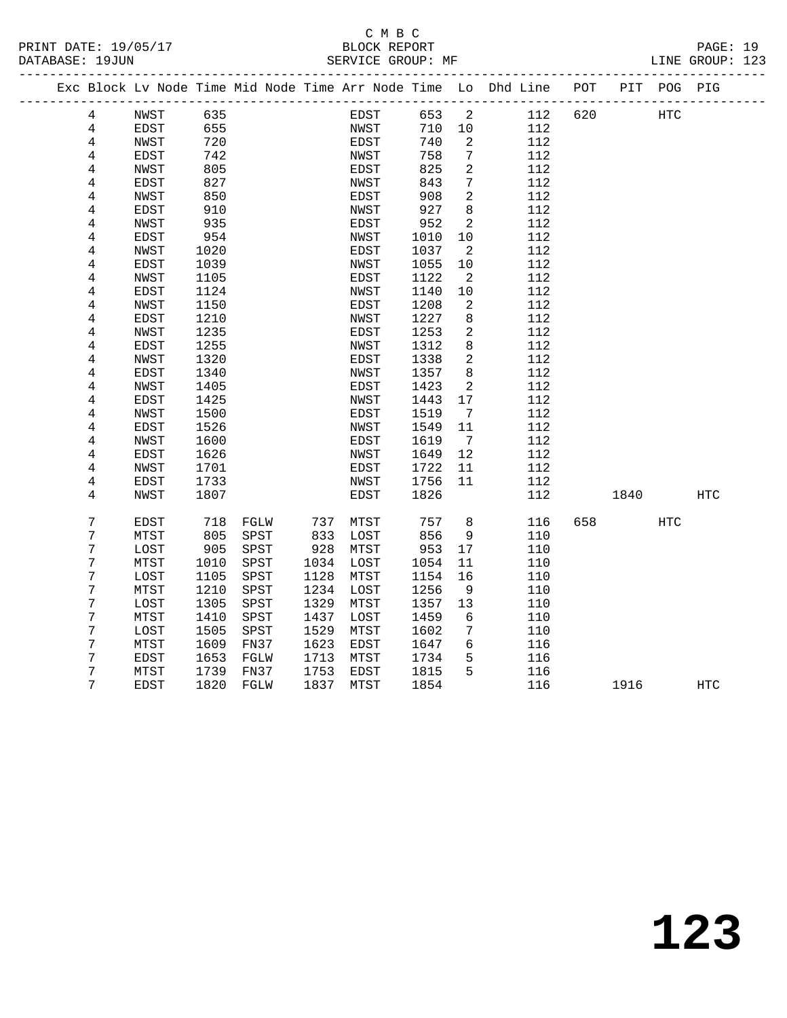PRINT DATE: 19/05/17 BLOCK REPORT PAGE: 19 DATABASE: 19JUN

# C M B C<br>BLOCK REPORT

|  | DAIABASL · 1900N |              |              | ---------------------------- |      | PEKATCE GKOOL. ML |              |                              |                                                                                                   |     |      |             | TINE GKOOL. TYP |
|--|------------------|--------------|--------------|------------------------------|------|-------------------|--------------|------------------------------|---------------------------------------------------------------------------------------------------|-----|------|-------------|-----------------|
|  |                  |              |              |                              |      |                   |              |                              | ---------------------------<br>Exc Block Lv Node Time Mid Node Time Arr Node Time Lo Dhd Line POT |     |      | PIT POG PIG |                 |
|  | 4                | NWST         | 635          |                              |      | EDST              | 653          | 2                            | 112                                                                                               | 620 |      | <b>HTC</b>  |                 |
|  | 4                | EDST         | 655          |                              |      | NWST              | 710          | 10                           | 112                                                                                               |     |      |             |                 |
|  | $\overline{4}$   | NWST         | 720          |                              |      | EDST              | 740          | 2                            | 112                                                                                               |     |      |             |                 |
|  | 4                | EDST         | 742          |                              |      | NWST              | 758          | $7\phantom{.}$               | 112                                                                                               |     |      |             |                 |
|  | 4                | NWST         | 805          |                              |      | EDST              | 825          | $\overline{c}$               | 112                                                                                               |     |      |             |                 |
|  | $\overline{4}$   | EDST         | 827          |                              |      | NWST              | 843          | 7                            | 112                                                                                               |     |      |             |                 |
|  | 4                | NWST         | 850          |                              |      | EDST              | 908          | $\overline{a}$               | 112                                                                                               |     |      |             |                 |
|  | 4                | EDST         | 910          |                              |      | NWST              | 927          | 8                            | 112                                                                                               |     |      |             |                 |
|  | 4                | NWST         | 935          |                              |      | EDST              | 952          | $\overline{a}$               | 112                                                                                               |     |      |             |                 |
|  | 4                | EDST         | 954          |                              |      | NWST              | 1010         | 10                           | 112                                                                                               |     |      |             |                 |
|  | 4                | NWST         | 1020         |                              |      | EDST              | 1037         | 2                            | 112                                                                                               |     |      |             |                 |
|  | 4                | <b>EDST</b>  | 1039         |                              |      | NWST              | 1055         | 10                           | 112                                                                                               |     |      |             |                 |
|  | 4                | NWST         | 1105         |                              |      | EDST              | 1122         | 2                            | 112                                                                                               |     |      |             |                 |
|  | $\,4$            | EDST         | 1124         |                              |      | NWST              | 1140         | 10                           | 112                                                                                               |     |      |             |                 |
|  | $\,4$            | NWST         | 1150         |                              |      | EDST              | 1208         | 2                            | 112                                                                                               |     |      |             |                 |
|  | 4                | EDST         | 1210         |                              |      | NWST              | 1227         | 8                            | 112                                                                                               |     |      |             |                 |
|  | 4                | NWST         | 1235         |                              |      | EDST              | 1253         | $\overline{a}$               | 112                                                                                               |     |      |             |                 |
|  | 4                | EDST         | 1255         |                              |      | NWST              | 1312         | 8                            | 112                                                                                               |     |      |             |                 |
|  | 4                | NWST         | 1320         |                              |      | EDST              | 1338         | 2                            | 112                                                                                               |     |      |             |                 |
|  | $\,4$            | EDST         | 1340         |                              |      | NWST              | 1357         | $\,8\,$                      | 112                                                                                               |     |      |             |                 |
|  | 4                | NWST         | 1405         |                              |      | EDST              | 1423         | 2                            | 112                                                                                               |     |      |             |                 |
|  | 4<br>4           | <b>EDST</b>  | 1425<br>1500 |                              |      | NWST              | 1443         | 17                           | 112<br>112                                                                                        |     |      |             |                 |
|  | 4                | NWST<br>EDST | 1526         |                              |      | EDST<br>NWST      | 1519<br>1549 | 7<br>11                      | 112                                                                                               |     |      |             |                 |
|  | 4                | NWST         | 1600         |                              |      | EDST              | 1619         | $7\phantom{.0}\phantom{.0}7$ | 112                                                                                               |     |      |             |                 |
|  | $\overline{4}$   | EDST         | 1626         |                              |      | NWST              | 1649         | 12                           | 112                                                                                               |     |      |             |                 |
|  | 4                | NWST         | 1701         |                              |      | <b>EDST</b>       | 1722         | 11                           | 112                                                                                               |     |      |             |                 |
|  | 4                | EDST         | 1733         |                              |      | NWST              | 1756         | 11                           | 112                                                                                               |     |      |             |                 |
|  | 4                | NWST         | 1807         |                              |      | EDST              | 1826         |                              | 112                                                                                               |     | 1840 |             | <b>HTC</b>      |
|  |                  |              |              |                              |      |                   |              |                              |                                                                                                   |     |      |             |                 |
|  | 7                | EDST         | 718          | FGLW                         | 737  | MTST              | 757          | 8                            | 116                                                                                               | 658 |      | HTC         |                 |
|  | 7                | MTST         | 805          | SPST                         | 833  | LOST              | 856          | 9                            | 110                                                                                               |     |      |             |                 |
|  | 7                | LOST         | 905          | SPST                         | 928  | MTST              | 953          | 17                           | 110                                                                                               |     |      |             |                 |
|  | 7                | MTST         | 1010         | SPST                         | 1034 | LOST              | 1054         | 11                           | 110                                                                                               |     |      |             |                 |
|  | 7                | LOST         | 1105         | SPST                         | 1128 | MTST              | 1154         | 16                           | 110                                                                                               |     |      |             |                 |
|  | 7                | MTST         | 1210         | SPST                         | 1234 | LOST              | 1256         | 9                            | 110                                                                                               |     |      |             |                 |
|  | 7                | LOST         | 1305         | SPST                         | 1329 | MTST              | 1357         | 13                           | 110                                                                                               |     |      |             |                 |
|  | 7                | MTST         | 1410         | SPST                         | 1437 | LOST              | 1459         | 6                            | 110                                                                                               |     |      |             |                 |
|  | 7                | LOST         | 1505         | SPST                         | 1529 | MTST              | 1602         | 7                            | 110                                                                                               |     |      |             |                 |
|  | 7                | MTST         | 1609         | FN37                         | 1623 | EDST              | 1647         | $6\overline{6}$              | 116                                                                                               |     |      |             |                 |
|  | 7                | EDST         | 1653         | FGLW                         | 1713 | MTST              | 1734         | 5                            | 116                                                                                               |     |      |             |                 |
|  | 7                | MTST         | 1739         | FN37                         | 1753 | <b>EDST</b>       | 1815         | 5                            | 116                                                                                               |     |      |             |                 |

7 EDST 1820 FGLW 1837 MTST 1854 116 1916 HTC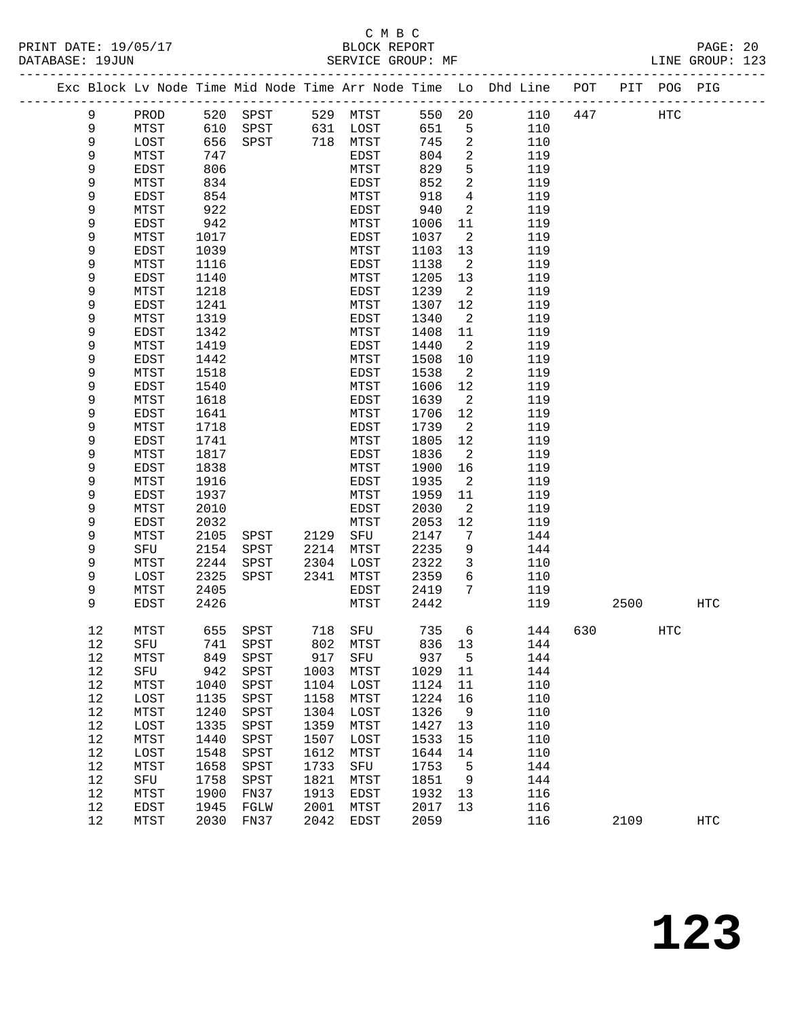|  |          |              |              |              |              |              |              |                      | Exc Block Lv Node Time Mid Node Time Arr Node Time Lo Dhd Line POT PIT POG PIG |     |      |     |                   |
|--|----------|--------------|--------------|--------------|--------------|--------------|--------------|----------------------|--------------------------------------------------------------------------------|-----|------|-----|-------------------|
|  | 9        | PROD         |              | 520 SPST     |              | 529 MTST     | 550 20       |                      | 110                                                                            | 447 |      | HTC |                   |
|  | 9        | MTST         | 610          | SPST         |              | 631 LOST     | 651          | 5                    | 110                                                                            |     |      |     |                   |
|  | 9        | LOST         | 656          | SPST         |              | 718 MTST     | 745          | 2                    | 110                                                                            |     |      |     |                   |
|  | 9        | MTST         | 747          |              |              | EDST         | 804          | 2                    | 119                                                                            |     |      |     |                   |
|  | 9        | EDST         | 806          |              |              | MTST         | 829          | 5                    | 119                                                                            |     |      |     |                   |
|  | 9        | MTST         | 834          |              |              | EDST         | 852          | $\overline{2}$       | 119                                                                            |     |      |     |                   |
|  | 9        | EDST         | 854          |              |              | MTST         | 918          | $\overline{4}$       | 119                                                                            |     |      |     |                   |
|  | 9        | MTST         | 922          |              |              | EDST         | 940          | 2                    | 119                                                                            |     |      |     |                   |
|  | 9        | <b>EDST</b>  | 942          |              |              | MTST         | 1006         | 11                   | 119                                                                            |     |      |     |                   |
|  | 9        | MTST         | 1017         |              |              | EDST         | 1037         | 2                    | 119                                                                            |     |      |     |                   |
|  | 9        | EDST         | 1039         |              |              | MTST         | 1103         | 13                   | 119                                                                            |     |      |     |                   |
|  | 9        | MTST         | 1116         |              |              | EDST         | 1138         | $\overline{2}$       | 119                                                                            |     |      |     |                   |
|  | 9        | EDST         | 1140         |              |              | MTST         | 1205         | 13                   | 119                                                                            |     |      |     |                   |
|  | 9<br>9   | MTST         | 1218<br>1241 |              |              | EDST         | 1239<br>1307 | $\overline{2}$<br>12 | 119<br>119                                                                     |     |      |     |                   |
|  | 9        | EDST<br>MTST | 1319         |              |              | MTST<br>EDST | 1340         | 2                    | 119                                                                            |     |      |     |                   |
|  | 9        | <b>EDST</b>  | 1342         |              |              | MTST         | 1408         | 11                   | 119                                                                            |     |      |     |                   |
|  | 9        | MTST         | 1419         |              |              | EDST         | 1440         | 2                    | 119                                                                            |     |      |     |                   |
|  | 9        | EDST         | 1442         |              |              | MTST         | 1508         | 10                   | 119                                                                            |     |      |     |                   |
|  | 9        | MTST         | 1518         |              |              | EDST         | 1538         | $\overline{2}$       | 119                                                                            |     |      |     |                   |
|  | 9        | EDST         | 1540         |              |              | MTST         | 1606         | 12                   | 119                                                                            |     |      |     |                   |
|  | 9        | MTST         | 1618         |              |              | EDST         | 1639         | 2                    | 119                                                                            |     |      |     |                   |
|  | 9        | EDST         | 1641         |              |              | MTST         | 1706         | 12                   | 119                                                                            |     |      |     |                   |
|  | 9        | MTST         | 1718         |              |              | EDST         | 1739         | 2                    | 119                                                                            |     |      |     |                   |
|  | 9        | <b>EDST</b>  | 1741         |              |              | MTST         | 1805         | 12                   | 119                                                                            |     |      |     |                   |
|  | 9        | MTST         | 1817         |              |              | EDST         | 1836         | 2                    | 119                                                                            |     |      |     |                   |
|  | 9        | EDST         | 1838         |              |              | MTST         | 1900         | 16                   | 119                                                                            |     |      |     |                   |
|  | 9        | MTST         | 1916         |              |              | EDST         | 1935         | 2                    | 119                                                                            |     |      |     |                   |
|  | 9        | EDST         | 1937         |              |              | MTST         | 1959         | 11                   | 119                                                                            |     |      |     |                   |
|  | 9        | MTST         | 2010         |              |              | EDST         | 2030         | 2                    | 119                                                                            |     |      |     |                   |
|  | 9        | EDST         | 2032         |              |              | MTST         | 2053         | 12                   | 119                                                                            |     |      |     |                   |
|  | 9        | MTST         | 2105         | SPST         |              | 2129 SFU     | 2147         | $7\phantom{.0}$      | 144                                                                            |     |      |     |                   |
|  | 9<br>9   | SFU<br>MTST  | 2154         | SPST         | 2214<br>2304 | MTST         | 2235         | 9<br>3               | 144<br>110                                                                     |     |      |     |                   |
|  | 9        | LOST         | 2244<br>2325 | SPST<br>SPST | 2341         | LOST<br>MTST | 2322<br>2359 | 6                    | 110                                                                            |     |      |     |                   |
|  | 9        | MTST         | 2405         |              |              | EDST         | 2419         | $7\phantom{.0}$      | 119                                                                            |     |      |     |                   |
|  | 9        | <b>EDST</b>  | 2426         |              |              | MTST         | 2442         |                      | 119                                                                            |     | 2500 |     | HTC               |
|  |          |              |              |              |              |              |              |                      |                                                                                |     |      |     |                   |
|  | 12       | MTST         | 655          | SPST         |              | 718 SFU      | 735          | 6                    | 144                                                                            | 630 |      | HTC |                   |
|  | 12       | SFU          |              | 741 SPST     |              | 802 MTST     | 836 13       |                      | 144                                                                            |     |      |     |                   |
|  | 12       | MTST         | 849          | SPST         | 917          | SFU          | 937          | 5                    | 144                                                                            |     |      |     |                   |
|  | 12       | SFU          | 942          | SPST         | 1003         | MTST         | 1029         | 11                   | 144                                                                            |     |      |     |                   |
|  | 12       | MTST         | 1040         | SPST         | 1104         | LOST         | 1124         | 11                   | 110                                                                            |     |      |     |                   |
|  | 12       | LOST         | 1135         | SPST         | 1158         | MTST         | 1224         | 16                   | 110                                                                            |     |      |     |                   |
|  | 12       | MTST         | 1240         | SPST         | 1304         | LOST         | 1326         | 9                    | 110                                                                            |     |      |     |                   |
|  | 12<br>12 | LOST         | 1335<br>1440 | SPST         | 1359<br>1507 | MTST         | 1427<br>1533 | 13<br>15             | 110<br>110                                                                     |     |      |     |                   |
|  | 12       | MTST<br>LOST | 1548         | SPST<br>SPST | 1612         | LOST<br>MTST | 1644         | 14                   | 110                                                                            |     |      |     |                   |
|  | 12       | MTST         | 1658         | SPST         | 1733         | SFU          | 1753         | 5                    | 144                                                                            |     |      |     |                   |
|  | 12       | SFU          | 1758         | SPST         | 1821         | MTST         | 1851         | 9                    | 144                                                                            |     |      |     |                   |
|  | 12       | MTST         | 1900         | FN37         | 1913         | EDST         | 1932         | 13                   | 116                                                                            |     |      |     |                   |
|  | 12       | EDST         | 1945         | FGLW         | 2001         | MTST         | 2017         | 13                   | 116                                                                            |     |      |     |                   |
|  | 12       | MTST         | 2030         | FN37         | 2042         | EDST         | 2059         |                      | 116                                                                            |     | 2109 |     | $_{\mathrm{HTC}}$ |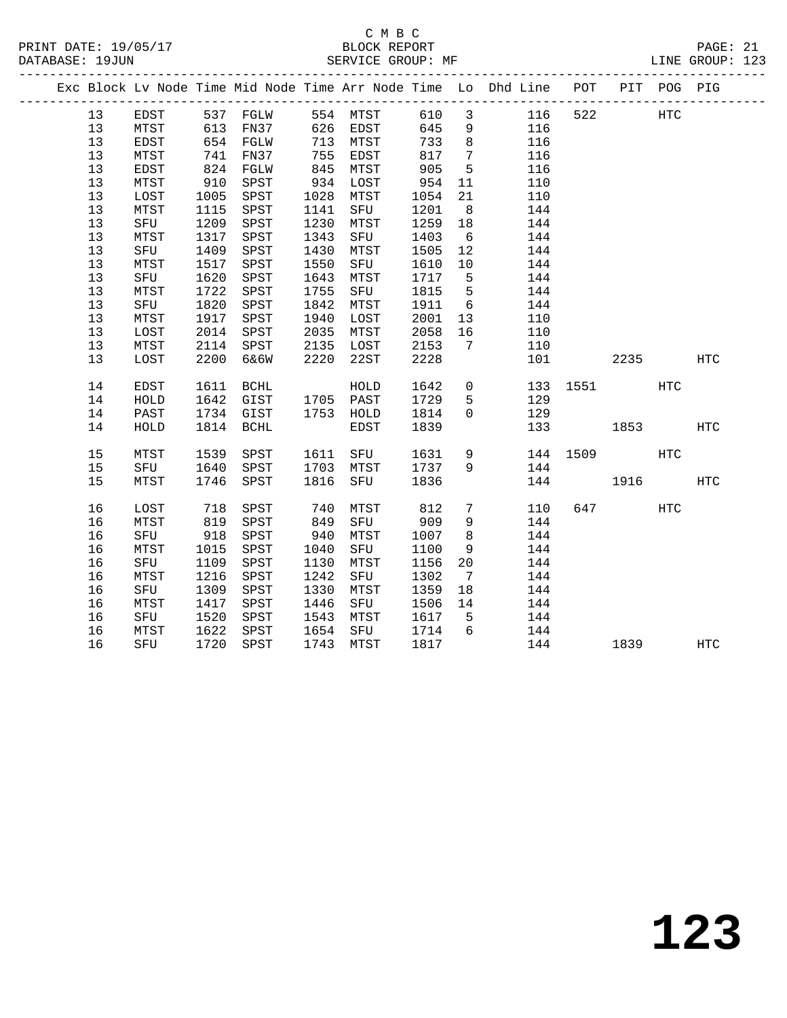|  |      |      |      |                       |      |                                      |      |                 | Exc Block Lv Node Time Mid Node Time Arr Node Time Lo Dhd Line POT PIT POG PIG |          |            |            |                   |
|--|------|------|------|-----------------------|------|--------------------------------------|------|-----------------|--------------------------------------------------------------------------------|----------|------------|------------|-------------------|
|  | 13   | EDST |      |                       |      |                                      |      |                 | 537 FGLW 554 MTST 610 3 116                                                    | 522      | <b>HTC</b> |            |                   |
|  | 13   | MTST |      | 613 FN37 626 EDST 645 |      |                                      |      | 9               | 116                                                                            |          |            |            |                   |
|  | 13   | EDST |      | 654 FGLW              |      | 713 MTST                             | 733  | 8 <sup>8</sup>  | 116                                                                            |          |            |            |                   |
|  | 13   | MTST |      |                       |      |                                      | 817  | $\overline{7}$  | 116                                                                            |          |            |            |                   |
|  | 13   | EDST |      | 741 FN37<br>824 FGLW  |      | ב כל<br>845 MTST<br><sup>דפס ד</sup> | 905  | $5^{\circ}$     | 116                                                                            |          |            |            |                   |
|  | 13   | MTST |      | 910 SPST              |      | 934 LOST                             | 954  | 11              | 110                                                                            |          |            |            |                   |
|  | $13$ | LOST |      | 1005 SPST             |      | 1028 MTST                            | 1054 | 21              | 110                                                                            |          |            |            |                   |
|  | 13   | MTST |      | 1115 SPST             |      | 1141 SFU                             | 1201 | 8 <sup>8</sup>  | 144                                                                            |          |            |            |                   |
|  | 13   | SFU  |      | 1209 SPST             |      | 1230 MTST                            | 1259 | 18              | 144                                                                            |          |            |            |                   |
|  | 13   | MTST |      | 1317 SPST             | 1343 | SFU                                  | 1403 | 6               | 144                                                                            |          |            |            |                   |
|  | 13   | SFU  | 1409 | SPST                  | 1430 | MTST                                 | 1505 | 12              | 144                                                                            |          |            |            |                   |
|  | 13   | MTST | 1517 | SPST                  | 1550 | SFU                                  | 1610 | 10              | 144                                                                            |          |            |            |                   |
|  | 13   | SFU  | 1620 | SPST                  | 1643 | MTST                                 | 1717 | $5^{\circ}$     | 144                                                                            |          |            |            |                   |
|  | 13   | MTST | 1722 | SPST                  | 1755 | SFU                                  | 1815 | $5^{\circ}$     | 144                                                                            |          |            |            |                   |
|  | 13   | SFU  | 1820 | SPST                  |      | 1842 MTST                            | 1911 | $6\overline{6}$ | 144                                                                            |          |            |            |                   |
|  | 13   | MTST | 1917 | SPST                  | 1940 | LOST                                 | 2001 | 13              | 110                                                                            |          |            |            |                   |
|  | 13   | LOST |      | 2014 SPST             |      | 2035 MTST                            | 2058 | 16              | 110                                                                            |          |            |            |                   |
|  | 13   | MTST |      | 2114 SPST             |      | 2135 LOST                            | 2153 | $7\overline{ }$ | 110                                                                            |          |            |            |                   |
|  | 13   | LOST | 2200 | 6&6W                  | 2220 | 22ST                                 | 2228 |                 | 101                                                                            |          | 2235       |            | $_{\mathrm{HTC}}$ |
|  |      |      |      |                       |      |                                      |      |                 |                                                                                |          |            |            |                   |
|  | 14   | EDST | 1611 | BCHL                  |      | HOLD                                 | 1642 |                 | $\overline{0}$                                                                 | 133 1551 |            | HTC        |                   |
|  | 14   | HOLD |      | 1642 GIST             |      | 1705 PAST                            | 1729 | 5               | 129                                                                            |          |            |            |                   |
|  | 14   | PAST |      | 1734 GIST             |      | 1753 HOLD                            | 1814 | $\Omega$        | 129                                                                            |          |            |            |                   |
|  | 14   | HOLD |      | 1814 BCHL             |      | EDST                                 | 1839 |                 | 133                                                                            |          | 1853       |            | HTC               |
|  |      |      |      |                       |      |                                      |      |                 |                                                                                |          |            |            |                   |
|  | 15   | MTST |      | 1539 SPST             |      | 1611 SFU                             | 1631 |                 | $9 \left( \frac{1}{2} \right)$                                                 | 144 1509 |            | <b>HTC</b> |                   |
|  | 15   | SFU  | 1640 | SPST                  |      | 1703 MTST                            | 1737 | 9               | 144                                                                            |          |            |            |                   |
|  | 15   | MTST | 1746 | SPST                  |      | 1816 SFU                             | 1836 |                 |                                                                                | 144 1916 |            |            | HTC               |
|  | 16   | LOST | 718  | SPST                  | 740  | MTST                                 | 812  | $7\overline{ }$ | 110                                                                            |          | 647 — 100  | <b>HTC</b> |                   |
|  | 16   | MTST |      | 819 SPST              | 849  | SFU                                  | 909  | 9               | 144                                                                            |          |            |            |                   |
|  | 16   | SFU  | 918  | SPST                  | 940  | MTST                                 | 1007 | 8 <sup>8</sup>  | 144                                                                            |          |            |            |                   |
|  | 16   | MTST |      | 1015 SPST             | 1040 | SFU                                  | 1100 | 9               | 144                                                                            |          |            |            |                   |
|  | 16   | SFU  | 1109 | SPST                  | 1130 | MTST                                 | 1156 | 20              | 144                                                                            |          |            |            |                   |
|  | 16   | MTST | 1216 | SPST                  | 1242 | SFU                                  | 1302 | $\overline{7}$  | 144                                                                            |          |            |            |                   |
|  | 16   | SFU  | 1309 | SPST                  | 1330 | MTST                                 | 1359 | 18              | 144                                                                            |          |            |            |                   |
|  | 16   | MTST | 1417 | SPST                  | 1446 | SFU                                  | 1506 | 14              | 144                                                                            |          |            |            |                   |
|  | 16   | SFU  | 1520 | SPST                  |      | 1543 MTST                            | 1617 | $5^{\circ}$     | 144                                                                            |          |            |            |                   |
|  | 16   | MTST | 1622 | SPST                  |      | 1654 SFU                             | 1714 | $6\overline{6}$ | 144                                                                            |          |            |            |                   |
|  | 16   | SFU  | 1720 | SPST                  |      | 1743 MTST                            | 1817 |                 | 144                                                                            |          | 1839       |            | HTC               |
|  |      |      |      |                       |      |                                      |      |                 |                                                                                |          |            |            |                   |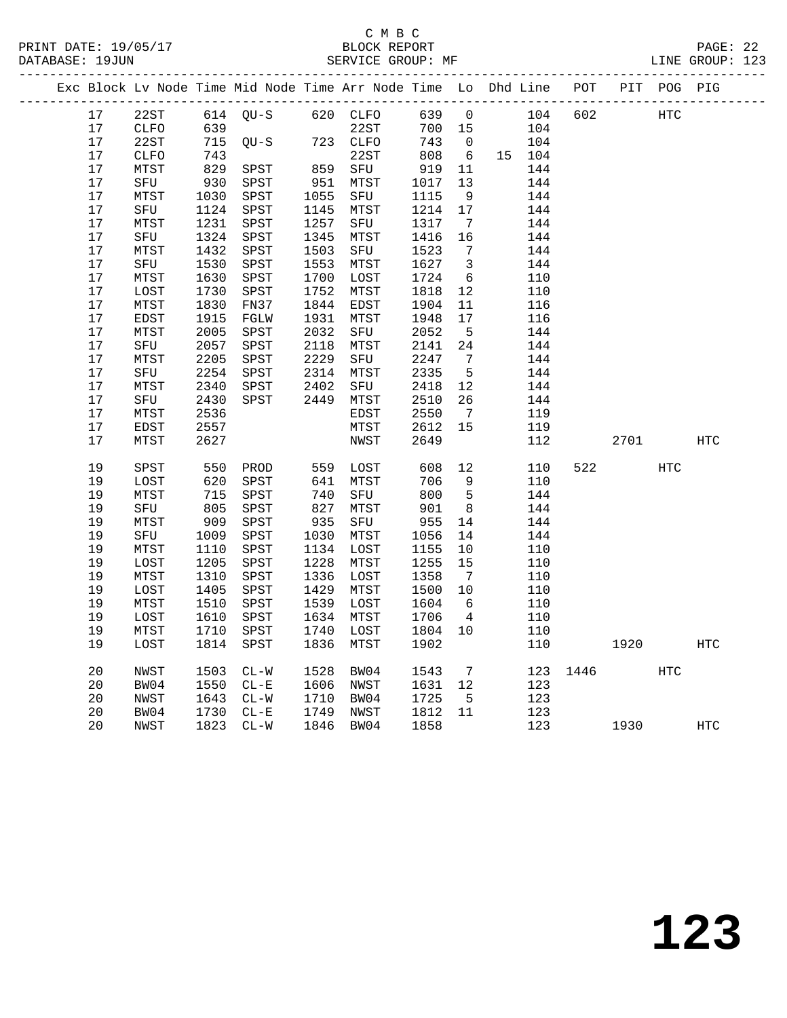| Exc Block Lv Node Time Mid Node Time Arr Node Time Lo Dhd Line POT PIT POG PIG |              |              |              |              |              |              |                         |            |      |      |            |            |
|--------------------------------------------------------------------------------|--------------|--------------|--------------|--------------|--------------|--------------|-------------------------|------------|------|------|------------|------------|
| 17                                                                             | 22ST         |              | 614 OU-S     |              | 620 CLFO     | 639          | $\mathbf 0$             | 104        | 602  |      | <b>HTC</b> |            |
| 17                                                                             | CLFO         | 639          |              |              | 22ST         | 700 15       |                         | 104        |      |      |            |            |
| 17                                                                             | 22ST         | 715          | $OU-S$       |              | 723 CLFO     | 743          | $\overline{0}$          | 104        |      |      |            |            |
| 17                                                                             | <b>CLFO</b>  | 743          |              |              | 22ST         | 808          | 6                       | 15 104     |      |      |            |            |
| 17                                                                             | MTST         | 829          | SPST         | 859          | SFU          | 919          | 11                      | 144        |      |      |            |            |
| 17                                                                             | SFU          | 930          | SPST         | $8 - 951$    | MTST         | 1017         | 13                      | 144        |      |      |            |            |
| 17                                                                             | MTST         | 1030         | SPST         | 1055         | SFU          | 1115         | 9                       | 144        |      |      |            |            |
| 17                                                                             | SFU          | 1124         | SPST         | 1145         | MTST         | 1214         | 17                      | 144        |      |      |            |            |
| 17                                                                             | MTST         | 1231         | SPST         | 1257         | SFU          | 1317         | $\overline{7}$          | 144        |      |      |            |            |
| 17                                                                             | SFU          | 1324         | SPST         | 1345         | MTST         | 1416         | 16                      | 144        |      |      |            |            |
| 17                                                                             | MTST         | 1432         | SPST         | 1503         | SFU          | 1523         | $\overline{7}$          | 144        |      |      |            |            |
| 17                                                                             | SFU          | 1530         | SPST         | 1553         | MTST         | 1627         | $\overline{\mathbf{3}}$ | 144        |      |      |            |            |
| 17                                                                             | MTST         | 1630         | SPST         | 1700         | LOST         | 1724         | - 6                     | 110        |      |      |            |            |
| 17                                                                             | LOST         | 1730         | SPST         | 1752         | MTST         | 1818         | 12                      | 110        |      |      |            |            |
| 17<br>17                                                                       | MTST         | 1830         | FN37         | 1844         | EDST         | 1904         | 11                      | 116        |      |      |            |            |
| 17                                                                             | EDST<br>MTST | 1915<br>2005 | FGLW<br>SPST | 1931<br>2032 | MTST         | 1948<br>2052 | 17<br>5                 | 116<br>144 |      |      |            |            |
| 17                                                                             | SFU          | 2057         | SPST         | 2118         | SFU<br>MTST  | 2141         | 24                      | 144        |      |      |            |            |
| 17                                                                             | MTST         | 2205         | SPST         | 2229         | SFU          | 2247         | $\overline{7}$          | 144        |      |      |            |            |
| 17                                                                             | SFU          | 2254         | SPST         | 2314         | MTST         | 2335         | 5                       | 144        |      |      |            |            |
| 17                                                                             | MTST         | 2340         | SPST         | 2402         | SFU          | 2418         | 12                      | 144        |      |      |            |            |
| 17                                                                             | SFU          | 2430         | SPST         | 2449         | MTST         | 2510         | 26                      | 144        |      |      |            |            |
| 17                                                                             | MTST         | 2536         |              |              | EDST         | 2550         | $\overline{7}$          | 119        |      |      |            |            |
| 17                                                                             | EDST         | 2557         |              |              | MTST         | 2612         | 15                      | 119        |      |      |            |            |
| 17                                                                             | MTST         | 2627         |              |              | NWST         | 2649         |                         | 112        |      | 2701 |            | HTC        |
|                                                                                |              |              |              |              |              |              |                         |            |      |      |            |            |
| 19                                                                             | SPST         | 550          | PROD         |              | 559 LOST     | 608          | 12                      | 110        | 522  |      | <b>HTC</b> |            |
| 19                                                                             | LOST         | 620          | SPST         | 641          | MTST         | 706          | 9                       | 110        |      |      |            |            |
| 19                                                                             | MTST         | 715          | SPST         | 740          | SFU          | 800          | $5^{\circ}$             | 144        |      |      |            |            |
| 19                                                                             | SFU          | 805          | SPST         | 827          | MTST         | 901          | 8 <sup>8</sup>          | 144        |      |      |            |            |
| 19                                                                             | MTST         | 909          | SPST         | 935          | SFU          | 955          | 14                      | 144        |      |      |            |            |
| 19                                                                             | SFU          | 1009         | SPST         | 1030         | MTST         | 1056         | 14                      | 144        |      |      |            |            |
| 19                                                                             | MTST         | 1110         | SPST         | 1134         | LOST         | 1155         | 10                      | 110        |      |      |            |            |
| 19                                                                             | LOST         | 1205         | SPST         | 1228         | MTST         | 1255         | 15                      | 110        |      |      |            |            |
| 19<br>19                                                                       | MTST<br>LOST | 1310<br>1405 | SPST<br>SPST | 1336<br>1429 | LOST<br>MTST | 1358<br>1500 | $\overline{7}$<br>10    | 110<br>110 |      |      |            |            |
| 19                                                                             | MTST         | 1510         | SPST         | 1539         | LOST         | 1604         | 6                       | 110        |      |      |            |            |
| 19                                                                             | LOST         | 1610         | SPST         | 1634         | MTST         | 1706         | $\overline{4}$          | 110        |      |      |            |            |
| 19                                                                             | MTST         | 1710         | SPST         | 1740         | LOST         | 1804         | 10                      | 110        |      |      |            |            |
| 19                                                                             | LOST         | 1814         | SPST         | 1836         | MTST         | 1902         |                         | 110        |      | 1920 |            | <b>HTC</b> |
|                                                                                |              |              |              |              |              |              |                         |            |      |      |            |            |
| 20                                                                             | NWST         | 1503         | $CL-W$       | 1528         | BW04         | 1543         | $7\overline{ }$         | 123        | 1446 |      | HTC        |            |
| 20                                                                             | BW04         | 1550         | $CL - E$     | 1606         | NWST         | 1631 12      |                         | 123        |      |      |            |            |
| 20                                                                             | NWST         | 1643         | $CL-W$       | 1710         | BW04         | 1725         | 5                       | 123        |      |      |            |            |
| 20                                                                             | BW04         | 1730         | $CL - E$     | 1749         | NWST         | 1812         | 11                      | 123        |      |      |            |            |
| 20                                                                             | NWST         | 1823         | $CL-W$       | 1846         | BW04         | 1858         |                         | 123        |      | 1930 |            | <b>HTC</b> |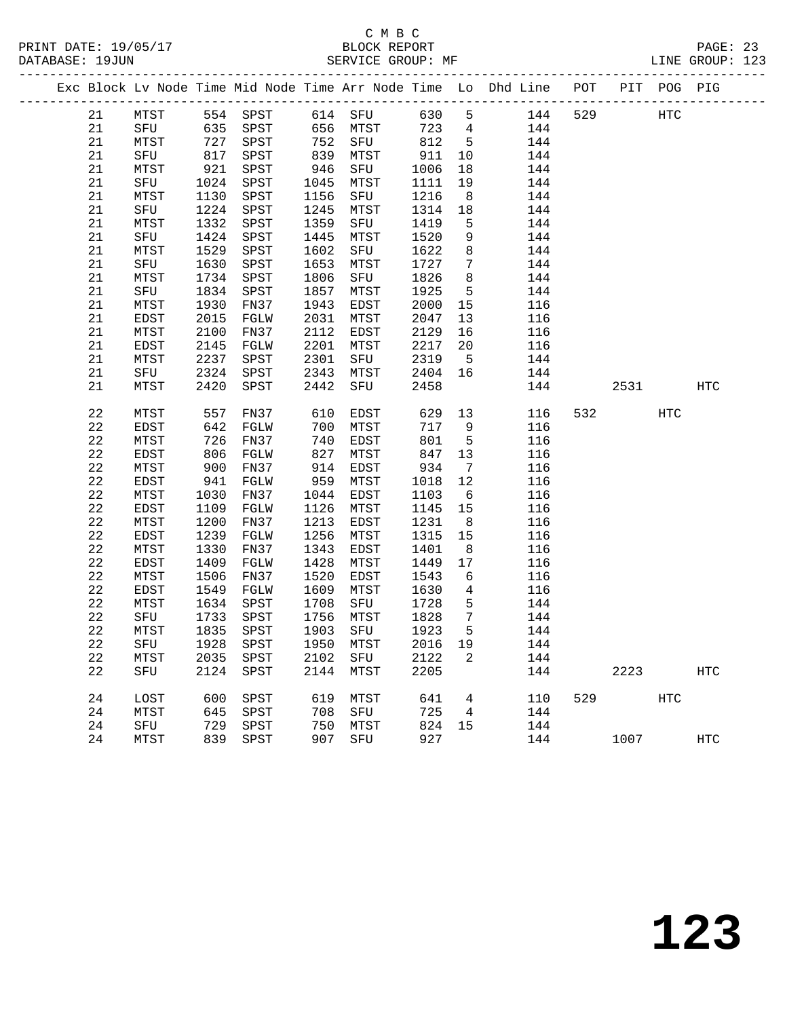#### C M B C<br>BLOCK REPORT PRINT DATE: 19/05/17 BLOCK REPORT PAGE: 23 SERVICE GROUP: MF

|  |          |               |              |                  |              |              |              |                              | Exc Block Lv Node Time Mid Node Time Arr Node Time Lo Dhd Line POT PIT POG PIG |     |                             |            |            |
|--|----------|---------------|--------------|------------------|--------------|--------------|--------------|------------------------------|--------------------------------------------------------------------------------|-----|-----------------------------|------------|------------|
|  | 21       | MTST          |              | 554 SPST 614 SFU |              |              | 630          | $5^{\circ}$                  | 144                                                                            | 529 |                             | HTC        |            |
|  | 21       | SFU 635 SPST  |              |                  |              | 656 MTST     | 723          | $\overline{4}$               | 144                                                                            |     |                             |            |            |
|  | 21       | MTST          | 727          | SPST             | 752          | SFU          | 812          | $5^{\circ}$                  | 144                                                                            |     |                             |            |            |
|  | 21       | SFU           | 817          | SPST             | 839          | MTST         | 911          | 10                           | 144                                                                            |     |                             |            |            |
|  | 21       | MTST          | 921          | SPST             | 946          | SFU          | 1006         | 18                           | 144                                                                            |     |                             |            |            |
|  | 21       | SFU           | 1024         | SPST             | 1045         | MTST         | 1111         | 19                           | 144                                                                            |     |                             |            |            |
|  | 21       | MTST          | 1130         | SPST             | 1156         | SFU          | 1216         | 8 <sup>8</sup>               | 144                                                                            |     |                             |            |            |
|  | 21       | SFU           | 1224         | SPST             | 1245         | MTST         | 1314         | 18                           | 144                                                                            |     |                             |            |            |
|  | 21       | MTST          | 1332         | SPST             | 1359         | SFU          | 1419         | $5^{\circ}$                  | 144                                                                            |     |                             |            |            |
|  | 21       | SFU           | 1424         | SPST             | 1445         | MTST         | 1520         | 9                            | 144                                                                            |     |                             |            |            |
|  | 21       | MTST          | 1529         | SPST             | 1602         | SFU          | 1622         | 8                            | 144                                                                            |     |                             |            |            |
|  | 21       | SFU           | 1630         | SPST             | 1653         | MTST         | 1727         | $7\phantom{.0}$              | 144                                                                            |     |                             |            |            |
|  | 21       | MTST          | 1734         | SPST             | 1806         | SFU          | 1826         | 8                            | 144                                                                            |     |                             |            |            |
|  | 21       | SFU           | 1834         | SPST             | 1857         | MTST         | 1925         | $5\overline{)}$              | 144                                                                            |     |                             |            |            |
|  | 21       | MTST          | 1930         | FN37             | 1943         | EDST         | 2000         | 15                           | 116                                                                            |     |                             |            |            |
|  | 21       | EDST          | 2015         | FGLW             | 2031         | MTST         | 2047         | 13                           | 116                                                                            |     |                             |            |            |
|  | 21       | MTST          | 2100         | FN37             | 2112         | EDST         | 2129         | 16                           | 116                                                                            |     |                             |            |            |
|  | 21       | EDST          | 2145         | FGLW             | 2201         | MTST         | 2217         | 20                           | 116                                                                            |     |                             |            |            |
|  | 21       | MTST          | 2237         | SPST             | 2301         | SFU          | 2319         | $5^{\circ}$                  | 144                                                                            |     |                             |            |            |
|  | 21       | SFU           | 2324         | SPST             | 2343         | MTST         | 2404         | 16                           | 144                                                                            |     |                             |            |            |
|  | 21       | MTST          | 2420         | SPST             | 2442         | SFU          | 2458         |                              | 144                                                                            |     | 2531                        |            | <b>HTC</b> |
|  |          |               |              |                  |              |              |              |                              |                                                                                |     |                             |            |            |
|  | 22       | MTST          | 557          | FN37             | 610          | EDST         | 629          | 13                           | 116                                                                            | 532 |                             | <b>HTC</b> |            |
|  | 22       | EDST          | 642          | FGLW             | 700          | MTST         | 717          | 9                            | 116                                                                            |     |                             |            |            |
|  | 22       | MTST          | 726          | FN37             | 740          | EDST         | 801          | $5^{\circ}$                  | 116                                                                            |     |                             |            |            |
|  | 22       | EDST          | 806          | FGLW             | 827          | MTST         | 847          | 13                           | 116                                                                            |     |                             |            |            |
|  | 22       | MTST          | 900          | FN37             | 914          | EDST         | 934          | $7\phantom{.0}\phantom{.0}7$ | 116                                                                            |     |                             |            |            |
|  | 22       | EDST          | 941          | FGLW             | 959          | MTST         | 1018         | 12                           | 116                                                                            |     |                             |            |            |
|  | 22       | MTST          | 1030         | FN37             | 1044         | EDST         | 1103         | $6\overline{6}$              | 116                                                                            |     |                             |            |            |
|  | 22       | EDST          | 1109         | FGLW             | 1126         | MTST         | 1145         | 15                           | 116                                                                            |     |                             |            |            |
|  | 22       | MTST<br>EDST  | 1200<br>1239 | FN37<br>FGLW     | 1213<br>1256 | EDST         | 1231<br>1315 | 8 <sup>8</sup><br>15         | 116                                                                            |     |                             |            |            |
|  | 22<br>22 |               | 1330         |                  | 1343         | MTST<br>EDST |              |                              | 116<br>116                                                                     |     |                             |            |            |
|  | 22       | MTST          | 1409         | FN37             | 1428         |              | 1401<br>1449 | 8                            | 116                                                                            |     |                             |            |            |
|  | 22       | EDST          | 1506         | FGLW             | 1520         | MTST         | 1543         | 17<br>6                      |                                                                                |     |                             |            |            |
|  | 22       | MTST<br>EDST  | 1549         | FN37             | 1609         | EDST         | 1630         |                              | 116<br>116                                                                     |     |                             |            |            |
|  | 22       | MTST          | 1634         | FGLW<br>SPST     | 1708         | MTST<br>SFU  | 1728         | $\overline{4}$<br>5          | 144                                                                            |     |                             |            |            |
|  | 22       | SFU           | 1733         | SPST             | 1756         | MTST         | 1828         | $7\overline{ }$              | 144                                                                            |     |                             |            |            |
|  | 22       | MTST          | 1835         | SPST             | 1903         | SFU          | 1923         | 5                            | 144                                                                            |     |                             |            |            |
|  | 22       | SFU 1928 SPST |              |                  |              | 1950 MTST    | 2016 19      |                              | 144                                                                            |     |                             |            |            |
|  | 22       | MTST          | 2035         | SPST             | 2102         | SFU          | 2122         | 2                            | 144                                                                            |     |                             |            |            |
|  | 22       | SFU           | 2124         | SPST             | 2144         | MTST         | 2205         |                              | 144                                                                            |     | 2223                        |            | <b>HTC</b> |
|  |          |               |              |                  |              |              |              |                              |                                                                                |     |                             |            |            |
|  | 24       | LOST          | 600          | SPST             | 619          | MTST         | 641          | $\overline{4}$               | 110                                                                            |     | 529 and the state of $\sim$ | HTC        |            |
|  | 24       | MTST          | 645          | SPST             | 708          | SFU          | 725          | 4                            | 144                                                                            |     |                             |            |            |
|  | 24       | SFU           | 729          | SPST             | 750          | MTST         | 824          | 15                           | 144                                                                            |     |                             |            |            |
|  | 24       | MTST          |              | 839 SPST         | 907          | SFU          | 927          |                              | 144                                                                            |     | 1007                        |            | HTC        |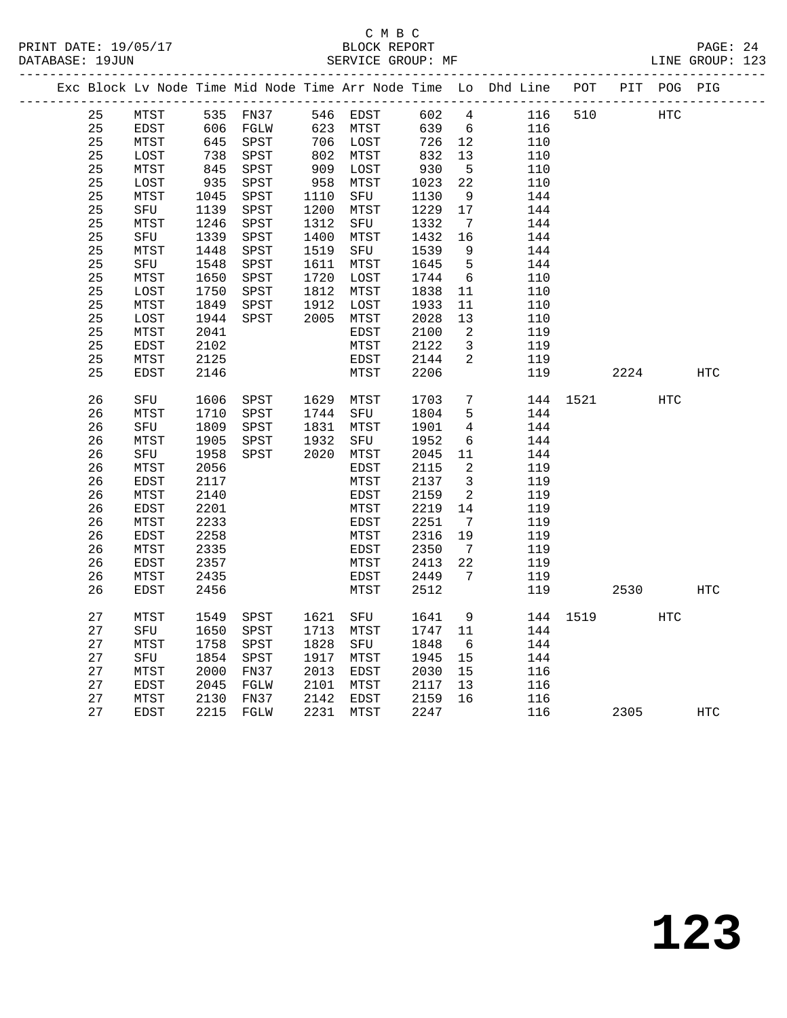|  |    |             |      |           |      |           |      |                         | Exc Block Lv Node Time Mid Node Time Arr Node Time Lo Dhd Line POT PIT POG PIG |          |      |                   |            |
|--|----|-------------|------|-----------|------|-----------|------|-------------------------|--------------------------------------------------------------------------------|----------|------|-------------------|------------|
|  | 25 | MTST        |      | 535 FN37  |      | 546 EDST  | 602  | 4                       | 116                                                                            | 510      |      | $_{\mathrm{HTC}}$ |            |
|  | 25 | EDST        |      | 606 FGLW  |      | 623 MTST  | 639  | 6                       | 116                                                                            |          |      |                   |            |
|  | 25 | MTST        | 645  | SPST      |      | 706 LOST  | 726  | 12                      | 110                                                                            |          |      |                   |            |
|  | 25 | LOST        | 738  | SPST      |      | 802 MTST  | 832  | 13                      | 110                                                                            |          |      |                   |            |
|  | 25 | MTST        | 845  | SPST      |      | 909 LOST  | 930  | $5^{\circ}$             | 110                                                                            |          |      |                   |            |
|  | 25 | LOST        | 935  | SPST      | 958  | MTST      | 1023 | 22                      | 110                                                                            |          |      |                   |            |
|  | 25 | MTST        | 1045 | SPST      | 1110 | SFU       | 1130 | 9                       | 144                                                                            |          |      |                   |            |
|  | 25 | SFU         | 1139 | SPST      | 1200 | MTST      | 1229 | 17                      | 144                                                                            |          |      |                   |            |
|  | 25 | MTST        | 1246 | SPST      | 1312 | SFU       | 1332 | $7\overline{ }$         | 144                                                                            |          |      |                   |            |
|  | 25 | SFU         | 1339 | SPST      | 1400 | MTST      | 1432 | 16                      | 144                                                                            |          |      |                   |            |
|  | 25 | MTST        | 1448 | SPST      | 1519 | SFU       | 1539 | 9                       | 144                                                                            |          |      |                   |            |
|  | 25 | SFU         | 1548 | SPST      |      | 1611 MTST | 1645 | 5                       | 144                                                                            |          |      |                   |            |
|  | 25 | MTST        | 1650 | SPST      | 1720 | LOST      | 1744 | $6\overline{6}$         | 110                                                                            |          |      |                   |            |
|  | 25 | LOST        | 1750 | SPST      |      | 1812 MTST | 1838 | 11                      | 110                                                                            |          |      |                   |            |
|  | 25 | MTST        | 1849 | SPST      | 1912 | LOST      | 1933 | 11                      | 110                                                                            |          |      |                   |            |
|  | 25 | LOST        | 1944 | SPST      |      | 2005 MTST | 2028 | 13                      | 110                                                                            |          |      |                   |            |
|  | 25 | MTST        | 2041 |           |      | EDST      | 2100 | 2                       | 119                                                                            |          |      |                   |            |
|  | 25 | EDST        | 2102 |           |      | MTST      | 2122 | $\mathbf{3}$            | 119                                                                            |          |      |                   |            |
|  | 25 | MTST        | 2125 |           |      | EDST      | 2144 | 2                       | 119                                                                            |          |      |                   |            |
|  | 25 | <b>EDST</b> | 2146 |           |      | MTST      | 2206 |                         | 119                                                                            |          | 2224 |                   | <b>HTC</b> |
|  |    |             |      |           |      |           |      |                         |                                                                                |          |      |                   |            |
|  | 26 | SFU         | 1606 | SPST      |      | 1629 MTST | 1703 | $7\overline{ }$         |                                                                                | 144 1521 |      | HTC               |            |
|  | 26 | MTST        | 1710 | SPST      |      | 1744 SFU  | 1804 | 5                       | 144                                                                            |          |      |                   |            |
|  | 26 | SFU         | 1809 | SPST      | 1831 | MTST      | 1901 | $\overline{4}$          | 144                                                                            |          |      |                   |            |
|  | 26 | MTST        | 1905 | SPST      | 1932 | SFU       | 1952 | 6                       | 144                                                                            |          |      |                   |            |
|  | 26 | SFU         | 1958 | SPST      |      | 2020 MTST | 2045 | 11                      | 144                                                                            |          |      |                   |            |
|  | 26 | MTST        | 2056 |           |      | EDST      | 2115 | $\overline{a}$          | 119                                                                            |          |      |                   |            |
|  | 26 | EDST        | 2117 |           |      | MTST      | 2137 | $\overline{\mathbf{3}}$ | 119                                                                            |          |      |                   |            |
|  | 26 | MTST        | 2140 |           |      | EDST      | 2159 | 2                       | 119                                                                            |          |      |                   |            |
|  | 26 | EDST        | 2201 |           |      | MTST      | 2219 | 14                      | 119                                                                            |          |      |                   |            |
|  | 26 | MTST        | 2233 |           |      | EDST      | 2251 | $\overline{7}$          | 119                                                                            |          |      |                   |            |
|  | 26 | EDST        | 2258 |           |      | MTST      | 2316 | 19                      | 119                                                                            |          |      |                   |            |
|  | 26 | MTST        | 2335 |           |      | EDST      | 2350 | $\overline{7}$          | 119                                                                            |          |      |                   |            |
|  | 26 | EDST        | 2357 |           |      | MTST      | 2413 | 22                      | 119                                                                            |          |      |                   |            |
|  | 26 | MTST        | 2435 |           |      | EDST      | 2449 | $\overline{7}$          | 119                                                                            |          |      |                   |            |
|  | 26 | EDST        | 2456 |           |      | MTST      | 2512 |                         | 119                                                                            |          | 2530 |                   | HTC        |
|  | 27 | MTST        | 1549 | SPST      | 1621 | SFU       | 1641 | 9                       |                                                                                | 144 1519 |      | <b>HTC</b>        |            |
|  | 27 |             | 1650 | SPST      |      | 1713 MTST | 1747 | 11                      | 144                                                                            |          |      |                   |            |
|  | 27 | SFU<br>MTST | 1758 | SPST      | 1828 | SFU       | 1848 | 6                       | 144                                                                            |          |      |                   |            |
|  | 27 | SFU         | 1854 | SPST      | 1917 | MTST      | 1945 | 15                      | 144                                                                            |          |      |                   |            |
|  | 27 | MTST        | 2000 | FN37      | 2013 | EDST      | 2030 | 15                      | 116                                                                            |          |      |                   |            |
|  | 27 | EDST        | 2045 | FGLW      | 2101 | MTST      | 2117 | 13                      | 116                                                                            |          |      |                   |            |
|  | 27 | MTST        | 2130 | FN37      | 2142 | EDST      | 2159 | 16                      | 116                                                                            |          |      |                   |            |
|  | 27 | <b>EDST</b> |      | 2215 FGLW | 2231 | MTST      | 2247 |                         | 116                                                                            |          | 2305 |                   | HTC        |
|  |    |             |      |           |      |           |      |                         |                                                                                |          |      |                   |            |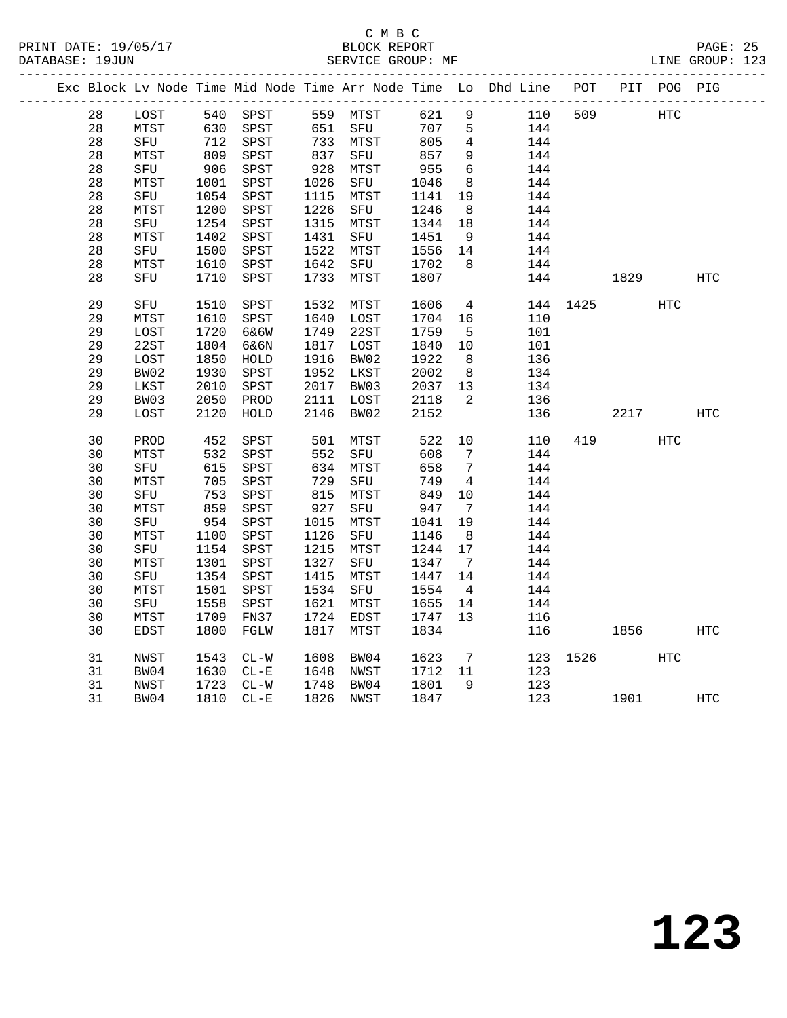#### C M B C<br>BLOCK REPORT PRINT DATE: 19/05/17 BLOCK REPORT PAGE: 25 SERVICE GROUP: MF

|  |    |      |      |              |                 |          |      |                 | Exc Block Lv Node Time Mid Node Time Arr Node Time Lo Dhd Line POT |          |      | PIT POG PIG |     |
|--|----|------|------|--------------|-----------------|----------|------|-----------------|--------------------------------------------------------------------|----------|------|-------------|-----|
|  | 28 | LOST |      | 540 SPST     |                 | 559 MTST | 621  | 9               | 110                                                                | 509      |      | <b>HTC</b>  |     |
|  | 28 | MTST | 630  | SPST         |                 | 651 SFU  | 707  | 5               | 144                                                                |          |      |             |     |
|  | 28 | SFU  | 712  | SPST         |                 | 733 MTST | 805  | 4               | 144                                                                |          |      |             |     |
|  | 28 | MTST | 809  | SPST         | 837             | SFU      | 857  | $\overline{9}$  | 144                                                                |          |      |             |     |
|  | 28 | SFU  | 906  | SPST         | $\frac{1}{928}$ | MTST     | 955  | $6\overline{6}$ | 144                                                                |          |      |             |     |
|  | 28 | MTST | 1001 | SPST         | 1026            | SFU      | 1046 | 8               | 144                                                                |          |      |             |     |
|  | 28 | SFU  | 1054 | SPST         | 1115            | MTST     | 1141 | 19              | 144                                                                |          |      |             |     |
|  | 28 | MTST | 1200 | SPST         | 1226            | SFU      | 1246 | 8 <sup>8</sup>  | 144                                                                |          |      |             |     |
|  | 28 | SFU  | 1254 | SPST         | 1315            | MTST     | 1344 | 18              | 144                                                                |          |      |             |     |
|  | 28 | MTST | 1402 | SPST         | 1431            | SFU      | 1451 | 9               | 144                                                                |          |      |             |     |
|  | 28 | SFU  | 1500 | SPST         | 1522            | MTST     | 1556 | 14              | 144                                                                |          |      |             |     |
|  | 28 | MTST | 1610 | SPST         | 1642            | SFU      | 1702 | 8               | 144                                                                |          |      |             |     |
|  | 28 | SFU  | 1710 | SPST         | 1733            | MTST     | 1807 |                 | 144                                                                |          | 1829 |             | HTC |
|  | 29 | SFU  | 1510 | SPST         | 1532            | MTST     | 1606 | $\overline{4}$  |                                                                    | 144 1425 |      | HTC         |     |
|  | 29 | MTST | 1610 | SPST         | 1640            | LOST     | 1704 | 16              | 110                                                                |          |      |             |     |
|  | 29 | LOST | 1720 | 6&6W         | 1749            | 22ST     | 1759 | 5               | 101                                                                |          |      |             |     |
|  | 29 | 22ST | 1804 | 6&6N         | 1817            | LOST     | 1840 | 10              | 101                                                                |          |      |             |     |
|  | 29 | LOST | 1850 | HOLD         | 1916            | BW02     | 1922 | - 8             | 136                                                                |          |      |             |     |
|  | 29 | BW02 | 1930 | SPST         | 1952            | LKST     | 2002 | 8 <sup>8</sup>  | 134                                                                |          |      |             |     |
|  | 29 | LKST | 2010 | SPST         | 2017            | BW03     | 2037 | 13              | 134                                                                |          |      |             |     |
|  | 29 | BW03 | 2050 | PROD         | 2111            | LOST     | 2118 | 2               | 136                                                                |          |      |             |     |
|  | 29 | LOST | 2120 | ${\tt HOLD}$ | 2146            | BW02     | 2152 |                 | 136                                                                |          | 2217 |             | HTC |
|  | 30 | PROD | 452  | SPST         | 501             | MTST     | 522  | 10              | 110                                                                | 419      |      | HTC         |     |
|  | 30 | MTST | 532  | SPST         | 552             | SFU      | 608  | 7               | 144                                                                |          |      |             |     |
|  | 30 | SFU  | 615  | SPST         | 634             | MTST     | 658  | $7\phantom{.0}$ | 144                                                                |          |      |             |     |
|  | 30 | MTST | 705  | SPST         | 729             | SFU      | 749  | $\overline{4}$  | 144                                                                |          |      |             |     |
|  | 30 | SFU  | 753  | SPST         | 815             | MTST     | 849  | 10              | 144                                                                |          |      |             |     |
|  | 30 | MTST | 859  | SPST         | 927             | SFU      | 947  | $7\overline{ }$ | 144                                                                |          |      |             |     |
|  | 30 | SFU  | 954  | SPST         | 1015            | MTST     | 1041 | 19              | 144                                                                |          |      |             |     |
|  | 30 | MTST | 1100 | SPST         | 1126            | SFU      | 1146 | 8               | 144                                                                |          |      |             |     |
|  | 30 | SFU  | 1154 | SPST         | 1215            | MTST     | 1244 | 17              | 144                                                                |          |      |             |     |
|  | 30 | MTST | 1301 | SPST         | 1327            | SFU      | 1347 | $\overline{7}$  | 144                                                                |          |      |             |     |
|  | 30 | SFU  | 1354 | SPST         | 1415            | MTST     | 1447 | 14              | 144                                                                |          |      |             |     |
|  | 30 | MTST | 1501 | SPST         | 1534            | SFU      | 1554 | $\overline{4}$  | 144                                                                |          |      |             |     |
|  | 30 | SFU  | 1558 | ${\tt SPST}$ | 1621            | MTST     | 1655 | 14              | 144                                                                |          |      |             |     |
|  | 30 | MTST | 1709 | FN37         | 1724            | EDST     | 1747 | 13 <sup>°</sup> | 116                                                                |          |      |             |     |
|  | 30 | EDST | 1800 | FGLW         | 1817            | MTST     | 1834 |                 | 116                                                                |          | 1856 |             | HTC |
|  | 31 | NWST | 1543 | $CL-W$       | 1608            | BW04     | 1623 | $\overline{7}$  | 123                                                                | 1526     |      | <b>HTC</b>  |     |
|  | 31 | BW04 | 1630 | $CL - E$     | 1648            | NWST     | 1712 | 11              | 123                                                                |          |      |             |     |
|  | 31 | NWST | 1723 | $CL-W$       | 1748            | BW04     | 1801 | 9               | 123                                                                |          |      |             |     |
|  | 31 | BW04 | 1810 | $CL - E$     | 1826            | NWST     | 1847 |                 | 123                                                                |          | 1901 |             | HTC |
|  |    |      |      |              |                 |          |      |                 |                                                                    |          |      |             |     |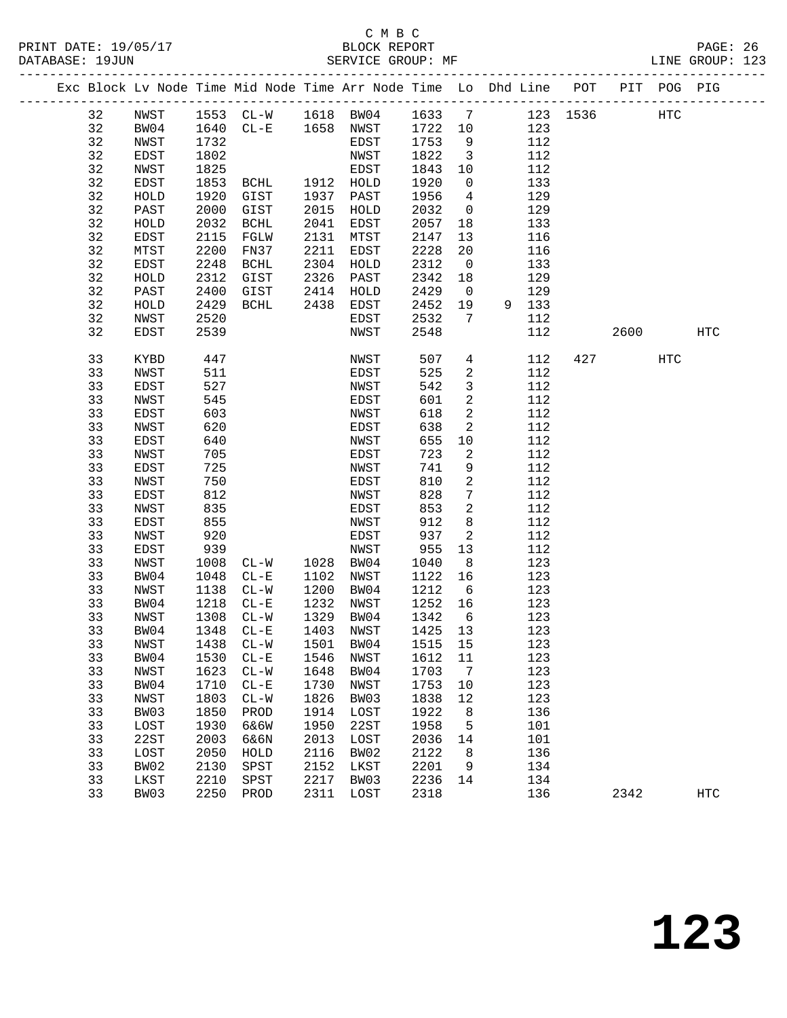### C M B C<br>BLOCK REPORT

PAGE: 26<br>LINE GROUP: 123

|  |          |              |              | Exc Block Lv Node Time Mid Node Time Arr Node Time Lo Dhd Line POT |              |              |              |                         |            |          |      | PIT POG PIG |            |  |
|--|----------|--------------|--------------|--------------------------------------------------------------------|--------------|--------------|--------------|-------------------------|------------|----------|------|-------------|------------|--|
|  | 32       | NWST         |              | 1553 CL-W 1618 BW04                                                |              |              | 1633         | $\overline{7}$          |            | 123 1536 |      | <b>HTC</b>  |            |  |
|  | 32       | BW04         | 1640         | $CL-E$ 1658 NWST                                                   |              |              | 1722         | 10                      | 123        |          |      |             |            |  |
|  | 32       | NWST         | 1732         |                                                                    |              | EDST         | 1753         | 9                       | 112        |          |      |             |            |  |
|  | 32       | EDST         | 1802         |                                                                    |              | NWST         | 1822         | $\overline{\mathbf{3}}$ | 112        |          |      |             |            |  |
|  | 32       | NWST         | 1825         |                                                                    |              | EDST         | 1843         | 10                      | 112        |          |      |             |            |  |
|  | 32       | EDST         | 1853         | BCHL                                                               |              | 1912 HOLD    | 1920         | $\mathsf{O}$            | 133        |          |      |             |            |  |
|  | 32       | HOLD         | 1920         | GIST                                                               | 1937         | PAST         | 1956         | 4                       | 129        |          |      |             |            |  |
|  | 32       | PAST         | 2000         | GIST                                                               | 2015         | HOLD         | 2032         | $\overline{0}$          | 129        |          |      |             |            |  |
|  | 32       | HOLD         | 2032         | <b>BCHL</b>                                                        | 2041         | EDST         | 2057         | 18                      | 133        |          |      |             |            |  |
|  | 32       | EDST         | 2115         | FGLW                                                               | 2131         | MTST         | 2147         | 13                      | 116        |          |      |             |            |  |
|  | 32       | MTST         | 2200         | FN37                                                               | 2211         | EDST         | 2228         | 20                      | 116        |          |      |             |            |  |
|  | 32       | EDST         | 2248         | BCHL                                                               | 2304         | HOLD         | 2312         | $\overline{0}$          | 133        |          |      |             |            |  |
|  | 32       | HOLD         | 2312         | GIST                                                               | 2326         | PAST         | 2342         | 18                      | 129        |          |      |             |            |  |
|  | 32       | PAST         | 2400         | GIST                                                               | 2414         | HOLD         | 2429         | $\overline{0}$          | 129        |          |      |             |            |  |
|  | 32       | HOLD         | 2429         | BCHL                                                               | 2438         | EDST         | 2452         | 19                      | 9 133      |          |      |             |            |  |
|  | 32       | NWST         | 2520         |                                                                    |              | EDST         | 2532         | 7                       | 112        |          |      |             |            |  |
|  | 32       | <b>EDST</b>  | 2539         |                                                                    |              | NWST         | 2548         |                         | 112        |          | 2600 |             | <b>HTC</b> |  |
|  | 33       | KYBD         | 447          |                                                                    |              | NWST         | 507          | $\overline{4}$          | 112        | 427      |      | HTC         |            |  |
|  | 33       | NWST         | 511          |                                                                    |              | EDST         | 525          | 2                       | 112        |          |      |             |            |  |
|  | 33       | EDST         | 527          |                                                                    |              | NWST         | 542          | $\mathbf{3}$            | 112        |          |      |             |            |  |
|  | 33       | NWST         | 545          |                                                                    |              | EDST         | 601          | 2                       | 112        |          |      |             |            |  |
|  | 33       | EDST         | 603          |                                                                    |              | NWST         | 618          | 2                       | 112        |          |      |             |            |  |
|  | 33       | NWST         | 620          |                                                                    |              | EDST         | 638          | 2                       | 112        |          |      |             |            |  |
|  | 33       | EDST         | 640          |                                                                    |              | NWST         | 655          | 10                      | 112        |          |      |             |            |  |
|  | 33       | NWST         | 705          |                                                                    |              | EDST         | 723          | 2                       | 112        |          |      |             |            |  |
|  | 33       | EDST         | 725          |                                                                    |              | NWST         | 741          | 9                       | 112        |          |      |             |            |  |
|  | 33       | NWST         | 750          |                                                                    |              | EDST         | 810          | $\mathbf{2}$            | 112        |          |      |             |            |  |
|  | 33       | EDST         | 812          |                                                                    |              | NWST         | 828          | $7\phantom{.0}$         | 112        |          |      |             |            |  |
|  | 33       | NWST         | 835          |                                                                    |              | EDST         | 853          | 2                       | 112        |          |      |             |            |  |
|  | 33       | EDST         | 855          |                                                                    |              | NWST         | 912          | 8                       | 112        |          |      |             |            |  |
|  | 33       | NWST         | 920          |                                                                    |              | EDST         | 937          | 2                       | 112        |          |      |             |            |  |
|  | 33       | EDST         | 939          |                                                                    |              | NWST         | 955          | 13                      | 112        |          |      |             |            |  |
|  | 33       | NWST         | 1008         | $CL-W$                                                             | 1028         | BW04         | 1040         | 8                       | 123        |          |      |             |            |  |
|  | 33       | BW04         | 1048         | $CL-E$                                                             | 1102         | NWST         | 1122         | 16                      | 123        |          |      |             |            |  |
|  | 33<br>33 | NWST         | 1138<br>1218 | $CL - W$                                                           | 1200<br>1232 | BW04         | 1212<br>1252 | 6                       | 123<br>123 |          |      |             |            |  |
|  | 33       | BW04<br>NWST | 1308         | $CL - E$<br>$CL - W$                                               | 1329         | NWST<br>BW04 | 1342         | 16<br>6                 | 123        |          |      |             |            |  |
|  | 33       | BW04         | 1348         | $CL - E$                                                           | 1403         | NWST         | 1425         | 13                      | 123        |          |      |             |            |  |
|  | 33       |              | 1438         |                                                                    | 1501         | BW04         | 1515         | 15                      | 123        |          |      |             |            |  |
|  | 33       | NWST<br>BW04 | 1530         | $CL - W$<br>$CL - E$                                               | 1546         | NWST         | 1612         | 11                      | 123        |          |      |             |            |  |
|  | 33       | NWST         | 1623         | $\mathtt{CL-}\mathtt{W}$                                           | 1648         | BW04         | 1703         | 7                       | 123        |          |      |             |            |  |
|  | 33       | BW04         | 1710         | $CL - E$                                                           | 1730         | NWST         | 1753         | 10                      | 123        |          |      |             |            |  |
|  | 33       | NWST         | 1803         | $CL-W$                                                             | 1826         | BW03         | 1838         | 12                      | 123        |          |      |             |            |  |
|  | 33       | BW03         | 1850         | PROD                                                               | 1914         | LOST         | 1922         | 8                       | 136        |          |      |             |            |  |
|  | 33       | LOST         | 1930         | 6&6W                                                               | 1950         | 22ST         | 1958         | 5                       | 101        |          |      |             |            |  |
|  | 33       | 22ST         | 2003         | 6&6N                                                               | 2013         | LOST         | 2036         | 14                      | 101        |          |      |             |            |  |
|  | 33       | LOST         | 2050         | HOLD                                                               | 2116         | BW02         | 2122         | 8                       | 136        |          |      |             |            |  |
|  | 33       | BW02         | 2130         | SPST                                                               | 2152         | LKST         | 2201         | 9                       | 134        |          |      |             |            |  |
|  | 33       | LKST         | 2210         | SPST                                                               | 2217         | BW03         | 2236         | 14                      | 134        |          |      |             |            |  |
|  | 33       | BW03         | 2250         | PROD                                                               | 2311         | LOST         | 2318         |                         | 136        |          | 2342 |             | <b>HTC</b> |  |
|  |          |              |              |                                                                    |              |              |              |                         |            |          |      |             |            |  |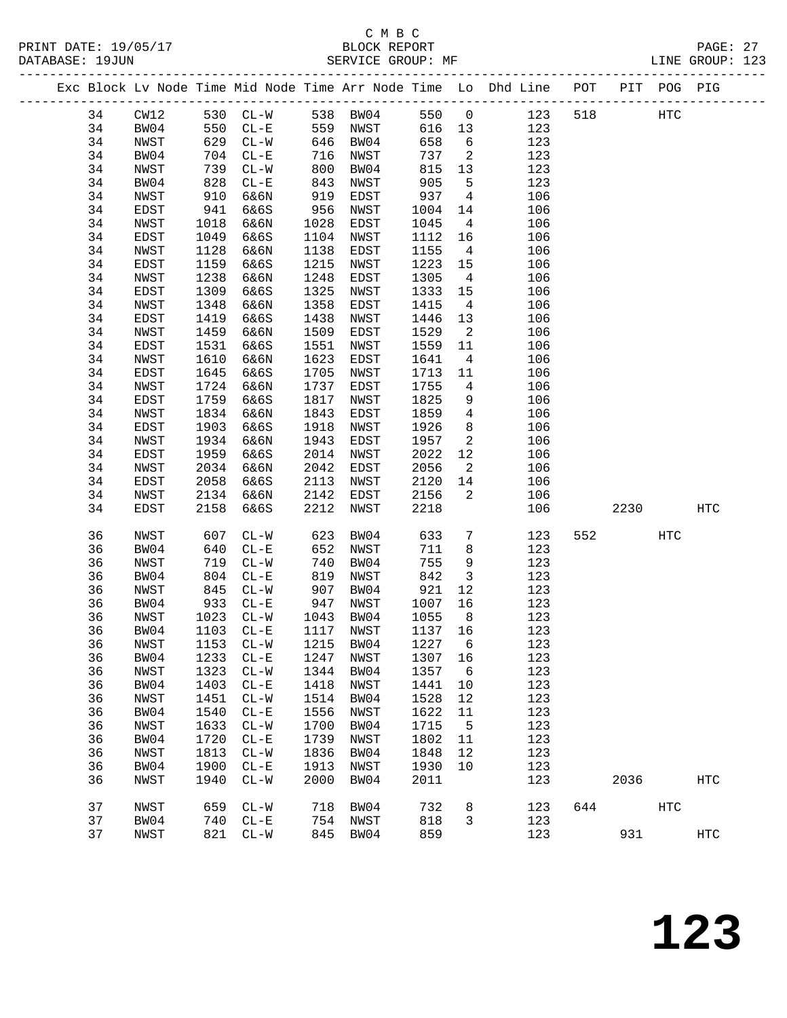|  |    |      |      |                   |      |           |         |                            | Exc Block Lv Node Time Mid Node Time Arr Node Time Lo Dhd Line POT PIT POG PIG |     |        |            |     |
|--|----|------|------|-------------------|------|-----------|---------|----------------------------|--------------------------------------------------------------------------------|-----|--------|------------|-----|
|  | 34 | CW12 |      | 530 CL-W 538 BW04 |      |           | 550     | $\overline{0}$             | 123                                                                            | 518 |        | HTC        |     |
|  | 34 | BW04 | 550  | $CL - E$          |      | 559 NWST  | 616     | 13                         | 123                                                                            |     |        |            |     |
|  | 34 | NWST | 629  | $CL-W$            | 646  | BW04      | 658     | $6\overline{6}$            | 123                                                                            |     |        |            |     |
|  | 34 | BW04 | 704  | $CL - E$          | 716  | NWST      | 737     | $\overline{\phantom{a}}^2$ | 123                                                                            |     |        |            |     |
|  | 34 | NWST | 739  | $CL-W$            | 800  | BW04      | 815     | 13                         | 123                                                                            |     |        |            |     |
|  | 34 | BW04 | 828  | $CL - E$          | 843  | NWST      | 905     | 5                          | 123                                                                            |     |        |            |     |
|  | 34 | NWST | 910  | 6&6N              | 919  | EDST      | 937     | $\overline{4}$             | 106                                                                            |     |        |            |     |
|  | 34 | EDST | 941  | 6&6S              | 956  | NWST      | 1004    | 14                         | 106                                                                            |     |        |            |     |
|  | 34 | NWST | 1018 | 6&6N              | 1028 | EDST      | 1045    | $\overline{4}$             | 106                                                                            |     |        |            |     |
|  | 34 | EDST | 1049 | 6&6S              | 1104 | NWST      | 1112    | 16                         | 106                                                                            |     |        |            |     |
|  | 34 | NWST | 1128 | 6&6N              | 1138 | EDST      | 1155    | $\overline{4}$             | 106                                                                            |     |        |            |     |
|  | 34 | EDST | 1159 | 6&6S              | 1215 | NWST      | 1223    | 15                         | 106                                                                            |     |        |            |     |
|  | 34 | NWST | 1238 | 6&6N              | 1248 | EDST      | 1305    | $\overline{4}$             | 106                                                                            |     |        |            |     |
|  | 34 | EDST | 1309 | 6&6S              | 1325 | NWST      | 1333    | 15                         | 106                                                                            |     |        |            |     |
|  | 34 | NWST | 1348 | 6&6N              | 1358 | EDST      | 1415    | $\overline{4}$             | 106                                                                            |     |        |            |     |
|  | 34 | EDST | 1419 | 6&6S              | 1438 | NWST      | 1446    | 13                         | 106                                                                            |     |        |            |     |
|  | 34 | NWST | 1459 | 6&6N              | 1509 | EDST      | 1529    | $\overline{\phantom{a}}^2$ | 106                                                                            |     |        |            |     |
|  | 34 | EDST | 1531 | 6&6S              | 1551 | NWST      | 1559    | 11                         | 106                                                                            |     |        |            |     |
|  | 34 | NWST | 1610 | 6&6N              | 1623 | EDST      | 1641    | $\overline{4}$             | 106                                                                            |     |        |            |     |
|  | 34 | EDST | 1645 | 6&6S              | 1705 | NWST      | 1713    | 11                         | 106                                                                            |     |        |            |     |
|  | 34 | NWST | 1724 | 6&6N              | 1737 | EDST      | 1755    | $\overline{4}$             | 106                                                                            |     |        |            |     |
|  | 34 | EDST | 1759 | 6&6S              | 1817 | NWST      | 1825    | 9                          | 106                                                                            |     |        |            |     |
|  | 34 | NWST | 1834 | 6&6N              | 1843 | EDST      | 1859    | $\overline{4}$             | 106                                                                            |     |        |            |     |
|  | 34 | EDST | 1903 | 6&6S              | 1918 | NWST      | 1926    | 8                          | 106                                                                            |     |        |            |     |
|  | 34 | NWST | 1934 | 6&6N              | 1943 | EDST      | 1957    | 2                          | 106                                                                            |     |        |            |     |
|  | 34 | EDST | 1959 | 6&6S              | 2014 | NWST      | 2022    | 12                         | 106                                                                            |     |        |            |     |
|  | 34 | NWST | 2034 | 6&6N              | 2042 | EDST      | 2056    | $\overline{2}$             | 106                                                                            |     |        |            |     |
|  | 34 | EDST | 2058 | 6&6S              | 2113 | NWST      | 2120    | 14                         | 106                                                                            |     |        |            |     |
|  | 34 | NWST | 2134 | 6&6N              | 2142 | EDST      | 2156    | $\overline{2}$             | 106                                                                            |     |        |            |     |
|  | 34 | EDST | 2158 | 6&6S              | 2212 | NWST      | 2218    |                            | 106                                                                            |     | 2230   |            | HTC |
|  | 36 | NWST | 607  | $CL-W$            | 623  | BW04      | 633     | $7\phantom{.0}$            | 123                                                                            |     | 552 31 | <b>HTC</b> |     |
|  | 36 | BW04 | 640  | $CL-E$            | 652  | NWST      | 711     | 8                          | 123                                                                            |     |        |            |     |
|  | 36 | NWST | 719  | $CL-W$            | 740  | BW04      | 755     | 9                          | 123                                                                            |     |        |            |     |
|  | 36 | BW04 | 804  | $CL - E$          | 819  | NWST      | 842     | $\overline{\mathbf{3}}$    | 123                                                                            |     |        |            |     |
|  | 36 | NWST | 845  | $CL-W$            | 907  | BW04      | 921     | 12                         | 123                                                                            |     |        |            |     |
|  | 36 | BW04 | 933  | $CL-E$            | 947  | NWST      | 1007    | 16                         | 123                                                                            |     |        |            |     |
|  | 36 | NWST | 1023 | $CL-W$            | 1043 | BW04      | 1055    | 8 <sup>8</sup>             | 123                                                                            |     |        |            |     |
|  | 36 | BW04 | 1103 | $CL - E$          |      | 1117 NWST | 1137 16 |                            | 123                                                                            |     |        |            |     |
|  | 36 | NWST |      | 1153 CL-W         |      | 1215 BW04 | 1227 6  |                            | 123                                                                            |     |        |            |     |
|  | 36 | BW04 | 1233 | $CL-E$            | 1247 | NWST      | 1307    | 16                         | 123                                                                            |     |        |            |     |
|  | 36 | NWST | 1323 | $CL-W$            | 1344 | BW04      | 1357    | 6                          | 123                                                                            |     |        |            |     |
|  | 36 | BW04 | 1403 | $CL - E$          | 1418 | NWST      | 1441    | 10                         | 123                                                                            |     |        |            |     |
|  | 36 | NWST | 1451 | $CL-W$            | 1514 | BW04      | 1528    | 12                         | 123                                                                            |     |        |            |     |
|  | 36 | BW04 | 1540 | $CL - E$          | 1556 | NWST      | 1622    | 11                         | 123                                                                            |     |        |            |     |
|  | 36 | NWST | 1633 | $CL - W$          | 1700 | BW04      | 1715    | $5^{\circ}$                | 123                                                                            |     |        |            |     |
|  | 36 | BW04 | 1720 | $CL - E$          | 1739 | NWST      | 1802    | 11                         | 123                                                                            |     |        |            |     |
|  | 36 | NWST | 1813 | $CL-W$            | 1836 | BW04      | 1848    | 12                         | 123                                                                            |     |        |            |     |
|  | 36 | BW04 | 1900 | $CL - E$          | 1913 | NWST      | 1930    | 10                         | 123                                                                            |     |        |            |     |
|  | 36 | NWST | 1940 | $CL - W$          | 2000 | BW04      | 2011    |                            | 123                                                                            |     | 2036   |            | HTC |
|  | 37 | NWST | 659  | $CL-W$            | 718  | BW04      | 732     | 8                          | 123                                                                            | 644 |        | HTC        |     |
|  | 37 | BW04 | 740  | $CL - E$          | 754  | NWST      | 818     | 3                          | 123                                                                            |     |        |            |     |
|  | 37 | NWST |      | 821 CL-W          |      | 845 BW04  | 859     |                            | 123                                                                            |     | 931    |            | HTC |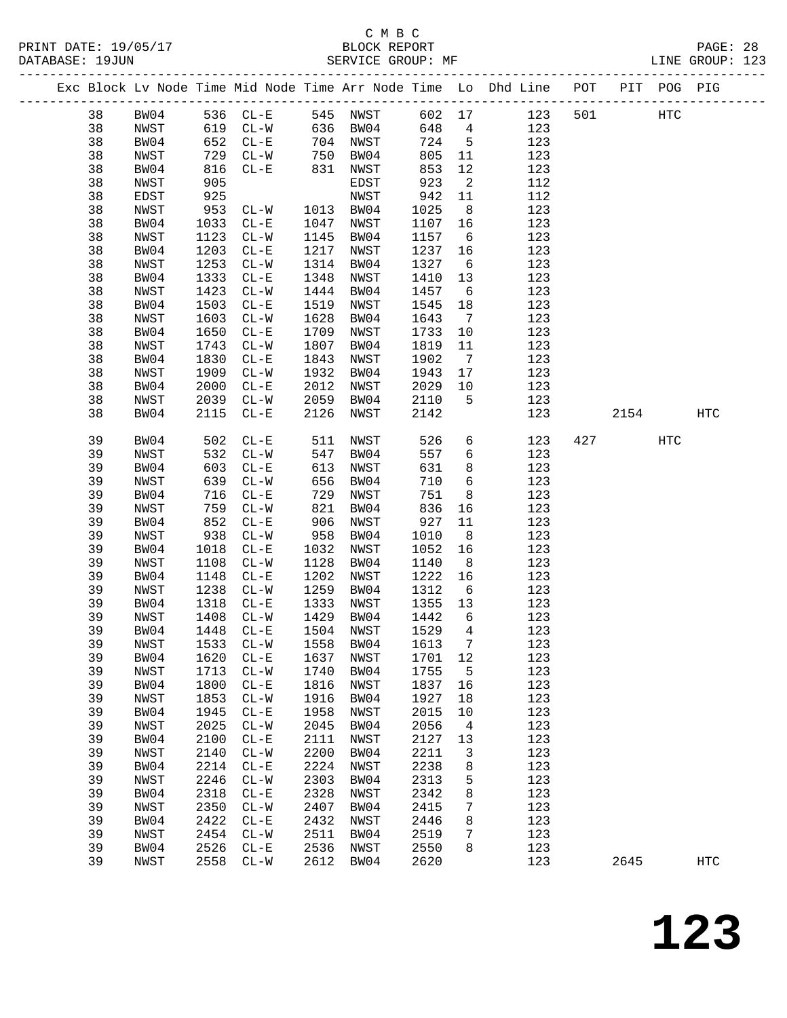|  |    |      |            |                          |      |                      |        |                 | Exc Block Lv Node Time Mid Node Time Arr Node Time Lo Dhd Line POT PIT POG PIG |     |      |     |                   |
|--|----|------|------------|--------------------------|------|----------------------|--------|-----------------|--------------------------------------------------------------------------------|-----|------|-----|-------------------|
|  | 38 | BW04 |            | 536 CL-E 545 NWST        |      |                      | 602 17 |                 | 123                                                                            | 501 |      | HTC |                   |
|  | 38 | NWST |            | 619 CL-W                 |      | 636 BW04             | 648 4  |                 | 123                                                                            |     |      |     |                   |
|  | 38 | BW04 | 652<br>729 | $CL-E$                   |      |                      | 724 5  |                 | 123                                                                            |     |      |     |                   |
|  | 38 | NWST | 729        | $CL-W$                   |      | 704 NWST<br>750 BW04 | 805    | 11              | 123                                                                            |     |      |     |                   |
|  | 38 | BW04 | 816        | $CL - E$                 | 831  | NWST                 | 853    | 12              | 123                                                                            |     |      |     |                   |
|  | 38 | NWST | 905        |                          |      | EDST                 | 923    | $\overline{2}$  | 112                                                                            |     |      |     |                   |
|  | 38 | EDST | 925        |                          |      | NWST                 | 942    | 11              | 112                                                                            |     |      |     |                   |
|  | 38 | NWST | 953        | $CL-W$                   |      | 1013 BW04            | 1025   | 8 <sup>8</sup>  | 123                                                                            |     |      |     |                   |
|  | 38 | BW04 | 1033       | $CL - E$                 | 1047 | NWST                 | 1107   | 16              | 123                                                                            |     |      |     |                   |
|  | 38 | NWST | 1123       | $CL - W$                 | 1145 | BW04                 | 1157   | $6\overline{6}$ | 123                                                                            |     |      |     |                   |
|  | 38 | BW04 | 1203       | $CL - E$                 | 1217 | NWST                 | 1237   | 16              | 123                                                                            |     |      |     |                   |
|  | 38 | NWST | 1253       | $CL - W$                 | 1314 | BW04                 | 1327   | $6\overline{6}$ | 123                                                                            |     |      |     |                   |
|  | 38 | BW04 | 1333       | $CL-E$                   | 1348 | NWST                 | 1410   | 13              | 123                                                                            |     |      |     |                   |
|  | 38 | NWST | 1423       | $CL-W$                   | 1444 | BW04                 | 1457   | $6\overline{6}$ | 123                                                                            |     |      |     |                   |
|  | 38 | BW04 | 1503       | $CL-E$                   | 1519 | NWST                 | 1545   | 18              | 123                                                                            |     |      |     |                   |
|  | 38 | NWST | 1603       | $CL - W$                 | 1628 | BW04                 | 1643   | $\overline{7}$  | 123                                                                            |     |      |     |                   |
|  | 38 | BW04 | 1650       | $CL-E$                   | 1709 | NWST                 | 1733   | 10              | 123                                                                            |     |      |     |                   |
|  | 38 | NWST | 1743       | $CL-W$                   | 1807 | BW04                 | 1819   | 11              | 123                                                                            |     |      |     |                   |
|  | 38 | BW04 | 1830       | $CL - E$                 | 1843 | NWST                 | 1902   | $\overline{7}$  | 123                                                                            |     |      |     |                   |
|  | 38 | NWST | 1909       | $CL-W$                   | 1932 | BW04                 | 1943   | 17              | 123                                                                            |     |      |     |                   |
|  | 38 | BW04 | 2000       | $CL - E$                 | 2012 | NWST                 | 2029   | 10              | 123                                                                            |     |      |     |                   |
|  | 38 | NWST | 2039       | $CL-W$                   | 2059 | BW04                 | 2110   | $5^{\circ}$     | 123                                                                            |     |      |     |                   |
|  | 38 | BW04 | 2115       | $CL - E$                 | 2126 | NWST                 | 2142   |                 | 123                                                                            |     | 2154 |     | HTC               |
|  |    |      |            |                          |      |                      |        |                 |                                                                                |     |      |     |                   |
|  | 39 | BW04 | 502        | $CL - E$                 | 511  | NWST                 | 526    | 6               | 123                                                                            | 427 |      | HTC |                   |
|  | 39 | NWST | 532        | $CL-W$                   | 547  | BW04                 | 557    | $6\overline{6}$ | 123                                                                            |     |      |     |                   |
|  | 39 | BW04 | 603        | $CL - E$                 | 613  | NWST                 | 631    | 8               | 123                                                                            |     |      |     |                   |
|  | 39 | NWST | 639        | $CL - W$                 | 656  | BW04                 | 710    | $6\overline{6}$ | 123                                                                            |     |      |     |                   |
|  | 39 | BW04 | 716        | $CL - E$                 | 729  | NWST                 | 751    | 8               | 123                                                                            |     |      |     |                   |
|  | 39 | NWST | 759        | $CL-W$                   | 821  | BW04                 | 836    | 16              | 123                                                                            |     |      |     |                   |
|  | 39 | BW04 | 852        | $CL - E$                 | 906  | NWST                 | 927    | 11              | 123                                                                            |     |      |     |                   |
|  | 39 | NWST | 938        | $CL - W$                 | 958  | BW04                 | 1010   | 8 <sup>8</sup>  | 123                                                                            |     |      |     |                   |
|  | 39 | BW04 | 1018       | $CL - E$                 | 1032 | NWST                 | 1052   | 16              | 123                                                                            |     |      |     |                   |
|  | 39 | NWST | 1108       | $CL-W$                   | 1128 | BW04                 | 1140   | 8 <sup>8</sup>  | 123                                                                            |     |      |     |                   |
|  | 39 | BW04 | 1148       | $CL - E$                 | 1202 | NWST                 | 1222   | 16              | 123                                                                            |     |      |     |                   |
|  | 39 | NWST | 1238       | $CL-W$                   | 1259 | BW04                 | 1312   | $6\overline{6}$ | 123                                                                            |     |      |     |                   |
|  | 39 | BW04 | 1318       | $CL - E$                 | 1333 | NWST                 | 1355   | 13              | 123                                                                            |     |      |     |                   |
|  | 39 | NWST | 1408       | $CL - W$                 | 1429 | BW04                 | 1442   | 6               | 123                                                                            |     |      |     |                   |
|  | 39 | BW04 | 1448       | $CL - E$                 |      | 1504 NWST            | 1529   | $\overline{4}$  | 123                                                                            |     |      |     |                   |
|  | 39 | NWST |            | 1533 CL-W 1558 BW04      |      |                      | 1613 7 |                 | 123                                                                            |     |      |     |                   |
|  | 39 | BW04 | 1620       | $CL - E$                 | 1637 | NWST                 | 1701   | 12              | 123                                                                            |     |      |     |                   |
|  | 39 | NWST | 1713       | $\mathtt{CL-}\mathtt{W}$ | 1740 | BW04                 | 1755   | 5               | 123                                                                            |     |      |     |                   |
|  | 39 | BW04 | 1800       | $CL - E$                 | 1816 | NWST                 | 1837   | 16              | 123                                                                            |     |      |     |                   |
|  | 39 | NWST | 1853       | $\mathtt{CL-}\mathtt{W}$ | 1916 | BW04                 | 1927   | 18              | 123                                                                            |     |      |     |                   |
|  | 39 | BW04 | 1945       | $CL - E$                 | 1958 | NWST                 | 2015   | 10              | 123                                                                            |     |      |     |                   |
|  | 39 | NWST | 2025       | $\mathtt{CL}-\mathtt{W}$ | 2045 | BW04                 | 2056   | 4               | 123                                                                            |     |      |     |                   |
|  | 39 | BW04 | 2100       | $CL - E$                 | 2111 | NWST                 | 2127   | 13              | 123                                                                            |     |      |     |                   |
|  | 39 | NWST | 2140       | $\mathtt{CL-}\mathtt{W}$ | 2200 | BW04                 | 2211   | 3               | 123                                                                            |     |      |     |                   |
|  | 39 | BW04 | 2214       | $\rm CL-E$               | 2224 | NWST                 | 2238   | 8               | 123                                                                            |     |      |     |                   |
|  | 39 | NWST | 2246       | $\mathtt{CL-}\mathtt{W}$ | 2303 | BW04                 | 2313   | 5               | 123                                                                            |     |      |     |                   |
|  | 39 | BW04 | 2318       | $CL - E$                 | 2328 | NWST                 | 2342   | 8               | 123                                                                            |     |      |     |                   |
|  | 39 | NWST | 2350       | $CL-W$                   | 2407 | BW04                 | 2415   | 7               | 123                                                                            |     |      |     |                   |
|  | 39 | BW04 | 2422       | $\rm CL-E$               | 2432 | NWST                 | 2446   | 8               | 123                                                                            |     |      |     |                   |
|  | 39 | NWST | 2454       | $CL-W$                   | 2511 | BW04                 | 2519   | 7               | 123                                                                            |     |      |     |                   |
|  | 39 | BW04 | 2526       | $CL - E$                 | 2536 | NWST                 | 2550   | 8               | 123                                                                            |     |      |     |                   |
|  | 39 | NWST | 2558       | $CL-W$                   | 2612 | BW04                 | 2620   |                 | 123                                                                            |     | 2645 |     | $_{\mathrm{HTC}}$ |
|  |    |      |            |                          |      |                      |        |                 |                                                                                |     |      |     |                   |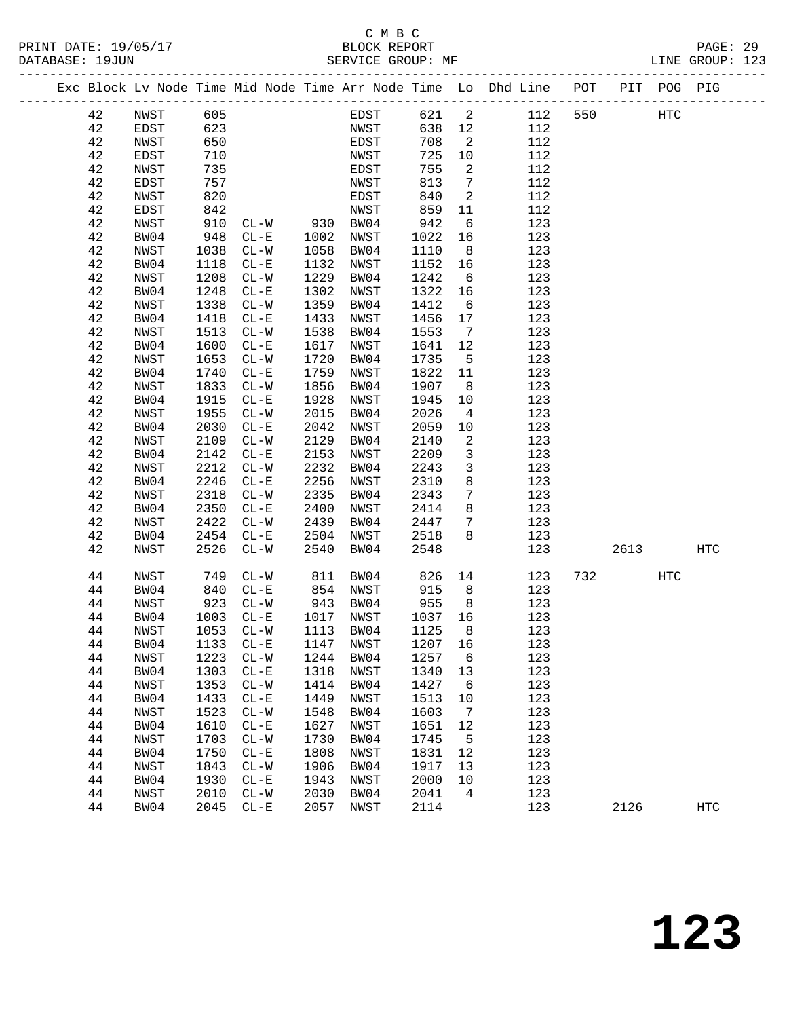#### C M B C<br>BLOCK REPORT PRINT DATE: 19/05/17 BLOCK REPORT PAGE: 29 SERVICE GROUP: MF

|  |          |                          |              |                    |                                                |                   |              |                            | Exc Block Lv Node Time Mid Node Time Arr Node Time Lo Dhd Line POT PIT POG PIG |     |      |     |             |
|--|----------|--------------------------|--------------|--------------------|------------------------------------------------|-------------------|--------------|----------------------------|--------------------------------------------------------------------------------|-----|------|-----|-------------|
|  | 42       | NWST                     | 605          |                    |                                                | EDST              | 621 2        |                            | 112                                                                            | 550 | HTC  |     |             |
|  | 42       | EDST                     | 623          |                    |                                                | NWST              | 638          | 12                         | 112                                                                            |     |      |     |             |
|  | 42       | NWST                     | 650          |                    |                                                | EDST              | 708          | $\overline{\phantom{a}}^2$ | 112                                                                            |     |      |     |             |
|  | 42       | EDST                     | 710          |                    |                                                | NWST              | 725          | 10                         | 112                                                                            |     |      |     |             |
|  | 42       | NWST                     | 735          |                    |                                                | EDST              | 755          | $\overline{2}$             | 112                                                                            |     |      |     |             |
|  | 42       | EDST                     | 757          |                    |                                                | NWST              | 813          | $7\overline{ }$            | 112                                                                            |     |      |     |             |
|  | 42       | NWST                     | 820          |                    |                                                | EDST              | 840          | $\overline{\phantom{a}}$   | 112                                                                            |     |      |     |             |
|  | 42       | EDST                     |              |                    |                                                |                   | 859          | 11                         | 112                                                                            |     |      |     |             |
|  | 42       | NWST                     |              |                    | 2001<br>910 CL-W 930 BW04<br>948 CL-E 1002 --- |                   | 942          | 6                          | 123                                                                            |     |      |     |             |
|  | 42       | BW04                     |              |                    |                                                |                   | 1022         | 16                         | 123                                                                            |     |      |     |             |
|  | 42       | NWST                     | 1038         | $CL-W$             | 1058                                           | BW04              | 1110         | 8 <sup>8</sup>             | 123                                                                            |     |      |     |             |
|  | 42       | BW04                     | 1118         | $CL - E$           | 1132                                           | NWST              | 1152         | 16                         | 123                                                                            |     |      |     |             |
|  | 42       | NWST                     | 1208         | $CL - W$           | 1229                                           | BW04              | 1242         | $6\overline{6}$            | 123                                                                            |     |      |     |             |
|  | 42       | BW04                     | 1248         | $CL - E$           | 1302                                           | NWST              | 1322         | 16                         | 123                                                                            |     |      |     |             |
|  | 42       | NWST                     | 1338         | $CL-W$             | 1359                                           | BW04              | 1412         | $6\overline{6}$            | 123                                                                            |     |      |     |             |
|  | 42       | BW04                     | 1418         | $CL - E$           | 1433                                           | NWST              | 1456         | 17                         | 123                                                                            |     |      |     |             |
|  | 42       | NWST                     | 1513         | $CL-W$             | 1538                                           | BW04              | 1553         | $\overline{7}$             | 123                                                                            |     |      |     |             |
|  | 42       | BW04                     | 1600         | $CL - E$           | 1617                                           | NWST              | 1641         | 12                         | 123                                                                            |     |      |     |             |
|  | 42       | NWST                     | 1653         | $CL-W$             | 1720                                           | BW04              | 1735         | $5^{\circ}$                | 123                                                                            |     |      |     |             |
|  | 42       | BW04                     | 1740         | $CL-E$             | 1759                                           | NWST              | 1822         | 11                         | 123                                                                            |     |      |     |             |
|  | 42       | NWST                     | 1833         | $CL-W$             | 1856                                           | BW04              | 1907         | 8 <sup>8</sup>             | 123                                                                            |     |      |     |             |
|  | 42       | BW04                     | 1915         | $CL - E$           | 1928                                           | NWST              | 1945         | 10                         | 123                                                                            |     |      |     |             |
|  | 42       | NWST                     | 1955         | $CL-W$             | 2015                                           | BW04              | 2026         | $\overline{4}$             | 123                                                                            |     |      |     |             |
|  | 42       | BW04                     | 2030         | $CL-E$             | 2042                                           | NWST              | 2059         | 10                         | 123                                                                            |     |      |     |             |
|  | 42       | NWST                     | 2109         | $CL - W$           | 2129                                           | BW04              | 2140         | 2                          | 123                                                                            |     |      |     |             |
|  | 42       | BW04                     | 2142         | $CL - E$           | 2153                                           | NWST              | 2209         | $\mathbf{3}$               | 123                                                                            |     |      |     |             |
|  | 42       | NWST                     | 2212         | $CL-W$             | 2232                                           | BW04              | 2243         | $\mathbf{3}$               | 123                                                                            |     |      |     |             |
|  | 42       | BW04                     | 2246         | $CL - E$           | 2256                                           | NWST              | 2310         | 8                          | 123                                                                            |     |      |     |             |
|  | 42       | NWST                     | 2318         | $CL-W$             | 2335                                           | BW04              | 2343         | $7\phantom{.0}$<br>8       | 123                                                                            |     |      |     |             |
|  | 42<br>42 | BW04                     | 2350<br>2422 | $CL - E$<br>$CL-W$ | 2400<br>2439                                   | NWST              | 2414<br>2447 | $7\phantom{.0}$            | 123<br>123                                                                     |     |      |     |             |
|  | 42       | NWST<br>BW04             | 2454         | $CL - E$           |                                                | BW04<br>2504 NWST | 2518         | 8                          | 123                                                                            |     |      |     |             |
|  | 42       | NWST                     | 2526         | $CL - W$           | 2540                                           | BW04              | 2548         |                            | 123                                                                            |     | 2613 |     | HTC         |
|  |          |                          |              |                    |                                                |                   |              |                            |                                                                                |     |      |     |             |
|  | 44       | NWST                     | 749          | $CL - W$           | 811                                            | BW04              | 826          | 14                         | 123                                                                            | 732 |      | HTC |             |
|  | 44       | BW04                     | 840          | $CL-E$             | 854 NWST                                       |                   | 915          | 8 <sup>8</sup>             | 123                                                                            |     |      |     |             |
|  | 44       | NWST                     | 923          | $CL - W$           | 943 BW04                                       |                   | 955          | 8 <sup>8</sup>             | 123                                                                            |     |      |     |             |
|  | 44       | BW04                     | 1003         | $CL-E$             |                                                | 1017 NWST         | 1037         | 16                         | 123                                                                            |     |      |     |             |
|  | 44       | NWST                     |              | 1053 CL-W          |                                                | 1113 BW04         | 1125         | 8                          | 123                                                                            |     |      |     |             |
|  | 44       | BW04 1133 CL-E 1147 NWST |              |                    |                                                |                   | 1207 16      |                            | 123                                                                            |     |      |     |             |
|  | 44       | NWST                     | 1223         | $CL-W$             | 1244                                           | BW04              | 1257         | $6\overline{6}$            | 123                                                                            |     |      |     |             |
|  | 44       | BW04                     | 1303         | $CL - E$           | 1318                                           | NWST              | 1340         | 13                         | 123                                                                            |     |      |     |             |
|  | 44       | NWST                     | 1353         | $CL - W$           | 1414                                           | BW04              | 1427         | $6\overline{6}$            | 123                                                                            |     |      |     |             |
|  | 44       | BW04                     | 1433         | $CL - E$           | 1449                                           | NWST              | 1513         | 10                         | 123                                                                            |     |      |     |             |
|  | 44       | NWST                     | 1523         | $CL-W$             | 1548                                           | BW04              | 1603         | $\overline{7}$             | 123                                                                            |     |      |     |             |
|  | 44       | BW04                     | 1610         | $CL - E$           | 1627                                           | NWST              | 1651         | 12                         | 123                                                                            |     |      |     |             |
|  | 44       | NWST                     | 1703         | $CL - W$           | 1730                                           | BW04              | 1745         | $5^{\circ}$                | 123                                                                            |     |      |     |             |
|  | 44       | BW04                     | 1750         | $CL - E$           | 1808                                           | NWST              | 1831         | 12                         | 123                                                                            |     |      |     |             |
|  | 44       | NWST                     | 1843         | $CL - W$           | 1906                                           | BW04              | 1917         | 13                         | 123                                                                            |     |      |     |             |
|  | 44       | BW04                     | 1930         | $CL - E$           | 1943                                           | NWST              | 2000         | 10                         | 123                                                                            |     |      |     |             |
|  | 44<br>44 | NWST                     | 2010         | $CL - W$           | 2030                                           | BW04              | 2041<br>2114 | $\overline{4}$             | 123                                                                            |     |      |     |             |
|  |          | BW04                     | 2045         | $CL - E$           | 2057                                           | NWST              |              |                            | 123                                                                            |     | 2126 |     | ${\tt HTC}$ |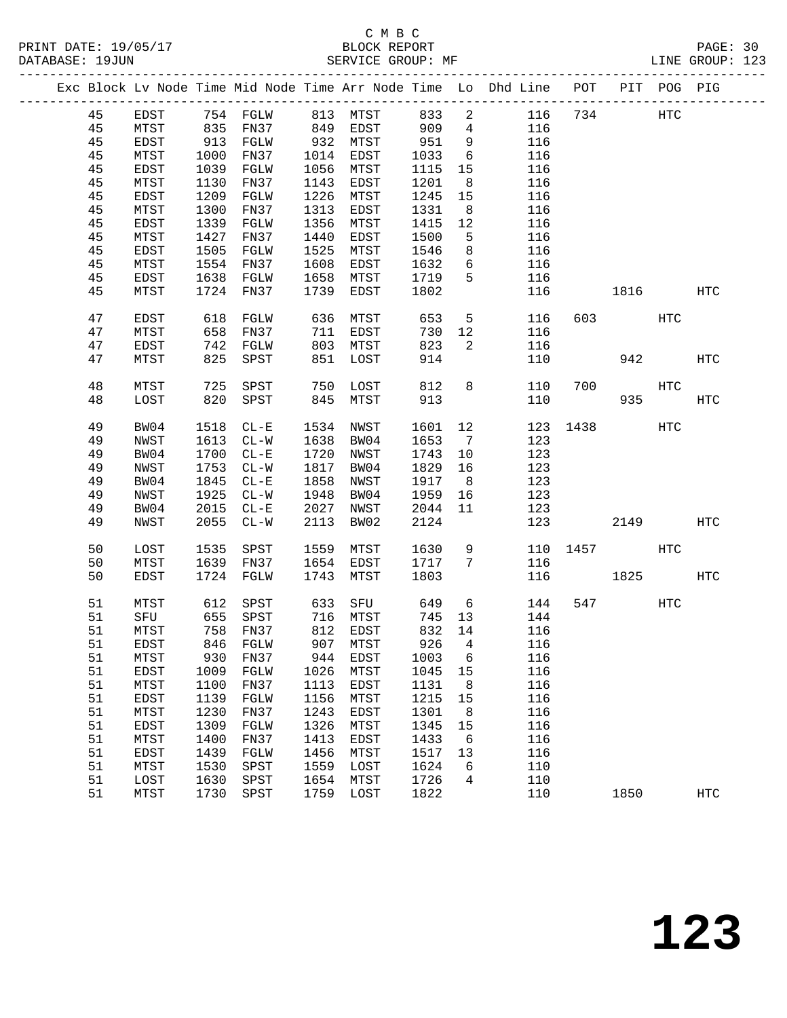|  |          |              |              |                           |              |              |              |                 | Exc Block Lv Node Time Mid Node Time Arr Node Time Lo Dhd Line POT PIT POG PIG |     |           |              |            |
|--|----------|--------------|--------------|---------------------------|--------------|--------------|--------------|-----------------|--------------------------------------------------------------------------------|-----|-----------|--------------|------------|
|  | 45       | EDST         |              | 754 FGLW 813 MTST 833     |              |              |              | $\overline{a}$  | 116                                                                            |     | 734 HTC   |              |            |
|  | 45       | MTST         |              | 835 FN37 849 EDST 909     |              |              |              | $\overline{4}$  | 116                                                                            |     |           |              |            |
|  | 45       | EDST         | 913          | FGLW                      |              | 932 MTST     | 951          | 9               | 116                                                                            |     |           |              |            |
|  | 45       | MTST         | 1000         | FN37                      |              | 1014 EDST    | 1033         | $6\overline{6}$ | 116                                                                            |     |           |              |            |
|  | 45       | EDST         | 1039         | FGLW                      |              | 1056 MTST    | 1115         | 15              | 116                                                                            |     |           |              |            |
|  | 45       | MTST         | 1130         | FN37                      | 1143         | EDST         | 1201         | 8 <sup>8</sup>  | 116                                                                            |     |           |              |            |
|  | 45       | EDST         | 1209         | FGLW                      | 1226         | MTST         | 1245         | 15              | 116                                                                            |     |           |              |            |
|  | 45       | MTST         | 1300         | FN37                      | 1313         | EDST         | 1331         | 8 <sup>8</sup>  | 116                                                                            |     |           |              |            |
|  | 45       | EDST         | 1339         | FGLW                      | 1356         | MTST         | 1415         | 12              | 116                                                                            |     |           |              |            |
|  | 45       | MTST         | 1427         | FN37                      | 1440         | EDST         | 1500         | $5^{\circ}$     | 116                                                                            |     |           |              |            |
|  | 45       | EDST         | 1505         | FGLW                      | 1525         | MTST         | 1546         | 8               | 116                                                                            |     |           |              |            |
|  | 45       | MTST         | 1554         | FN37                      | 1608         | EDST         | 1632         | 6               | 116                                                                            |     |           |              |            |
|  | 45       | EDST         | 1638         | FGLW                      | 1658         | MTST         | 1719         | 5               | 116                                                                            |     |           |              |            |
|  | 45       | MTST         |              | 1724 FN37                 | 1739         | EDST         | 1802         |                 | 116                                                                            |     | 1816      |              | HTC        |
|  | 47       | EDST         | 618          | FGLW                      | 636          | MTST         | 653          | $5\overline{)}$ | 116                                                                            |     | 603 — 100 | HTC          |            |
|  | 47       | MTST         | 658          | FN37                      |              | 711 EDST     | 730          | 12              | 116                                                                            |     |           |              |            |
|  | 47       | EDST         |              | 742 FGLW                  |              | 803 MTST     | 823          | $\overline{2}$  | 116                                                                            |     |           |              |            |
|  | 47       | MTST         | 825          | SPST                      | 851          | LOST         | 914          |                 | 110                                                                            |     | 942       |              | HTC        |
|  | 48       | MTST         | 725          | SPST                      | 750          | LOST         | 812          | 8               | 110                                                                            | 700 |           | HTC          |            |
|  | 48       | LOST         | 820          | SPST                      | 845          | MTST         | 913          |                 | 110                                                                            |     | 935       |              | HTC        |
|  | 49       | BW04         | 1518         | $CL - E$                  | 1534         | NWST         | 1601         | 12              | 123                                                                            |     | 1438      | HTC          |            |
|  | 49       | NWST         |              | 1613 CL-W                 |              | 1638 BW04    | 1653         | 7               | 123                                                                            |     |           |              |            |
|  | 49       | BW04         | 1700         | $CL - E$                  | 1720         | NWST         | 1743         | 10              | 123                                                                            |     |           |              |            |
|  | 49       | NWST         | 1753         | $CL-W$                    | 1817         | BW04         | 1829         | 16              | 123                                                                            |     |           |              |            |
|  | 49       | BW04         | 1845         | $CL - E$                  | 1858         | NWST         | 1917         | 8 <sup>8</sup>  | 123                                                                            |     |           |              |            |
|  | 49       | NWST         | 1925         | $CL-W$                    | 1948         | BW04         | 1959         | 16              | 123                                                                            |     |           |              |            |
|  | 49       | BW04         | 2015         | $CL - E$                  | 2027         | NWST         | 2044         | 11              | 123                                                                            |     |           |              |            |
|  | 49       | NWST         | 2055         | $CL - W$                  | 2113         | BW02         | 2124         |                 | 123                                                                            |     | 2149      |              | <b>HTC</b> |
|  | 50       | LOST         | 1535         | SPST                      | 1559         | MTST         | 1630         | 9               | 110                                                                            |     | 1457 146  | HTC          |            |
|  | 50       | MTST         |              | 1639 FN37                 |              | 1654 EDST    | 1717         | $7\phantom{0}$  | 116                                                                            |     |           |              |            |
|  | 50       | EDST         |              | 1724 FGLW                 | 1743         | MTST         | 1803         |                 | 116                                                                            |     | 1825      |              | HTC        |
|  | 51       | MTST         | 612          | SPST                      | 633          | SFU          | 649          | $6\overline{6}$ | 144                                                                            |     | 547       | $_{\rm HTC}$ |            |
|  | 51       | SFU          | 655          | SPST                      |              |              | 745          | 13              | 144                                                                            |     |           |              |            |
|  | 51       | MTST         |              | 758 FN37                  |              |              | 832 14       |                 | 116                                                                            |     |           |              |            |
|  |          |              |              | 51 EDST 846 FGLW 907 MTST |              |              |              |                 | 926 4 116                                                                      |     |           |              |            |
|  | 51       | MTST         | 930          | FN37                      | 944          | EDST         | 1003         | 6               | 116                                                                            |     |           |              |            |
|  | 51       | EDST         | 1009         | FGLW                      | 1026         | MTST         | 1045         | 15              | 116                                                                            |     |           |              |            |
|  | 51       | MTST         | 1100         | FN37                      | 1113         | EDST         | 1131         | 8               | 116                                                                            |     |           |              |            |
|  | 51       | EDST         | 1139         | FGLW                      | 1156         | MTST         | 1215         | 15              | 116                                                                            |     |           |              |            |
|  | 51       | MTST         | 1230         | FN37                      | 1243         | EDST         | 1301         | 8               | 116                                                                            |     |           |              |            |
|  | 51       | EDST         | 1309         | FGLW                      | 1326         | MTST         | 1345         | 15              | 116                                                                            |     |           |              |            |
|  | 51       | MTST         | 1400         | FN37                      | 1413         | EDST         | 1433         | $6\overline{6}$ | 116                                                                            |     |           |              |            |
|  | 51<br>51 | EDST         | 1439         | FGLW                      | 1456         | MTST         | 1517         | 13<br>6         | 116                                                                            |     |           |              |            |
|  | 51       | MTST<br>LOST | 1530<br>1630 | SPST<br>SPST              | 1559<br>1654 | LOST<br>MTST | 1624<br>1726 | 4               | 110<br>110                                                                     |     |           |              |            |
|  | 51       | MTST         | 1730         | SPST                      | 1759         | LOST         | 1822         |                 | 110                                                                            |     | 1850      |              | <b>HTC</b> |
|  |          |              |              |                           |              |              |              |                 |                                                                                |     |           |              |            |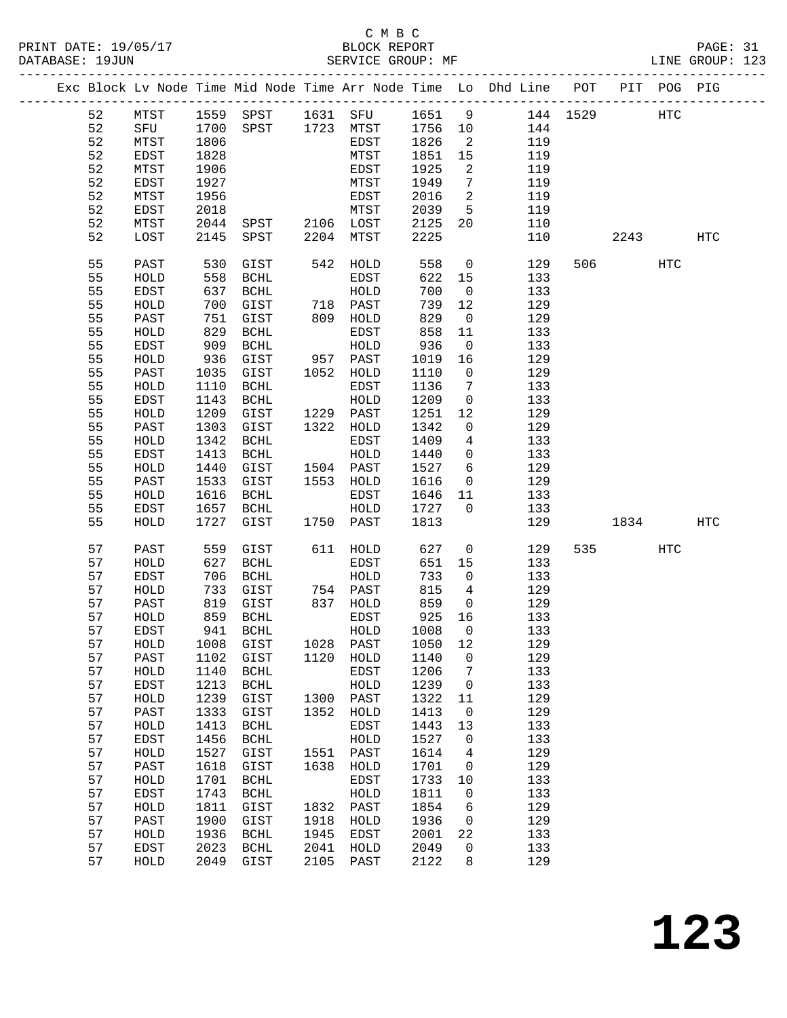|    |              |      |                                  |      |           |         |                            | Exc Block Lv Node Time Mid Node Time Arr Node Time Lo Dhd Line POT PIT POG PIG |         |     |            |
|----|--------------|------|----------------------------------|------|-----------|---------|----------------------------|--------------------------------------------------------------------------------|---------|-----|------------|
| 52 | MTST         |      | 1559 SPST 1631 SFU 1651 9        |      |           |         |                            | 144 1529 HTC                                                                   |         |     |            |
| 52 | SFU          | 1700 | SPST 1723 MTST                   |      |           | 1756 10 |                            | 144                                                                            |         |     |            |
| 52 | MTST         | 1806 |                                  |      | EDST      | 1826    | $\overline{\phantom{a}}^2$ | 119                                                                            |         |     |            |
| 52 | EDST         | 1828 |                                  |      | MTST      | 1851    | 15                         | 119                                                                            |         |     |            |
| 52 | MTST         | 1906 |                                  |      | EDST      | 1925    | $\overline{2}$             | 119                                                                            |         |     |            |
| 52 | EDST         | 1927 |                                  |      | MTST      | 1949    | $\overline{7}$             | 119                                                                            |         |     |            |
| 52 | MTST         | 1956 |                                  |      | EDST      | 2016    | $\overline{2}$             | 119                                                                            |         |     |            |
|    |              |      |                                  |      |           | 2039    | $5^{\circ}$                | 119                                                                            |         |     |            |
| 52 | EDST         | 2018 |                                  |      | MTST      |         |                            |                                                                                |         |     |            |
| 52 | MTST         | 2044 | $SPST$ 2106 LOST                 |      |           | 2125    | 20                         | 110                                                                            |         |     |            |
| 52 | LOST         | 2145 | SPST                             |      | 2204 MTST | 2225    |                            | 110                                                                            | 2243    |     | HTC        |
| 55 | PAST         | 530  | GIST                             |      | 542 HOLD  | 558     | $\overline{0}$             | 129                                                                            | 506 700 | HTC |            |
| 55 | HOLD         | 558  | BCHL                             |      | EDST      | 622     | 15                         | 133                                                                            |         |     |            |
| 55 | EDST         | 637  | BCHL                             |      | HOLD      | 700     | $\overline{0}$             | 133                                                                            |         |     |            |
| 55 | HOLD         | 700  | GIST                             |      | 718 PAST  | 739     | 12                         | 129                                                                            |         |     |            |
| 55 | PAST         | 751  | GIST                             |      | 809 HOLD  | 829     | $\overline{0}$             | 129                                                                            |         |     |            |
| 55 | HOLD         | 829  | BCHL                             |      | EDST      | 858     | 11                         | 133                                                                            |         |     |            |
| 55 | EDST         | 909  | BCHL                             |      | HOLD      | 936     | $\overline{0}$             | 133                                                                            |         |     |            |
| 55 | HOLD         | 936  | GIST                             |      | 957 PAST  | 1019    | 16                         | 129                                                                            |         |     |            |
| 55 | PAST         | 1035 | GIST                             |      | 1052 HOLD | 1110    | $\overline{0}$             | 129                                                                            |         |     |            |
| 55 | ${\tt HOLD}$ | 1110 | BCHL                             |      | EDST      | 1136    | $\overline{7}$             | 133                                                                            |         |     |            |
| 55 | EDST         | 1143 | BCHL                             |      | HOLD      | 1209    | $\overline{0}$             | 133                                                                            |         |     |            |
| 55 | HOLD         | 1209 | GIST                             |      | 1229 PAST | 1251    | 12                         | 129                                                                            |         |     |            |
| 55 | PAST         | 1303 | GIST                             |      | 1322 HOLD | 1342    | $\overline{0}$             | 129                                                                            |         |     |            |
| 55 | HOLD         | 1342 | BCHL                             |      | EDST      | 1409    | $4\overline{ }$            | 133                                                                            |         |     |            |
| 55 | EDST         | 1413 | BCHL                             |      | HOLD      | 1440    | $\mathsf{O}$               | 133                                                                            |         |     |            |
| 55 | HOLD         | 1440 | GIST                             |      | 1504 PAST | 1527    | 6                          | 129                                                                            |         |     |            |
| 55 | PAST         | 1533 | GIST                             |      | 1553 HOLD | 1616    | $\overline{0}$             | 129                                                                            |         |     |            |
|    |              |      |                                  |      |           |         |                            |                                                                                |         |     |            |
| 55 | HOLD         | 1616 | BCHL                             |      | EDST      | 1646    | 11                         | 133                                                                            |         |     |            |
| 55 | EDST         | 1657 | BCHL                             |      | HOLD      | 1727    | $\overline{0}$             | 133                                                                            |         |     |            |
| 55 | HOLD         |      | 1727 GIST                        |      | 1750 PAST | 1813    |                            | 129                                                                            | 1834    |     | <b>HTC</b> |
| 57 | PAST         | 559  | GIST                             |      | 611 HOLD  | 627     | $\overline{0}$             | 129                                                                            | 535 7   | HTC |            |
| 57 | HOLD         | 627  | BCHL                             |      | EDST      | 651     | 15                         | 133                                                                            |         |     |            |
| 57 | EDST         | 706  | BCHL                             |      | HOLD      | 733     | $\overline{0}$             | 133                                                                            |         |     |            |
| 57 | HOLD         | 733  | GIST                             |      | 754 PAST  | 815     | $\overline{4}$             | 129                                                                            |         |     |            |
| 57 | PAST         | 819  | GIST                             |      | 837 HOLD  | 859     | $\overline{\mathbf{0}}$    | 129                                                                            |         |     |            |
| 57 | HOLD         | 859  | BCHL                             |      | EDST      | 925     | 16                         | 133                                                                            |         |     |            |
| 57 | EDST         |      | 941 BCHL                         |      | HOLD      | 1008    | $\overline{0}$             | 133                                                                            |         |     |            |
| 57 |              |      | HOLD 1008 GIST 1028 PAST 1050 12 |      |           |         |                            | 129                                                                            |         |     |            |
| 57 | PAST         | 1102 | GIST                             | 1120 | HOLD      | 1140    | 0                          | 129                                                                            |         |     |            |
| 57 | HOLD         | 1140 | BCHL                             |      | EDST      | 1206    | 7                          | 133                                                                            |         |     |            |
| 57 | EDST         | 1213 | BCHL                             |      | HOLD      | 1239    | $\overline{0}$             | 133                                                                            |         |     |            |
| 57 | HOLD         | 1239 | GIST                             |      | 1300 PAST | 1322    | 11                         | 129                                                                            |         |     |            |
| 57 | PAST         | 1333 | GIST                             | 1352 | HOLD      | 1413    | $\overline{0}$             | 129                                                                            |         |     |            |
| 57 | HOLD         | 1413 | BCHL                             |      | EDST      | 1443    | 13                         | 133                                                                            |         |     |            |
| 57 | EDST         | 1456 | BCHL                             |      | HOLD      | 1527    | $\overline{0}$             | 133                                                                            |         |     |            |
| 57 | HOLD         | 1527 | GIST                             | 1551 | PAST      | 1614    | 4                          | 129                                                                            |         |     |            |
| 57 | PAST         | 1618 | GIST                             | 1638 | HOLD      | 1701    | $\mathbf 0$                | 129                                                                            |         |     |            |
| 57 | HOLD         | 1701 | <b>BCHL</b>                      |      | EDST      | 1733    | 10                         | 133                                                                            |         |     |            |
| 57 | EDST         | 1743 | BCHL                             |      | HOLD      | 1811    | $\mathbf 0$                | 133                                                                            |         |     |            |
| 57 |              | 1811 |                                  | 1832 | PAST      | 1854    | 6                          | 129                                                                            |         |     |            |
|    | HOLD         |      | GIST                             |      |           |         |                            |                                                                                |         |     |            |
| 57 | PAST         | 1900 | GIST                             | 1918 | HOLD      | 1936    | $\mathbf 0$                | 129                                                                            |         |     |            |
| 57 | HOLD         | 1936 | BCHL                             | 1945 | EDST      | 2001    | 22                         | 133                                                                            |         |     |            |
| 57 | EDST         | 2023 | BCHL                             | 2041 | HOLD      | 2049    | $\mathbf 0$                | 133                                                                            |         |     |            |
| 57 | HOLD         |      | 2049 GIST                        | 2105 | PAST      | 2122    | 8                          | 129                                                                            |         |     |            |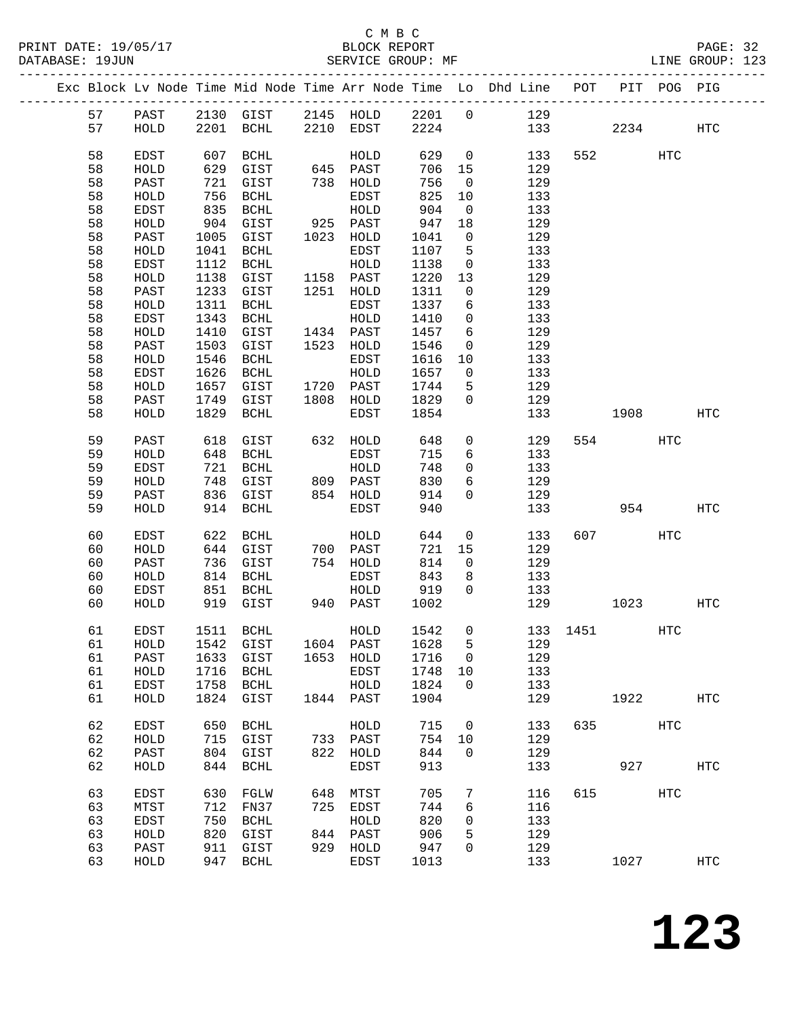|  |          |              |              |                                    |      |                   |              |                                   | Exc Block Lv Node Time Mid Node Time Arr Node Time Lo Dhd Line POT |          |           | PIT POG PIG |                   |
|--|----------|--------------|--------------|------------------------------------|------|-------------------|--------------|-----------------------------------|--------------------------------------------------------------------|----------|-----------|-------------|-------------------|
|  | 57       | PAST         |              |                                    |      |                   |              |                                   | 2130 GIST 2145 HOLD 2201 0 129                                     |          |           |             |                   |
|  | 57       | HOLD         |              | 2201 BCHL                          |      | 2210 EDST         | 2224         |                                   |                                                                    | 133      | 2234      |             | HTC               |
|  |          |              |              |                                    |      |                   |              |                                   |                                                                    |          |           |             |                   |
|  | 58       | EDST         | 607          | BCHL                               |      | HOLD              | 629          | $\overline{0}$                    | 133                                                                |          | 552       | HTC         |                   |
|  | 58       | HOLD         | 629          | GIST                               |      | 645 PAST          | 706          | 15                                | 129                                                                |          |           |             |                   |
|  | 58       | PAST         | 721          | GIST                               |      | 738 HOLD          | 756          | $\overline{0}$                    | 129                                                                |          |           |             |                   |
|  | 58       | HOLD         | 756          | BCHL                               |      | EDST              | 825          | 10                                | 133                                                                |          |           |             |                   |
|  | 58       | EDST         | 835          | BCHL                               |      | HOLD              | 904          | $\overline{0}$                    | 133                                                                |          |           |             |                   |
|  | 58       | HOLD         | 904          | GIST                               |      | 925 PAST          | 947          | 18                                | 129                                                                |          |           |             |                   |
|  | 58       | PAST         | 1005         | GIST                               |      | 1023 HOLD         | 1041         | $\overline{0}$                    | 129                                                                |          |           |             |                   |
|  | 58       | HOLD         | 1041         | BCHL                               |      | EDST              | 1107         | 5                                 | 133                                                                |          |           |             |                   |
|  | 58       | EDST         | 1112         | BCHL                               |      | HOLD              | 1138         | $\mathsf{O}$                      | 133                                                                |          |           |             |                   |
|  | 58       | HOLD         | 1138         | GIST                               |      | 1158 PAST         | 1220         | 13                                | 129                                                                |          |           |             |                   |
|  | 58       | PAST         | 1233         | GIST                               |      | 1251 HOLD         | 1311         | $\mathsf{O}$                      | 129                                                                |          |           |             |                   |
|  | 58       | HOLD         | 1311         | BCHL                               |      | EDST              | 1337         | 6                                 | 133                                                                |          |           |             |                   |
|  | 58       | EDST         | 1343         | BCHL                               |      | HOLD<br>1434 PAST | 1410<br>1457 | $\overline{0}$<br>$6\overline{6}$ | 133<br>129                                                         |          |           |             |                   |
|  | 58<br>58 | HOLD<br>PAST | 1410<br>1503 | GIST<br>GIST                       |      | 1523 HOLD         | 1546         | $\mathsf{O}$                      | 129                                                                |          |           |             |                   |
|  | 58       | HOLD         | 1546         | BCHL                               |      | EDST              | 1616         | 10                                | 133                                                                |          |           |             |                   |
|  | 58       | EDST         | 1626         | BCHL                               |      | HOLD              | 1657         | $\overline{\mathbf{0}}$           | 133                                                                |          |           |             |                   |
|  | 58       | HOLD         | 1657         | GIST                               |      | 1720 PAST         | 1744         | 5                                 | 129                                                                |          |           |             |                   |
|  | 58       | PAST         | 1749         | GIST                               |      | 1808 HOLD         | 1829         | $\Omega$                          | 129                                                                |          |           |             |                   |
|  | 58       | HOLD         | 1829         | BCHL                               |      | EDST              | 1854         |                                   | 133                                                                |          | 1908      |             | HTC               |
|  |          |              |              |                                    |      |                   |              |                                   |                                                                    |          |           |             |                   |
|  | 59       | PAST         | 618          | GIST                               |      | 632 HOLD          | 648          | $\mathsf{O}$                      | 129                                                                |          | 554       | HTC         |                   |
|  | 59       | HOLD         | 648          | BCHL                               |      | EDST              | 715          | 6                                 | 133                                                                |          |           |             |                   |
|  | 59       | EDST         | 721          | BCHL                               |      | HOLD              | 748          | $\mathsf{O}$                      | 133                                                                |          |           |             |                   |
|  | 59       | HOLD         | 748          | GIST                               |      | 809 PAST          | 830          | 6                                 | 129                                                                |          |           |             |                   |
|  | 59       | PAST         | 836          | GIST                               |      | 854 HOLD          | 914          | $\mathbf 0$                       | 129                                                                |          |           |             |                   |
|  | 59       | HOLD         |              | 914 BCHL                           |      | EDST              | 940          |                                   | 133                                                                |          | 954       |             | HTC               |
|  | 60       | EDST         | 622          | BCHL                               |      | HOLD              | 644          | $\overline{0}$                    | 133                                                                |          | 607 — 100 | HTC         |                   |
|  | 60       | HOLD         | 644          | GIST                               |      | 700 PAST          | 721          | 15                                | 129                                                                |          |           |             |                   |
|  | 60       | PAST         | 736          | GIST                               |      | 754 HOLD          | 814          | $\mathbf{0}$                      | 129                                                                |          |           |             |                   |
|  | 60       | HOLD         | 814          | BCHL                               |      | EDST              | 843          | 8                                 | 133                                                                |          |           |             |                   |
|  | 60       | EDST         |              | 851 BCHL                           |      | HOLD              | 919          | $\overline{0}$                    | 133                                                                |          |           |             |                   |
|  | 60       | HOLD         |              | 919 GIST                           |      | 940 PAST          | 1002         |                                   | 129                                                                |          | 1023      |             | HTC               |
|  |          |              |              |                                    |      |                   |              |                                   |                                                                    |          |           |             |                   |
|  | 61       | EDST         |              | 1511 BCHL                          |      | HOLD              | 1542         | $\overline{0}$                    |                                                                    | 133 1451 |           | HTC         |                   |
|  |          |              |              | 61 HOLD 1542 GIST 1604 PAST 1628 5 |      |                   |              |                                   | 129                                                                |          |           |             |                   |
|  | 61       | PAST         | 1633         | GIST                               | 1653 | HOLD              | 1716         | 0                                 | 129                                                                |          |           |             |                   |
|  | 61       | HOLD         | 1716         | BCHL                               |      | EDST              | 1748         | 10                                | 133                                                                |          |           |             |                   |
|  | 61       | EDST         | 1758         | BCHL                               |      | HOLD              | 1824         | $\mathbf 0$                       | 133                                                                |          |           |             |                   |
|  | 61       | HOLD         | 1824         | GIST                               |      | 1844 PAST         | 1904         |                                   | 129                                                                |          | 1922      |             | $_{\mathrm{HTC}}$ |
|  | 62       | EDST         | 650          | BCHL                               |      | HOLD              | 715          | 0                                 | 133                                                                | 635      |           | HTC         |                   |
|  | 62       | HOLD         | 715          | GIST                               |      | 733 PAST          | 754          | 10                                | 129                                                                |          |           |             |                   |
|  | 62       | PAST         | 804          | GIST                               |      | 822 HOLD          | 844          | $\mathsf{O}$                      | 129                                                                |          |           |             |                   |
|  | 62       | HOLD         | 844          | <b>BCHL</b>                        |      | EDST              | 913          |                                   | 133                                                                |          | 927       |             | <b>HTC</b>        |
|  | 63       | EDST         | 630          | FGLW                               | 648  | MTST              | 705          | 7                                 | 116                                                                | 615      |           | <b>HTC</b>  |                   |
|  | 63       | MTST         | 712          | FN37                               | 725  | EDST              | 744          | 6                                 | 116                                                                |          |           |             |                   |
|  | 63       | EDST         | 750          | <b>BCHL</b>                        |      | HOLD              | 820          | 0                                 | 133                                                                |          |           |             |                   |
|  | 63       | HOLD         | 820          | GIST                               | 844  | PAST              | 906          | 5                                 | 129                                                                |          |           |             |                   |
|  | 63       | PAST         | 911          | GIST                               | 929  | HOLD              | 947          | 0                                 | 129                                                                |          |           |             |                   |
|  | 63       | HOLD         | 947          | BCHL                               |      | EDST              | 1013         |                                   | 133                                                                |          | 1027      |             | <b>HTC</b>        |
|  |          |              |              |                                    |      |                   |              |                                   |                                                                    |          |           |             |                   |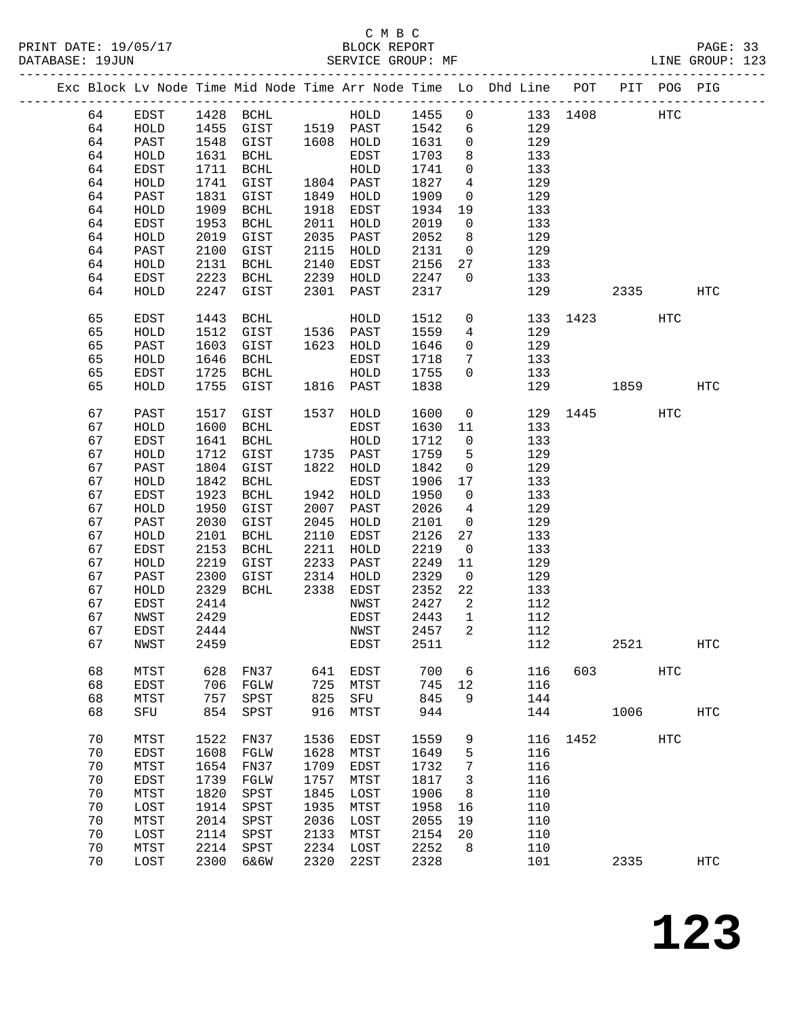|    |      |      |                       |      |              |      |                | Exc Block Lv Node Time Mid Node Time Arr Node Time Lo Dhd Line POT |          |      | PIT POG PIG       |                   |
|----|------|------|-----------------------|------|--------------|------|----------------|--------------------------------------------------------------------|----------|------|-------------------|-------------------|
| 64 | EDST |      | 1428 BCHL             |      | HOLD         | 1455 | $\overline{0}$ |                                                                    | 133 1408 |      | HTC               |                   |
| 64 | HOLD | 1455 | GIST 1519 PAST        |      |              | 1542 | 6              | 129                                                                |          |      |                   |                   |
| 64 | PAST | 1548 | GIST                  |      | 1608 HOLD    | 1631 | $\mathsf{O}$   | 129                                                                |          |      |                   |                   |
| 64 | HOLD | 1631 | BCHL                  |      | EDST         | 1703 | 8              | 133                                                                |          |      |                   |                   |
| 64 | EDST | 1711 | BCHL                  |      | HOLD         | 1741 | $\mathbf 0$    | 133                                                                |          |      |                   |                   |
| 64 | HOLD | 1741 | GIST                  |      | 1804 PAST    | 1827 | $\overline{4}$ | 129                                                                |          |      |                   |                   |
| 64 | PAST | 1831 | GIST                  | 1849 | HOLD         | 1909 | $\mathsf{O}$   | 129                                                                |          |      |                   |                   |
| 64 | HOLD | 1909 | BCHL                  | 1918 | EDST         | 1934 | 19             | 133                                                                |          |      |                   |                   |
|    |      |      |                       |      |              |      |                |                                                                    |          |      |                   |                   |
| 64 | EDST | 1953 | BCHL                  | 2011 | HOLD         | 2019 | $\mathsf{O}$   | 133                                                                |          |      |                   |                   |
| 64 | HOLD | 2019 | GIST                  | 2035 | PAST         | 2052 | 8              | 129                                                                |          |      |                   |                   |
| 64 | PAST | 2100 | GIST                  | 2115 | HOLD         | 2131 | $\overline{0}$ | 129                                                                |          |      |                   |                   |
| 64 | HOLD | 2131 | BCHL                  | 2140 | EDST         | 2156 | 27             | 133                                                                |          |      |                   |                   |
| 64 | EDST | 2223 | BCHL                  | 2239 | HOLD         | 2247 | $\overline{0}$ | 133                                                                |          |      |                   |                   |
| 64 | HOLD | 2247 | GIST                  | 2301 | PAST         | 2317 |                | 129                                                                |          | 2335 |                   | HTC               |
| 65 | EDST | 1443 | BCHL                  |      | HOLD         | 1512 | $\mathbf 0$    | 133                                                                |          | 1423 | HTC               |                   |
| 65 | HOLD | 1512 | GIST                  |      | 1536 PAST    | 1559 | 4              | 129                                                                |          |      |                   |                   |
| 65 | PAST | 1603 | GIST                  |      | 1623 HOLD    | 1646 | $\mathsf{O}$   | 129                                                                |          |      |                   |                   |
| 65 | HOLD | 1646 | BCHL                  |      | EDST         | 1718 | 7              | 133                                                                |          |      |                   |                   |
| 65 | EDST | 1725 | BCHL                  |      | HOLD         | 1755 | $\mathbf 0$    | 133                                                                |          |      |                   |                   |
| 65 | HOLD | 1755 | GIST                  |      | 1816 PAST    | 1838 |                | 129                                                                |          | 1859 |                   | HTC               |
|    |      |      |                       |      |              |      |                |                                                                    |          |      |                   |                   |
| 67 | PAST | 1517 | GIST                  | 1537 | HOLD         | 1600 | $\overline{0}$ | 129                                                                |          | 1445 | <b>HTC</b>        |                   |
| 67 | HOLD | 1600 | BCHL                  |      | EDST         | 1630 | 11             | 133                                                                |          |      |                   |                   |
| 67 | EDST | 1641 | BCHL                  |      | HOLD         | 1712 | $\mathsf{O}$   | 133                                                                |          |      |                   |                   |
| 67 | HOLD | 1712 | GIST                  |      | 1735 PAST    | 1759 | 5              | 129                                                                |          |      |                   |                   |
| 67 | PAST | 1804 | GIST                  | 1822 | HOLD         | 1842 | $\overline{0}$ | 129                                                                |          |      |                   |                   |
| 67 | HOLD | 1842 | $\operatorname{BCHL}$ |      | EDST         | 1906 | 17             | 133                                                                |          |      |                   |                   |
| 67 | EDST | 1923 | BCHL                  | 1942 | HOLD         | 1950 | $\overline{0}$ | 133                                                                |          |      |                   |                   |
| 67 | HOLD | 1950 | GIST                  | 2007 | PAST         | 2026 | $\overline{4}$ | 129                                                                |          |      |                   |                   |
| 67 | PAST | 2030 | GIST                  | 2045 | HOLD         | 2101 | $\overline{0}$ | 129                                                                |          |      |                   |                   |
| 67 | HOLD | 2101 | $\operatorname{BCHL}$ | 2110 | EDST         | 2126 | 27             | 133                                                                |          |      |                   |                   |
| 67 | EDST | 2153 | BCHL                  | 2211 | HOLD         | 2219 | $\overline{0}$ | 133                                                                |          |      |                   |                   |
| 67 | HOLD | 2219 | GIST                  | 2233 | PAST         | 2249 | 11             | 129                                                                |          |      |                   |                   |
| 67 | PAST | 2300 | GIST                  | 2314 | HOLD         | 2329 | $\overline{0}$ | 129                                                                |          |      |                   |                   |
| 67 | HOLD | 2329 | BCHL                  | 2338 | EDST         | 2352 | 22             | 133                                                                |          |      |                   |                   |
| 67 | EDST | 2414 |                       |      | NWST         | 2427 | 2              | 112                                                                |          |      |                   |                   |
| 67 | NWST | 2429 |                       |      | EDST         | 2443 | $\overline{1}$ | 112                                                                |          |      |                   |                   |
| 67 | EDST | 2444 |                       |      | NWST         | 2457 | 2              | 112                                                                |          |      |                   |                   |
| 67 | NWST | 2459 |                       |      | EDST         | 2511 |                | 112                                                                |          | 2521 |                   | HTC               |
|    |      |      |                       |      |              |      |                |                                                                    |          |      |                   |                   |
| 68 | MTST | 628  | FN37                  | 641  | EDST         | 700  | 6              | 116                                                                | 603      |      | HTC               |                   |
| 68 | EDST | 706  | FGLW                  | 725  | MTST         | 745  | 12             | 116                                                                |          |      |                   |                   |
| 68 | MTST | 757  | SPST                  | 825  | SFU          | 845  | 9              | 144                                                                |          |      |                   |                   |
| 68 | SFU  | 854  | SPST                  | 916  | MTST         | 944  |                | 144                                                                |          | 1006 |                   | $_{\mathrm{HTC}}$ |
| 70 | MTST | 1522 | FN37                  | 1536 | EDST         | 1559 | 9              |                                                                    | 116 1452 |      | $_{\mathrm{HTC}}$ |                   |
| 70 | EDST | 1608 | FGLW                  | 1628 | MTST         | 1649 | 5              | 116                                                                |          |      |                   |                   |
| 70 | MTST | 1654 | FN37                  | 1709 | EDST         | 1732 | 7              | 116                                                                |          |      |                   |                   |
| 70 | EDST | 1739 | FGLW                  | 1757 | MTST         | 1817 | 3              | 116                                                                |          |      |                   |                   |
| 70 | MTST | 1820 | SPST                  | 1845 | LOST         | 1906 | 8              | 110                                                                |          |      |                   |                   |
| 70 | LOST | 1914 | SPST                  | 1935 | MTST         | 1958 | 16             | 110                                                                |          |      |                   |                   |
| 70 | MTST | 2014 | SPST                  | 2036 | LOST         | 2055 | 19             | 110                                                                |          |      |                   |                   |
| 70 |      |      |                       |      |              |      |                |                                                                    |          |      |                   |                   |
|    | LOST | 2114 | SPST                  | 2133 | ${\tt MTST}$ | 2154 | 20             | 110                                                                |          |      |                   |                   |
| 70 | MTST | 2214 | SPST                  | 2234 | LOST         | 2252 | 8              | 110                                                                |          |      |                   |                   |
| 70 | LOST | 2300 | 6&6W                  | 2320 | 22ST         | 2328 |                | 101                                                                |          | 2335 |                   | $_{\mathrm{HTC}}$ |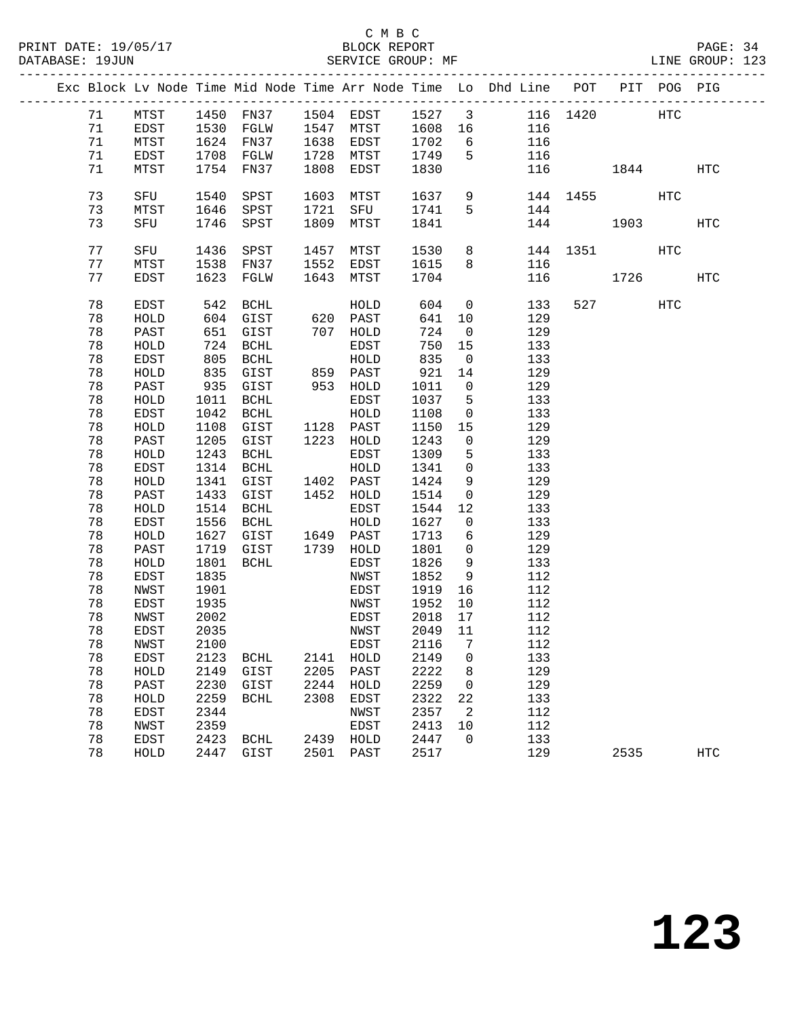|  |          |              |              | Exc Block Lv Node Time Mid Node Time Arr Node Time Lo Dhd Line POT PIT POG PIG |           |              |              |                      |    |            |          |                          |     |            |
|--|----------|--------------|--------------|--------------------------------------------------------------------------------|-----------|--------------|--------------|----------------------|----|------------|----------|--------------------------|-----|------------|
|  | 71       | MTST         |              | 1450 FN37 1504 EDST                                                            |           |              | 1527 3       |                      |    |            | 116 1420 |                          | HTC |            |
|  | 71       | EDST         |              | 1530 FGLW                                                                      | 1547 MTST |              | 1608         |                      | 16 | 116        |          |                          |     |            |
|  | 71       | MTST         |              | 1624 FN37                                                                      | 1638      | EDST         | 1702         | $6\overline{6}$      |    | 116        |          |                          |     |            |
|  | 71       | EDST         |              | 1708 FGLW                                                                      | 1728 MTST |              | 1749         | 5                    |    | 116        |          |                          |     |            |
|  | 71       | MTST         |              | 1754 FN37                                                                      | 1808      | EDST         | 1830         |                      |    | 116        |          | 1844                     |     | HTC        |
|  |          |              |              |                                                                                |           |              |              |                      |    |            |          |                          |     |            |
|  | 73       | SFU          | 1540         | SPST                                                                           | 1603      | MTST         | 1637         | 9                    |    |            | 144 1455 |                          | HTC |            |
|  | 73       | MTST         | 1646         | SPST                                                                           | 1721      | SFU          | 1741         | 5                    |    | 144        |          |                          |     |            |
|  | 73       | SFU          | 1746         | SPST                                                                           | 1809      | MTST         | 1841         |                      |    | 144        |          | 1903                     |     | <b>HTC</b> |
|  |          |              |              |                                                                                |           |              |              |                      |    |            |          |                          |     |            |
|  | 77       | SFU          | 1436         | SPST                                                                           | 1457      | MTST         | 1530         | 8                    |    |            | 144 1351 |                          | HTC |            |
|  | 77       | MTST         | 1538         | FN37                                                                           | 1552      | EDST         | 1615         | 8                    |    | 116        |          |                          |     |            |
|  | 77       | EDST         | 1623         | FGLW                                                                           | 1643 MTST |              | 1704         |                      |    | 116        |          | 1726                     |     | HTC        |
|  |          |              |              |                                                                                |           |              |              |                      |    |            |          |                          |     |            |
|  | 78       | <b>EDST</b>  | 542          | BCHL                                                                           |           | HOLD         | 604          | $\overline{0}$       |    | 133        |          | 527 and $\overline{527}$ | HTC |            |
|  | 78       | ${\tt HOLD}$ | 604          | GIST                                                                           |           | 620 PAST     | 641          | 10                   |    | 129        |          |                          |     |            |
|  | 78       | PAST         | 651          | GIST                                                                           |           | 707 HOLD     | 724          | $\overline{0}$       |    | 129        |          |                          |     |            |
|  | 78       | HOLD         | 724          | <b>BCHL</b>                                                                    |           | EDST         | 750          | 15                   |    | 133        |          |                          |     |            |
|  | 78<br>78 | EDST         | 805          | BCHL<br>835 GIST                                                               | 859 PAST  | HOLD         | 835<br>921   | $\overline{0}$       |    | 133<br>129 |          |                          |     |            |
|  | 78       | HOLD<br>PAST |              | 935 GIST                                                                       |           | 953 HOLD     | 1011         | 14<br>$\overline{0}$ |    | 129        |          |                          |     |            |
|  | 78       | HOLD         | 1011         | BCHL                                                                           |           | EDST         | 1037         | 5                    |    | 133        |          |                          |     |            |
|  | 78       | EDST         | 1042         | BCHL                                                                           |           | HOLD         | 1108         | $\overline{0}$       |    | 133        |          |                          |     |            |
|  | 78       | HOLD         | 1108         | GIST                                                                           | 1128 PAST |              | 1150         | 15                   |    | 129        |          |                          |     |            |
|  | 78       | PAST         | 1205         | GIST                                                                           | 1223 HOLD |              | 1243         | $\overline{0}$       |    | 129        |          |                          |     |            |
|  | 78       | HOLD         | 1243         | BCHL                                                                           |           | EDST         | 1309         | 5                    |    | 133        |          |                          |     |            |
|  | 78       | EDST         | 1314         | BCHL                                                                           |           | HOLD         | 1341         | $\overline{0}$       |    | 133        |          |                          |     |            |
|  | 78       | HOLD         | 1341         | GIST                                                                           | 1402 PAST |              | 1424         | 9                    |    | 129        |          |                          |     |            |
|  | 78       | PAST         | 1433         | GIST                                                                           | 1452 HOLD |              | 1514         | $\overline{0}$       |    | 129        |          |                          |     |            |
|  | 78       | HOLD         | 1514         | BCHL                                                                           |           | EDST         | 1544         | 12                   |    | 133        |          |                          |     |            |
|  | 78       | EDST         | 1556         | BCHL                                                                           |           | HOLD         | 1627         | $\mathbf{0}$         |    | 133        |          |                          |     |            |
|  | 78       | HOLD         | 1627         | GIST                                                                           | 1649 PAST |              | 1713         | 6                    |    | 129        |          |                          |     |            |
|  | 78       | PAST         | 1719         | GIST                                                                           | 1739 HOLD |              | 1801         | $\overline{0}$       |    | 129        |          |                          |     |            |
|  | 78       | HOLD         | 1801         | BCHL                                                                           |           | EDST         | 1826         | 9                    |    | 133        |          |                          |     |            |
|  | 78       | EDST         | 1835         |                                                                                |           | NWST         | 1852         | 9                    |    | 112        |          |                          |     |            |
|  | 78       | NWST         | 1901         |                                                                                |           | EDST         | 1919         | 16                   |    | 112        |          |                          |     |            |
|  | 78       | EDST         | 1935         |                                                                                |           | NWST         | 1952         | 10                   |    | 112        |          |                          |     |            |
|  | 78       | NWST         | 2002         |                                                                                |           | EDST         | 2018         | 17                   |    | 112        |          |                          |     |            |
|  | 78       | EDST         | 2035         |                                                                                |           | NWST         | 2049         | 11                   |    | 112        |          |                          |     |            |
|  | 78       | NWST         | 2100         |                                                                                |           | <b>EDST</b>  | 2116 7       |                      |    | 112        |          |                          |     |            |
|  | 78       | EDST         | 2123         | <b>BCHL</b>                                                                    | 2141      | HOLD         | 2149         | 0                    |    | 133        |          |                          |     |            |
|  | 78       | HOLD         | 2149         | GIST                                                                           | 2205      | PAST         | 2222         | 8                    |    | 129        |          |                          |     |            |
|  | 78       | PAST         | 2230         | GIST                                                                           | 2244      | HOLD         | 2259         | 0                    |    | 129        |          |                          |     |            |
|  | 78<br>78 | HOLD<br>EDST | 2259<br>2344 | <b>BCHL</b>                                                                    | 2308      | EDST         | 2322<br>2357 | 22<br>2              |    | 133<br>112 |          |                          |     |            |
|  | 78       | NWST         | 2359         |                                                                                |           | NWST<br>EDST | 2413         | 10                   |    | 112        |          |                          |     |            |
|  | 78       | EDST         | 2423         | <b>BCHL</b>                                                                    | 2439      | HOLD         | 2447         | 0                    |    | 133        |          |                          |     |            |
|  | 78       | HOLD         | 2447         | GIST                                                                           | 2501      | PAST         | 2517         |                      |    | 129        |          | 2535                     |     | <b>HTC</b> |
|  |          |              |              |                                                                                |           |              |              |                      |    |            |          |                          |     |            |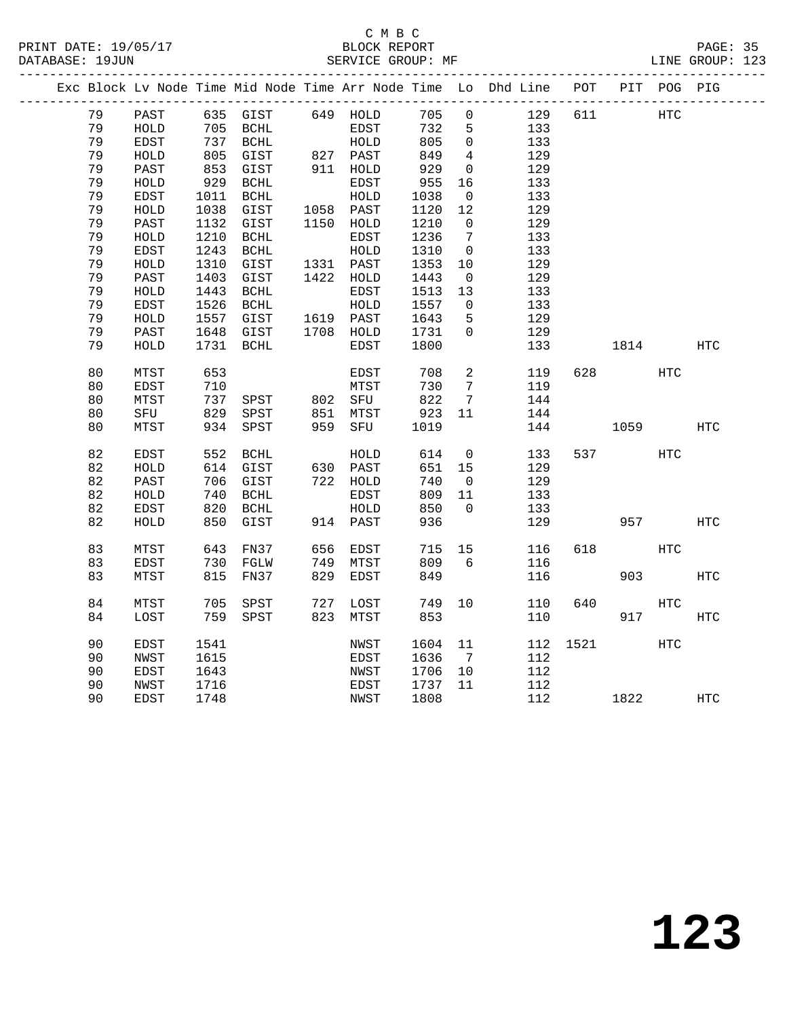#### C M B C<br>BLOCK REPORT PRINT DATE: 19/05/17 BLOCK REPORT PAGE: 35 SERVICE GROUP: MF

|  |    |              |      |                       |      |              |      |                 | Exc Block Lv Node Time Mid Node Time Arr Node Time Lo Dhd Line POT |      |      | PIT POG PIG |            |
|--|----|--------------|------|-----------------------|------|--------------|------|-----------------|--------------------------------------------------------------------|------|------|-------------|------------|
|  | 79 | PAST         |      | 635 GIST              |      | 649 HOLD     | 705  | $\overline{0}$  | 129                                                                | 611  |      | HTC         |            |
|  | 79 | HOLD         | 705  | BCHL                  |      | EDST         | 732  | 5               | 133                                                                |      |      |             |            |
|  | 79 | EDST         | 737  | <b>BCHL</b>           |      | HOLD         | 805  | $\mathbf 0$     | 133                                                                |      |      |             |            |
|  | 79 | HOLD         | 805  | GIST                  |      | 827 PAST     | 849  | 4               | 129                                                                |      |      |             |            |
|  | 79 | PAST         | 853  | GIST                  |      | 911 HOLD     | 929  | $\mathsf{O}$    | 129                                                                |      |      |             |            |
|  | 79 | HOLD         | 929  | $\operatorname{BCHL}$ |      | EDST         | 955  | 16              | 133                                                                |      |      |             |            |
|  | 79 | EDST         | 1011 | BCHL                  |      | HOLD         | 1038 | $\overline{0}$  | 133                                                                |      |      |             |            |
|  | 79 | HOLD         | 1038 | GIST                  |      | 1058 PAST    | 1120 | 12              | 129                                                                |      |      |             |            |
|  | 79 | PAST         | 1132 | GIST                  |      | 1150 HOLD    | 1210 | $\mathsf{O}$    | 129                                                                |      |      |             |            |
|  | 79 | HOLD         | 1210 | $\operatorname{BCHL}$ |      | EDST         | 1236 | 7               | 133                                                                |      |      |             |            |
|  | 79 | <b>EDST</b>  | 1243 | $\operatorname{BCHL}$ |      | ${\tt HOLD}$ | 1310 | $\mathbf 0$     | 133                                                                |      |      |             |            |
|  | 79 | HOLD         | 1310 | GIST                  |      | 1331 PAST    | 1353 | 10              | 129                                                                |      |      |             |            |
|  | 79 | PAST         | 1403 | GIST                  |      | 1422 HOLD    | 1443 | $\overline{0}$  | 129                                                                |      |      |             |            |
|  | 79 | HOLD         | 1443 | $\operatorname{BCHL}$ |      | EDST         | 1513 | 13              | 133                                                                |      |      |             |            |
|  | 79 | EDST         | 1526 | BCHL                  |      | ${\tt HOLD}$ | 1557 | $\mathsf{O}$    | 133                                                                |      |      |             |            |
|  | 79 | HOLD         | 1557 | GIST                  |      | 1619 PAST    | 1643 | 5               | 129                                                                |      |      |             |            |
|  | 79 | PAST         | 1648 | GIST                  | 1708 | HOLD         | 1731 | $\mathbf 0$     | 129                                                                |      |      |             |            |
|  | 79 | HOLD         | 1731 | BCHL                  |      | EDST         | 1800 |                 | 133                                                                |      | 1814 |             | HTC        |
|  | 80 | MTST         | 653  |                       |      | EDST         | 708  | $\overline{a}$  | 119                                                                | 628  |      | HTC         |            |
|  | 80 | EDST         | 710  |                       |      | MTST         | 730  | $7\phantom{.0}$ | 119                                                                |      |      |             |            |
|  | 80 | MTST         | 737  | SPST                  |      | 802 SFU      | 822  | $7\overline{ }$ | 144                                                                |      |      |             |            |
|  | 80 | SFU          | 829  | SPST                  | 851  | MTST         | 923  | 11              | 144                                                                |      |      |             |            |
|  | 80 | MTST         | 934  | SPST                  | 959  | SFU          | 1019 |                 | 144                                                                |      | 1059 |             | HTC        |
|  | 82 | EDST         | 552  | $\operatorname{BCHL}$ |      | HOLD         | 614  | $\mathsf 0$     | 133                                                                | 537  |      | HTC         |            |
|  | 82 | HOLD         | 614  | GIST                  |      | 630 PAST     | 651  | 15              | 129                                                                |      |      |             |            |
|  | 82 | PAST         | 706  | GIST                  |      | 722 HOLD     | 740  | $\mathbf 0$     | 129                                                                |      |      |             |            |
|  | 82 | HOLD         | 740  | $\operatorname{BCHL}$ |      | EDST         | 809  | 11              | 133                                                                |      |      |             |            |
|  | 82 | EDST         | 820  | BCHL                  |      | HOLD         | 850  | $\Omega$        | 133                                                                |      |      |             |            |
|  | 82 | HOLD         | 850  | GIST                  |      | 914 PAST     | 936  |                 | 129                                                                |      | 957  |             | <b>HTC</b> |
|  | 83 | MTST         | 643  | FN37                  | 656  | EDST         | 715  | 15              | 116                                                                | 618  |      | HTC         |            |
|  | 83 | EDST         | 730  | FGLW                  | 749  | MTST         | 809  | 6               | 116                                                                |      |      |             |            |
|  | 83 | MTST         | 815  | FN37                  | 829  | EDST         | 849  |                 | 116                                                                |      | 903  |             | HTC        |
|  | 84 | MTST         | 705  | SPST                  | 727  | LOST         | 749  | 10 <sup>°</sup> | 110                                                                | 640  |      | <b>HTC</b>  |            |
|  | 84 | LOST         | 759  | SPST                  | 823  | MTST         | 853  |                 | 110                                                                |      | 917  |             | HTC        |
|  | 90 | EDST         | 1541 |                       |      | NWST         | 1604 | 11              | 112                                                                | 1521 |      | HTC         |            |
|  | 90 | NWST         | 1615 |                       |      | EDST         | 1636 | $\overline{7}$  | 112                                                                |      |      |             |            |
|  | 90 | ${\tt EDST}$ | 1643 |                       |      | NWST         | 1706 | 10              | 112                                                                |      |      |             |            |
|  | 90 | NWST         | 1716 |                       |      | <b>EDST</b>  | 1737 | 11              | 112                                                                |      |      |             |            |
|  | 90 | <b>EDST</b>  | 1748 |                       |      | NWST         | 1808 |                 | 112                                                                |      | 1822 |             | HTC        |
|  |    |              |      |                       |      |              |      |                 |                                                                    |      |      |             |            |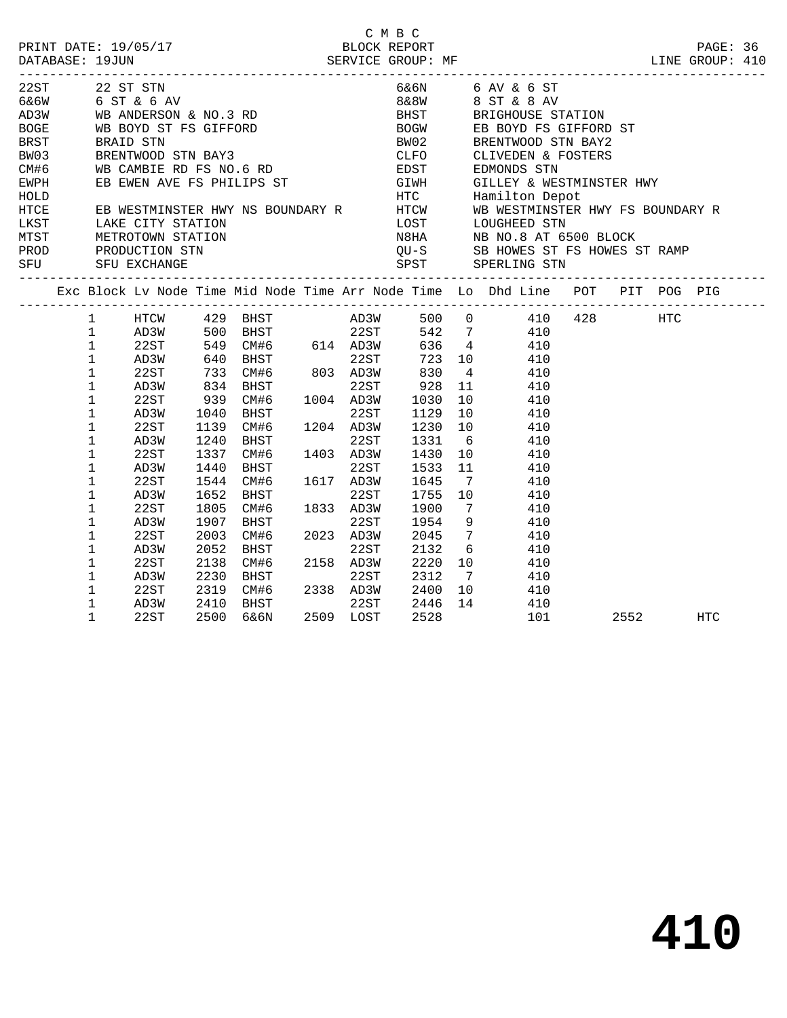|                                                                                                                                                                                                                                    |              |               |      |                                                                                    |      |                   | C M B C                |                 |                 |                  |                                                                                 |      |     |  |
|------------------------------------------------------------------------------------------------------------------------------------------------------------------------------------------------------------------------------------|--------------|---------------|------|------------------------------------------------------------------------------------|------|-------------------|------------------------|-----------------|-----------------|------------------|---------------------------------------------------------------------------------|------|-----|--|
|                                                                                                                                                                                                                                    |              |               |      |                                                                                    |      |                   |                        |                 |                 |                  |                                                                                 |      |     |  |
|                                                                                                                                                                                                                                    |              |               |      |                                                                                    |      |                   |                        |                 |                 |                  |                                                                                 |      |     |  |
| 22ST 22 ST STN                                                                                                                                                                                                                     |              |               |      |                                                                                    |      |                   |                        |                 |                 | 6&6N 6 AV & 6 ST |                                                                                 |      |     |  |
| $666W$ 6 ST & 6 AV                                                                                                                                                                                                                 |              |               |      |                                                                                    |      |                   |                        |                 |                 | 8&8W 8 ST & 8 AV |                                                                                 |      |     |  |
| AD3W WB ANDERSON & NO.3 RD<br>BOGE WB BOYD ST FS GIFFORD<br>BRST BRAID STN<br>BW03 BRENTWOOD STN BAY3                                                                                                                              |              |               |      |                                                                                    |      |                   |                        |                 |                 |                  | BHST BRIGHOUSE STATION<br>BOGW EB BOYD FS GIFFORD ST<br>BW02 BRENTWOOD STN BAY? |      |     |  |
|                                                                                                                                                                                                                                    |              |               |      |                                                                                    |      |                   |                        |                 |                 |                  |                                                                                 |      |     |  |
|                                                                                                                                                                                                                                    |              |               |      |                                                                                    |      |                   |                        |                 |                 |                  |                                                                                 |      |     |  |
|                                                                                                                                                                                                                                    |              |               |      |                                                                                    |      |                   | CLFO                   |                 |                 |                  | CLIVEDEN & FOSTERS                                                              |      |     |  |
| CM#6 WB CAMBIE RD FS NO.6 RD<br>EWPH EB EWEN AVE FS PHILIPS ST                                                                                                                                                                     |              |               |      |                                                                                    |      |                   | EDST<br>GIWH           |                 |                 | EDMONDS STN      |                                                                                 |      |     |  |
|                                                                                                                                                                                                                                    |              |               |      |                                                                                    |      |                   |                        |                 |                 |                  | GILLEY & WESTMINSTER HWY                                                        |      |     |  |
|                                                                                                                                                                                                                                    |              |               |      |                                                                                    |      |                   |                        |                 |                 |                  |                                                                                 |      |     |  |
|                                                                                                                                                                                                                                    |              |               |      |                                                                                    |      |                   |                        |                 |                 |                  |                                                                                 |      |     |  |
| ENGLE EN ENGLAND FOR THE STATE OF STRING STATE RED ENGLAND HTC HAMILTON THE HAMILTON DEPOTHER HAVE SERVESTMINSTER HWY AS BOUNDARY R<br>LEST LAKE CITY STATION LOST LOUGHEED STN<br>MIST METROTOWN STATION NERROTOWN STATION NERROT |              |               |      |                                                                                    |      |                   |                        |                 |                 |                  |                                                                                 |      |     |  |
|                                                                                                                                                                                                                                    |              |               |      |                                                                                    |      |                   |                        |                 |                 |                  |                                                                                 |      |     |  |
| PROD                                                                                                                                                                                                                               |              |               |      |                                                                                    |      |                   |                        |                 |                 |                  |                                                                                 |      |     |  |
| PROD PRODUCTION STN QU-S SB HOWES ST FS HOWES ST RAMP<br>SFU SFU EXCHANGE SPST SPERLING STN SPERLING STN SPERLING STN                                                                                                              |              |               |      |                                                                                    |      |                   |                        |                 |                 |                  |                                                                                 |      |     |  |
|                                                                                                                                                                                                                                    |              |               |      | Exc Block Lv Node Time Mid Node Time Arr Node Time Lo Dhd Line POT PIT POG PIG     |      |                   |                        |                 |                 |                  |                                                                                 |      |     |  |
|                                                                                                                                                                                                                                    | $1 \quad$    | HTCW 429 BHST |      |                                                                                    |      |                   | AD3W 500 0 410 428 HTC |                 |                 |                  |                                                                                 |      |     |  |
|                                                                                                                                                                                                                                    | $\mathbf{1}$ |               |      | AD3W 500 BHST<br>22ST 549 CM#6 614 AD3W 636 4 410<br>AD3W 640 BHST 22ST 723 10 410 |      |                   |                        |                 |                 |                  |                                                                                 |      |     |  |
|                                                                                                                                                                                                                                    | $\mathbf{1}$ |               |      |                                                                                    |      |                   |                        |                 |                 |                  |                                                                                 |      |     |  |
|                                                                                                                                                                                                                                    | $\mathbf 1$  |               |      |                                                                                    |      |                   |                        |                 |                 |                  |                                                                                 |      |     |  |
|                                                                                                                                                                                                                                    | $\mathbf 1$  | 22ST          |      | 733 CM#6 803 AD3W 830                                                              |      |                   |                        |                 | 4 410           |                  |                                                                                 |      |     |  |
|                                                                                                                                                                                                                                    | $\mathbf 1$  | AD3W          |      | 834 BHST                                                                           |      | 22ST              |                        | 11              |                 | 410              |                                                                                 |      |     |  |
|                                                                                                                                                                                                                                    | 1            | 22ST          | 939  | CM#6 1004 AD3W<br>BHST 22ST                                                        |      |                   | 928<br>1030            |                 | 10              | 410              |                                                                                 |      |     |  |
|                                                                                                                                                                                                                                    | $\mathbf 1$  | AD3W          | 1040 |                                                                                    |      |                   | 1129                   |                 | 10 410          |                  |                                                                                 |      |     |  |
|                                                                                                                                                                                                                                    | 1            | 22ST          | 1139 | CM#6                                                                               |      | 1204 AD3W         | 1230                   | 10              |                 | 410              |                                                                                 |      |     |  |
|                                                                                                                                                                                                                                    | 1            | AD3W          | 1240 | BHST 22ST<br>CM#6 1403 AD3W                                                        |      |                   | 1331                   | $6\overline{6}$ |                 | 410              |                                                                                 |      |     |  |
|                                                                                                                                                                                                                                    | 1            | 22ST          | 1337 |                                                                                    |      |                   | 1430                   |                 | 10              | 410              |                                                                                 |      |     |  |
|                                                                                                                                                                                                                                    | 1            | AD3W          | 1440 | BHST                                                                               |      | 22ST              | 1533                   | 11              |                 | 410              |                                                                                 |      |     |  |
|                                                                                                                                                                                                                                    | 1            | 22ST          | 1544 | CM#6                                                                               |      | 22ST<br>1617 AD3W | 1645                   | $\overline{7}$  |                 | 410              |                                                                                 |      |     |  |
|                                                                                                                                                                                                                                    | 1            | AD3W          | 1652 | BHST                                                                               |      | 22ST              | 1755                   | 10              |                 | 410              |                                                                                 |      |     |  |
|                                                                                                                                                                                                                                    | 1            | 22ST          | 1805 | CM#6                                                                               |      | 1833 AD3W         | 1900                   | $7\phantom{0}$  |                 | 410              |                                                                                 |      |     |  |
|                                                                                                                                                                                                                                    | 1            | AD3W          | 1907 | BHST                                                                               | 2023 | 22ST              | 1954                   |                 | 9               | 410              |                                                                                 |      |     |  |
|                                                                                                                                                                                                                                    | $\mathbf 1$  | 22ST          | 2003 | CM#6                                                                               |      | 2023 AD3W         | 2045                   | $7\overline{ }$ |                 | 410              |                                                                                 |      |     |  |
|                                                                                                                                                                                                                                    | 1            | AD3W          | 2052 | BHST                                                                               |      | 22ST              | 2132                   |                 | $6\overline{6}$ | 410              |                                                                                 |      |     |  |
|                                                                                                                                                                                                                                    | 1            | 22ST          | 2138 | CM#6                                                                               |      | 2158 AD3W         | 2220                   |                 | 10              | 410              |                                                                                 |      |     |  |
|                                                                                                                                                                                                                                    | 1            | AD3W          | 2230 | <b>BHST</b>                                                                        |      | 22ST              | 2312                   |                 | 7               | 410              |                                                                                 |      |     |  |
|                                                                                                                                                                                                                                    | 1            | 22ST          | 2319 | CM#6 2338 AD3W                                                                     |      |                   | 2400                   | 10              |                 | 410              |                                                                                 |      |     |  |
|                                                                                                                                                                                                                                    | 1            | AD3W          | 2410 | BHST                                                                               |      | 22ST              | 2446                   | 14              |                 | 410              |                                                                                 |      |     |  |
|                                                                                                                                                                                                                                    | 1            | 22ST          | 2500 | 6&6N                                                                               |      | 2509 LOST         | 2528                   |                 |                 | 101              |                                                                                 | 2552 | HTC |  |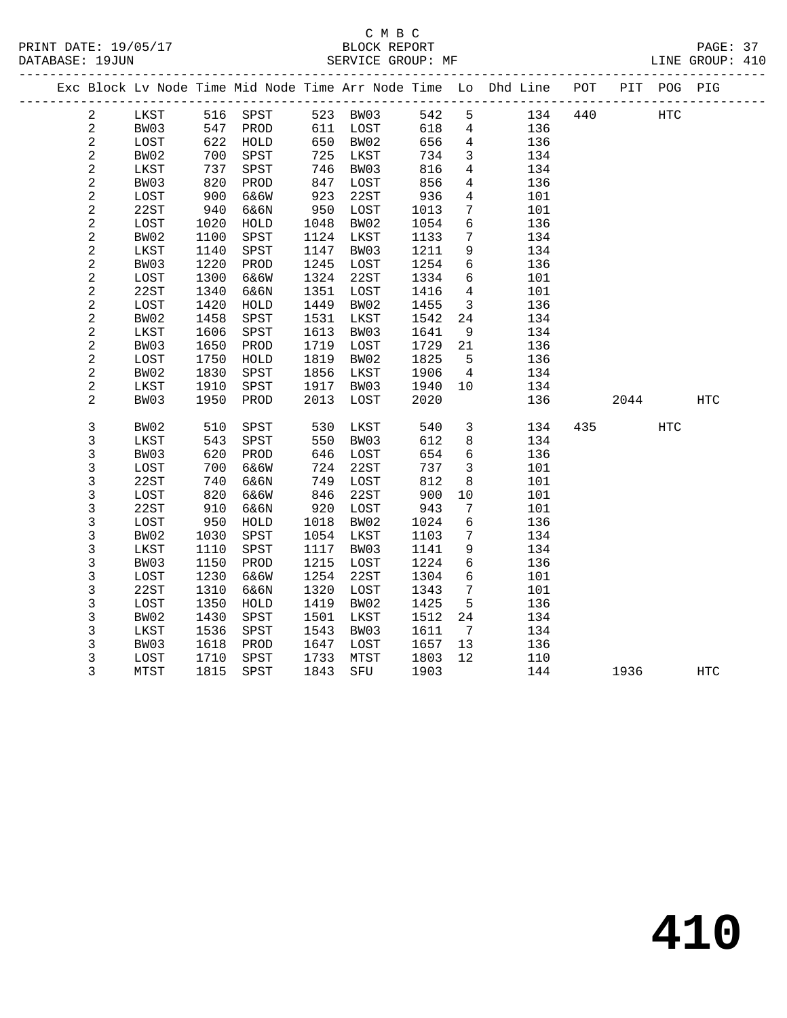#### C M B C<br>BLOCK REPORT SERVICE GROUP: MF

|                |      |      |          |      |          |      |                 | Exc Block Lv Node Time Mid Node Time Arr Node Time Lo Dhd Line POT |     |      | PIT POG PIG |     |  |
|----------------|------|------|----------|------|----------|------|-----------------|--------------------------------------------------------------------|-----|------|-------------|-----|--|
| $\overline{a}$ | LKST |      | 516 SPST |      | 523 BW03 | 542  | 5 <sup>5</sup>  | 134                                                                | 440 |      | HTC         |     |  |
| $\overline{a}$ | BW03 |      | 547 PROD |      | 611 LOST | 618  | $4\overline{ }$ | 136                                                                |     |      |             |     |  |
| $\overline{c}$ | LOST | 622  | HOLD     |      | 650 BW02 | 656  | $\overline{4}$  | 136                                                                |     |      |             |     |  |
| $\overline{a}$ | BW02 | 700  | SPST     | 725  | LKST     | 734  | $\mathbf{3}$    | 134                                                                |     |      |             |     |  |
| $\sqrt{2}$     | LKST | 737  | SPST     | 746  | BW03     | 816  | $\overline{4}$  | 134                                                                |     |      |             |     |  |
| $\overline{c}$ | BW03 | 820  | PROD     | 847  | LOST     | 856  | $4\overline{ }$ | 136                                                                |     |      |             |     |  |
| $\overline{a}$ | LOST | 900  | 6&6W     | 923  | 22ST     | 936  | $\overline{4}$  | 101                                                                |     |      |             |     |  |
| $\sqrt{2}$     | 22ST | 940  | 6&6N     | 950  | LOST     | 1013 | $7\overline{ }$ | 101                                                                |     |      |             |     |  |
| $\sqrt{2}$     | LOST | 1020 | HOLD     | 1048 | BW02     | 1054 | $6\overline{6}$ | 136                                                                |     |      |             |     |  |
| $\overline{a}$ | BW02 | 1100 | SPST     | 1124 | LKST     | 1133 | $7\overline{ }$ | 134                                                                |     |      |             |     |  |
| 2              | LKST | 1140 | SPST     | 1147 | BW03     | 1211 | 9               | 134                                                                |     |      |             |     |  |
| $\overline{c}$ | BW03 | 1220 | PROD     | 1245 | LOST     | 1254 | 6               | 136                                                                |     |      |             |     |  |
| $\overline{a}$ | LOST | 1300 | 6&6W     | 1324 | 22ST     | 1334 | 6               | 101                                                                |     |      |             |     |  |
| $\overline{c}$ | 22ST | 1340 | 6&6N     | 1351 | LOST     | 1416 | $\overline{4}$  | 101                                                                |     |      |             |     |  |
| $\sqrt{2}$     | LOST | 1420 | HOLD     | 1449 | BW02     | 1455 | $\overline{3}$  | 136                                                                |     |      |             |     |  |
| 2              | BW02 | 1458 | SPST     | 1531 | LKST     | 1542 | 24              | 134                                                                |     |      |             |     |  |
| 2              | LKST | 1606 | SPST     | 1613 | BW03     | 1641 | 9               | 134                                                                |     |      |             |     |  |
| $\overline{c}$ | BW03 | 1650 | PROD     | 1719 | LOST     | 1729 | 21              | 136                                                                |     |      |             |     |  |
| $\overline{a}$ | LOST | 1750 | HOLD     | 1819 | BW02     | 1825 | $5^{\circ}$     | 136                                                                |     |      |             |     |  |
| $\overline{c}$ | BW02 | 1830 | SPST     | 1856 | LKST     | 1906 | $\overline{4}$  | 134                                                                |     |      |             |     |  |
| 2              | LKST | 1910 | SPST     | 1917 | BW03     | 1940 | 10              | 134                                                                |     |      |             |     |  |
| $\overline{c}$ | BW03 | 1950 | PROD     | 2013 | LOST     | 2020 |                 | 136                                                                |     | 2044 |             | HTC |  |
| 3              | BW02 | 510  | SPST     | 530  | LKST     | 540  | $\overline{3}$  | 134                                                                |     | 435  | HTC         |     |  |
| 3              | LKST | 543  | SPST     | 550  | BW03     | 612  | 8               | 134                                                                |     |      |             |     |  |
| 3              | BW03 | 620  | PROD     | 646  | LOST     | 654  | 6               | 136                                                                |     |      |             |     |  |
| 3              | LOST | 700  | 6&6W     | 724  | 22ST     | 737  | $\mathbf{3}$    | 101                                                                |     |      |             |     |  |
| 3              | 22ST | 740  | 6&6N     | 749  | LOST     | 812  | 8               | 101                                                                |     |      |             |     |  |
| 3              | LOST | 820  | 6&6W     | 846  | 22ST     | 900  | 10              | 101                                                                |     |      |             |     |  |
| 3              | 22ST | 910  | 6&6N     | 920  | LOST     | 943  | $7\phantom{.0}$ | 101                                                                |     |      |             |     |  |
| 3              | LOST | 950  | HOLD     | 1018 | BW02     | 1024 | 6               | 136                                                                |     |      |             |     |  |
| 3              | BW02 | 1030 | SPST     | 1054 | LKST     | 1103 | $7\phantom{.0}$ | 134                                                                |     |      |             |     |  |
| 3              | LKST | 1110 | SPST     | 1117 | BW03     | 1141 | 9               | 134                                                                |     |      |             |     |  |
| 3              | BW03 | 1150 | PROD     | 1215 | LOST     | 1224 | 6               | 136                                                                |     |      |             |     |  |
| 3              | LOST | 1230 | 6&6W     | 1254 | 22ST     | 1304 | $6\overline{6}$ | 101                                                                |     |      |             |     |  |
| 3              | 22ST | 1310 | 6&6N     | 1320 | LOST     | 1343 | 7               | 101                                                                |     |      |             |     |  |
| 3              | LOST | 1350 | HOLD     | 1419 | BW02     | 1425 | 5               | 136                                                                |     |      |             |     |  |
| 3              | BW02 | 1430 | SPST     | 1501 | LKST     | 1512 | 24              | 134                                                                |     |      |             |     |  |
| 3              | LKST | 1536 | SPST     | 1543 | BW03     | 1611 | $\overline{7}$  | 134                                                                |     |      |             |     |  |
| 3              | BW03 | 1618 | PROD     | 1647 | LOST     | 1657 | 13              | 136                                                                |     |      |             |     |  |
| 3              | LOST | 1710 | SPST     | 1733 | MTST     | 1803 | 12              | 110                                                                |     |      |             |     |  |

3 MTST 1815 SPST 1843 SFU 1903 144 1936 HTC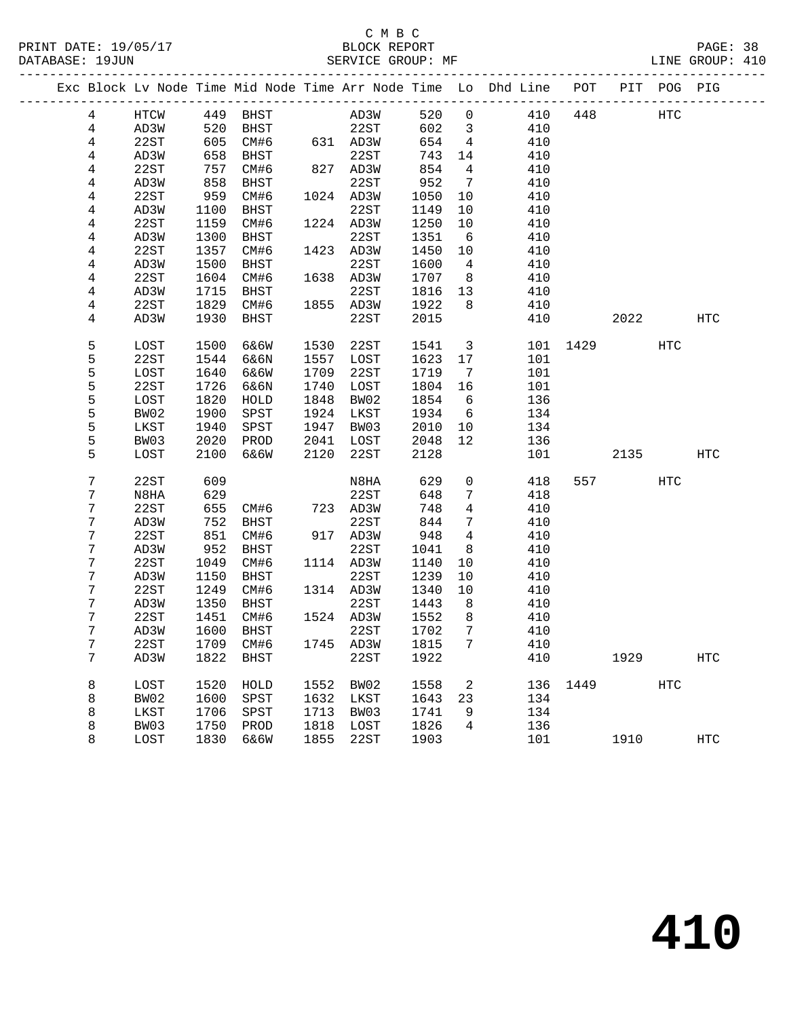#### C M B C<br>BLOCK REPORT PRINT DATE: 19/05/17 BLOCK REPORT PAGE: 38 SERVICE GROUP: MF

|                |      |      |                            |      |                                                         |       |                         | Exc Block Lv Node Time Mid Node Time Arr Node Time Lo Dhd Line POT PIT POG PIG |          |           |            |            |
|----------------|------|------|----------------------------|------|---------------------------------------------------------|-------|-------------------------|--------------------------------------------------------------------------------|----------|-----------|------------|------------|
| $\overline{4}$ | HTCW |      | 449 BHST AD3W              |      |                                                         | 520 0 |                         | 410                                                                            | 448      | HTC       |            |            |
| $\overline{4}$ | AD3W | 520  |                            |      | BHST 22ST                                               | 602   | $\overline{\mathbf{3}}$ | 410                                                                            |          |           |            |            |
| 4              | 22ST | 605  | CM#6 631 AD3W              |      |                                                         | 654   | $\overline{4}$          | 410                                                                            |          |           |            |            |
| 4              | AD3W | 658  | BHST                       |      | $\begin{array}{cc}\n & 22ST \\ 827 & AD3W\n\end{array}$ | 743   | 14                      | 410                                                                            |          |           |            |            |
| 4              | 22ST | 757  | CM#6                       |      |                                                         | 854   | $\overline{4}$          | 410                                                                            |          |           |            |            |
| 4              | AD3W | 858  | BHST                       |      | 22ST                                                    | 952   | $7\overline{ }$         | 410                                                                            |          |           |            |            |
| 4              | 22ST | 959  | CM#6                       |      | 1024 AD3W                                               | 1050  | 10                      | 410                                                                            |          |           |            |            |
| 4              | AD3W | 1100 | BHST                       |      | 22ST                                                    | 1149  | 10                      | 410                                                                            |          |           |            |            |
| $\overline{4}$ | 22ST | 1159 | CM#6                       |      | 1224 AD3W                                               | 1250  | 10                      | 410                                                                            |          |           |            |            |
| 4              | AD3W | 1300 | BHST                       |      | 22ST                                                    | 1351  | 6                       | 410                                                                            |          |           |            |            |
| 4              | 22ST | 1357 | CM#6                       |      | 1423 AD3W                                               | 1450  | 10                      | 410                                                                            |          |           |            |            |
| 4              | AD3W | 1500 | BHST                       |      | 22ST                                                    | 1600  | $\overline{4}$          | 410                                                                            |          |           |            |            |
| 4              | 22ST | 1604 | CM#6                       |      | 1638 AD3W                                               | 1707  | 8 <sup>8</sup>          | 410                                                                            |          |           |            |            |
| 4              | AD3W | 1715 | BHST                       |      | 22ST                                                    | 1816  | 13                      | 410                                                                            |          |           |            |            |
| 4              | 22ST | 1829 | CM#6                       |      | 1855 AD3W                                               | 1922  | 8 <sup>8</sup>          | 410                                                                            |          |           |            |            |
| 4              | AD3W | 1930 | BHST                       |      | 22ST                                                    | 2015  |                         | 410                                                                            |          | 2022 2023 |            | HTC        |
| 5              | LOST | 1500 | 6&6W                       | 1530 | 22ST                                                    | 1541  |                         | $\overline{\mathbf{3}}$                                                        | 101 1429 |           | HTC        |            |
| 5              | 22ST | 1544 | 6&6N                       | 1557 | LOST                                                    | 1623  | 17                      | 101                                                                            |          |           |            |            |
| 5              | LOST | 1640 | 6&6W                       | 1709 | 22ST                                                    | 1719  | $\overline{7}$          | 101                                                                            |          |           |            |            |
| 5              | 22ST | 1726 | 6&6N                       | 1740 | LOST                                                    | 1804  | 16                      | 101                                                                            |          |           |            |            |
| 5              | LOST | 1820 | HOLD                       | 1848 | BW02                                                    | 1854  | 6                       | 136                                                                            |          |           |            |            |
| 5              | BW02 | 1900 | SPST                       |      | 1924 LKST                                               | 1934  | 6                       | 134                                                                            |          |           |            |            |
| 5              | LKST | 1940 | SPST                       | 1947 | BW03                                                    | 2010  | 10                      | 134                                                                            |          |           |            |            |
| 5              | BW03 | 2020 | PROD                       |      | 2041 LOST                                               | 2048  | 12                      | 136                                                                            |          |           |            |            |
| 5              | LOST | 2100 | 6&6W                       | 2120 | 22ST                                                    | 2128  |                         | 101                                                                            |          | 2135      |            | HTC        |
| 7              | 22ST | 609  |                            |      | N8HA                                                    | 629   | $\overline{0}$          | 418                                                                            |          | 557 30    | HTC        |            |
| 7              | N8HA | 629  |                            |      | 22ST                                                    | 648   | $7\phantom{.0}$         | 418                                                                            |          |           |            |            |
| 7              | 22ST | 655  | CM#6<br>RHGT               |      | 723 AD3W                                                | 748   | $\overline{4}$          | 410                                                                            |          |           |            |            |
| 7              | AD3W | 752  | BHST                       |      | 22ST                                                    | 844   | $7\phantom{.0}$         | 410                                                                            |          |           |            |            |
| 7              | 22ST | 851  | CM#6                       |      | 917 AD3W                                                | 948   | $\overline{4}$          | 410                                                                            |          |           |            |            |
| 7              | AD3W | 952  | BHST                       |      | 22ST                                                    | 1041  | 8                       | 410                                                                            |          |           |            |            |
| 7              | 22ST | 1049 | CM#6                       |      | 1114 AD3W                                               | 1140  | 10                      | 410                                                                            |          |           |            |            |
| 7              | AD3W | 1150 | BHST                       |      | 22ST                                                    | 1239  | 10                      | 410                                                                            |          |           |            |            |
| 7              | 22ST | 1249 | CM#6                       |      | 1314 AD3W                                               | 1340  | 10                      | 410                                                                            |          |           |            |            |
| 7              | AD3W | 1350 | BHST                       |      | 22ST                                                    | 1443  | 8 <sup>8</sup>          | 410                                                                            |          |           |            |            |
| 7              | 22ST | 1451 | CM#6                       |      | 1524 AD3W                                               | 1552  | 8                       | 410                                                                            |          |           |            |            |
| 7              | AD3W | 1600 | BHST                       |      | 22ST                                                    | 1702  | $\overline{7}$          | 410                                                                            |          |           |            |            |
| $\sqrt{ }$     | 22ST |      | 1709 CM#6 1745 AD3W 1815 7 |      |                                                         |       |                         | 410                                                                            |          |           |            |            |
| 7              | AD3W |      | 1822 BHST                  |      | 22ST                                                    | 1922  |                         | 410                                                                            |          | 1929      |            | <b>HTC</b> |
| 8              | LOST | 1520 | HOLD                       | 1552 | BW02                                                    | 1558  | 2                       | 136                                                                            | 1449     |           | <b>HTC</b> |            |
| 8              | BW02 | 1600 | SPST                       | 1632 | LKST                                                    | 1643  | 23                      | 134                                                                            |          |           |            |            |
| 8              | LKST | 1706 | SPST                       | 1713 | BW03                                                    | 1741  | 9                       | 134                                                                            |          |           |            |            |
| 8              | BW03 | 1750 | PROD                       | 1818 | LOST                                                    | 1826  | 4                       | 136                                                                            |          |           |            |            |
| 8              | LOST | 1830 | 6&6W                       | 1855 | 22ST                                                    | 1903  |                         | 101                                                                            |          | 1910      |            | HTC        |
|                |      |      |                            |      |                                                         |       |                         |                                                                                |          |           |            |            |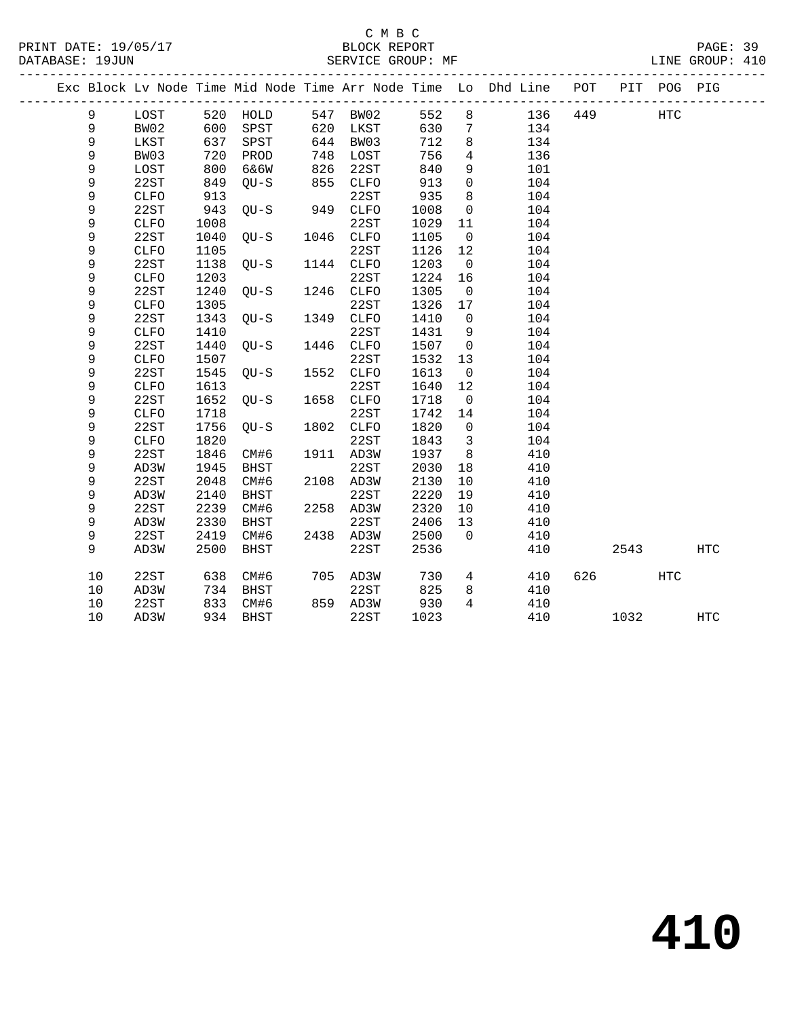|    |              |            |                 |      |           |      |                         | Exc Block Lv Node Time Mid Node Time Arr Node Time Lo Dhd Line POT |     |       | PIT POG PIG |            |  |
|----|--------------|------------|-----------------|------|-----------|------|-------------------------|--------------------------------------------------------------------|-----|-------|-------------|------------|--|
| 9  | LOST         |            | 520 HOLD        |      | 547 BW02  | 552  | 8                       | 136                                                                | 449 |       | HTC         |            |  |
| 9  | BW02         |            | SPST            |      | 620 LKST  | 630  | $\overline{7}$          | 134                                                                |     |       |             |            |  |
| 9  | LKST         | 600<br>637 | SPST            |      | 644 BW03  | 712  | 8                       | 134                                                                |     |       |             |            |  |
| 9  | BW03         | 720        | PROD            | 748  | LOST      | 756  | $\overline{4}$          | 136                                                                |     |       |             |            |  |
| 9  | LOST         | 800        | 6&6W            | 826  | 22ST      | 840  | 9                       | 101                                                                |     |       |             |            |  |
| 9  | 22ST         | 849        | QU-S            | 855  | CLFO      | 913  | $\mathbf 0$             | 104                                                                |     |       |             |            |  |
| 9  | <b>CLFO</b>  | 913        | $QU-S$ 949 CLFO |      | 22ST      | 935  | 8                       | 104                                                                |     |       |             |            |  |
| 9  | 22ST         | 943        |                 |      |           | 1008 | $\overline{0}$          | 104                                                                |     |       |             |            |  |
| 9  | <b>CLFO</b>  | 1008       |                 |      | 22ST      | 1029 | 11                      | 104                                                                |     |       |             |            |  |
| 9  | 22ST         | 1040       | $QU-S$          |      | 1046 CLFO | 1105 | $\overline{0}$          | 104                                                                |     |       |             |            |  |
| 9  | <b>CLFO</b>  | 1105       |                 |      | 22ST      | 1126 | 12                      | 104                                                                |     |       |             |            |  |
| 9  | 22ST         | 1138       | $QU-S$          |      | 1144 CLFO | 1203 | $\overline{0}$          | 104                                                                |     |       |             |            |  |
| 9  | CLFO         | 1203       |                 |      | 22ST      | 1224 | 16                      | 104                                                                |     |       |             |            |  |
| 9  | 22ST         | 1240       | $QU-S$          |      | 1246 CLFO | 1305 | $\overline{0}$          | 104                                                                |     |       |             |            |  |
| 9  | <b>CLFO</b>  | 1305       |                 |      | 22ST      | 1326 | 17                      | 104                                                                |     |       |             |            |  |
| 9  | 22ST         | 1343       | $OU-S$          |      | 1349 CLFO | 1410 | $\overline{0}$          | 104                                                                |     |       |             |            |  |
| 9  | <b>CLFO</b>  | 1410       |                 |      | 22ST      | 1431 | 9                       | 104                                                                |     |       |             |            |  |
| 9  | 22ST         | 1440       | $QU-S$          | 1446 | CLFO      | 1507 | $\overline{0}$          | 104                                                                |     |       |             |            |  |
| 9  | CLFO         | 1507       |                 |      | 22ST      | 1532 | 13                      | 104                                                                |     |       |             |            |  |
| 9  | 22ST         | 1545       | QU-S            |      | 1552 CLFO | 1613 | $\overline{0}$          | 104                                                                |     |       |             |            |  |
| 9  | <b>CLFO</b>  | 1613       |                 |      | 22ST      | 1640 | 12                      | 104                                                                |     |       |             |            |  |
| 9  | 22ST         | 1652       | $QU-S$          |      | 1658 CLFO | 1718 | $\overline{0}$          | 104                                                                |     |       |             |            |  |
| 9  | <b>CLFO</b>  | 1718       |                 |      | 22ST      | 1742 | 14                      | 104                                                                |     |       |             |            |  |
| 9  | 22ST         | 1756       | QU-S            |      | 1802 CLFO | 1820 | $\overline{0}$          | 104                                                                |     |       |             |            |  |
| 9  | ${\tt CLFO}$ | 1820       |                 |      | 22ST      | 1843 | $\overline{\mathbf{3}}$ | 104                                                                |     |       |             |            |  |
| 9  | 22ST         | 1846       | CM#6            |      | 1911 AD3W | 1937 | 8                       | 410                                                                |     |       |             |            |  |
| 9  | AD3W         | 1945       | BHST            |      | 22ST      | 2030 | 18                      | 410                                                                |     |       |             |            |  |
| 9  | 22ST         | 2048       | CM#6            |      | 2108 AD3W | 2130 | 10                      | 410                                                                |     |       |             |            |  |
| 9  | AD3W         | 2140       | BHST            |      | 22ST      | 2220 | 19                      | 410                                                                |     |       |             |            |  |
| 9  | 22ST         | 2239       | CM#6            |      | 2258 AD3W | 2320 | 10                      | 410                                                                |     |       |             |            |  |
| 9  | AD3W         | 2330       | BHST            |      | 22ST      | 2406 | 13                      | 410                                                                |     |       |             |            |  |
| 9  | 22ST         | 2419       | CM#6            |      | 2438 AD3W | 2500 | $\overline{0}$          | 410                                                                |     |       |             |            |  |
| 9  | AD3W         | 2500       | BHST            |      | 22ST      | 2536 |                         | 410                                                                |     | 2543  |             | <b>HTC</b> |  |
| 10 | 22ST         | 638        | CM#6            |      | 705 AD3W  | 730  |                         | $4\degree$<br>410                                                  |     | 626 7 | HTC         |            |  |
| 10 | AD3W         | 734        | BHST            |      | 22ST      | 825  | 8                       | 410                                                                |     |       |             |            |  |
| 10 | 22ST         | 833        | CM#6            |      | 859 AD3W  | 930  | $\overline{4}$          | 410                                                                |     |       |             |            |  |
| 10 | AD3W         |            | 934 BHST        |      | 22ST      | 1023 |                         | 410                                                                |     | 1032  |             | HTC        |  |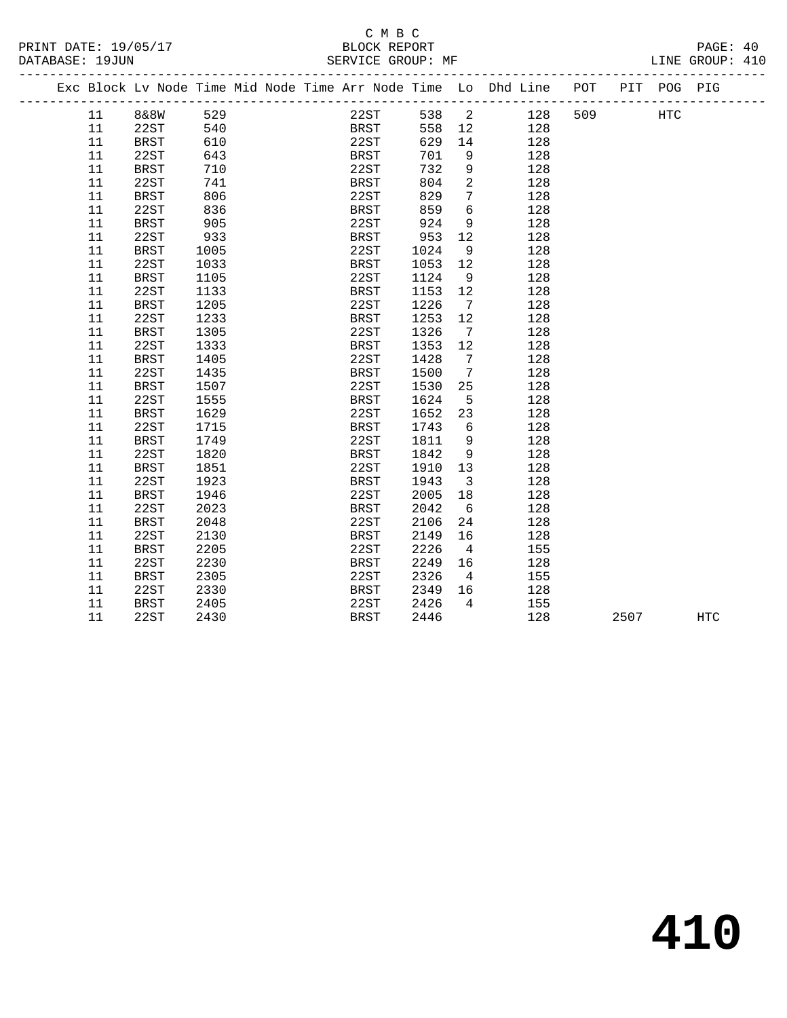|  |        | Exc Block Lv Node Time Mid Node Time Arr Node Time Lo Dhd Line POT |            |  |             |              |            |                         |     |     |      | PIT POG PIG |            |
|--|--------|--------------------------------------------------------------------|------------|--|-------------|--------------|------------|-------------------------|-----|-----|------|-------------|------------|
|  | 11     | <b>8&amp;8W</b>                                                    | 529        |  |             |              | 22ST 538 2 |                         | 128 | 509 |      | HTC         |            |
|  | 11     | 22ST                                                               | 540<br>610 |  |             | BRST<br>22ST | 558        | 12                      | 128 |     |      |             |            |
|  | 11     | BRST                                                               |            |  | 22ST        |              | 629        | 14                      | 128 |     |      |             |            |
|  | 11     | 22ST                                                               | 643        |  | BRST        |              | 701        | 9                       | 128 |     |      |             |            |
|  | 11     | BRST                                                               | 710        |  | 22ST        |              | 732        | 9                       | 128 |     |      |             |            |
|  | 11     | 22ST                                                               | 741        |  | BRST        |              | 804        | 2                       | 128 |     |      |             |            |
|  | 11     | BRST                                                               | 806        |  | 22ST        |              | 829        | $7\phantom{.0}$         | 128 |     |      |             |            |
|  | 11     | 22ST                                                               | 836        |  | BRST        |              | 859        | 6                       | 128 |     |      |             |            |
|  | 11     | <b>BRST</b>                                                        | 905        |  | 22ST        |              | 924        | 9                       | 128 |     |      |             |            |
|  | 11     | 22ST                                                               | 933        |  | BRST        |              | 953        | 12                      | 128 |     |      |             |            |
|  | 11     | <b>BRST</b>                                                        | 1005       |  | 22ST        |              | 1024       | 9                       | 128 |     |      |             |            |
|  | $11\,$ | 22ST                                                               | 1033       |  | BRST        |              | 1053       | 12                      | 128 |     |      |             |            |
|  | 11     | BRST                                                               | 1105       |  | 22ST        |              | 1124       | 9                       | 128 |     |      |             |            |
|  | 11     | 22ST                                                               | 1133       |  | <b>BRST</b> |              | 1153       | 12                      | 128 |     |      |             |            |
|  | 11     | <b>BRST</b>                                                        | 1205       |  | 22ST        |              | 1226       | $\overline{7}$          | 128 |     |      |             |            |
|  | 11     | 22ST                                                               | 1233       |  | BRST        |              | 1253       | 12                      | 128 |     |      |             |            |
|  | 11     | <b>BRST</b>                                                        | 1305       |  | 22ST        |              | 1326       | $\overline{7}$          | 128 |     |      |             |            |
|  | 11     | 22ST                                                               | 1333       |  | BRST        |              | 1353       | 12                      | 128 |     |      |             |            |
|  | 11     | <b>BRST</b>                                                        | 1405       |  | 22ST        |              | 1428       | $\overline{7}$          | 128 |     |      |             |            |
|  | 11     | 22ST                                                               | 1435       |  | BRST        |              | 1500       | $\overline{7}$          | 128 |     |      |             |            |
|  | 11     | BRST                                                               | 1507       |  | 22ST        |              | 1530       | 25                      | 128 |     |      |             |            |
|  | 11     | 22ST                                                               | 1555       |  | BRST        |              | 1624       | 5                       | 128 |     |      |             |            |
|  | 11     | BRST                                                               | 1629       |  | 22ST        |              | 1652       | 23                      | 128 |     |      |             |            |
|  | 11     | 22ST                                                               | 1715       |  | BRST        |              | 1743       | 6                       | 128 |     |      |             |            |
|  | 11     | <b>BRST</b>                                                        | 1749       |  | 22ST        |              | 1811       | 9                       | 128 |     |      |             |            |
|  | 11     | 22ST                                                               | 1820       |  | BRST        |              | 1842       | $\overline{9}$          | 128 |     |      |             |            |
|  | 11     | <b>BRST</b>                                                        | 1851       |  | 22ST        |              | 1910       | 13                      | 128 |     |      |             |            |
|  | 11     | 22ST                                                               | 1923       |  | <b>BRST</b> |              | 1943       | $\overline{\mathbf{3}}$ | 128 |     |      |             |            |
|  | 11     | <b>BRST</b>                                                        | 1946       |  | 22ST        |              | 2005       | 18                      | 128 |     |      |             |            |
|  | 11     | 22ST                                                               | 2023       |  | <b>BRST</b> |              | 2042       | $6\overline{6}$         | 128 |     |      |             |            |
|  | 11     | BRST                                                               | 2048       |  | 22ST        |              | 2106       | 24                      | 128 |     |      |             |            |
|  | 11     | 22ST                                                               | 2130       |  | BRST        |              | 2149       | 16                      | 128 |     |      |             |            |
|  | $11\,$ | <b>BRST</b>                                                        | 2205       |  | 22ST        |              | 2226       | $\overline{4}$          | 155 |     |      |             |            |
|  | 11     | 22ST                                                               | 2230       |  | <b>BRST</b> |              | 2249       | 16                      | 128 |     |      |             |            |
|  | 11     | <b>BRST</b>                                                        | 2305       |  | 22ST        |              | 2326       | $\overline{4}$          | 155 |     |      |             |            |
|  | 11     | 22ST                                                               | 2330       |  | <b>BRST</b> |              | 2349       | 16                      | 128 |     |      |             |            |
|  | 11     | BRST                                                               | 2405       |  | 22ST        |              | 2426       | $\overline{4}$          | 155 |     |      |             |            |
|  | 11     | 22ST                                                               | 2430       |  | BRST        |              | 2446       |                         | 128 |     | 2507 |             | <b>HTC</b> |
|  |        |                                                                    |            |  |             |              |            |                         |     |     |      |             |            |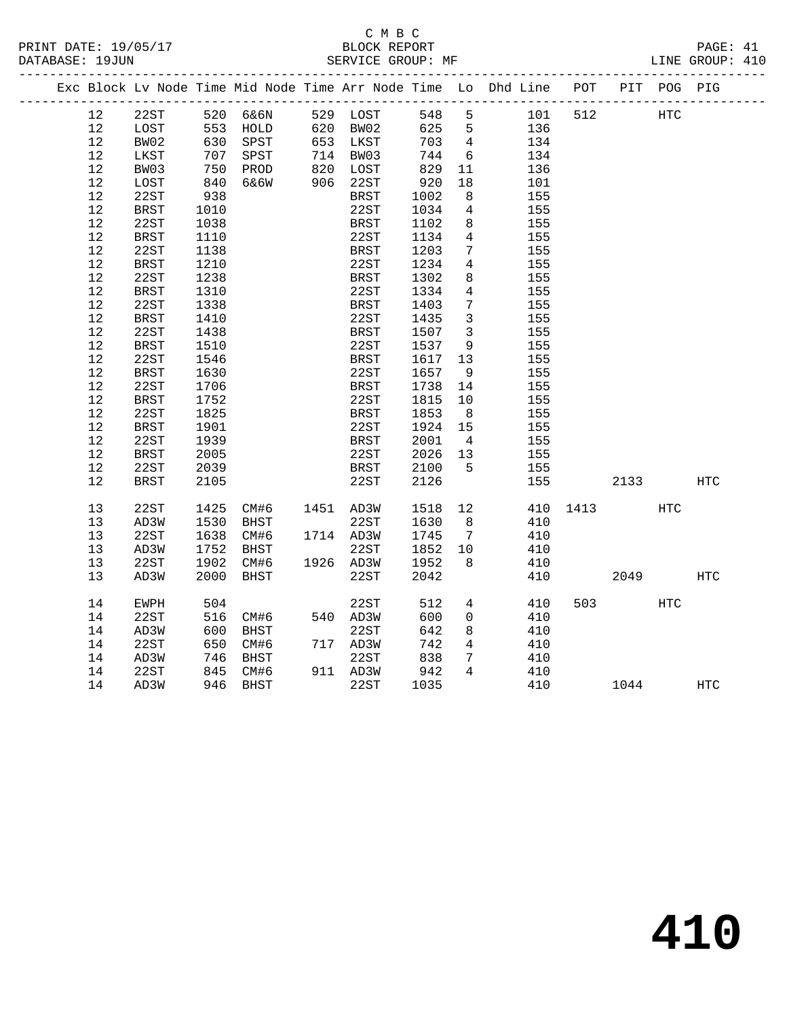|  |    |             |      |                                   |                                  |       |                         | Exc Block Lv Node Time Mid Node Time Arr Node Time Lo Dhd Line POT PIT POG PIG |      |      |     |            |
|--|----|-------------|------|-----------------------------------|----------------------------------|-------|-------------------------|--------------------------------------------------------------------------------|------|------|-----|------------|
|  | 12 | 22ST        |      | 520 6&6N                          | 529 LOST                         | 548   | 5                       | 101                                                                            | 512  | HTC  |     |            |
|  | 12 | LOST        |      |                                   | 620 BW02                         | 625 5 |                         | 136                                                                            |      |      |     |            |
|  | 12 | BW02        |      | 553    HOLD<br>630    SPST        | 620 BW02<br>653 LKST             | 703   | $\overline{4}$          | 134                                                                            |      |      |     |            |
|  | 12 | LKST        |      |                                   |                                  | 744   | 6                       | 134                                                                            |      |      |     |            |
|  | 12 | BW03        |      | 707 SPST<br>750 PROD<br>840 6&6W  | 714 BW03<br>820 LOST<br>906 22ST | 829   | 11                      | 136                                                                            |      |      |     |            |
|  | 12 | LOST        |      |                                   |                                  | 920   | 18                      | 101                                                                            |      |      |     |            |
|  | 12 | 22ST        | 938  |                                   | BRST                             | 1002  | 8                       | 155                                                                            |      |      |     |            |
|  | 12 | BRST        | 1010 |                                   | 22ST                             | 1034  | $\overline{4}$          | 155                                                                            |      |      |     |            |
|  | 12 | 22ST        | 1038 |                                   | <b>BRST</b>                      | 1102  | 8                       | 155                                                                            |      |      |     |            |
|  | 12 | <b>BRST</b> | 1110 |                                   | 22ST                             | 1134  | $\overline{4}$          | 155                                                                            |      |      |     |            |
|  | 12 | 22ST        | 1138 |                                   | BRST                             | 1203  | $\overline{7}$          | 155                                                                            |      |      |     |            |
|  | 12 | BRST        | 1210 |                                   | 22ST                             | 1234  | $\overline{4}$          | 155                                                                            |      |      |     |            |
|  | 12 | 22ST        | 1238 |                                   | <b>BRST</b>                      | 1302  | 8                       | 155                                                                            |      |      |     |            |
|  | 12 | <b>BRST</b> | 1310 |                                   | 22ST                             | 1334  | 4                       | 155                                                                            |      |      |     |            |
|  | 12 | 22ST        | 1338 |                                   | <b>BRST</b>                      | 1403  | $7\phantom{.0}$         | 155                                                                            |      |      |     |            |
|  | 12 | BRST        | 1410 |                                   | 22ST                             | 1435  | $\mathbf{3}$            | 155                                                                            |      |      |     |            |
|  | 12 | 22ST        | 1438 |                                   | <b>BRST</b>                      | 1507  | $\overline{\mathbf{3}}$ | 155                                                                            |      |      |     |            |
|  | 12 | <b>BRST</b> | 1510 |                                   | 22ST                             | 1537  | 9                       | 155                                                                            |      |      |     |            |
|  | 12 | 22ST        | 1546 |                                   | BRST                             | 1617  | 13                      | 155                                                                            |      |      |     |            |
|  | 12 | BRST        | 1630 |                                   | 22ST                             | 1657  | $\overline{9}$          | 155                                                                            |      |      |     |            |
|  | 12 | 22ST        | 1706 |                                   | BRST                             | 1738  | 14                      | 155                                                                            |      |      |     |            |
|  | 12 | BRST        | 1752 |                                   | 22ST                             | 1815  | 10                      | 155                                                                            |      |      |     |            |
|  | 12 | 22ST        | 1825 |                                   | <b>BRST</b>                      | 1853  | 8 <sup>8</sup>          | 155                                                                            |      |      |     |            |
|  | 12 | BRST        | 1901 |                                   | 22ST                             | 1924  | 15                      | 155                                                                            |      |      |     |            |
|  | 12 | 22ST        | 1939 |                                   | <b>BRST</b>                      | 2001  | $\overline{4}$          | 155                                                                            |      |      |     |            |
|  | 12 | <b>BRST</b> | 2005 |                                   | 22ST                             | 2026  | 13                      | 155                                                                            |      |      |     |            |
|  | 12 | 22ST        | 2039 |                                   | BRST                             | 2100  | $5^{\circ}$             | 155                                                                            |      |      |     |            |
|  | 12 | BRST        | 2105 |                                   | 22ST                             | 2126  |                         | 155                                                                            |      | 2133 |     | HTC        |
|  | 13 | 22ST        | 1425 | CM#6                              | 1451 AD3W                        | 1518  | 12                      | 410                                                                            | 1413 |      | HTC |            |
|  | 13 | AD3W        | 1530 | BHST                              | 22ST                             | 1630  | 8 <sup>8</sup>          | 410                                                                            |      |      |     |            |
|  | 13 | 22ST        |      | $\frac{1}{\sqrt{2}}$<br>1638 CM#6 | 1714 AD3W                        | 1745  | $\overline{7}$          | 410                                                                            |      |      |     |            |
|  | 13 | AD3W        | 1752 | BHST                              | 22ST                             | 1852  | 10                      | 410                                                                            |      |      |     |            |
|  | 13 | 22ST        | 1902 | CM#6                              | 1926 AD3W                        | 1952  | 8                       | 410                                                                            |      |      |     |            |
|  | 13 | AD3W        | 2000 | BHST                              | 22ST                             | 2042  |                         | 410                                                                            |      | 2049 |     | <b>HTC</b> |
|  | 14 | EWPH        | 504  |                                   | 22ST                             | 512   | $4\overline{ }$         | 410                                                                            | 503  |      | HTC |            |
|  | 14 | 22ST        |      | 516 CM#6                          | 540 AD3W                         | 600   | $\overline{0}$          | 410                                                                            |      |      |     |            |
|  | 14 | AD3W        | 600  | BHST                              | 22ST                             | 642   | 8                       | 410                                                                            |      |      |     |            |
|  | 14 | 22ST        |      | 650 CM#6                          | 717 AD3W                         | 742   | $4\overline{ }$         | 410                                                                            |      |      |     |            |
|  | 14 | AD3W        |      | 746 BHST                          | 22ST                             | 838   | $7\phantom{.0}$         | 410                                                                            |      |      |     |            |
|  | 14 | 22ST        |      | 845 CM#6                          | 911 AD3W                         | 942   | $\overline{4}$          | 410                                                                            |      |      |     |            |
|  | 14 | AD3W        |      | 946 BHST                          | 22ST                             | 1035  |                         | 410                                                                            |      | 1044 |     | HTC        |
|  |    |             |      |                                   |                                  |       |                         |                                                                                |      |      |     |            |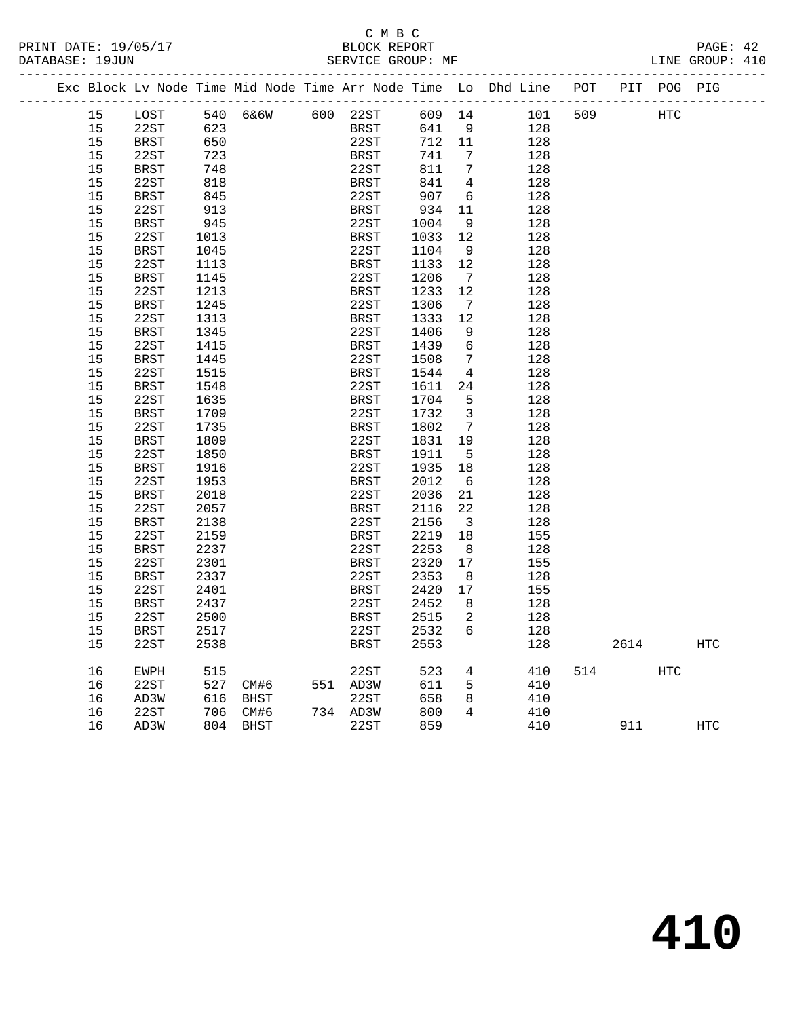### C M B C

| DATABASE: 19JUN |                                                                                |  |  |  | SERVICE GROUP: MF |  |  |  | LINE GROUP: 410 |  |
|-----------------|--------------------------------------------------------------------------------|--|--|--|-------------------|--|--|--|-----------------|--|
|                 | Exc Block Ly Node Time Mid Node Time Arr Node Time Lo Dhd Line POT PIT POG PIG |  |  |  |                   |  |  |  |                 |  |

------------------------------------------------------------------------------------------------- 15 LOST 540 6&6W 600 22ST 609 14 101 509 HTC 15 22ST 623 BRST 641 9 128 15 BRST 650 22ST 712 11 128 15 22ST 723 BRST 741 7 128 15 BRST 748 22ST 811 7 128 15 22ST 818 BRST 841 4 128 15 BRST 845 22ST 907 6 128 15 22ST 913 BRST 934 11 128 15 BRST 945 22ST 1004 9 128 15 22ST 1013 BRST 1033 12 128 15 BRST 1045 22ST 1104 9 128 15 22ST 1113 BRST 1133 12 128 15 BRST 1145 22ST 1206 7 128 15 22ST 1213 BRST 1233 12 128 15 BRST 1245 22ST 1306 7 128 15 22ST 1313 BRST 1333 12 128 15 BRST 1345 22ST 1406 9 128 15 22ST 1415 BRST 1439 6 128 15 BRST 1445 22ST 1508 7 128 15 22ST 1515 BRST 1544 4 128 15 BRST 1548 22ST 1611 24 128 15 22ST 1635 BRST 1704 5 128 15 BRST 1709 22ST 1732 3 128 15 22ST 1735 BRST 1802 7 128 15 BRST 1809 22ST 1831 19 128 15 22ST 1850 BRST 1911 5 128 15 BRST 1916 22ST 1935 18 128 15 22ST 1953 BRST 2012 6 128 15 BRST 2018 22ST 2036 21 128 15 22ST 2057 BRST 2116 22 128 15 BRST 2138 22ST 2156 3 128 15 22ST 2159 BRST 2219 18 155 15 BRST 2237 22ST 2253 8 128 15 22ST 2301 BRST 2320 17 155 15 BRST 2337 22ST 2353 8 128 15 22ST 2401 BRST 2420 17 155 15 BRST 2437 22ST 2452 8 128 15 22ST 2500 BRST 2515 2 128 15 BRST 2517 22ST 2532 6 128 15 22ST 2538 BRST 2553 128 2614 HTC 16 EWPH 515 22ST 523 4 410 514 HTC 16 22ST 527 CM#6 551 AD3W 611 5 410 16 AD3W 616 BHST 22ST 658 8 410 16 22ST 706 CM#6 734 AD3W 800 4 410 16 AD3W 804 BHST 22ST 859 410 911 HTC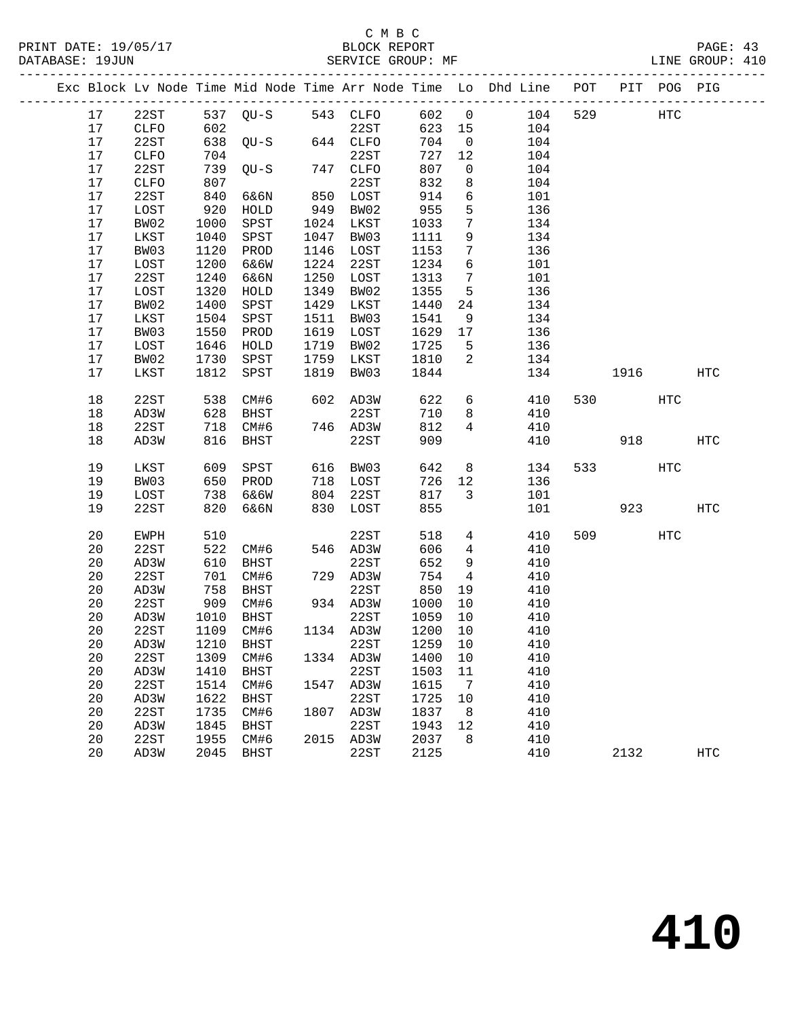|  |        |      |      |                        |      |           |         |                 | Exc Block Lv Node Time Mid Node Time Arr Node Time Lo Dhd Line POT |     |                          | PIT POG PIG |            |
|--|--------|------|------|------------------------|------|-----------|---------|-----------------|--------------------------------------------------------------------|-----|--------------------------|-------------|------------|
|  | 17     | 22ST |      | 537 QU-S 543 CLFO      |      |           | 602 0   |                 | 104                                                                | 529 |                          | HTC         |            |
|  | 17     | CLFO | 602  |                        |      | 22ST      | 623 15  |                 | 104                                                                |     |                          |             |            |
|  | 17     | 22ST |      | $638$ QU-S             |      | 644 CLFO  | 704     | $\overline{0}$  | 104                                                                |     |                          |             |            |
|  | 17     | CLFO | 704  |                        |      | 22ST      | 727     | 12              | 104                                                                |     |                          |             |            |
|  | 17     | 22ST | 739  | $QU-S$                 |      | 747 CLFO  | 807     | $\overline{0}$  | 104                                                                |     |                          |             |            |
|  | 17     | CLFO | 807  |                        |      | 22ST      | 832     | 8               | 104                                                                |     |                          |             |            |
|  | 17     | 22ST | 840  | 6&6N                   |      | 850 LOST  | 914     | 6               | 101                                                                |     |                          |             |            |
|  | 17     | LOST | 920  | HOLD                   | 949  | BW02      | 955     | 5               | 136                                                                |     |                          |             |            |
|  | 17     | BW02 | 1000 | SPST                   |      | 1024 LKST | 1033    | $7\phantom{.0}$ | 134                                                                |     |                          |             |            |
|  | 17     | LKST | 1040 | SPST                   | 1047 | BW03      | 1111    | 9               | 134                                                                |     |                          |             |            |
|  | 17     | BW03 | 1120 | PROD                   | 1146 | LOST      | 1153    | 7               | 136                                                                |     |                          |             |            |
|  | 17     | LOST | 1200 | 6&6W                   | 1224 | 22ST      | 1234    | 6               | 101                                                                |     |                          |             |            |
|  | 17     | 22ST | 1240 | 6&6N                   | 1250 | LOST      | 1313    | $7\overline{ }$ | 101                                                                |     |                          |             |            |
|  | 17     | LOST | 1320 | HOLD                   | 1349 | BW02      | 1355    | $5\phantom{.0}$ | 136                                                                |     |                          |             |            |
|  | 17     | BW02 | 1400 | SPST                   | 1429 | LKST      | 1440    | 24              | 134                                                                |     |                          |             |            |
|  | 17     | LKST | 1504 | SPST                   | 1511 | BW03      | 1541    | 9               | 134                                                                |     |                          |             |            |
|  | 17     | BW03 | 1550 | PROD                   | 1619 | LOST      | 1629    | 17              | 136                                                                |     |                          |             |            |
|  | 17     | LOST | 1646 | HOLD                   | 1719 | BW02      | 1725    | $5^{\circ}$     | 136                                                                |     |                          |             |            |
|  | 17     | BW02 | 1730 | SPST                   | 1759 | LKST      | 1810    | $\overline{2}$  | 134                                                                |     |                          |             |            |
|  | 17     | LKST | 1812 | SPST                   | 1819 | BW03      | 1844    |                 | 134                                                                |     | 1916                     |             | HTC        |
|  |        |      |      |                        |      |           |         |                 |                                                                    |     |                          |             |            |
|  | $18\,$ | 22ST | 538  | CM#6                   |      | 602 AD3W  | 622     | 6               | 410                                                                |     | 530 720                  | HTC         |            |
|  | $18\,$ | AD3W | 628  | BHST                   |      | 22ST      | 710     | 8               | 410                                                                |     |                          |             |            |
|  | $18\,$ | 22ST | 718  | CM#6                   |      | 746 AD3W  | 812     | $4\overline{ }$ | 410                                                                |     |                          |             |            |
|  | 18     | AD3W | 816  | BHST                   |      | 22ST      | 909     |                 | 410                                                                |     | 918                      |             | HTC        |
|  |        |      |      |                        |      |           |         |                 |                                                                    |     |                          |             |            |
|  | 19     | LKST | 609  | SPST                   |      | 616 BW03  | 642     |                 | 8<br>134                                                           |     | 533 and $\overline{533}$ | HTC         |            |
|  | 19     | BW03 | 650  | PROD                   |      | 718 LOST  | 726     | 12              | 136                                                                |     |                          |             |            |
|  | 19     | LOST | 738  | 6&6W                   | 804  | 22ST      | 817     | 3               | 101                                                                |     |                          |             |            |
|  | 19     | 22ST | 820  | 6&6N                   |      | 830 LOST  | 855     |                 | 101                                                                |     | 923                      |             | HTC        |
|  | 20     | EWPH | 510  |                        |      | 22ST      | 518     | $4\overline{ }$ | 410                                                                |     | 509                      | HTC         |            |
|  | 20     | 22ST | 522  | CM#6                   |      | 546 AD3W  | 606     | $\overline{4}$  | 410                                                                |     |                          |             |            |
|  | 20     | AD3W | 610  | BHST                   |      | 22ST      | 652     | 9               | 410                                                                |     |                          |             |            |
|  | 20     | 22ST | 701  | CM#6                   |      | 729 AD3W  | 754     | $\overline{4}$  | 410                                                                |     |                          |             |            |
|  | 20     | AD3W | 758  | BHST                   |      | 22ST      | 850     | 19              | 410                                                                |     |                          |             |            |
|  | 20     | 22ST | 909  | CM#6                   |      | 934 AD3W  | 1000    | 10              | 410                                                                |     |                          |             |            |
|  | 20     | AD3W | 1010 | BHST                   |      | 22ST      | 1059    | 10              | 410                                                                |     |                          |             |            |
|  | 20     | 22ST |      | 1109 CM#6              |      | 1134 AD3W | 1200 10 |                 | 410                                                                |     |                          |             |            |
|  |        |      |      | 20 AD3W 1210 BHST 22ST |      |           |         |                 | 1259 10 410                                                        |     |                          |             |            |
|  | 20     | 22ST | 1309 | CM#6                   |      | 1334 AD3W | 1400    | 10              | 410                                                                |     |                          |             |            |
|  | 20     | AD3W | 1410 | BHST                   |      | 22ST      | 1503    | 11              | 410                                                                |     |                          |             |            |
|  | 20     | 22ST | 1514 | CM#6                   |      | 1547 AD3W | 1615    | $\overline{7}$  | 410                                                                |     |                          |             |            |
|  | 20     | AD3W | 1622 | BHST                   |      | 22ST      | 1725    | 10              | 410                                                                |     |                          |             |            |
|  | 20     | 22ST | 1735 | CM#6                   | 1807 | AD3W      | 1837    | 8               | 410                                                                |     |                          |             |            |
|  | 20     | AD3W | 1845 | BHST                   |      | 22ST      | 1943    | 12              | 410                                                                |     |                          |             |            |
|  | 20     | 22ST | 1955 | CM#6                   |      | 2015 AD3W | 2037    | 8               | 410                                                                |     |                          |             |            |
|  | 20     | AD3W |      | 2045 BHST              |      | 22ST      | 2125    |                 | 410                                                                |     | 2132                     |             | <b>HTC</b> |
|  |        |      |      |                        |      |           |         |                 |                                                                    |     |                          |             |            |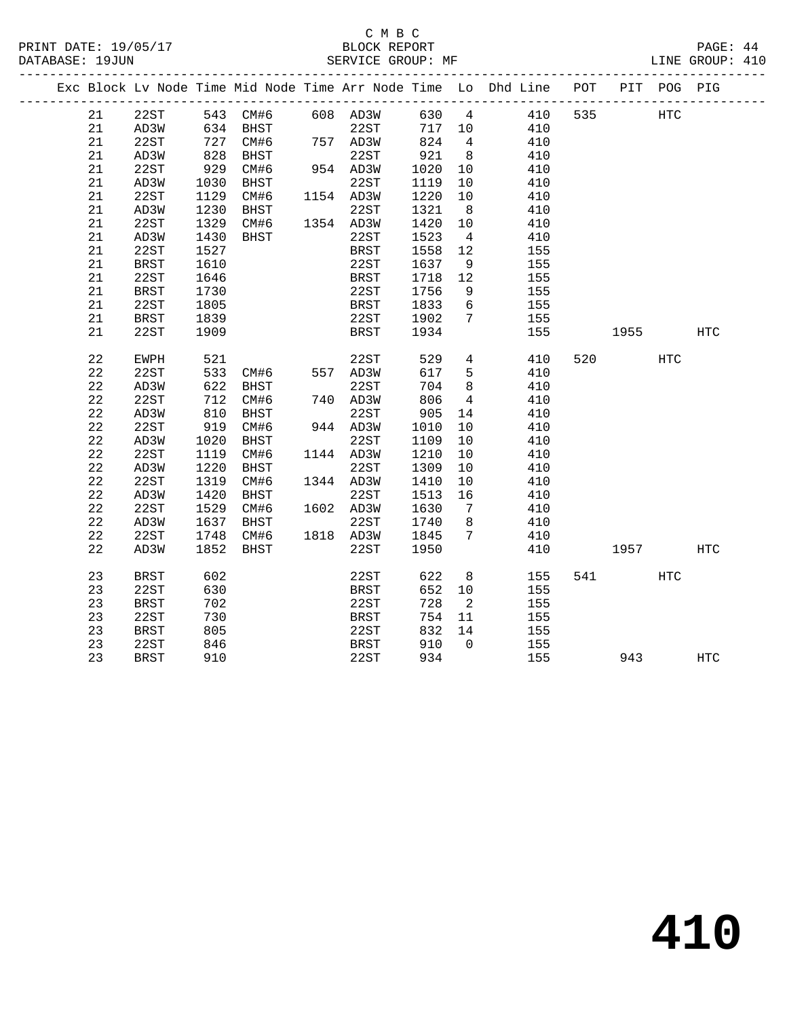#### C M B C<br>BLOCK REPORT PRINT DATE: 19/05/17 BLOCK REPORT PAGE: 44 SERVICE GROUP: MF

|  |             |             |      |                   |             |            |                      | Exc Block Lv Node Time Mid Node Time Arr Node Time Lo Dhd Line POT |     |           | PIT POG PIG |     |
|--|-------------|-------------|------|-------------------|-------------|------------|----------------------|--------------------------------------------------------------------|-----|-----------|-------------|-----|
|  | 21          | 22ST        |      | 543 CM#6 608 AD3W |             | 630 4      |                      | 410                                                                | 535 |           | <b>HTC</b>  |     |
|  | 21          | AD3W        |      | 634 BHST          | 22ST        | 717 10     |                      | 410                                                                |     |           |             |     |
|  | 21          | 22ST        | 727  | CM#6              | 757 AD3W    | 824        | $4\overline{4}$      | 410                                                                |     |           |             |     |
|  | 21          | AD3W        | 828  | BHST              | 22ST        | 921        | 8 <sup>8</sup>       | 410                                                                |     |           |             |     |
|  | 21          | 22ST        | 929  | CM#6              | 954 AD3W    | 1020       | 10                   | 410                                                                |     |           |             |     |
|  | 21          | AD3W        | 1030 | BHST              | 22ST        | 1119       | 10                   | 410                                                                |     |           |             |     |
|  | 21          | 22ST        | 1129 | CM#6              | 1154 AD3W   | 1220       | 10                   | 410                                                                |     |           |             |     |
|  | 21          | AD3W        | 1230 | BHST              | 22ST        | 1321       | 8 <sup>8</sup>       | 410                                                                |     |           |             |     |
|  | 21          | 22ST        | 1329 | CM#6              | 1354 AD3W   | 1420       | 10                   | 410                                                                |     |           |             |     |
|  | 21          | AD3W        | 1430 | BHST              | 22ST        | 1523       | $\overline{4}$       | 410                                                                |     |           |             |     |
|  | 21          | 22ST        | 1527 |                   | <b>BRST</b> | 1558       | 12                   | 155                                                                |     |           |             |     |
|  | 21          | BRST        | 1610 |                   | 22ST        | 1637       | 9                    | 155                                                                |     |           |             |     |
|  | 21          | 22ST        | 1646 |                   | <b>BRST</b> | 1718       | 12                   | 155                                                                |     |           |             |     |
|  | 21          | <b>BRST</b> | 1730 |                   | 22ST        | 1756       | 9                    | 155                                                                |     |           |             |     |
|  | 21          | 22ST        | 1805 |                   | BRST        | 1833       | $6\overline{6}$      | 155                                                                |     |           |             |     |
|  | 21          | <b>BRST</b> | 1839 |                   | 22ST        | 1902       | 7                    | 155                                                                |     |           |             |     |
|  | 21          | 22ST        | 1909 |                   | <b>BRST</b> | 1934       |                      | 155                                                                |     | 1955      |             | HTC |
|  |             |             |      |                   |             |            |                      |                                                                    |     |           |             |     |
|  | $2\sqrt{2}$ | EWPH        | 521  |                   | 22ST        | 529        | $\overline{4}$       | 410                                                                |     | 520 320   | HTC         |     |
|  | 22          | 22ST        | 533  | CM#6              | 557 AD3W    | 617        | 5                    | 410                                                                |     |           |             |     |
|  | 22          | AD3W        | 622  | BHST              | 22ST        | 704        | 8                    | 410                                                                |     |           |             |     |
|  | 22          | 22ST        | 712  | CM#6              | 740 AD3W    | 806        | $\overline{4}$       | 410                                                                |     |           |             |     |
|  | 22          | AD3W        | 810  | BHST              | 22ST        | 905        | 14                   | 410                                                                |     |           |             |     |
|  | 22          | 22ST        | 919  | CM#6              | 944 AD3W    | 1010       | 10                   | 410                                                                |     |           |             |     |
|  | 22          | AD3W        | 1020 | BHST              | 22ST        | 1109       | 10                   | 410                                                                |     |           |             |     |
|  | 22          | 22ST        | 1119 | CM#6              | 1144 AD3W   | 1210       | 10                   | 410                                                                |     |           |             |     |
|  | 22          | AD3W        | 1220 | BHST              | 22ST        | 1309       | 10                   | 410                                                                |     |           |             |     |
|  | 22          | 22ST        | 1319 | CM#6              | 1344 AD3W   | 1410       | 10                   | 410                                                                |     |           |             |     |
|  | 22          | AD3W        | 1420 | BHST              | 22ST        | 1513       | 16                   | 410                                                                |     |           |             |     |
|  | 22          | 22ST        | 1529 | CM#6              | 1602 AD3W   | 1630       | $\overline{7}$       | 410                                                                |     |           |             |     |
|  | 22          | AD3W        | 1637 | BHST              | 22ST        | 1740       | 8 <sup>8</sup>       | 410                                                                |     |           |             |     |
|  | 22          | 22ST        | 1748 | CM#6              | 1818 AD3W   | 1845       | 7                    | 410                                                                |     |           |             |     |
|  | 22          | AD3W        | 1852 | BHST              | 22ST        | 1950       |                      | 410                                                                |     | 1957 1990 |             | HTC |
|  |             |             |      |                   |             |            |                      |                                                                    |     |           |             |     |
|  | 23          | BRST        | 602  |                   | 22ST        | 622        | 8 <sup>8</sup>       | 155                                                                |     | 541 7     | HTC         |     |
|  | 23          | 22ST        | 630  |                   | BRST        | 652<br>728 | 10<br>$\overline{2}$ | 155                                                                |     |           |             |     |
|  | 23          | <b>BRST</b> | 702  |                   | 22ST        |            |                      | 155                                                                |     |           |             |     |
|  | 23          | 22ST        | 730  |                   | <b>BRST</b> | 754        | 11                   | 155                                                                |     |           |             |     |
|  | 23          | BRST        | 805  |                   | 22ST        | 832        | 14                   | 155                                                                |     |           |             |     |
|  | 23          | 22ST        | 846  |                   | <b>BRST</b> | 910        | $\bigcap$            | 155                                                                |     |           |             |     |
|  | 23          | BRST        | 910  |                   | 22ST        | 934        |                      | 155                                                                |     | 943       |             | HTC |

**410**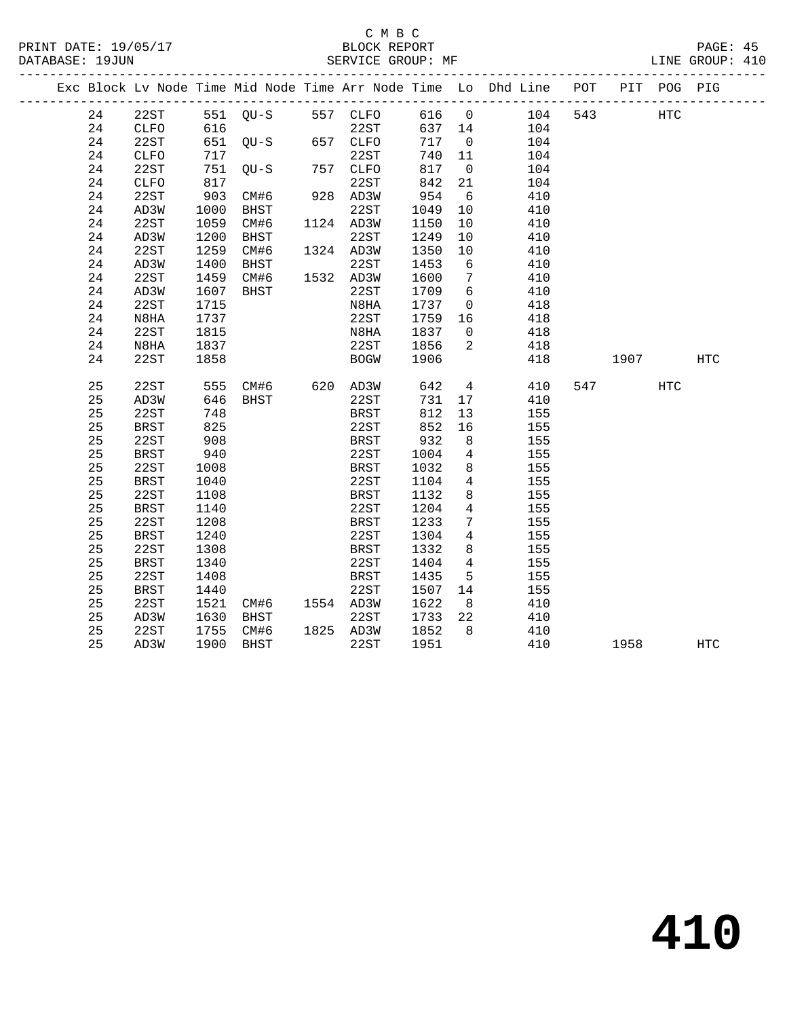|  |    |             |      |                   |               |             |         |                 | Exc Block Lv Node Time Mid Node Time Arr Node Time Lo Dhd Line POT |     |           | PIT POG PIG |            |
|--|----|-------------|------|-------------------|---------------|-------------|---------|-----------------|--------------------------------------------------------------------|-----|-----------|-------------|------------|
|  | 24 | 22ST        |      | 551 QU-S 557 CLFO |               |             | 616 0   |                 | 104                                                                | 543 |           | <b>HTC</b>  |            |
|  | 24 | CLFO        | 616  |                   |               | 22ST        | 637 14  |                 | 104                                                                |     |           |             |            |
|  | 24 | 22ST        |      | 651 QU-S          |               | 657 CLFO    | 717     | $\overline{0}$  | 104                                                                |     |           |             |            |
|  | 24 | CLFO        | 717  |                   |               | 22ST        | 740 11  |                 | 104                                                                |     |           |             |            |
|  | 24 | 22ST        |      | $751$ QU-S        |               | 757 CLFO    | 817     | $\overline{0}$  | 104                                                                |     |           |             |            |
|  | 24 | CLFO        | 817  |                   |               | 22ST        | 842     | 21              | 104                                                                |     |           |             |            |
|  | 24 | 22ST        | 903  | CM#6              |               | 928 AD3W    | 954     | 6               | 410                                                                |     |           |             |            |
|  | 24 | AD3W        | 1000 | BHST              | $\frac{1}{1}$ | 22ST        | 1049    | 10              | 410                                                                |     |           |             |            |
|  | 24 | 22ST        | 1059 | CM#6              |               | 1124 AD3W   | 1150    | 10              | 410                                                                |     |           |             |            |
|  | 24 | AD3W        | 1200 | BHST              |               | 22ST        | 1249    | 10              | 410                                                                |     |           |             |            |
|  | 24 | 22ST        | 1259 | CM#6              |               | 1324 AD3W   | 1350    | 10              | 410                                                                |     |           |             |            |
|  | 24 | AD3W        | 1400 | BHST              |               | 22ST        | 1453    | 6               | 410                                                                |     |           |             |            |
|  | 24 | 22ST        | 1459 | CM#6              |               | 1532 AD3W   | 1600    | $\overline{7}$  | 410                                                                |     |           |             |            |
|  | 24 | AD3W        | 1607 | BHST              |               | 22ST        | 1709    | $6\overline{6}$ | 410                                                                |     |           |             |            |
|  | 24 | 22ST        | 1715 |                   |               | N8HA        | 1737    | $\overline{0}$  | 418                                                                |     |           |             |            |
|  | 24 | N8HA        | 1737 |                   |               | 22ST        | 1759 16 |                 | 418                                                                |     |           |             |            |
|  | 24 | 22ST        | 1815 |                   |               | N8HA        | 1837    | $\overline{0}$  | 418                                                                |     |           |             |            |
|  | 24 | N8HA        | 1837 |                   |               | 22ST        | 1856    | 2               | 418                                                                |     |           |             |            |
|  | 24 | 22ST        | 1858 |                   |               | <b>BOGW</b> | 1906    |                 | 418                                                                |     | 1907      |             | HTC        |
|  |    |             |      |                   |               |             |         |                 |                                                                    |     |           |             |            |
|  | 25 | 22ST        | 555  | CM#6 620 AD3W     |               |             | 642     | $4\overline{4}$ | 410                                                                |     | 547 — 100 | HTC         |            |
|  | 25 | AD3W        | 646  | BHST              |               | 22ST        | 731     | 17              | 410                                                                |     |           |             |            |
|  | 25 | 22ST        | 748  |                   |               | BRST        | 812     | 13              | 155                                                                |     |           |             |            |
|  | 25 | BRST        | 825  |                   |               | 22ST        | 852     | 16              | 155                                                                |     |           |             |            |
|  | 25 | 22ST        | 908  |                   |               | BRST        | 932     | 8 <sup>8</sup>  | 155                                                                |     |           |             |            |
|  | 25 | BRST        | 940  |                   |               | 22ST        | 1004    | $\overline{4}$  | 155                                                                |     |           |             |            |
|  | 25 | 22ST        | 1008 |                   |               | BRST        | 1032    | 8               | 155                                                                |     |           |             |            |
|  | 25 | BRST        | 1040 |                   |               | 22ST        | 1104    | $4\overline{ }$ | 155                                                                |     |           |             |            |
|  | 25 | 22ST        | 1108 |                   |               | <b>BRST</b> | 1132    | 8               | 155                                                                |     |           |             |            |
|  | 25 | BRST        | 1140 |                   |               | 22ST        | 1204    | $\overline{4}$  | 155                                                                |     |           |             |            |
|  | 25 | 22ST        | 1208 |                   |               | <b>BRST</b> | 1233    | $7\phantom{.0}$ | 155                                                                |     |           |             |            |
|  | 25 | <b>BRST</b> | 1240 |                   |               | 22ST        | 1304    | $4\overline{4}$ | 155                                                                |     |           |             |            |
|  | 25 | 22ST        | 1308 |                   |               | BRST        | 1332    | 8               | 155                                                                |     |           |             |            |
|  | 25 | BRST        | 1340 |                   |               | 22ST        | 1404    | $\overline{4}$  | 155                                                                |     |           |             |            |
|  | 25 | 22ST        | 1408 |                   |               | BRST        | 1435    | 5               | 155                                                                |     |           |             |            |
|  | 25 | <b>BRST</b> | 1440 |                   |               | 22ST        | 1507    | 14              | 155                                                                |     |           |             |            |
|  | 25 | 22ST        | 1521 | CM#6 1554 AD3W    |               |             | 1622    | 8 <sup>8</sup>  | 410                                                                |     |           |             |            |
|  | 25 | AD3W        | 1630 | BHST              |               | 22ST        | 1733 22 |                 | 410                                                                |     |           |             |            |
|  | 25 | 22ST        | 1755 | CM#6              |               | 1825 AD3W   | 1852    | 8 <sup>8</sup>  | 410                                                                |     |           |             |            |
|  | 25 | AD3W        | 1900 | BHST              |               | 22ST        | 1951    |                 | 410                                                                |     | 1958      |             | <b>HTC</b> |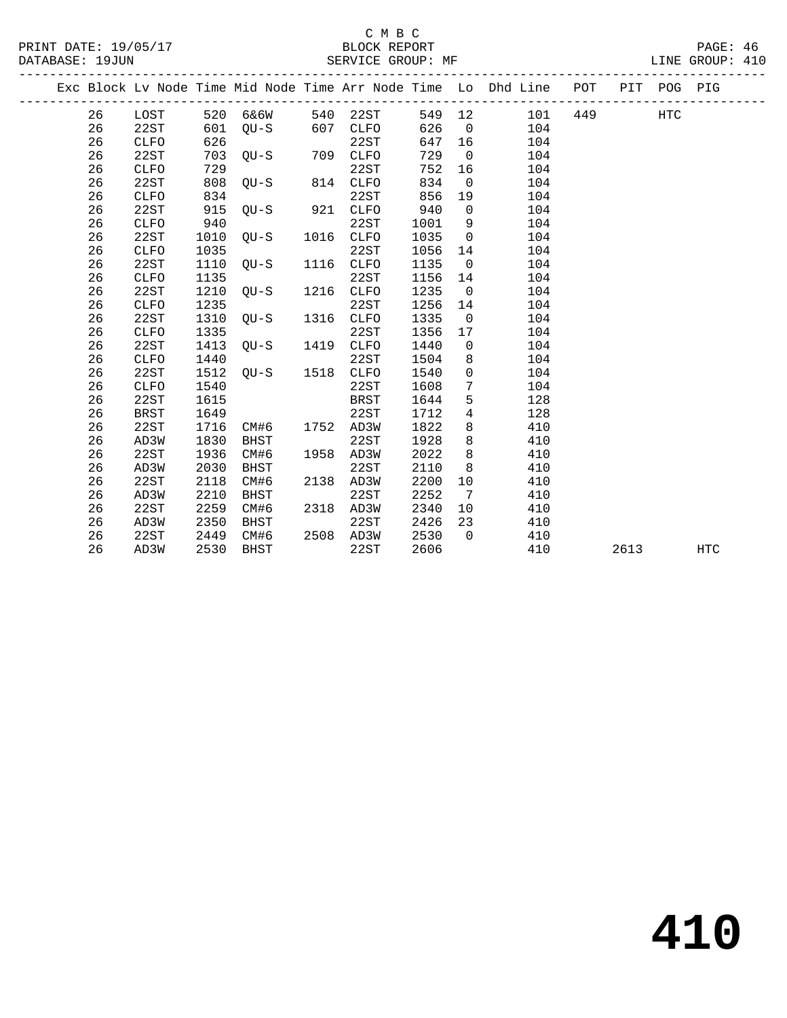|  |    |             |      |             |      |             |      |                | Exc Block Lv Node Time Mid Node Time Arr Node Time Lo Dhd Line POT |     |      | PIT POG PIG |            |
|--|----|-------------|------|-------------|------|-------------|------|----------------|--------------------------------------------------------------------|-----|------|-------------|------------|
|  | 26 | LOST        | 520  | 6&6W        | 540  | 22ST        | 549  | 12             | 101                                                                | 449 |      | <b>HTC</b>  |            |
|  | 26 | 22ST        | 601  | $QU-S$      | 607  | <b>CLFO</b> | 626  | $\overline{0}$ | 104                                                                |     |      |             |            |
|  | 26 | <b>CLFO</b> | 626  |             |      | 22ST        | 647  | 16             | 104                                                                |     |      |             |            |
|  | 26 | 22ST        | 703  | $OU-S$      | 709  | <b>CLFO</b> | 729  | $\Omega$       | 104                                                                |     |      |             |            |
|  | 26 | <b>CLFO</b> | 729  |             |      | 22ST        | 752  | 16             | 104                                                                |     |      |             |            |
|  | 26 | 22ST        | 808  | $OU-S$      | 814  | CLFO        | 834  | $\overline{0}$ | 104                                                                |     |      |             |            |
|  | 26 | <b>CLFO</b> | 834  |             |      | 22ST        | 856  | 19             | 104                                                                |     |      |             |            |
|  | 26 | 22ST        | 915  | $QU-S$      | 921  | CLFO        | 940  | $\mathsf{O}$   | 104                                                                |     |      |             |            |
|  | 26 | <b>CLFO</b> | 940  |             |      | 22ST        | 1001 | 9              | 104                                                                |     |      |             |            |
|  | 26 | 22ST        | 1010 | QU-S        | 1016 | <b>CLFO</b> | 1035 | $\overline{0}$ | 104                                                                |     |      |             |            |
|  | 26 | <b>CLFO</b> | 1035 |             |      | 22ST        | 1056 | 14             | 104                                                                |     |      |             |            |
|  | 26 | 22ST        | 1110 | $QU-S$      | 1116 | <b>CLFO</b> | 1135 | $\overline{0}$ | 104                                                                |     |      |             |            |
|  | 26 | <b>CLFO</b> | 1135 |             |      | 22ST        | 1156 | 14             | 104                                                                |     |      |             |            |
|  | 26 | 22ST        | 1210 | $QU-S$      | 1216 | CLFO        | 1235 | $\overline{0}$ | 104                                                                |     |      |             |            |
|  | 26 | <b>CLFO</b> | 1235 |             |      | 22ST        | 1256 | 14             | 104                                                                |     |      |             |            |
|  | 26 | 22ST        | 1310 | OU-S        | 1316 | <b>CLFO</b> | 1335 | $\Omega$       | 104                                                                |     |      |             |            |
|  | 26 | <b>CLFO</b> | 1335 |             |      | 22ST        | 1356 | 17             | 104                                                                |     |      |             |            |
|  | 26 | 22ST        | 1413 | OU-S        | 1419 | CLFO        | 1440 | $\mathbf 0$    | 104                                                                |     |      |             |            |
|  | 26 | <b>CLFO</b> | 1440 |             |      | 22ST        | 1504 | 8              | 104                                                                |     |      |             |            |
|  | 26 | 22ST        | 1512 | $QU-S$      | 1518 | <b>CLFO</b> | 1540 | $\mathbf 0$    | 104                                                                |     |      |             |            |
|  | 26 | <b>CLFO</b> | 1540 |             |      | 22ST        | 1608 | 7              | 104                                                                |     |      |             |            |
|  | 26 | 22ST        | 1615 |             |      | <b>BRST</b> | 1644 | 5              | 128                                                                |     |      |             |            |
|  | 26 | <b>BRST</b> | 1649 |             |      | 22ST        | 1712 | 4              | 128                                                                |     |      |             |            |
|  | 26 | 22ST        | 1716 | CM#6        | 1752 | AD3W        | 1822 | 8              | 410                                                                |     |      |             |            |
|  | 26 | AD3W        | 1830 | <b>BHST</b> |      | 22ST        | 1928 | 8              | 410                                                                |     |      |             |            |
|  | 26 | 22ST        | 1936 | CM#6        | 1958 | AD3W        | 2022 | 8              | 410                                                                |     |      |             |            |
|  | 26 | AD3W        | 2030 | BHST        |      | 22ST        | 2110 | 8              | 410                                                                |     |      |             |            |
|  | 26 | 22ST        | 2118 | CM#6        | 2138 | AD3W        | 2200 | 10             | 410                                                                |     |      |             |            |
|  | 26 | AD3W        | 2210 | <b>BHST</b> |      | 22ST        | 2252 | 7              | 410                                                                |     |      |             |            |
|  | 26 | 22ST        | 2259 | CM#6        | 2318 | AD3W        | 2340 | 10             | 410                                                                |     |      |             |            |
|  | 26 | AD3W        | 2350 | <b>BHST</b> |      | 22ST        | 2426 | 23             | 410                                                                |     |      |             |            |
|  | 26 | 22ST        | 2449 | CM#6        | 2508 | AD3W        | 2530 | $\Omega$       | 410                                                                |     |      |             |            |
|  | 26 | AD3W        | 2530 | <b>BHST</b> |      | 22ST        | 2606 |                | 410                                                                |     | 2613 |             | <b>HTC</b> |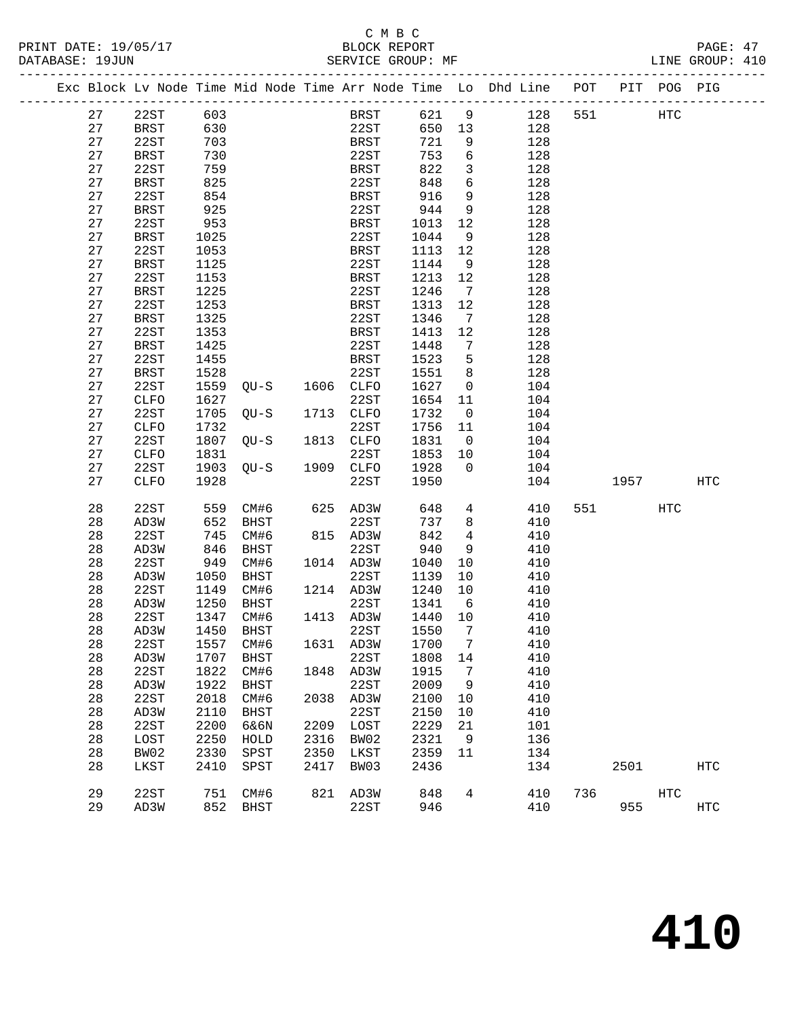|  |    | Exc Block Lv Node Time Mid Node Time Arr Node Time Lo Dhd Line POT |      |             |           |             |      |                 |     |     |      | PIT POG PIG |                   |
|--|----|--------------------------------------------------------------------|------|-------------|-----------|-------------|------|-----------------|-----|-----|------|-------------|-------------------|
|  | 27 | 22ST                                                               | 603  |             |           | BRST        | 621  | 9               | 128 | 551 |      | <b>HTC</b>  |                   |
|  | 27 | <b>BRST</b>                                                        | 630  |             |           | 22ST        | 650  | 13              | 128 |     |      |             |                   |
|  | 27 | 22ST                                                               | 703  |             |           | <b>BRST</b> | 721  | 9               | 128 |     |      |             |                   |
|  | 27 | BRST                                                               | 730  |             |           | 22ST        | 753  | 6               | 128 |     |      |             |                   |
|  | 27 | 22ST                                                               | 759  |             |           | <b>BRST</b> | 822  | $\mathbf{3}$    | 128 |     |      |             |                   |
|  | 27 | BRST                                                               | 825  |             |           | 22ST        | 848  | 6               | 128 |     |      |             |                   |
|  | 27 | 22ST                                                               | 854  |             |           | BRST        | 916  | 9               | 128 |     |      |             |                   |
|  | 27 | <b>BRST</b>                                                        | 925  |             |           | 22ST        | 944  | 9               | 128 |     |      |             |                   |
|  | 27 | 22ST                                                               | 953  |             |           | <b>BRST</b> | 1013 | 12              | 128 |     |      |             |                   |
|  | 27 | <b>BRST</b>                                                        | 1025 |             |           | 22ST        | 1044 | 9               | 128 |     |      |             |                   |
|  | 27 | 22ST                                                               | 1053 |             |           | <b>BRST</b> | 1113 | 12              | 128 |     |      |             |                   |
|  | 27 | <b>BRST</b>                                                        | 1125 |             |           | 22ST        | 1144 | 9               | 128 |     |      |             |                   |
|  | 27 | 22ST                                                               | 1153 |             |           | BRST        | 1213 | 12              | 128 |     |      |             |                   |
|  | 27 | <b>BRST</b>                                                        | 1225 |             |           | 22ST        | 1246 | $\overline{7}$  | 128 |     |      |             |                   |
|  | 27 | 22ST                                                               | 1253 |             |           | <b>BRST</b> | 1313 | 12              | 128 |     |      |             |                   |
|  | 27 | <b>BRST</b>                                                        | 1325 |             |           | 22ST        | 1346 | $7\phantom{.0}$ | 128 |     |      |             |                   |
|  | 27 | 22ST                                                               | 1353 |             |           | <b>BRST</b> | 1413 | 12              | 128 |     |      |             |                   |
|  | 27 | <b>BRST</b>                                                        | 1425 |             |           | 22ST        | 1448 | 7               | 128 |     |      |             |                   |
|  | 27 | 22ST                                                               | 1455 |             |           | <b>BRST</b> | 1523 | 5               | 128 |     |      |             |                   |
|  | 27 | <b>BRST</b>                                                        | 1528 |             |           | 22ST        | 1551 | 8               | 128 |     |      |             |                   |
|  | 27 | 22ST                                                               | 1559 | $QU-S$      | 1606 CLFO |             | 1627 | $\overline{0}$  | 104 |     |      |             |                   |
|  | 27 | CLFO                                                               | 1627 |             |           | 22ST        | 1654 | 11              | 104 |     |      |             |                   |
|  | 27 | 22ST                                                               | 1705 | $QU-S$      | 1713      | CLFO        | 1732 | $\overline{0}$  | 104 |     |      |             |                   |
|  | 27 | CLFO                                                               | 1732 |             |           | 22ST        | 1756 | 11              | 104 |     |      |             |                   |
|  | 27 | 22ST                                                               | 1807 | $QU-S$      | 1813 CLFO |             | 1831 | $\overline{0}$  | 104 |     |      |             |                   |
|  | 27 | CLFO                                                               | 1831 |             |           | 22ST        | 1853 | 10              | 104 |     |      |             |                   |
|  | 27 | 22ST                                                               | 1903 | $OU-S$      | 1909      | CLFO        | 1928 | $\Omega$        | 104 |     |      |             |                   |
|  | 27 | CLFO                                                               | 1928 |             |           | 22ST        | 1950 |                 | 104 |     | 1957 |             | HTC               |
|  |    |                                                                    |      |             |           |             |      |                 |     |     |      |             |                   |
|  | 28 | 22ST                                                               | 559  | CM#6        |           | 625 AD3W    | 648  | $4\overline{ }$ | 410 | 551 |      | HTC         |                   |
|  | 28 | AD3W                                                               | 652  | BHST        |           | 22ST        | 737  | 8               | 410 |     |      |             |                   |
|  | 28 | 22ST                                                               | 745  | CM#6        |           | 815 AD3W    | 842  | $\overline{4}$  | 410 |     |      |             |                   |
|  | 28 | AD3W                                                               | 846  | BHST        |           | 22ST        | 940  | 9               | 410 |     |      |             |                   |
|  | 28 | 22ST                                                               | 949  | CM#6        | 1014 AD3W |             | 1040 | 10              | 410 |     |      |             |                   |
|  | 28 | AD3W                                                               | 1050 | <b>BHST</b> |           | 22ST        | 1139 | 10              | 410 |     |      |             |                   |
|  | 28 | 22ST                                                               | 1149 | CM#6        | 1214 AD3W |             | 1240 | 10              | 410 |     |      |             |                   |
|  | 28 | AD3W                                                               | 1250 | BHST        |           | 22ST        | 1341 | 6               | 410 |     |      |             |                   |
|  | 28 | 22ST                                                               | 1347 | CM#6        | 1413 AD3W |             | 1440 | 10              | 410 |     |      |             |                   |
|  | 28 | AD3W                                                               | 1450 | BHST        |           | 22ST        | 1550 | $\overline{7}$  | 410 |     |      |             |                   |
|  | 28 | 22ST                                                               | 1557 | CM#6        | 1631      | AD3W        | 1700 | 7               | 410 |     |      |             |                   |
|  | 28 | AD3W                                                               | 1707 | <b>BHST</b> |           | 22ST        | 1808 | 14              | 410 |     |      |             |                   |
|  | 28 | 22ST                                                               | 1822 | CM#6        | 1848      | AD3W        | 1915 | 7               | 410 |     |      |             |                   |
|  | 28 | AD3W                                                               | 1922 | <b>BHST</b> |           | 22ST        | 2009 | 9               | 410 |     |      |             |                   |
|  | 28 | 22ST                                                               | 2018 | CM#6        | 2038      | AD3W        | 2100 | 10              | 410 |     |      |             |                   |
|  | 28 | AD3W                                                               | 2110 | <b>BHST</b> |           | 22ST        | 2150 | 10              | 410 |     |      |             |                   |
|  | 28 | 22ST                                                               | 2200 | 6&6N        | 2209      | LOST        | 2229 | 21              | 101 |     |      |             |                   |
|  | 28 | LOST                                                               | 2250 | HOLD        | 2316      | BW02        | 2321 | 9               | 136 |     |      |             |                   |
|  | 28 | BW02                                                               | 2330 | SPST        | 2350      | LKST        | 2359 | 11              | 134 |     |      |             |                   |
|  | 28 | LKST                                                               | 2410 | SPST        | 2417      | BW03        | 2436 |                 | 134 |     | 2501 |             | HTC               |
|  | 29 | 22ST                                                               | 751  | CM#6        | 821       | AD3W        | 848  | 4               | 410 | 736 |      | HTC         |                   |
|  | 29 | AD3W                                                               | 852  | <b>BHST</b> |           | 22ST        | 946  |                 | 410 |     | 955  |             | $_{\mathrm{HTC}}$ |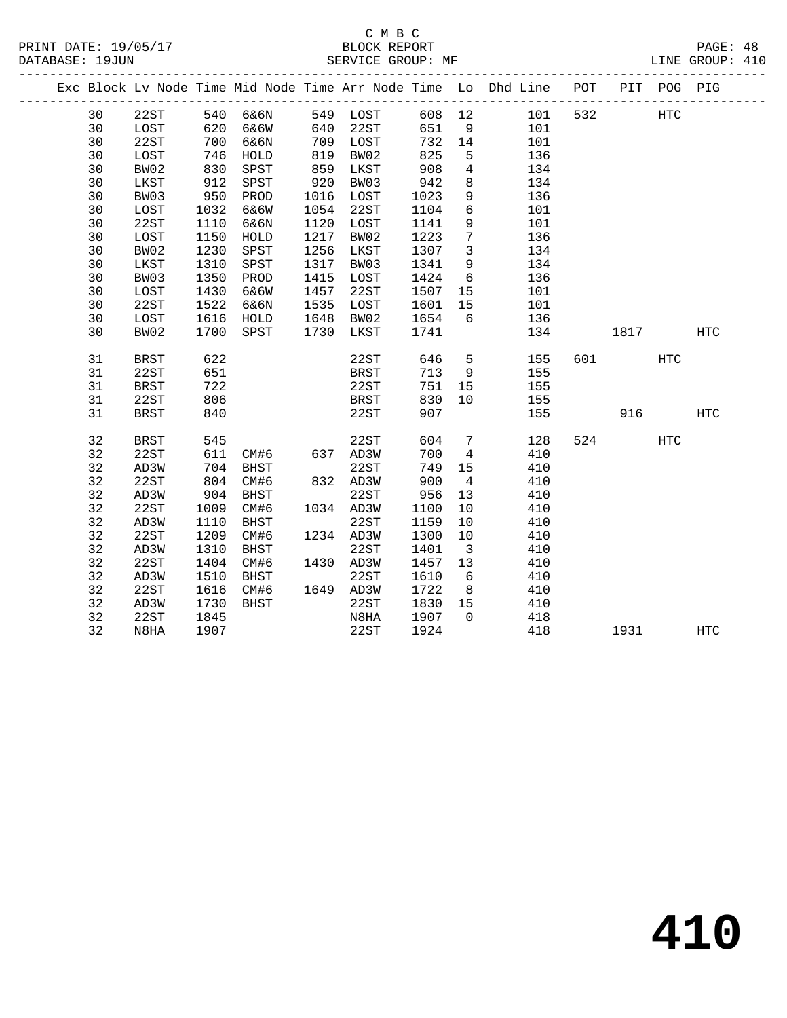### C M B C DATABASE: 19JUN SERVICE GROUP: MF

|  |    |             |      |             |      |             |      |                | Exc Block Lv Node Time Mid Node Time Arr Node Time Lo Dhd Line | POT |      | PIT POG PIG |            |
|--|----|-------------|------|-------------|------|-------------|------|----------------|----------------------------------------------------------------|-----|------|-------------|------------|
|  | 30 | 22ST        | 540  | 6&6N        | 549  | LOST        | 608  | 12             | 101                                                            | 532 |      | HTC         |            |
|  | 30 | LOST        | 620  | 6&6W        | 640  | 22ST        | 651  | 9              | 101                                                            |     |      |             |            |
|  | 30 | 22ST        | 700  | 6&6N        | 709  | LOST        | 732  | 14             | 101                                                            |     |      |             |            |
|  | 30 | LOST        | 746  | HOLD        | 819  | BW02        | 825  | 5              | 136                                                            |     |      |             |            |
|  | 30 | BW02        | 830  | SPST        | 859  | LKST        | 908  | 4              | 134                                                            |     |      |             |            |
|  | 30 | LKST        | 912  | SPST        | 920  | BW03        | 942  | 8              | 134                                                            |     |      |             |            |
|  | 30 | BW03        | 950  | PROD        | 1016 | LOST        | 1023 | 9              | 136                                                            |     |      |             |            |
|  | 30 | LOST        | 1032 | 6&6W        | 1054 | 22ST        | 1104 | 6              | 101                                                            |     |      |             |            |
|  | 30 | 22ST        | 1110 | 6&6N        | 1120 | LOST        | 1141 | 9              | 101                                                            |     |      |             |            |
|  | 30 | LOST        | 1150 | HOLD        | 1217 | BW02        | 1223 | $7\phantom{.}$ | 136                                                            |     |      |             |            |
|  | 30 | BW02        | 1230 | SPST        | 1256 | LKST        | 1307 | 3              | 134                                                            |     |      |             |            |
|  | 30 | LKST        | 1310 | SPST        | 1317 | BW03        | 1341 | 9              | 134                                                            |     |      |             |            |
|  | 30 | BW03        | 1350 | PROD        | 1415 | LOST        | 1424 | $\sqrt{6}$     | 136                                                            |     |      |             |            |
|  | 30 | LOST        | 1430 | 6&6W        | 1457 | 22ST        | 1507 | 15             | 101                                                            |     |      |             |            |
|  | 30 | 22ST        | 1522 | 6&6N        | 1535 | LOST        | 1601 | 15             | 101                                                            |     |      |             |            |
|  | 30 | LOST        | 1616 | HOLD        | 1648 | BW02        | 1654 | 6              | 136                                                            |     |      |             |            |
|  | 30 | BW02        | 1700 | SPST        | 1730 | LKST        | 1741 |                | 134                                                            |     | 1817 |             | HTC        |
|  | 31 | <b>BRST</b> | 622  |             |      | 22ST        | 646  | 5              | 155                                                            | 601 |      | HTC         |            |
|  | 31 | 22ST        | 651  |             |      | <b>BRST</b> | 713  | 9              | 155                                                            |     |      |             |            |
|  | 31 | <b>BRST</b> | 722  |             |      | 22ST        | 751  | 15             | 155                                                            |     |      |             |            |
|  | 31 | 22ST        | 806  |             |      | <b>BRST</b> | 830  | 10             | 155                                                            |     |      |             |            |
|  | 31 | <b>BRST</b> | 840  |             |      | 22ST        | 907  |                | 155                                                            |     | 916  |             | <b>HTC</b> |
|  | 32 | <b>BRST</b> | 545  |             |      | 22ST        | 604  | 7              | 128                                                            | 524 |      | HTC         |            |
|  | 32 | 22ST        | 611  |             | 637  | AD3W        | 700  |                | 410                                                            |     |      |             |            |
|  |    |             |      | CM#6        |      |             |      | 4              |                                                                |     |      |             |            |
|  | 32 | AD3W        | 704  | <b>BHST</b> |      | 22ST        | 749  | 15             | 410                                                            |     |      |             |            |
|  | 32 | 22ST        | 804  | CM#6        | 832  | AD3W        | 900  | 4              | 410                                                            |     |      |             |            |
|  | 32 | AD3W        | 904  | BHST        |      | 22ST        | 956  | 13             | 410                                                            |     |      |             |            |
|  | 32 | 22ST        | 1009 | CM#6        | 1034 | AD3W        | 1100 | 10             | 410                                                            |     |      |             |            |
|  | 32 | AD3W        | 1110 | <b>BHST</b> |      | 22ST        | 1159 | 10             | 410                                                            |     |      |             |            |

32 N8HA 1907 22ST 1924 418 1931 HTC

 32 22ST 1209 CM#6 1234 AD3W 1300 10 410 32 AD3W 1310 BHST 22ST 1401 3 410 32 22ST 1404 CM#6 1430 AD3W 1457 13 410 32 AD3W 1510 BHST 22ST 1610 6 410 32 22ST 1616 CM#6 1649 AD3W 1722 8 410 32 AD3W 1730 BHST 22ST 1830 15 410

32 22ST 1845 N8HA 1907 0 418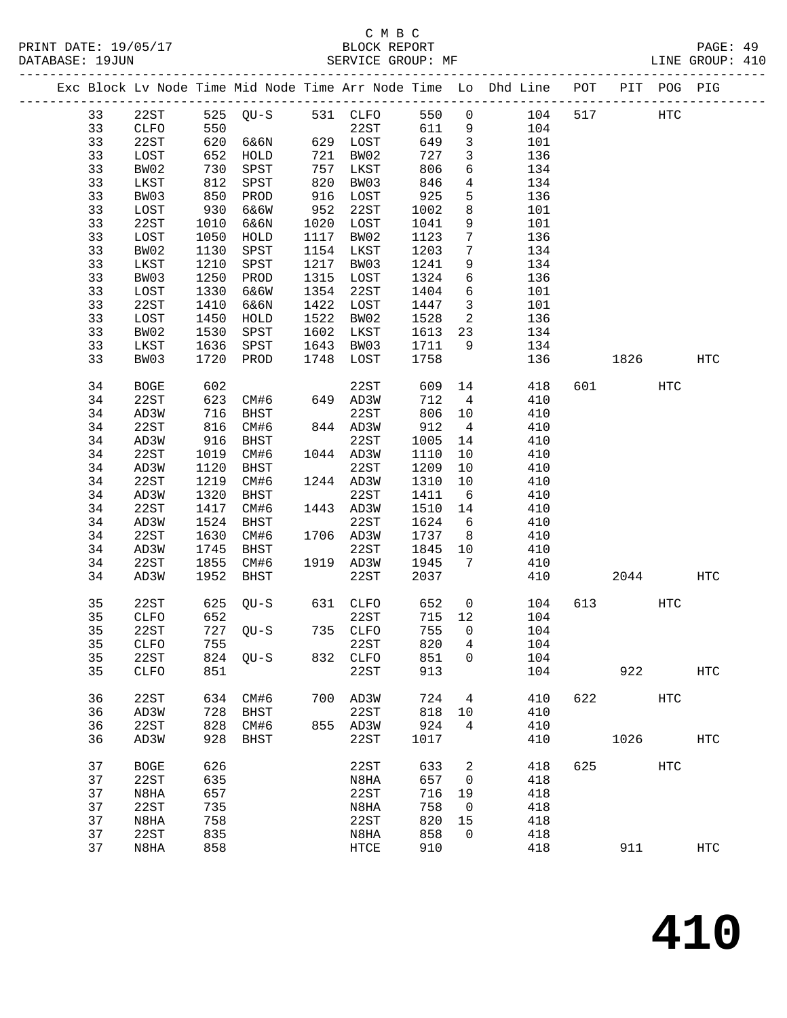|  |          |             |              |                   |      |                   |              |                          | Exc Block Lv Node Time Mid Node Time Arr Node Time Lo Dhd Line POT PIT POG PIG |     |                        |     |                   |
|--|----------|-------------|--------------|-------------------|------|-------------------|--------------|--------------------------|--------------------------------------------------------------------------------|-----|------------------------|-----|-------------------|
|  | 33       | 22ST        |              | 525 QU-S 531 CLFO |      |                   | 550          | $\overline{\mathbf{0}}$  | 104                                                                            | 517 |                        | HTC |                   |
|  | 33       | CLFO        | 550          |                   |      | <b>22ST</b>       | 611          | 9                        | 104                                                                            |     |                        |     |                   |
|  | 33       | 22ST        | 620          | 6&6N              |      | 629 LOST          | 649          | $\overline{\mathbf{3}}$  | 101                                                                            |     |                        |     |                   |
|  | 33       | LOST        | 652          | HOLD              |      | 721 BW02          | 727          | $\mathbf{3}$             | 136                                                                            |     |                        |     |                   |
|  | 33       | BW02        | 730          | SPST              |      | 757 LKST          | 806          | 6                        | 134                                                                            |     |                        |     |                   |
|  | 33       | LKST        | 812          | SPST              | 820  | BW03              | 846          | $\overline{4}$           | 134                                                                            |     |                        |     |                   |
|  | 33       | BW03        | 850          | PROD              |      | 916 LOST          | 925          | 5                        | 136                                                                            |     |                        |     |                   |
|  | 33       | LOST        | 930          | 6&6W              | 952  | 22ST              | 1002         | 8                        | 101                                                                            |     |                        |     |                   |
|  | 33       | 22ST        | 1010         | 6&6N              |      | 1020 LOST         | 1041         | 9                        | 101                                                                            |     |                        |     |                   |
|  | 33       | LOST        | 1050         | HOLD              |      | 1117 BW02         | 1123         | $7\phantom{.0}$          | 136                                                                            |     |                        |     |                   |
|  | 33       | BW02        | 1130         | SPST              |      | 1154 LKST         | 1203         | $7\phantom{.0}$          | 134                                                                            |     |                        |     |                   |
|  | 33       | LKST        | 1210         | SPST              | 1217 | BW03              | 1241         | 9                        | 134                                                                            |     |                        |     |                   |
|  | 33       | BW03        | 1250         | PROD              |      | 1315 LOST         | 1324         | $6\overline{6}$          | 136                                                                            |     |                        |     |                   |
|  | 33       | LOST        | 1330         | 6&6W              |      | 1354 22ST         | 1404         | 6                        | 101                                                                            |     |                        |     |                   |
|  | 33       | 22ST        | 1410         | 6&6N              |      | 1422 LOST         | 1447         | $\overline{\mathbf{3}}$  | 101                                                                            |     |                        |     |                   |
|  | 33       | LOST        | 1450         | HOLD              |      | 1522 BW02         | 1528         | $\overline{2}$           | 136                                                                            |     |                        |     |                   |
|  | 33       | BW02        | 1530         | SPST              |      | 1602 LKST         | 1613         | 23                       | 134                                                                            |     |                        |     |                   |
|  | 33       | LKST        | 1636         | SPST              |      | 1643 BW03         | 1711         | 9                        | 134                                                                            |     |                        |     |                   |
|  | 33       | BW03        |              | 1720 PROD         |      | 1748 LOST         | 1758         |                          | 136                                                                            |     | 1826                   |     | HTC               |
|  | 34       | <b>BOGE</b> | 602          |                   |      | 22ST              | 609          | 14                       | 418                                                                            |     | 601 000                | HTC |                   |
|  | 34       | 22ST        | 623          | CM#6 649 AD3W     |      |                   | 712          | $\overline{4}$           | 410                                                                            |     |                        |     |                   |
|  | 34       | AD3W        | 716          | BHST              |      | 22ST              | 806          | 10                       | 410                                                                            |     |                        |     |                   |
|  | 34       | 22ST        | 816          | CM#6              |      | 844 AD3W          | 912          | $\overline{4}$           | 410                                                                            |     |                        |     |                   |
|  | 34       | AD3W        | 916          | BHST              |      | 22ST              | 1005         | 14                       | 410                                                                            |     |                        |     |                   |
|  | 34       | 22ST        | 1019         | CM#6              |      | 1044 AD3W         | 1110         | 10                       | 410                                                                            |     |                        |     |                   |
|  | 34       | AD3W        | 1120         | BHST              |      | 22ST              | 1209         | 10                       | 410                                                                            |     |                        |     |                   |
|  | 34       | 22ST        | 1219         | CM#6              |      | 1244 AD3W         | 1310         | 10                       | 410                                                                            |     |                        |     |                   |
|  | 34       | AD3W        | 1320         | BHST              |      | 22ST              | 1411         | 6                        | 410                                                                            |     |                        |     |                   |
|  | 34       | 22ST        | 1417         | CM#6              |      | 1443 AD3W         | 1510 14      |                          | 410                                                                            |     |                        |     |                   |
|  | 34       | AD3W        | 1524         | BHST              |      | 22ST              | 1624         | 6                        | 410                                                                            |     |                        |     |                   |
|  | 34       | 22ST        | 1630         | CM#6              |      | 1706 AD3W<br>22ST | 1737<br>1845 | 8 <sup>8</sup>           | 410<br>410                                                                     |     |                        |     |                   |
|  | 34       | AD3W        | 1745         | BHST              |      |                   |              | 10                       |                                                                                |     |                        |     |                   |
|  | 34<br>34 | 22ST        | 1855<br>1952 | CM#6              |      | 1919 AD3W<br>22ST | 1945<br>2037 | 7                        | 410<br>410                                                                     |     |                        |     | HTC               |
|  |          | AD3W        |              | BHST              |      |                   |              |                          |                                                                                |     | 2044                   |     |                   |
|  | 35       | 22ST        | 625          | QU-S              |      | 631 CLFO          | 652          | $\overline{0}$           | 104                                                                            |     | 613                    | HTC |                   |
|  | 35       | <b>CLFO</b> | 652          |                   |      | 22ST              | 715 12       |                          | 104                                                                            |     |                        |     |                   |
|  | 35       | 22ST        |              | 727 QU-S 735 CLFO |      |                   | 755          | $\overline{0}$           | 104                                                                            |     |                        |     |                   |
|  | 35       | CLFO        |              | 755 22ST          |      |                   | 820 4        |                          | 104                                                                            |     |                        |     |                   |
|  | 35       | 22ST        |              | 824 QU-S 832 CLFO |      |                   | 851          | $\mathbf 0$              | 104                                                                            |     |                        |     |                   |
|  | 35       | CLFO        | 851          |                   |      | 22ST              | 913          |                          | 104                                                                            |     | 922                    |     | $_{\mathrm{HTC}}$ |
|  | 36       | 22ST        | 634          | CM#6              |      | 700 AD3W          | 724          | 4                        | 410                                                                            |     | 622 and $\overline{a}$ | HTC |                   |
|  | 36       | AD3W        | 728          | BHST              |      | 22ST              | 818          | 10                       | 410                                                                            |     |                        |     |                   |
|  | 36       | 22ST        | 828          | CM#6              |      | 855 AD3W          | 924          | 4                        | 410                                                                            |     |                        |     |                   |
|  | 36       | AD3W        |              | 928 BHST          |      | 22ST              | 1017         |                          | 410                                                                            |     | 1026                   |     | HTC               |
|  | 37       | <b>BOGE</b> | 626          |                   |      | 22ST              | 633          | 2                        | 418                                                                            |     | 625 000                | HTC |                   |
|  | 37       | 22ST        | 635          |                   |      | N8HA              | 657          | $\overline{\phantom{0}}$ | 418                                                                            |     |                        |     |                   |
|  | 37       | N8HA        | 657          |                   |      | 22ST              | 716          | 19                       | 418                                                                            |     |                        |     |                   |
|  | 37       | 22ST        | 735          |                   |      | N8HA              | 758          | $\overline{\phantom{0}}$ | 418                                                                            |     |                        |     |                   |
|  | 37       | N8HA        | 758          |                   |      | 22ST              | 820          | 15                       | 418                                                                            |     |                        |     |                   |
|  | 37       | 22ST        | 835          |                   |      | N8HA              | 858          | $\Omega$                 | 418                                                                            |     |                        |     |                   |
|  | 37       | N8HA        | 858          |                   |      | HTCE              | 910          |                          | 418                                                                            |     | 911                    |     | HTC               |
|  |          |             |              |                   |      |                   |              |                          |                                                                                |     |                        |     |                   |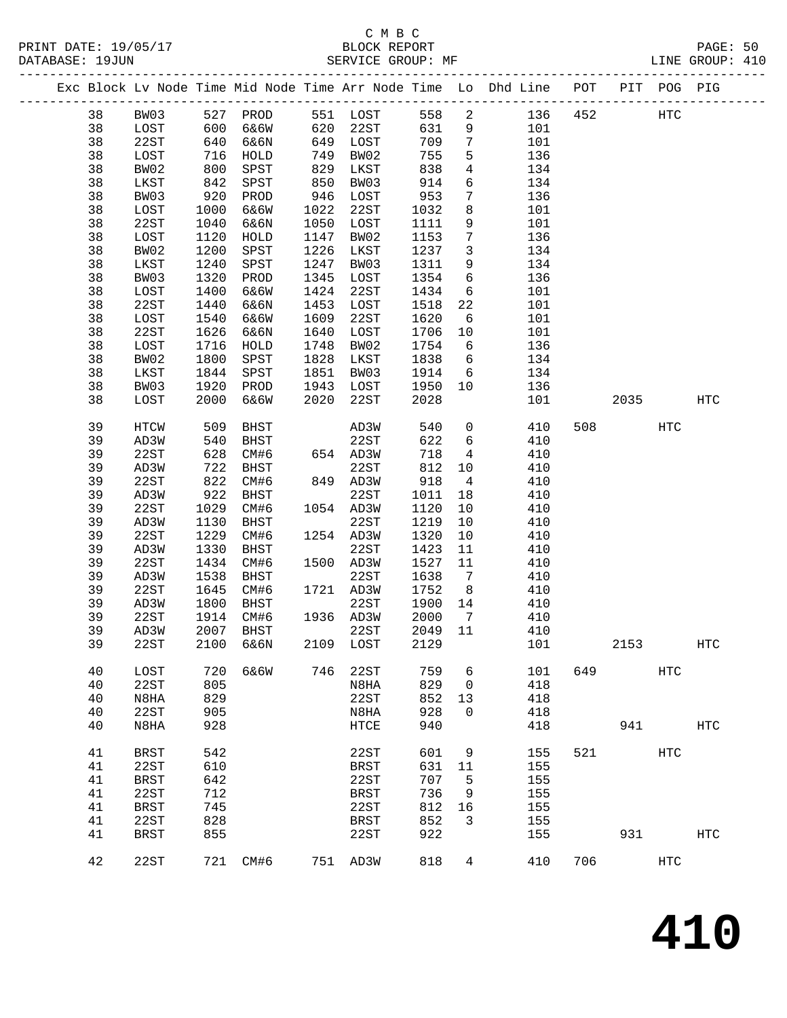# C M B C<br>BLOCK REPORT

PAGE: 50<br>LINE GROUP: 410

|    |             |      |           |      |              |         |                 | Exc Block Lv Node Time Mid Node Time Arr Node Time Lo Dhd Line POT PIT POG PIG |         |      |     |                   |
|----|-------------|------|-----------|------|--------------|---------|-----------------|--------------------------------------------------------------------------------|---------|------|-----|-------------------|
| 38 | BW03        |      | 527 PROD  |      | 551 LOST     | 558     | $\overline{a}$  |                                                                                | 136 452 |      | HTC |                   |
| 38 | LOST        | 600  | 6&6W      |      | 620 22ST     | 631     | 9               | 101                                                                            |         |      |     |                   |
| 38 | 22ST        | 640  | 6&6N      | 649  | LOST         | 709     | $7\overline{ }$ | 101                                                                            |         |      |     |                   |
| 38 | LOST        | 716  | HOLD      | 749  | BW02         | 755     | 5               | 136                                                                            |         |      |     |                   |
| 38 | BW02        | 800  | SPST      | 829  | LKST         | 838     | $4\overline{ }$ | 134                                                                            |         |      |     |                   |
| 38 | LKST        | 842  | SPST      | 850  | BW03         | 914     | 6               | 134                                                                            |         |      |     |                   |
| 38 | BW03        | 920  | PROD      | 946  | LOST         | 953     | $7\phantom{.0}$ | 136                                                                            |         |      |     |                   |
| 38 | LOST        | 1000 | 6&6W      | 1022 | 22ST         | 1032    | 8               | 101                                                                            |         |      |     |                   |
| 38 | 22ST        | 1040 | 6&6N      | 1050 | LOST         | 1111    | 9               | 101                                                                            |         |      |     |                   |
| 38 | LOST        | 1120 | HOLD      | 1147 | BW02         | 1153    | $7\phantom{.0}$ | 136                                                                            |         |      |     |                   |
| 38 | BW02        | 1200 | SPST      | 1226 | LKST         | 1237    | $\mathbf{3}$    | 134                                                                            |         |      |     |                   |
| 38 | LKST        | 1240 | SPST      | 1247 | BW03         | 1311    | 9               | 134                                                                            |         |      |     |                   |
| 38 | BW03        | 1320 | PROD      | 1345 | LOST         | 1354    | 6               | 136                                                                            |         |      |     |                   |
| 38 | LOST        | 1400 | 6&6W      | 1424 | 22ST         | 1434    | 6               | 101                                                                            |         |      |     |                   |
| 38 | 22ST        | 1440 | 6&6N      | 1453 | LOST         | 1518    | 22              | 101                                                                            |         |      |     |                   |
| 38 | LOST        | 1540 | 6&6W      | 1609 | 22ST         | 1620    | 6               | 101                                                                            |         |      |     |                   |
| 38 | 22ST        | 1626 |           | 1640 |              | 1706    |                 | 101                                                                            |         |      |     |                   |
|    |             |      | 6&6N      |      | LOST         |         | 10              |                                                                                |         |      |     |                   |
| 38 | LOST        | 1716 | HOLD      | 1748 | BW02         | 1754    | 6               | 136                                                                            |         |      |     |                   |
| 38 | BW02        | 1800 | SPST      | 1828 | LKST         | 1838    | 6               | 134                                                                            |         |      |     |                   |
| 38 | LKST        | 1844 | SPST      | 1851 | BW03         | 1914    | 6               | 134                                                                            |         |      |     |                   |
| 38 | BW03        | 1920 | PROD      | 1943 | LOST         | 1950    | 10              | 136                                                                            |         |      |     |                   |
| 38 | LOST        | 2000 | 6&6W      | 2020 | 22ST         | 2028    |                 | 101                                                                            |         | 2035 |     | HTC               |
| 39 | HTCW        | 509  | BHST      |      | AD3W         | 540     | $\overline{0}$  | 410                                                                            | 508     |      | HTC |                   |
| 39 | AD3W        | 540  | BHST      |      | 22ST         | 622     | 6               | 410                                                                            |         |      |     |                   |
| 39 | 22ST        | 628  | CM#6      |      | 654 AD3W     | 718     | 4               | 410                                                                            |         |      |     |                   |
| 39 | AD3W        | 722  | BHST      |      | 22ST         | 812     | 10              | 410                                                                            |         |      |     |                   |
| 39 | 22ST        | 822  | CM#6      |      | 849 AD3W     | 918     | $\overline{4}$  | 410                                                                            |         |      |     |                   |
| 39 | AD3W        | 922  | BHST      |      | 22ST         | 1011    | 18              | 410                                                                            |         |      |     |                   |
| 39 | 22ST        | 1029 | CM#6      |      | 1054 AD3W    | 1120    | 10              | 410                                                                            |         |      |     |                   |
| 39 | AD3W        | 1130 | BHST      |      | 22ST         | 1219    | 10              | 410                                                                            |         |      |     |                   |
| 39 | 22ST        | 1229 | CM#6      |      | 1254 AD3W    | 1320    | 10              | 410                                                                            |         |      |     |                   |
| 39 | AD3W        | 1330 | BHST      |      | 22ST         | 1423    | 11              | 410                                                                            |         |      |     |                   |
| 39 | 22ST        | 1434 | CM#6      |      | 1500 AD3W    | 1527    | 11              | 410                                                                            |         |      |     |                   |
| 39 | AD3W        | 1538 | BHST      |      | 22ST         | 1638    | $\overline{7}$  | 410                                                                            |         |      |     |                   |
| 39 | 22ST        | 1645 | CM#6      |      | 1721 AD3W    | 1752    | 8 <sup>8</sup>  | 410                                                                            |         |      |     |                   |
| 39 | AD3W        | 1800 | BHST      |      | 22ST         | 1900    | 14              | 410                                                                            |         |      |     |                   |
| 39 | 22ST        | 1914 | CM#6      |      | 1936 AD3W    | 2000    | $\overline{7}$  | 410                                                                            |         |      |     |                   |
| 39 | AD3W        |      | 2007 BHST |      | 22ST         | 2049 11 |                 | 410                                                                            |         |      |     |                   |
| 39 | 22ST        |      | 2100 6&6N |      | 2109 LOST    | 2129    |                 | 101                                                                            |         | 2153 |     | $_{\rm HTC}$      |
| 40 | LOST        | 720  | 6&6W      | 746  | 22ST         | 759     | 6               | 101                                                                            | 649     |      | HTC |                   |
| 40 | 22ST        | 805  |           |      | N8HA         | 829     | 0               | 418                                                                            |         |      |     |                   |
| 40 | N8HA        | 829  |           |      | 22ST         | 852     | 13              | 418                                                                            |         |      |     |                   |
| 40 | 22ST        | 905  |           |      | N8HA         | 928     | 0               | 418                                                                            |         |      |     |                   |
| 40 | N8HA        | 928  |           |      | ${\tt HTCE}$ | 940     |                 | 418                                                                            |         | 941  |     | $_{\mathrm{HTC}}$ |
| 41 | <b>BRST</b> | 542  |           |      | 22ST         | 601     | 9               | 155                                                                            | 521     |      | HTC |                   |
| 41 | 22ST        | 610  |           |      | <b>BRST</b>  | 631     | 11              | 155                                                                            |         |      |     |                   |
| 41 | <b>BRST</b> | 642  |           |      | 22ST         | 707     | 5               | 155                                                                            |         |      |     |                   |
| 41 | 22ST        | 712  |           |      | <b>BRST</b>  | 736     | 9               | 155                                                                            |         |      |     |                   |
| 41 | <b>BRST</b> | 745  |           |      | 22ST         | 812     | 16              | 155                                                                            |         |      |     |                   |
| 41 | 22ST        | 828  |           |      | <b>BRST</b>  | 852     | 3               | 155                                                                            |         |      |     |                   |
| 41 | <b>BRST</b> | 855  |           |      | 22ST         | 922     |                 | 155                                                                            |         | 931  |     | $_{\mathrm{HTC}}$ |
| 42 | 22ST        | 721  | CM#6      |      | 751 AD3W     | 818     | 4               | 410                                                                            | 706     |      | HTC |                   |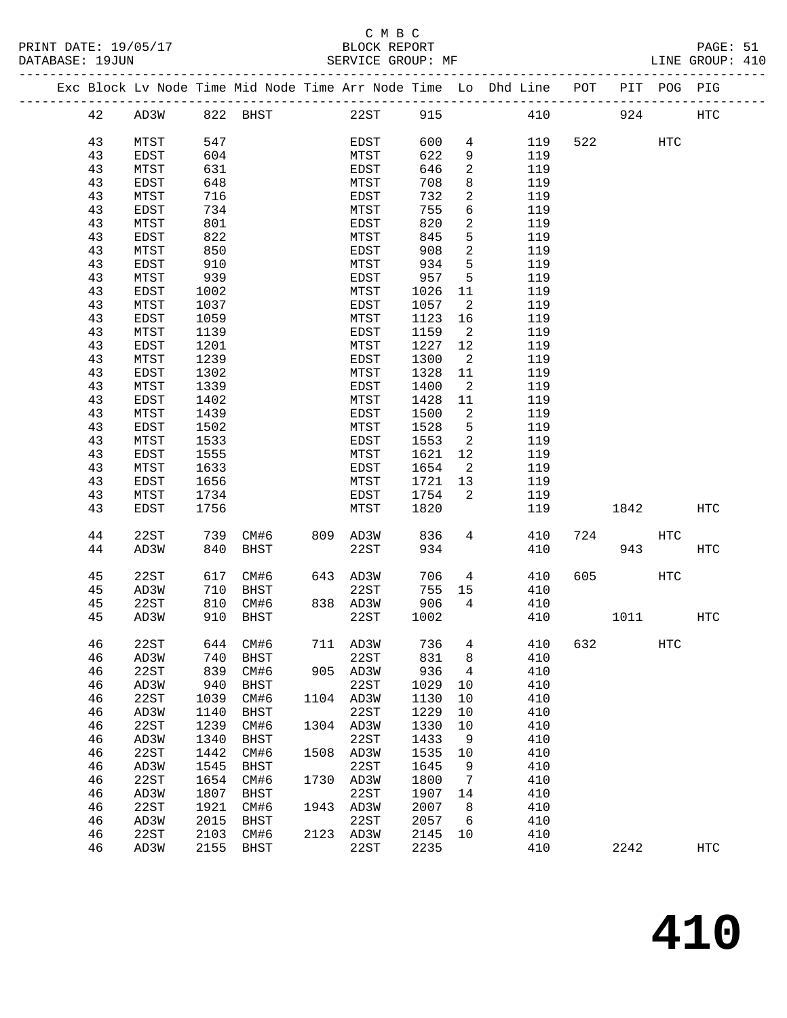PRINT DATE: 19/05/17 BLOCK REPORT PAGE: 51 DATABASE: 19JUN SERVICE GROUP: MF CALINE GROUP: 410

### C M B C<br>BLOCK REPORT

-------------------------------------------------------------------------------------------------

|          |              |              |             |      |              |              |                 | Exc Block Lv Node Time Mid Node Time Arr Node Time Lo Dhd Line | POT | PIT  | POG PIG    |                   |
|----------|--------------|--------------|-------------|------|--------------|--------------|-----------------|----------------------------------------------------------------|-----|------|------------|-------------------|
| 42       | AD3W         |              | 822 BHST    |      | 22ST         | 915          |                 | 410                                                            |     | 924  |            | HTC               |
| 43       | MTST         | 547          |             |      | EDST         | 600          | 4               | 119                                                            | 522 |      | <b>HTC</b> |                   |
| 43       | EDST         | 604          |             |      | MTST         | 622          | 9               | 119                                                            |     |      |            |                   |
| 43       | MTST         | 631          |             |      | EDST         | 646          | 2               | 119                                                            |     |      |            |                   |
| 43       | EDST         | 648          |             |      | MTST         | 708          | 8               | 119                                                            |     |      |            |                   |
| 43       | MTST         | 716          |             |      | EDST         | 732          | 2               | 119                                                            |     |      |            |                   |
| 43       | EDST         | 734          |             |      | MTST         | 755          | 6               | 119                                                            |     |      |            |                   |
|          |              |              |             |      |              |              |                 |                                                                |     |      |            |                   |
| 43       | MTST         | 801          |             |      | EDST         | 820          | 2               | 119                                                            |     |      |            |                   |
| 43       | EDST         | 822<br>850   |             |      | MTST         | 845<br>908   | 5<br>2          | 119                                                            |     |      |            |                   |
| 43<br>43 | MTST         | 910          |             |      | EDST         | 934          | $5\phantom{.0}$ | 119<br>119                                                     |     |      |            |                   |
| 43       | EDST         |              |             |      | MTST         | 957          | 5               |                                                                |     |      |            |                   |
| 43       | MTST         | 939          |             |      | EDST         |              |                 | 119                                                            |     |      |            |                   |
|          | EDST         | 1002         |             |      | MTST         | 1026         | 11              | 119                                                            |     |      |            |                   |
| 43       | MTST         | 1037         |             |      | EDST         | 1057         | 2               | 119                                                            |     |      |            |                   |
| 43       | EDST         | 1059         |             |      | MTST         | 1123         | 16              | 119                                                            |     |      |            |                   |
| 43       | MTST         | 1139         |             |      | EDST         | 1159         | 2               | 119                                                            |     |      |            |                   |
| 43       | EDST         | 1201         |             |      | MTST         | 1227         | 12              | 119                                                            |     |      |            |                   |
| 43       | MTST         | 1239         |             |      | EDST         | 1300         | 2               | 119                                                            |     |      |            |                   |
| 43       | EDST         | 1302         |             |      | MTST         | 1328         | 11              | 119                                                            |     |      |            |                   |
| 43       | MTST         | 1339         |             |      | EDST         | 1400         | 2               | 119                                                            |     |      |            |                   |
| 43       | EDST         | 1402         |             |      | MTST<br>EDST | 1428         | 11              | 119<br>119                                                     |     |      |            |                   |
| 43<br>43 | MTST         | 1439         |             |      |              | 1500         | 2<br>5          | 119                                                            |     |      |            |                   |
| 43       | EDST         | 1502<br>1533 |             |      | MTST         | 1528         |                 | 119                                                            |     |      |            |                   |
| 43       | MTST<br>EDST | 1555         |             |      | EDST<br>MTST | 1553<br>1621 | 2<br>12         | 119                                                            |     |      |            |                   |
|          |              |              |             |      | EDST         | 1654         | 2               | 119                                                            |     |      |            |                   |
| 43<br>43 | MTST         | 1633<br>1656 |             |      |              |              |                 |                                                                |     |      |            |                   |
| 43       | EDST<br>MTST | 1734         |             |      | MTST<br>EDST | 1721<br>1754 | 13<br>2         | 119<br>119                                                     |     |      |            |                   |
| 43       | EDST         | 1756         |             |      | MTST         | 1820         |                 | 119                                                            |     | 1842 |            | $_{\mathrm{HTC}}$ |
|          |              |              |             |      |              |              |                 |                                                                |     |      |            |                   |
| 44       | 22ST         | 739          | CM#6        | 809  | AD3W         | 836          | 4               | 410                                                            | 724 |      | <b>HTC</b> |                   |
| 44       | AD3W         | 840          | <b>BHST</b> |      | 22ST         | 934          |                 | 410                                                            |     | 943  |            | $_{\mathrm{HTC}}$ |
| 45       | 22ST         | 617          | CM#6        | 643  | AD3W         | 706          | 4               | 410                                                            | 605 |      | <b>HTC</b> |                   |
| 45       | AD3W         | 710          | <b>BHST</b> |      | 22ST         | 755          | 15              | 410                                                            |     |      |            |                   |
| 45       | 22ST         | 810          | CM#6        |      | 838 AD3W     | 906          | 4               | 410                                                            |     |      |            |                   |
| 45       | AD3W         | 910          | BHST        |      | 22ST         | 1002         |                 | 410                                                            |     | 1011 |            | $_{\mathrm{HTC}}$ |
|          |              |              |             |      |              |              |                 |                                                                |     |      |            |                   |
| 46       | 22ST         |              | 644 CM#6    |      | 711 AD3W     | 736          | 4               | 410                                                            | 632 |      | <b>HTC</b> |                   |
| 46       | AD3W         |              | 740 BHST    |      | 22ST         | 831 8        |                 | 410                                                            |     |      |            |                   |
| 46       | 22ST         | 839          | CM#6        | 905  | AD3W         | 936          | 4               | 410                                                            |     |      |            |                   |
| 46       | AD3W         | 940          | <b>BHST</b> |      | 22ST         | 1029         | 10              | 410                                                            |     |      |            |                   |
| 46       | 22ST         | 1039         | CM#6        | 1104 | AD3W         | 1130         | 10              | 410                                                            |     |      |            |                   |
| 46       | AD3W         | 1140         | <b>BHST</b> |      | 22ST         | 1229         | 10              | 410                                                            |     |      |            |                   |
| 46       | 22ST         | 1239         | CM#6        | 1304 | AD3W         | 1330         | 10              | 410                                                            |     |      |            |                   |
| 46       | AD3W         | 1340         | <b>BHST</b> |      | 22ST         | 1433         | 9               | 410                                                            |     |      |            |                   |
| 46       | 22ST         | 1442         | CM#6        | 1508 | AD3W         | 1535         | 10              | 410                                                            |     |      |            |                   |
| 46       | AD3W         | 1545         | <b>BHST</b> |      | 22ST         | 1645         | 9               | 410                                                            |     |      |            |                   |
| 46       | 22ST         | 1654         | CM#6        | 1730 | AD3W         | 1800         | 7               | 410                                                            |     |      |            |                   |
| 46       | AD3W         | 1807         | <b>BHST</b> |      | 22ST         | 1907         | 14              | 410                                                            |     |      |            |                   |
| 46       | 22ST         | 1921         | CM#6        | 1943 | AD3W         | 2007         | 8               | 410                                                            |     |      |            |                   |
| 46       | AD3W         | 2015         | <b>BHST</b> |      | 22ST         | 2057         | 6               | 410                                                            |     |      |            |                   |
| 46       | 22ST         | 2103         | CM#6        | 2123 | AD3W         | 2145         | 10              | 410                                                            |     |      |            |                   |
| 46       | AD3W         | 2155         | <b>BHST</b> |      | 22ST         | 2235         |                 | 410                                                            |     | 2242 |            | $_{\mathrm{HTC}}$ |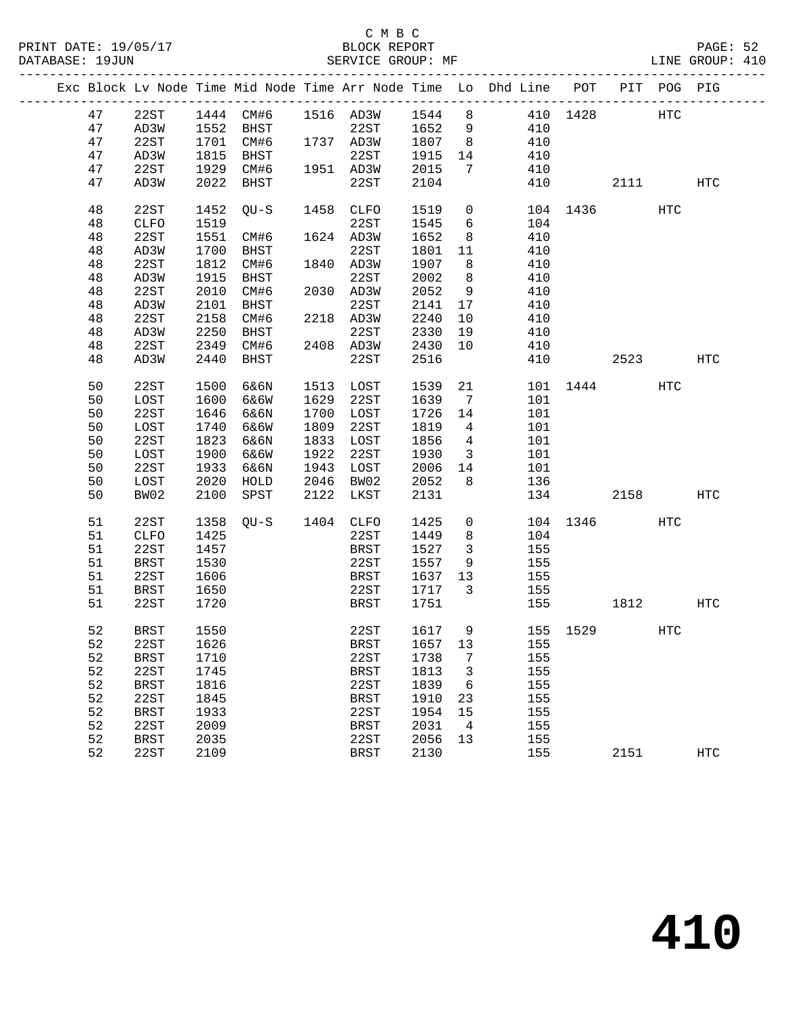|  |    |             |      |                            |                                                                                                                |             |        |                          | Exc Block Lv Node Time Mid Node Time Arr Node Time Lo Dhd Line POT PIT POG PIG |          |      |     |            |
|--|----|-------------|------|----------------------------|----------------------------------------------------------------------------------------------------------------|-------------|--------|--------------------------|--------------------------------------------------------------------------------|----------|------|-----|------------|
|  | 47 | 22ST        |      | 1444 CM#6 1516 AD3W 1544 8 |                                                                                                                |             |        |                          | 410 1428 HTC                                                                   |          |      |     |            |
|  | 47 | AD3W        |      | 1552 BHST                  |                                                                                                                | 22ST 1652   |        | 9                        | 410                                                                            |          |      |     |            |
|  | 47 | 22ST        |      | 1701 CM#6                  |                                                                                                                | 1737 AD3W   | 1807   | 8 <sup>8</sup>           | 410                                                                            |          |      |     |            |
|  |    |             |      |                            |                                                                                                                |             |        |                          |                                                                                |          |      |     |            |
|  | 47 | AD3W        | 1815 | BHST                       |                                                                                                                | 22ST        | 1915   | 14                       | 410                                                                            |          |      |     |            |
|  | 47 | 22ST        | 1929 | CM#6                       |                                                                                                                | 1951 AD3W   | 2015   | $\overline{7}$           | 410                                                                            |          |      |     |            |
|  | 47 | AD3W        | 2022 | BHST                       |                                                                                                                | 22ST        | 2104   |                          | 410                                                                            |          | 2111 |     | HTC        |
|  | 48 | 22ST        | 1452 | QU-S                       |                                                                                                                | 1458 CLFO   | 1519   | $\overline{0}$           |                                                                                | 104 1436 |      | HTC |            |
|  | 48 | <b>CLFO</b> | 1519 |                            |                                                                                                                | 22ST        | 1545   | 6                        | 104                                                                            |          |      |     |            |
|  | 48 | 22ST        | 1551 | CM#6                       |                                                                                                                | 1624 AD3W   | 1652   | 8 <sup>8</sup>           | 410                                                                            |          |      |     |            |
|  | 48 | AD3W        | 1700 | BHST                       |                                                                                                                | 22ST        | 1801   | 11                       | 410                                                                            |          |      |     |            |
|  | 48 | 22ST        | 1812 | CM#6                       |                                                                                                                | 1840 AD3W   | 1907   | 8                        | 410                                                                            |          |      |     |            |
|  | 48 | AD3W        | 1915 |                            |                                                                                                                | 22ST        | 2002   | 8                        | 410                                                                            |          |      |     |            |
|  |    |             |      | BHST                       |                                                                                                                |             |        |                          |                                                                                |          |      |     |            |
|  | 48 | 22ST        | 2010 | CM#6                       |                                                                                                                | 2030 AD3W   | 2052   | 9                        | 410                                                                            |          |      |     |            |
|  | 48 | AD3W        | 2101 | BHST                       |                                                                                                                | 22ST        | 2141   | 17                       | 410                                                                            |          |      |     |            |
|  | 48 | 22ST        | 2158 | CM#6                       |                                                                                                                | 2218 AD3W   | 2240   | 10                       | 410                                                                            |          |      |     |            |
|  | 48 | AD3W        | 2250 | BHST                       | $\begin{array}{c}\n\mathbf{1} & \mathbf{1} \\ \mathbf{2} & \mathbf{1} \\ \mathbf{3} & \mathbf{1}\n\end{array}$ | 22ST        | 2330   | 19                       | 410                                                                            |          |      |     |            |
|  | 48 | 22ST        |      | 2349 CM#6                  |                                                                                                                | 2408 AD3W   | 2430   | 10                       | 410                                                                            |          |      |     |            |
|  | 48 | AD3W        | 2440 | BHST                       |                                                                                                                | 22ST        | 2516   |                          | 410                                                                            |          | 2523 |     | HTC        |
|  |    |             |      |                            |                                                                                                                |             |        |                          |                                                                                |          |      |     |            |
|  | 50 | 22ST        | 1500 | 6&6N                       |                                                                                                                | 1513 LOST   | 1539   | 21                       |                                                                                | 101 1444 |      | HTC |            |
|  | 50 | LOST        | 1600 | 6&6W                       | 1629                                                                                                           | 22ST        | 1639   | $\overline{7}$           | 101                                                                            |          |      |     |            |
|  | 50 | 22ST        | 1646 | 6&6N                       | 1700                                                                                                           | LOST        | 1726   | 14                       | 101                                                                            |          |      |     |            |
|  | 50 | LOST        | 1740 | 6&6W                       | 1809                                                                                                           | 22ST        | 1819   | $\overline{4}$           | 101                                                                            |          |      |     |            |
|  | 50 | 22ST        | 1823 | 6&6N                       | 1833                                                                                                           | LOST        | 1856   | $\overline{4}$           | 101                                                                            |          |      |     |            |
|  | 50 | LOST        | 1900 | 6&6W                       |                                                                                                                | 1922 22ST   | 1930   | $\overline{\mathbf{3}}$  | 101                                                                            |          |      |     |            |
|  | 50 | 22ST        | 1933 | 6&6N                       | 1943                                                                                                           | LOST        | 2006   | 14                       | 101                                                                            |          |      |     |            |
|  | 50 |             | 2020 |                            |                                                                                                                | 2046 BW02   | 2052   | 8                        |                                                                                |          |      |     |            |
|  |    | LOST        |      | HOLD                       |                                                                                                                |             |        |                          | 136                                                                            |          |      |     |            |
|  | 50 | BW02        | 2100 | SPST                       | 2122                                                                                                           | LKST        | 2131   |                          |                                                                                | 134 2158 |      |     | HTC        |
|  | 51 | 22ST        | 1358 | OU-S                       |                                                                                                                | 1404 CLFO   | 1425   | $\overline{0}$           |                                                                                | 104 1346 |      | HTC |            |
|  | 51 | CLFO        | 1425 |                            |                                                                                                                | 22ST        | 1449   | 8                        | 104                                                                            |          |      |     |            |
|  | 51 | 22ST        | 1457 |                            |                                                                                                                | <b>BRST</b> | 1527   | $\overline{3}$           | 155                                                                            |          |      |     |            |
|  | 51 | BRST        | 1530 |                            |                                                                                                                | 22ST        | 1557   | 9                        | 155                                                                            |          |      |     |            |
|  | 51 | 22ST        | 1606 |                            |                                                                                                                | BRST        | 1637   | 13                       | 155                                                                            |          |      |     |            |
|  |    |             |      |                            |                                                                                                                |             |        |                          |                                                                                |          |      |     |            |
|  | 51 | BRST        | 1650 |                            |                                                                                                                | 22ST        | 1717   | $\overline{\mathbf{3}}$  | 155                                                                            |          |      |     |            |
|  | 51 | 22ST        | 1720 |                            |                                                                                                                | BRST        | 1751   |                          |                                                                                | 155 15   | 1812 |     | HTC        |
|  | 52 | <b>BRST</b> | 1550 |                            |                                                                                                                | 22ST        | 1617 9 |                          |                                                                                | 155 1529 |      | HTC |            |
|  | 52 | 22ST 1626   |      |                            |                                                                                                                | BRST        |        |                          | 1657 13 155                                                                    |          |      |     |            |
|  | 52 | BRST        | 1710 |                            |                                                                                                                | 22ST        | 1738   | $\overline{7}$           | 155                                                                            |          |      |     |            |
|  | 52 | 22ST        | 1745 |                            |                                                                                                                | BRST        | 1813   | $\overline{\phantom{a}}$ | 155                                                                            |          |      |     |            |
|  | 52 | BRST        | 1816 |                            |                                                                                                                | 22ST        | 1839   | $6\overline{6}$          | 155                                                                            |          |      |     |            |
|  | 52 |             | 1845 |                            |                                                                                                                |             | 1910   |                          | 155                                                                            |          |      |     |            |
|  |    | 22ST        |      |                            |                                                                                                                | BRST        |        | 23                       |                                                                                |          |      |     |            |
|  | 52 | <b>BRST</b> | 1933 |                            |                                                                                                                | 22ST        | 1954   | 15                       | 155                                                                            |          |      |     |            |
|  | 52 | 22ST        | 2009 |                            |                                                                                                                | <b>BRST</b> | 2031   | $\overline{4}$           | 155                                                                            |          |      |     |            |
|  | 52 | BRST        | 2035 |                            |                                                                                                                | 22ST        | 2056   | 13                       | 155                                                                            |          |      |     |            |
|  | 52 | 22ST        | 2109 |                            |                                                                                                                | <b>BRST</b> | 2130   |                          | 155                                                                            |          | 2151 |     | <b>HTC</b> |
|  |    |             |      |                            |                                                                                                                |             |        |                          |                                                                                |          |      |     |            |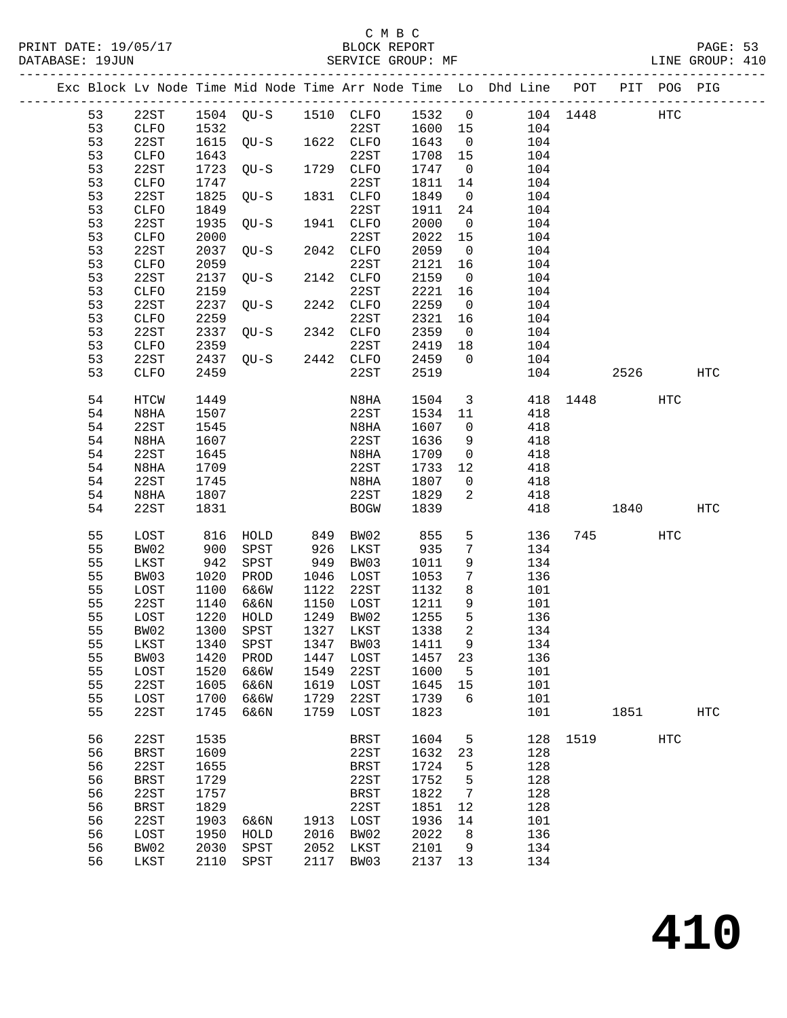PRINT DATE: 19/05/17 BLOCK REPORT<br>DATABASE: 19JUN BATABASE: 19JUN

### C M B C<br>BLOCK REPORT

PAGE: 53<br>LINE GROUP: 410

|  |          |                     |              |                     |      |                   |              |                   | Exc Block Lv Node Time Mid Node Time Arr Node Time Lo Dhd Line POT |          |      | PIT POG PIG |            |
|--|----------|---------------------|--------------|---------------------|------|-------------------|--------------|-------------------|--------------------------------------------------------------------|----------|------|-------------|------------|
|  | 53       | 22ST                |              | 1504 QU-S 1510 CLFO |      |                   | 1532         | $\overline{0}$    |                                                                    | 104 1448 |      | <b>HTC</b>  |            |
|  | 53       | CLFO                | 1532         |                     |      | 22ST              | 1600         | 15                | 104                                                                |          |      |             |            |
|  | 53       | 22ST                | 1615         | $QU-S$              |      | 1622 CLFO         | 1643         | $\overline{0}$    | 104                                                                |          |      |             |            |
|  | 53       | CLFO                | 1643         |                     |      | 22ST              | 1708         | 15                | 104                                                                |          |      |             |            |
|  | 53       | 22ST                | 1723         | QU-S                |      | 1729 CLFO         | 1747         | $\overline{0}$    | 104                                                                |          |      |             |            |
|  | 53       | CLFO                | 1747         |                     |      | 22ST              | 1811         | 14                | 104                                                                |          |      |             |            |
|  | 53       | 22ST                | 1825         | $QU-S$              |      | 1831 CLFO         | 1849         | $\overline{0}$    | 104                                                                |          |      |             |            |
|  | 53       | <b>CLFO</b>         | 1849         |                     |      | 22ST              | 1911         | 24                | 104                                                                |          |      |             |            |
|  | 53       | 22ST                | 1935         | $QU-S$              |      | 1941 CLFO         | 2000         | $\overline{0}$    | 104                                                                |          |      |             |            |
|  | 53       | CLFO                | 2000         |                     |      | 22ST              | 2022         | 15                | 104                                                                |          |      |             |            |
|  | 53       | 22ST                | 2037         | $QU-S$              |      | 2042 CLFO         | 2059         | $\overline{0}$    | 104                                                                |          |      |             |            |
|  | 53       | CLFO                | 2059         |                     |      | 22ST              | 2121         | 16                | 104                                                                |          |      |             |            |
|  | 53       | 22ST                | 2137         | $QU-S$              |      | 2142 CLFO         | 2159         | $\overline{0}$    | 104                                                                |          |      |             |            |
|  | 53       | CLFO                | 2159         |                     |      | 22ST              | 2221         | 16                | 104                                                                |          |      |             |            |
|  | 53       | 22ST                | 2237         |                     | 2242 |                   | 2259         |                   | 104                                                                |          |      |             |            |
|  | 53       | ${\tt CLFO}$        | 2259         | OU-S                |      | CLFO<br>22ST      | 2321         | $\mathbf 0$<br>16 | 104                                                                |          |      |             |            |
|  | 53       |                     |              |                     |      |                   |              |                   |                                                                    |          |      |             |            |
|  |          | 22ST                | 2337         | QU-S                |      | 2342 CLFO         | 2359         | $\overline{0}$    | 104                                                                |          |      |             |            |
|  | 53<br>53 | <b>CLFO</b>         | 2359<br>2437 | OU-S                |      | 22ST<br>2442 CLFO | 2419<br>2459 | 18<br>$\Omega$    | 104                                                                |          |      |             |            |
|  | 53       | 22ST<br><b>CLFO</b> | 2459         |                     |      | 22ST              | 2519         |                   | 104                                                                |          |      |             | HTC        |
|  |          |                     |              |                     |      |                   |              |                   | 104                                                                |          | 2526 |             |            |
|  | 54       | HTCW                | 1449         |                     |      | N8HA              | 1504         | $\overline{3}$    |                                                                    | 418 1448 |      | HTC         |            |
|  | 54       | N8HA                | 1507         |                     |      | 22ST              | 1534         | 11                | 418                                                                |          |      |             |            |
|  | 54       | 22ST                | 1545         |                     |      | N8HA              | 1607         | $\overline{0}$    | 418                                                                |          |      |             |            |
|  | 54       | N8HA                | 1607         |                     |      | 22ST              | 1636         | 9                 | 418                                                                |          |      |             |            |
|  | 54       | 22ST                | 1645         |                     |      | N8HA              | 1709         | $\overline{0}$    | 418                                                                |          |      |             |            |
|  | 54       | N8HA                | 1709         |                     |      | 22ST              | 1733         | 12                | 418                                                                |          |      |             |            |
|  | 54       | 22ST                | 1745         |                     |      | N8HA              | 1807         | $\mathbf{0}$      | 418                                                                |          |      |             |            |
|  | 54       | N8HA                | 1807         |                     |      | 22ST              | 1829         | 2                 | 418                                                                |          |      |             |            |
|  | 54       | 22ST                | 1831         |                     |      | <b>BOGW</b>       | 1839         |                   | 418                                                                |          | 1840 |             | HTC        |
|  | 55       | LOST                | 816          | HOLD                | 849  | BW02              | 855          | 5                 | 136                                                                | 745      |      | HTC         |            |
|  | 55       | BW02                | 900          | SPST                | 926  | LKST              | 935          | $7\phantom{.0}$   | 134                                                                |          |      |             |            |
|  | 55       | LKST                | 942          | SPST                | 949  | BW03              | 1011         | 9                 | 134                                                                |          |      |             |            |
|  | 55       | BW03                | 1020         | PROD                | 1046 | LOST              | 1053         | 7                 | 136                                                                |          |      |             |            |
|  | 55       | LOST                | 1100         | 6&6W                | 1122 | 22ST              | 1132         | 8                 | 101                                                                |          |      |             |            |
|  | 55       | 22ST                | 1140         | 6&6N                | 1150 | LOST              | 1211         | 9                 | 101                                                                |          |      |             |            |
|  | 55       | LOST                | 1220         | HOLD                | 1249 | BW02              | 1255         | 5                 | 136                                                                |          |      |             |            |
|  | 55       | BW02                | 1300         | SPST                | 1327 | LKST              | 1338         | $\overline{2}$    | 134                                                                |          |      |             |            |
|  | 55       | LKST                | 1340         | SPST                | 1347 | BM03              | 1411         | 9                 | 134                                                                |          |      |             |            |
|  | 55       | BW03                | 1420         | PROD                | 1447 | LOST              | 1457         | 23                | 136                                                                |          |      |             |            |
|  | 55       | LOST                | 1520         | 6&6W                | 1549 | 22ST              | 1600         | 5                 | 101                                                                |          |      |             |            |
|  | 55       | 22ST                | 1605         | 6&6N                | 1619 | LOST              | 1645         | 15                | 101                                                                |          |      |             |            |
|  | 55       | LOST                | 1700         | 6&6W                | 1729 | 22ST              | 1739         | 6                 | 101                                                                |          |      |             |            |
|  | 55       | 22ST                | 1745         | 6&6N                | 1759 | LOST              | 1823         |                   | 101                                                                |          | 1851 |             | <b>HTC</b> |
|  | 56       | 22ST                | 1535         |                     |      | <b>BRST</b>       | 1604         | 5                 | 128                                                                | 1519     |      | <b>HTC</b>  |            |
|  | 56       | <b>BRST</b>         | 1609         |                     |      | 22ST              | 1632         | 23                | 128                                                                |          |      |             |            |
|  | 56       | 22ST                | 1655         |                     |      | <b>BRST</b>       | 1724         | 5                 | 128                                                                |          |      |             |            |
|  | 56       | <b>BRST</b>         | 1729         |                     |      | 22ST              | 1752         | 5                 | 128                                                                |          |      |             |            |
|  | 56       | 22ST                | 1757         |                     |      | <b>BRST</b>       | 1822         | 7                 | 128                                                                |          |      |             |            |
|  | 56       | <b>BRST</b>         | 1829         |                     |      | 22ST              | 1851         | 12                | 128                                                                |          |      |             |            |
|  | 56       | 22ST                | 1903         | 6&6N                | 1913 | LOST              | 1936         | 14                | 101                                                                |          |      |             |            |
|  | 56       | LOST                | 1950         | HOLD                | 2016 | BW02              | 2022         | 8                 | 136                                                                |          |      |             |            |
|  | 56       | BW02                | 2030         | SPST                | 2052 | LKST              | 2101         | 9                 | 134                                                                |          |      |             |            |
|  | 56       | LKST                | 2110         | SPST                | 2117 | BW03              | 2137         | 13                | 134                                                                |          |      |             |            |
|  |          |                     |              |                     |      |                   |              |                   |                                                                    |          |      |             |            |

**410**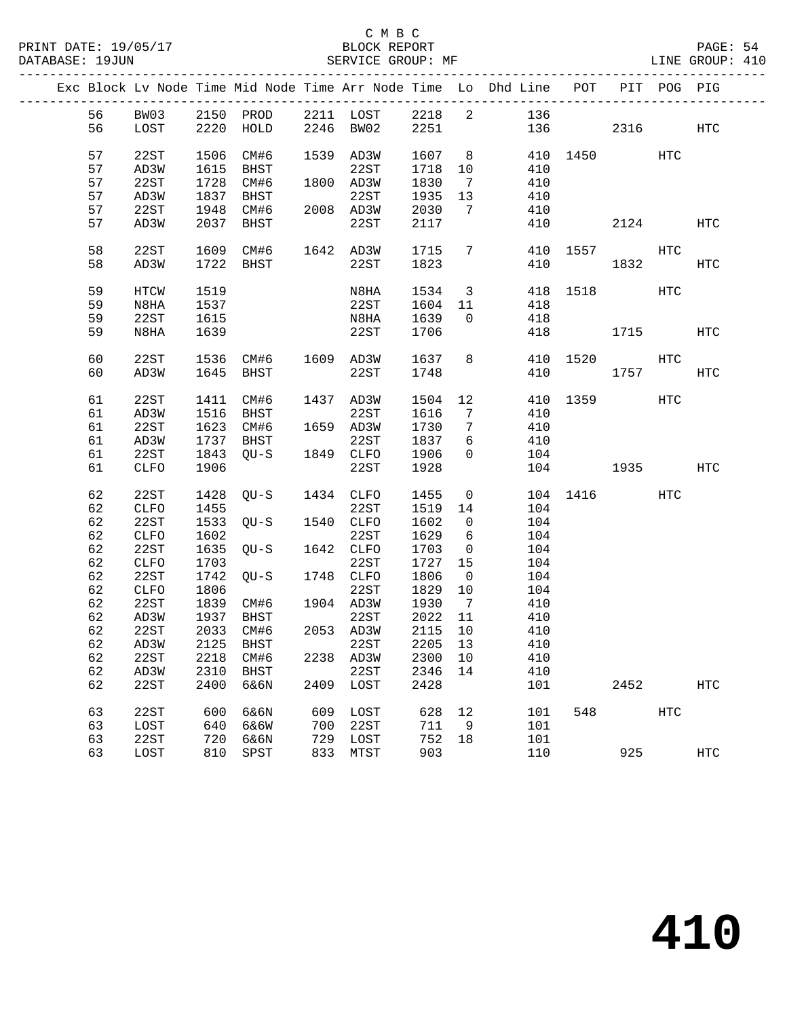|  |    |             |      |                   |     |                     |         |                         | Exc Block Lv Node Time Mid Node Time Arr Node Time Lo Dhd Line POT PIT POG PIG |              |      |     |            |
|--|----|-------------|------|-------------------|-----|---------------------|---------|-------------------------|--------------------------------------------------------------------------------|--------------|------|-----|------------|
|  | 56 | <b>BW03</b> |      |                   |     |                     |         |                         |                                                                                |              |      |     |            |
|  | 56 | LOST        |      |                   |     |                     |         |                         | 2150 PROD 2211 LOST 2218 2 136<br>2220 HOLD 2246 BW02 2251 136                 | 136 2316     |      |     | HTC        |
|  |    |             |      |                   |     |                     |         |                         |                                                                                |              |      |     |            |
|  | 57 | 22ST        | 1506 | CM#6              |     | 1539 AD3W           | 1607 8  |                         | 410 1450                                                                       |              |      | HTC |            |
|  | 57 | AD3W        | 1615 | BHST              |     | 22ST                | 1718 10 |                         | 410                                                                            |              |      |     |            |
|  | 57 | 22ST        | 1728 | CM#6              |     | 1800 AD3W           | 1830    | $\overline{7}$          | 410                                                                            |              |      |     |            |
|  | 57 | AD3W        | 1837 | BHST              |     | 22ST                | 1935    | 13                      | 410                                                                            |              |      |     |            |
|  | 57 | 22ST        | 1948 | CM#6              |     | 2008 AD3W           | 2030    | $\overline{7}$          | 410                                                                            |              |      |     |            |
|  | 57 | AD3W        | 2037 | BHST              |     | 22ST                | 2117    |                         | 410                                                                            |              | 2124 |     | HTC        |
|  |    |             |      |                   |     |                     |         |                         |                                                                                |              |      |     |            |
|  | 58 | 22ST        |      |                   |     | 1609 CM#6 1642 AD3W | 1715    |                         | 7                                                                              | 410 1557     |      | HTC |            |
|  | 58 | AD3W        |      | 1722 BHST         |     | 22ST                | 1823    |                         | 410                                                                            | 1832         |      |     | HTC        |
|  | 59 | HTCW        | 1519 |                   |     | N8HA                | 1534    | $\overline{\mathbf{3}}$ |                                                                                | 418 1518     |      | HTC |            |
|  | 59 | N8HA        | 1537 |                   |     | 22ST                | 1604 11 |                         | 418                                                                            |              |      |     |            |
|  | 59 | 22ST        | 1615 |                   |     | N8HA                | 1639    | $\overline{0}$          | 418                                                                            |              |      |     |            |
|  | 59 | N8HA        | 1639 |                   |     | 22ST                | 1706    |                         |                                                                                | 418          | 1715 |     | HTC        |
|  |    |             |      |                   |     |                     |         |                         |                                                                                |              |      |     |            |
|  | 60 | 22ST        |      |                   |     | 1536 CM#6 1609 AD3W | 1637 8  |                         |                                                                                | 410 1520 HTC |      |     |            |
|  | 60 | AD3W        |      | 1645 BHST         |     | 22ST                | 1748    |                         | 410                                                                            |              | 1757 |     | HTC        |
|  | 61 | 22ST        |      | 1411 CM#6         |     | 1437 AD3W           |         |                         | 1504 12                                                                        | 410 1359     |      | HTC |            |
|  | 61 | AD3W        | 1516 | BHST              |     | 22ST                | 1616    | $\overline{7}$          | 410                                                                            |              |      |     |            |
|  | 61 | 22ST        |      | 1623 CM#6         |     | 1659 AD3W           | 1730    | $7\phantom{.0}$         | 410                                                                            |              |      |     |            |
|  | 61 | AD3W        | 1737 |                   |     | 22ST                | 1837    | 6                       | 410                                                                            |              |      |     |            |
|  | 61 | 22ST        | 1843 | BHST<br>QU-S 1849 |     | 1849 CLFO           | 1906    | $\overline{0}$          | 104                                                                            |              |      |     |            |
|  | 61 | CLFO        | 1906 |                   |     | 22ST                | 1928    |                         |                                                                                | 104 1935     |      |     | HTC        |
|  | 62 | 22ST        |      | 1428 QU-S         |     | 1434 CLFO           | 1455    | $\overline{0}$          |                                                                                | 104 1416 HTC |      |     |            |
|  | 62 | CLFO        | 1455 |                   |     | 22ST                | 1519 14 |                         | 104                                                                            |              |      |     |            |
|  | 62 | 22ST        |      | 1533 QU-S         |     | 1540 CLFO           | 1602    | $\overline{0}$          | 104                                                                            |              |      |     |            |
|  | 62 | CLFO        | 1602 |                   |     | 22ST                | 1629    | 6                       | 104                                                                            |              |      |     |            |
|  | 62 | 22ST        | 1635 | QU-S              |     | 1642 CLFO           | 1703    | $\overline{\mathbf{0}}$ | 104                                                                            |              |      |     |            |
|  | 62 | CLFO        | 1703 |                   |     | 22ST                | 1727    | 15                      | 104                                                                            |              |      |     |            |
|  | 62 | 22ST        | 1742 | QU-S              |     | 1748 CLFO           | 1806    | $\overline{0}$          | 104                                                                            |              |      |     |            |
|  | 62 | CLFO        | 1806 |                   |     | 22ST                | 1829    | 10                      | 104                                                                            |              |      |     |            |
|  | 62 | 22ST        | 1839 | CM#6 1904 AD3W    |     |                     | 1930    | $\overline{7}$          | 410                                                                            |              |      |     |            |
|  | 62 | AD3W        | 1937 | BHST              |     | 22ST                | 2022 11 |                         | 410                                                                            |              |      |     |            |
|  | 62 | 22ST        |      | 2033 CM#6         |     | 2053 AD3W           | 2115 10 |                         | 410                                                                            |              |      |     |            |
|  |    |             |      |                   |     |                     |         |                         | 62 AD3W 2125 BHST 22ST 2205 13 410                                             |              |      |     |            |
|  | 62 | 22ST        | 2218 | CM#6              |     | 2238 AD3W           | 2300 10 |                         | 410                                                                            |              |      |     |            |
|  | 62 | AD3W        | 2310 | BHST              |     | 22ST                | 2346    | 14                      | 410                                                                            |              |      |     |            |
|  | 62 | 22ST        | 2400 | 6&6N              |     | 2409 LOST           | 2428    |                         | 101                                                                            |              | 2452 |     | <b>HTC</b> |
|  | 63 | 22ST        | 600  | 6&6N              | 609 | LOST                | 628     | 12                      | 101                                                                            | 548          |      | HTC |            |
|  | 63 | LOST        | 640  | 6&6W              | 700 | 22ST                | 711     | 9                       | 101                                                                            |              |      |     |            |
|  | 63 | 22ST        | 720  | 6&6N              | 729 | LOST                | 752     | 18                      | 101                                                                            |              |      |     |            |
|  | 63 | LOST        | 810  | SPST              | 833 | MTST                | 903     |                         | 110                                                                            |              | 925  |     | <b>HTC</b> |
|  |    |             |      |                   |     |                     |         |                         |                                                                                |              |      |     |            |